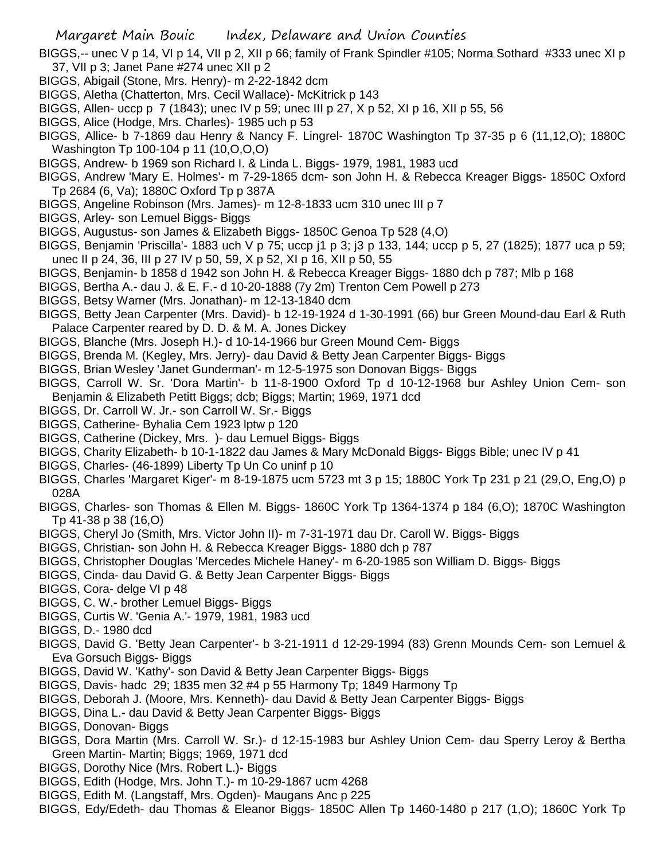BIGGS,-- unec V p 14, VI p 14, VII p 2, XII p 66; family of Frank Spindler #105; Norma Sothard #333 unec XI p 37, VII p 3; Janet Pane #274 unec XII p 2

- BIGGS, Abigail (Stone, Mrs. Henry)- m 2-22-1842 dcm
- BIGGS, Aletha (Chatterton, Mrs. Cecil Wallace)- McKitrick p 143
- BIGGS, Allen- uccp p 7 (1843); unec IV p 59; unec III p 27, X p 52, XI p 16, XII p 55, 56
- BIGGS, Alice (Hodge, Mrs. Charles)- 1985 uch p 53
- BIGGS, Allice- b 7-1869 dau Henry & Nancy F. Lingrel- 1870C Washington Tp 37-35 p 6 (11,12,O); 1880C Washington Tp 100-104 p 11 (10,O,O,O)
- BIGGS, Andrew- b 1969 son Richard I. & Linda L. Biggs- 1979, 1981, 1983 ucd
- BIGGS, Andrew 'Mary E. Holmes'- m 7-29-1865 dcm- son John H. & Rebecca Kreager Biggs- 1850C Oxford Tp 2684 (6, Va); 1880C Oxford Tp p 387A
- BIGGS, Angeline Robinson (Mrs. James)- m 12-8-1833 ucm 310 unec III p 7
- BIGGS, Arley- son Lemuel Biggs- Biggs
- BIGGS, Augustus- son James & Elizabeth Biggs- 1850C Genoa Tp 528 (4,O)
- BIGGS, Benjamin 'Priscilla'- 1883 uch V p 75; uccp j1 p 3; j3 p 133, 144; uccp p 5, 27 (1825); 1877 uca p 59; unec II p 24, 36, III p 27 IV p 50, 59, X p 52, XI p 16, XII p 50, 55
- BIGGS, Benjamin- b 1858 d 1942 son John H. & Rebecca Kreager Biggs- 1880 dch p 787; Mlb p 168
- BIGGS, Bertha A.- dau J. & E. F.- d 10-20-1888 (7y 2m) Trenton Cem Powell p 273
- BIGGS, Betsy Warner (Mrs. Jonathan)- m 12-13-1840 dcm
- BIGGS, Betty Jean Carpenter (Mrs. David)- b 12-19-1924 d 1-30-1991 (66) bur Green Mound-dau Earl & Ruth Palace Carpenter reared by D. D. & M. A. Jones Dickey
- BIGGS, Blanche (Mrs. Joseph H.)- d 10-14-1966 bur Green Mound Cem- Biggs
- BIGGS, Brenda M. (Kegley, Mrs. Jerry)- dau David & Betty Jean Carpenter Biggs- Biggs
- BIGGS, Brian Wesley 'Janet Gunderman'- m 12-5-1975 son Donovan Biggs- Biggs
- BIGGS, Carroll W. Sr. 'Dora Martin'- b 11-8-1900 Oxford Tp d 10-12-1968 bur Ashley Union Cem- son Benjamin & Elizabeth Petitt Biggs; dcb; Biggs; Martin; 1969, 1971 dcd
- BIGGS, Dr. Carroll W. Jr.- son Carroll W. Sr.- Biggs
- BIGGS, Catherine- Byhalia Cem 1923 lptw p 120
- BIGGS, Catherine (Dickey, Mrs. )- dau Lemuel Biggs- Biggs
- BIGGS, Charity Elizabeth- b 10-1-1822 dau James & Mary McDonald Biggs- Biggs Bible; unec IV p 41
- BIGGS, Charles- (46-1899) Liberty Tp Un Co uninf p 10
- BIGGS, Charles 'Margaret Kiger'- m 8-19-1875 ucm 5723 mt 3 p 15; 1880C York Tp 231 p 21 (29,O, Eng,O) p 028A
- BIGGS, Charles- son Thomas & Ellen M. Biggs- 1860C York Tp 1364-1374 p 184 (6,O); 1870C Washington Tp 41-38 p 38 (16,O)
- BIGGS, Cheryl Jo (Smith, Mrs. Victor John II)- m 7-31-1971 dau Dr. Caroll W. Biggs- Biggs
- BIGGS, Christian- son John H. & Rebecca Kreager Biggs- 1880 dch p 787
- BIGGS, Christopher Douglas 'Mercedes Michele Haney'- m 6-20-1985 son William D. Biggs- Biggs
- BIGGS, Cinda- dau David G. & Betty Jean Carpenter Biggs- Biggs
- BIGGS, Cora- delge VI p 48
- BIGGS, C. W.- brother Lemuel Biggs- Biggs
- BIGGS, Curtis W. 'Genia A.'- 1979, 1981, 1983 ucd
- BIGGS, D.- 1980 dcd
- BIGGS, David G. 'Betty Jean Carpenter'- b 3-21-1911 d 12-29-1994 (83) Grenn Mounds Cem- son Lemuel & Eva Gorsuch Biggs- Biggs
- BIGGS, David W. 'Kathy'- son David & Betty Jean Carpenter Biggs- Biggs
- BIGGS, Davis- hadc 29; 1835 men 32 #4 p 55 Harmony Tp; 1849 Harmony Tp
- BIGGS, Deborah J. (Moore, Mrs. Kenneth)- dau David & Betty Jean Carpenter Biggs- Biggs
- BIGGS, Dina L.- dau David & Betty Jean Carpenter Biggs- Biggs
- BIGGS, Donovan- Biggs
- BIGGS, Dora Martin (Mrs. Carroll W. Sr.)- d 12-15-1983 bur Ashley Union Cem- dau Sperry Leroy & Bertha Green Martin- Martin; Biggs; 1969, 1971 dcd
- BIGGS, Dorothy Nice (Mrs. Robert L.)- Biggs
- BIGGS, Edith (Hodge, Mrs. John T.)- m 10-29-1867 ucm 4268
- BIGGS, Edith M. (Langstaff, Mrs. Ogden)- Maugans Anc p 225
- BIGGS, Edy/Edeth- dau Thomas & Eleanor Biggs- 1850C Allen Tp 1460-1480 p 217 (1,O); 1860C York Tp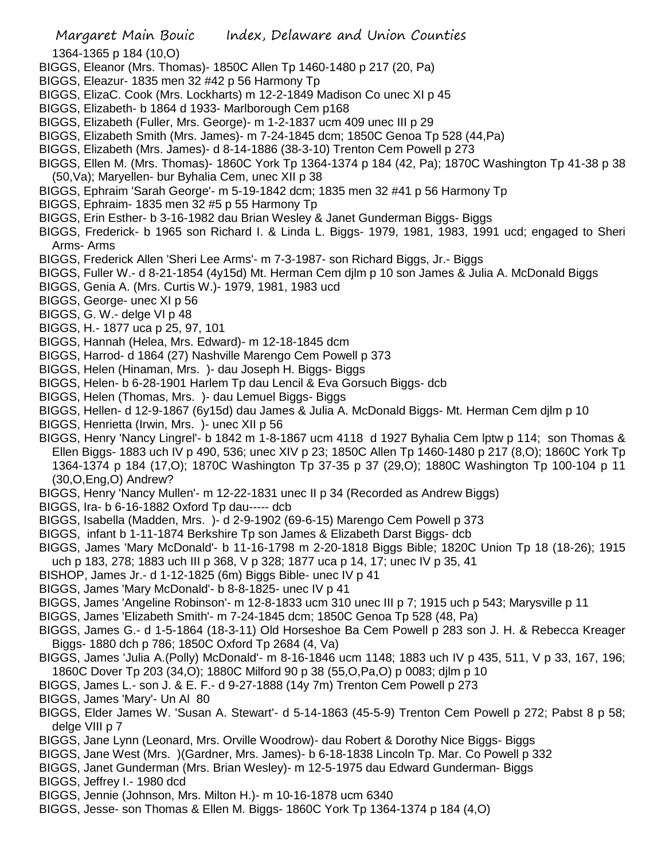- 1364-1365 p 184 (10,O)
- BIGGS, Eleanor (Mrs. Thomas)- 1850C Allen Tp 1460-1480 p 217 (20, Pa)
- BIGGS, Eleazur- 1835 men 32 #42 p 56 Harmony Tp
- BIGGS, ElizaC. Cook (Mrs. Lockharts) m 12-2-1849 Madison Co unec XI p 45
- BIGGS, Elizabeth- b 1864 d 1933- Marlborough Cem p168
- BIGGS, Elizabeth (Fuller, Mrs. George)- m 1-2-1837 ucm 409 unec III p 29
- BIGGS, Elizabeth Smith (Mrs. James)- m 7-24-1845 dcm; 1850C Genoa Tp 528 (44,Pa)
- BIGGS, Elizabeth (Mrs. James)- d 8-14-1886 (38-3-10) Trenton Cem Powell p 273
- BIGGS, Ellen M. (Mrs. Thomas)- 1860C York Tp 1364-1374 p 184 (42, Pa); 1870C Washington Tp 41-38 p 38 (50,Va); Maryellen- bur Byhalia Cem, unec XII p 38
- BIGGS, Ephraim 'Sarah George'- m 5-19-1842 dcm; 1835 men 32 #41 p 56 Harmony Tp
- BIGGS, Ephraim- 1835 men 32 #5 p 55 Harmony Tp
- BIGGS, Erin Esther- b 3-16-1982 dau Brian Wesley & Janet Gunderman Biggs- Biggs
- BIGGS, Frederick- b 1965 son Richard I. & Linda L. Biggs- 1979, 1981, 1983, 1991 ucd; engaged to Sheri Arms- Arms
- BIGGS, Frederick Allen 'Sheri Lee Arms'- m 7-3-1987- son Richard Biggs, Jr.- Biggs
- BIGGS, Fuller W.- d 8-21-1854 (4y15d) Mt. Herman Cem djlm p 10 son James & Julia A. McDonald Biggs
- BIGGS, Genia A. (Mrs. Curtis W.)- 1979, 1981, 1983 ucd
- BIGGS, George- unec XI p 56
- BIGGS, G. W.- delge VI p 48
- BIGGS, H.- 1877 uca p 25, 97, 101
- BIGGS, Hannah (Helea, Mrs. Edward)- m 12-18-1845 dcm
- BIGGS, Harrod- d 1864 (27) Nashville Marengo Cem Powell p 373
- BIGGS, Helen (Hinaman, Mrs. )- dau Joseph H. Biggs- Biggs
- BIGGS, Helen- b 6-28-1901 Harlem Tp dau Lencil & Eva Gorsuch Biggs- dcb
- BIGGS, Helen (Thomas, Mrs. )- dau Lemuel Biggs- Biggs
- BIGGS, Hellen- d 12-9-1867 (6y15d) dau James & Julia A. McDonald Biggs- Mt. Herman Cem djlm p 10
- BIGGS, Henrietta (Irwin, Mrs. )- unec XII p 56
- BIGGS, Henry 'Nancy Lingrel'- b 1842 m 1-8-1867 ucm 4118 d 1927 Byhalia Cem lptw p 114; son Thomas & Ellen Biggs- 1883 uch IV p 490, 536; unec XIV p 23; 1850C Allen Tp 1460-1480 p 217 (8,O); 1860C York Tp 1364-1374 p 184 (17,O); 1870C Washington Tp 37-35 p 37 (29,O); 1880C Washington Tp 100-104 p 11 (30,O,Eng,O) Andrew?
- BIGGS, Henry 'Nancy Mullen'- m 12-22-1831 unec II p 34 (Recorded as Andrew Biggs)
- BIGGS, Ira- b 6-16-1882 Oxford Tp dau----- dcb
- BIGGS, Isabella (Madden, Mrs. )- d 2-9-1902 (69-6-15) Marengo Cem Powell p 373
- BIGGS, infant b 1-11-1874 Berkshire Tp son James & Elizabeth Darst Biggs- dcb
- BIGGS, James 'Mary McDonald'- b 11-16-1798 m 2-20-1818 Biggs Bible; 1820C Union Tp 18 (18-26); 1915 uch p 183, 278; 1883 uch III p 368, V p 328; 1877 uca p 14, 17; unec IV p 35, 41
- BISHOP, James Jr.- d 1-12-1825 (6m) Biggs Bible- unec IV p 41
- BIGGS, James 'Mary McDonald'- b 8-8-1825- unec IV p 41
- BIGGS, James 'Angeline Robinson'- m 12-8-1833 ucm 310 unec III p 7; 1915 uch p 543; Marysville p 11
- BIGGS, James 'Elizabeth Smith'- m 7-24-1845 dcm; 1850C Genoa Tp 528 (48, Pa)
- BIGGS, James G.- d 1-5-1864 (18-3-11) Old Horseshoe Ba Cem Powell p 283 son J. H. & Rebecca Kreager Biggs- 1880 dch p 786; 1850C Oxford Tp 2684 (4, Va)
- BIGGS, James 'Julia A.(Polly) McDonald'- m 8-16-1846 ucm 1148; 1883 uch IV p 435, 511, V p 33, 167, 196; 1860C Dover Tp 203 (34,O); 1880C Milford 90 p 38 (55,O,Pa,O) p 0083; djlm p 10
- BIGGS, James L.- son J. & E. F.- d 9-27-1888 (14y 7m) Trenton Cem Powell p 273
- BIGGS, James 'Mary'- Un Al 80
- BIGGS, Elder James W. 'Susan A. Stewart'- d 5-14-1863 (45-5-9) Trenton Cem Powell p 272; Pabst 8 p 58; delge VIII p 7
- BIGGS, Jane Lynn (Leonard, Mrs. Orville Woodrow)- dau Robert & Dorothy Nice Biggs- Biggs
- BIGGS, Jane West (Mrs. )(Gardner, Mrs. James)- b 6-18-1838 Lincoln Tp. Mar. Co Powell p 332
- BIGGS, Janet Gunderman (Mrs. Brian Wesley)- m 12-5-1975 dau Edward Gunderman- Biggs
- BIGGS, Jeffrey I.- 1980 dcd
- BIGGS, Jennie (Johnson, Mrs. Milton H.)- m 10-16-1878 ucm 6340
- BIGGS, Jesse- son Thomas & Ellen M. Biggs- 1860C York Tp 1364-1374 p 184 (4,O)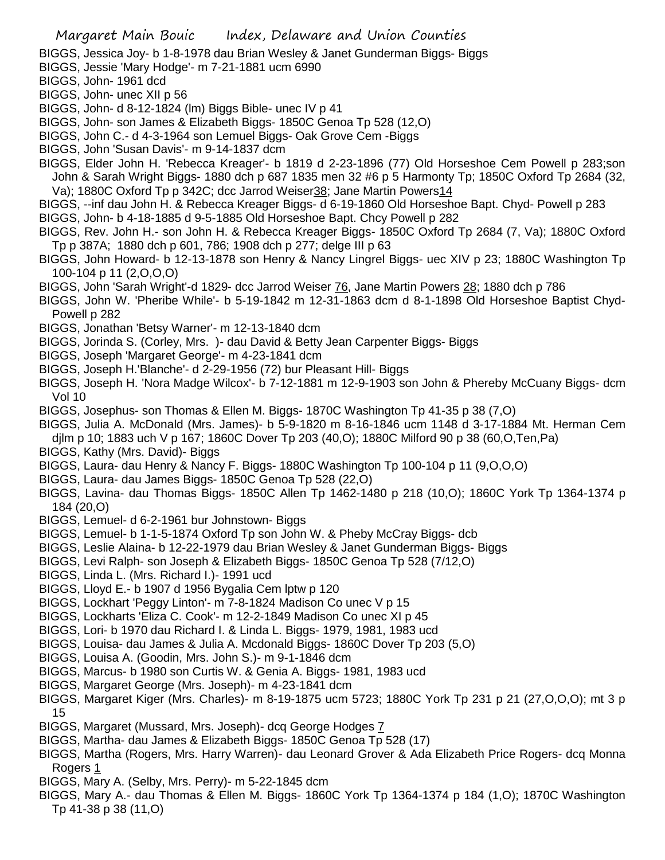BIGGS, Jessica Joy- b 1-8-1978 dau Brian Wesley & Janet Gunderman Biggs- Biggs

BIGGS, Jessie 'Mary Hodge'- m 7-21-1881 ucm 6990

BIGGS, John- 1961 dcd

BIGGS, John- unec XII p 56

BIGGS, John- d 8-12-1824 (lm) Biggs Bible- unec IV p 41

BIGGS, John- son James & Elizabeth Biggs- 1850C Genoa Tp 528 (12,O)

BIGGS, John C.- d 4-3-1964 son Lemuel Biggs- Oak Grove Cem -Biggs

BIGGS, John 'Susan Davis'- m 9-14-1837 dcm

BIGGS, Elder John H. 'Rebecca Kreager'- b 1819 d 2-23-1896 (77) Old Horseshoe Cem Powell p 283;son John & Sarah Wright Biggs- 1880 dch p 687 1835 men 32 #6 p 5 Harmonty Tp; 1850C Oxford Tp 2684 (32, Va); 1880C Oxford Tp p 342C; dcc Jarrod Weiser38; Jane Martin Powers14

BIGGS, --inf dau John H. & Rebecca Kreager Biggs- d 6-19-1860 Old Horseshoe Bapt. Chyd- Powell p 283

BIGGS, John- b 4-18-1885 d 9-5-1885 Old Horseshoe Bapt. Chcy Powell p 282

BIGGS, Rev. John H.- son John H. & Rebecca Kreager Biggs- 1850C Oxford Tp 2684 (7, Va); 1880C Oxford Tp p 387A; 1880 dch p 601, 786; 1908 dch p 277; delge III p 63

BIGGS, John Howard- b 12-13-1878 son Henry & Nancy Lingrel Biggs- uec XIV p 23; 1880C Washington Tp 100-104 p 11 (2,O,O,O)

BIGGS, John 'Sarah Wright'-d 1829- dcc Jarrod Weiser 76, Jane Martin Powers 28; 1880 dch p 786

BIGGS, John W. 'Pheribe While'- b 5-19-1842 m 12-31-1863 dcm d 8-1-1898 Old Horseshoe Baptist Chyd-Powell p 282

BIGGS, Jonathan 'Betsy Warner'- m 12-13-1840 dcm

BIGGS, Jorinda S. (Corley, Mrs. )- dau David & Betty Jean Carpenter Biggs- Biggs

BIGGS, Joseph 'Margaret George'- m 4-23-1841 dcm

BIGGS, Joseph H.'Blanche'- d 2-29-1956 (72) bur Pleasant Hill- Biggs

BIGGS, Joseph H. 'Nora Madge Wilcox'- b 7-12-1881 m 12-9-1903 son John & Phereby McCuany Biggs- dcm Vol 10

BIGGS, Josephus- son Thomas & Ellen M. Biggs- 1870C Washington Tp 41-35 p 38 (7,O)

BIGGS, Julia A. McDonald (Mrs. James)- b 5-9-1820 m 8-16-1846 ucm 1148 d 3-17-1884 Mt. Herman Cem

djlm p 10; 1883 uch V p 167; 1860C Dover Tp 203 (40,O); 1880C Milford 90 p 38 (60,O,Ten,Pa)

BIGGS, Kathy (Mrs. David)- Biggs

BIGGS, Laura- dau Henry & Nancy F. Biggs- 1880C Washington Tp 100-104 p 11 (9,O,O,O)

BIGGS, Laura- dau James Biggs- 1850C Genoa Tp 528 (22,O)

BIGGS, Lavina- dau Thomas Biggs- 1850C Allen Tp 1462-1480 p 218 (10,O); 1860C York Tp 1364-1374 p 184 (20,O)

BIGGS, Lemuel- d 6-2-1961 bur Johnstown- Biggs

BIGGS, Lemuel- b 1-1-5-1874 Oxford Tp son John W. & Pheby McCray Biggs- dcb

BIGGS, Leslie Alaina- b 12-22-1979 dau Brian Wesley & Janet Gunderman Biggs- Biggs

BIGGS, Levi Ralph- son Joseph & Elizabeth Biggs- 1850C Genoa Tp 528 (7/12,O)

BIGGS, Linda L. (Mrs. Richard I.)- 1991 ucd

BIGGS, Lloyd E.- b 1907 d 1956 Bygalia Cem lptw p 120

BIGGS, Lockhart 'Peggy Linton'- m 7-8-1824 Madison Co unec V p 15

BIGGS, Lockharts 'Eliza C. Cook'- m 12-2-1849 Madison Co unec XI p 45

BIGGS, Lori- b 1970 dau Richard I. & Linda L. Biggs- 1979, 1981, 1983 ucd

BIGGS, Louisa- dau James & Julia A. Mcdonald Biggs- 1860C Dover Tp 203 (5,O)

BIGGS, Louisa A. (Goodin, Mrs. John S.)- m 9-1-1846 dcm

BIGGS, Marcus- b 1980 son Curtis W. & Genia A. Biggs- 1981, 1983 ucd

BIGGS, Margaret George (Mrs. Joseph)- m 4-23-1841 dcm

BIGGS, Margaret Kiger (Mrs. Charles)- m 8-19-1875 ucm 5723; 1880C York Tp 231 p 21 (27,O,O,O); mt 3 p 15

BIGGS, Margaret (Mussard, Mrs. Joseph)- dcq George Hodges 7

BIGGS, Martha- dau James & Elizabeth Biggs- 1850C Genoa Tp 528 (17)

BIGGS, Martha (Rogers, Mrs. Harry Warren)- dau Leonard Grover & Ada Elizabeth Price Rogers- dcq Monna Rogers 1

BIGGS, Mary A. (Selby, Mrs. Perry)- m 5-22-1845 dcm

BIGGS, Mary A.- dau Thomas & Ellen M. Biggs- 1860C York Tp 1364-1374 p 184 (1,O); 1870C Washington Tp 41-38 p 38 (11,O)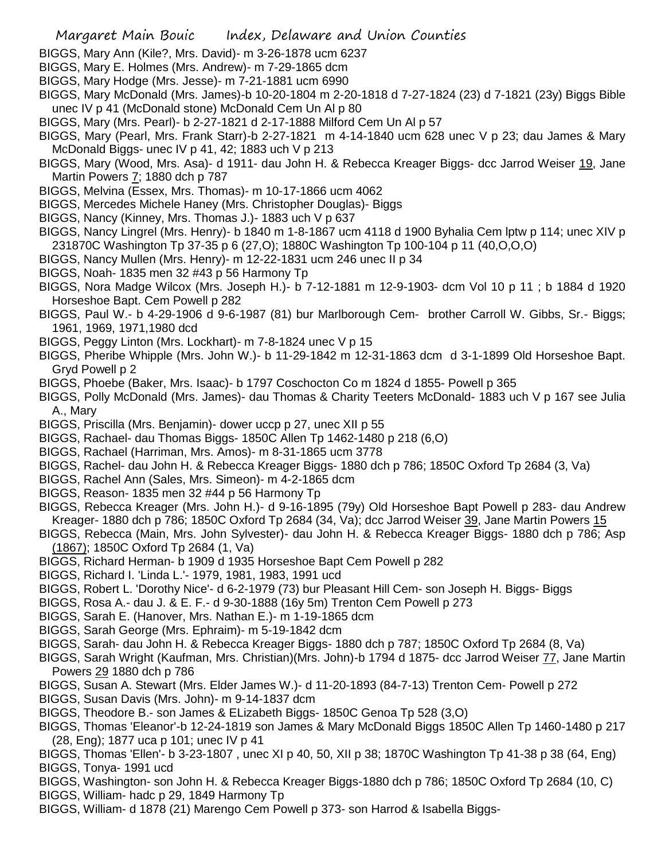- BIGGS, Mary Ann (Kile?, Mrs. David)- m 3-26-1878 ucm 6237
- BIGGS, Mary E. Holmes (Mrs. Andrew)- m 7-29-1865 dcm
- BIGGS, Mary Hodge (Mrs. Jesse)- m 7-21-1881 ucm 6990
- BIGGS, Mary McDonald (Mrs. James)-b 10-20-1804 m 2-20-1818 d 7-27-1824 (23) d 7-1821 (23y) Biggs Bible unec IV p 41 (McDonald stone) McDonald Cem Un Al p 80
- BIGGS, Mary (Mrs. Pearl)- b 2-27-1821 d 2-17-1888 Milford Cem Un Al p 57
- BIGGS, Mary (Pearl, Mrs. Frank Starr)-b 2-27-1821 m 4-14-1840 ucm 628 unec V p 23; dau James & Mary McDonald Biggs- unec IV p 41, 42; 1883 uch V p 213
- BIGGS, Mary (Wood, Mrs. Asa)- d 1911- dau John H. & Rebecca Kreager Biggs- dcc Jarrod Weiser <u>19,</u> Jane Martin Powers 7; 1880 dch p 787
- BIGGS, Melvina (Essex, Mrs. Thomas)- m 10-17-1866 ucm 4062
- BIGGS, Mercedes Michele Haney (Mrs. Christopher Douglas)- Biggs
- BIGGS, Nancy (Kinney, Mrs. Thomas J.)- 1883 uch V p 637
- BIGGS, Nancy Lingrel (Mrs. Henry)- b 1840 m 1-8-1867 ucm 4118 d 1900 Byhalia Cem lptw p 114; unec XIV p 231870C Washington Tp 37-35 p 6 (27,O); 1880C Washington Tp 100-104 p 11 (40,O,O,O)
- BIGGS, Nancy Mullen (Mrs. Henry)- m 12-22-1831 ucm 246 unec II p 34
- BIGGS, Noah- 1835 men 32 #43 p 56 Harmony Tp
- BIGGS, Nora Madge Wilcox (Mrs. Joseph H.)- b 7-12-1881 m 12-9-1903- dcm Vol 10 p 11 ; b 1884 d 1920 Horseshoe Bapt. Cem Powell p 282
- BIGGS, Paul W.- b 4-29-1906 d 9-6-1987 (81) bur Marlborough Cem- brother Carroll W. Gibbs, Sr.- Biggs; 1961, 1969, 1971,1980 dcd
- BIGGS, Peggy Linton (Mrs. Lockhart)- m 7-8-1824 unec V p 15
- BIGGS, Pheribe Whipple (Mrs. John W.)- b 11-29-1842 m 12-31-1863 dcm d 3-1-1899 Old Horseshoe Bapt. Gryd Powell p 2
- BIGGS, Phoebe (Baker, Mrs. Isaac)- b 1797 Coschocton Co m 1824 d 1855- Powell p 365
- BIGGS, Polly McDonald (Mrs. James)- dau Thomas & Charity Teeters McDonald- 1883 uch V p 167 see Julia A., Mary
- BIGGS, Priscilla (Mrs. Benjamin)- dower uccp p 27, unec XII p 55
- BIGGS, Rachael- dau Thomas Biggs- 1850C Allen Tp 1462-1480 p 218 (6,O)
- BIGGS, Rachael (Harriman, Mrs. Amos)- m 8-31-1865 ucm 3778
- BIGGS, Rachel- dau John H. & Rebecca Kreager Biggs- 1880 dch p 786; 1850C Oxford Tp 2684 (3, Va)
- BIGGS, Rachel Ann (Sales, Mrs. Simeon)- m 4-2-1865 dcm
- BIGGS, Reason- 1835 men 32 #44 p 56 Harmony Tp
- BIGGS, Rebecca Kreager (Mrs. John H.)- d 9-16-1895 (79y) Old Horseshoe Bapt Powell p 283- dau Andrew Kreager- 1880 dch p 786; 1850C Oxford Tp 2684 (34, Va); dcc Jarrod Weiser 39, Jane Martin Powers 15
- BIGGS, Rebecca (Main, Mrs. John Sylvester)- dau John H. & Rebecca Kreager Biggs- 1880 dch p 786; Asp (1867); 1850C Oxford Tp 2684 (1, Va)
- BIGGS, Richard Herman- b 1909 d 1935 Horseshoe Bapt Cem Powell p 282
- BIGGS, Richard I. 'Linda L.'- 1979, 1981, 1983, 1991 ucd
- BIGGS, Robert L. 'Dorothy Nice'- d 6-2-1979 (73) bur Pleasant Hill Cem- son Joseph H. Biggs- Biggs
- BIGGS, Rosa A.- dau J. & E. F.- d 9-30-1888 (16y 5m) Trenton Cem Powell p 273
- BIGGS, Sarah E. (Hanover, Mrs. Nathan E.)- m 1-19-1865 dcm
- BIGGS, Sarah George (Mrs. Ephraim)- m 5-19-1842 dcm
- BIGGS, Sarah- dau John H. & Rebecca Kreager Biggs- 1880 dch p 787; 1850C Oxford Tp 2684 (8, Va)
- BIGGS, Sarah Wright (Kaufman, Mrs. Christian)(Mrs. John)-b 1794 d 1875- dcc Jarrod Weiser 77, Jane Martin Powers 29 1880 dch p 786
- BIGGS, Susan A. Stewart (Mrs. Elder James W.)- d 11-20-1893 (84-7-13) Trenton Cem- Powell p 272
- BIGGS, Susan Davis (Mrs. John)- m 9-14-1837 dcm
- BIGGS, Theodore B.- son James & ELizabeth Biggs- 1850C Genoa Tp 528 (3,O)
- BIGGS, Thomas 'Eleanor'-b 12-24-1819 son James & Mary McDonald Biggs 1850C Allen Tp 1460-1480 p 217 (28, Eng); 1877 uca p 101; unec IV p 41
- BIGGS, Thomas 'Ellen'- b 3-23-1807 , unec XI p 40, 50, XII p 38; 1870C Washington Tp 41-38 p 38 (64, Eng) BIGGS, Tonya- 1991 ucd
- BIGGS, Washington- son John H. & Rebecca Kreager Biggs-1880 dch p 786; 1850C Oxford Tp 2684 (10, C) BIGGS, William- hadc p 29, 1849 Harmony Tp
- BIGGS, William- d 1878 (21) Marengo Cem Powell p 373- son Harrod & Isabella Biggs-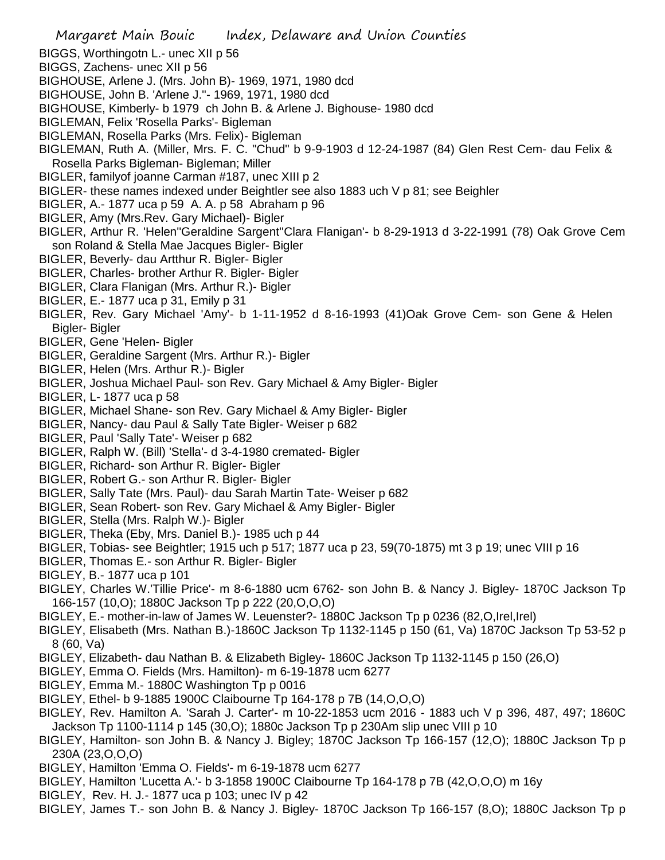- BIGGS, Worthingotn L.- unec XII p 56
- BIGGS, Zachens- unec XII p 56
- BIGHOUSE, Arlene J. (Mrs. John B)- 1969, 1971, 1980 dcd
- BIGHOUSE, John B. 'Arlene J."- 1969, 1971, 1980 dcd
- BIGHOUSE, Kimberly- b 1979 ch John B. & Arlene J. Bighouse- 1980 dcd
- BIGLEMAN, Felix 'Rosella Parks'- Bigleman
- BIGLEMAN, Rosella Parks (Mrs. Felix)- Bigleman
- BIGLEMAN, Ruth A. (Miller, Mrs. F. C. "Chud" b 9-9-1903 d 12-24-1987 (84) Glen Rest Cem- dau Felix & Rosella Parks Bigleman- Bigleman; Miller
- BIGLER, familyof joanne Carman #187, unec XIII p 2
- BIGLER- these names indexed under Beightler see also 1883 uch V p 81; see Beighler
- BIGLER, A.- 1877 uca p 59 A. A. p 58 Abraham p 96
- BIGLER, Amy (Mrs.Rev. Gary Michael)- Bigler
- BIGLER, Arthur R. 'Helen''Geraldine Sargent''Clara Flanigan'- b 8-29-1913 d 3-22-1991 (78) Oak Grove Cem son Roland & Stella Mae Jacques Bigler- Bigler
- BIGLER, Beverly- dau Artthur R. Bigler- Bigler
- BIGLER, Charles- brother Arthur R. Bigler- Bigler
- BIGLER, Clara Flanigan (Mrs. Arthur R.)- Bigler
- BIGLER, E.- 1877 uca p 31, Emily p 31
- BIGLER, Rev. Gary Michael 'Amy'- b 1-11-1952 d 8-16-1993 (41)Oak Grove Cem- son Gene & Helen Bigler- Bigler
- BIGLER, Gene 'Helen- Bigler
- BIGLER, Geraldine Sargent (Mrs. Arthur R.)- Bigler
- BIGLER, Helen (Mrs. Arthur R.)- Bigler
- BIGLER, Joshua Michael Paul- son Rev. Gary Michael & Amy Bigler- Bigler
- BIGLER, L- 1877 uca p 58
- BIGLER, Michael Shane- son Rev. Gary Michael & Amy Bigler- Bigler
- BIGLER, Nancy- dau Paul & Sally Tate Bigler- Weiser p 682
- BIGLER, Paul 'Sally Tate'- Weiser p 682
- BIGLER, Ralph W. (Bill) 'Stella'- d 3-4-1980 cremated- Bigler
- BIGLER, Richard- son Arthur R. Bigler- Bigler
- BIGLER, Robert G.- son Arthur R. Bigler- Bigler
- BIGLER, Sally Tate (Mrs. Paul)- dau Sarah Martin Tate- Weiser p 682
- BIGLER, Sean Robert- son Rev. Gary Michael & Amy Bigler- Bigler
- BIGLER, Stella (Mrs. Ralph W.)- Bigler
- BIGLER, Theka (Eby, Mrs. Daniel B.)- 1985 uch p 44
- BIGLER, Tobias- see Beightler; 1915 uch p 517; 1877 uca p 23, 59(70-1875) mt 3 p 19; unec VIII p 16
- BIGLER, Thomas E.- son Arthur R. Bigler- Bigler
- BIGLEY, B.- 1877 uca p 101
- BIGLEY, Charles W.'Tillie Price'- m 8-6-1880 ucm 6762- son John B. & Nancy J. Bigley- 1870C Jackson Tp 166-157 (10,O); 1880C Jackson Tp p 222 (20,O,O,O)
- BIGLEY, E.- mother-in-law of James W. Leuenster?- 1880C Jackson Tp p 0236 (82,O,Irel,Irel)
- BIGLEY, Elisabeth (Mrs. Nathan B.)-1860C Jackson Tp 1132-1145 p 150 (61, Va) 1870C Jackson Tp 53-52 p 8 (60, Va)
- BIGLEY, Elizabeth- dau Nathan B. & Elizabeth Bigley- 1860C Jackson Tp 1132-1145 p 150 (26,O)
- BIGLEY, Emma O. Fields (Mrs. Hamilton)- m 6-19-1878 ucm 6277
- BIGLEY, Emma M.- 1880C Washington Tp p 0016
- BIGLEY, Ethel- b 9-1885 1900C Claibourne Tp 164-178 p 7B (14,O,O,O)
- BIGLEY, Rev. Hamilton A. 'Sarah J. Carter'- m 10-22-1853 ucm 2016 1883 uch V p 396, 487, 497; 1860C Jackson Tp 1100-1114 p 145 (30,O); 1880c Jackson Tp p 230Am slip unec VIII p 10
- BIGLEY, Hamilton- son John B. & Nancy J. Bigley; 1870C Jackson Tp 166-157 (12,O); 1880C Jackson Tp p 230A (23,O,O,O)
- BIGLEY, Hamilton 'Emma O. Fields'- m 6-19-1878 ucm 6277
- BIGLEY, Hamilton 'Lucetta A.'- b 3-1858 1900C Claibourne Tp 164-178 p 7B (42,O,O,O) m 16y
- BIGLEY, Rev. H. J.- 1877 uca p 103; unec IV p 42
- BIGLEY, James T.- son John B. & Nancy J. Bigley- 1870C Jackson Tp 166-157 (8,O); 1880C Jackson Tp p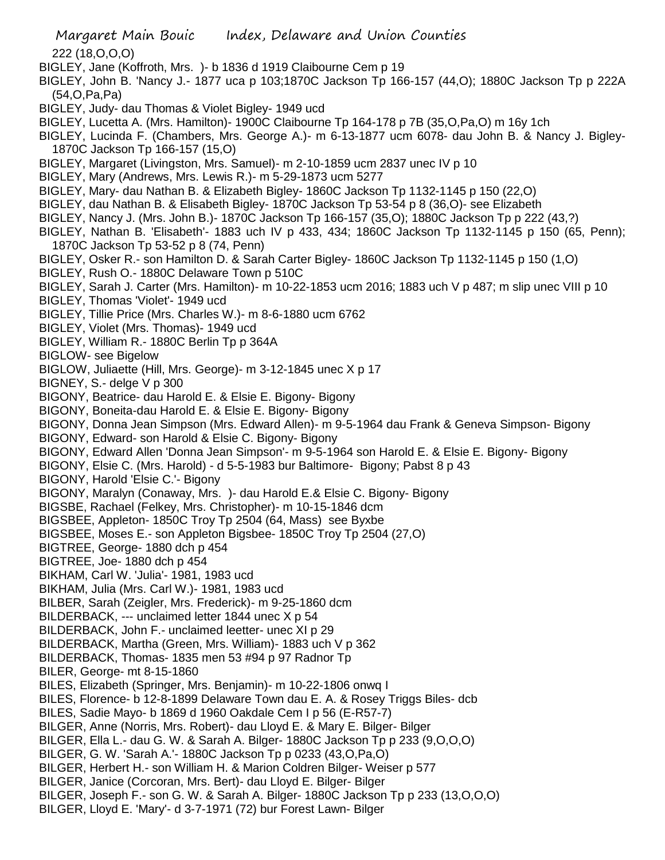Margaret Main Bouic Index, Delaware and Union Counties 222 (18,O,O,O) BIGLEY, Jane (Koffroth, Mrs. )- b 1836 d 1919 Claibourne Cem p 19 BIGLEY, John B. 'Nancy J.- 1877 uca p 103;1870C Jackson Tp 166-157 (44,O); 1880C Jackson Tp p 222A (54,O,Pa,Pa) BIGLEY, Judy- dau Thomas & Violet Bigley- 1949 ucd BIGLEY, Lucetta A. (Mrs. Hamilton)- 1900C Claibourne Tp 164-178 p 7B (35,O,Pa,O) m 16y 1ch BIGLEY, Lucinda F. (Chambers, Mrs. George A.)- m 6-13-1877 ucm 6078- dau John B. & Nancy J. Bigley-1870C Jackson Tp 166-157 (15,O) BIGLEY, Margaret (Livingston, Mrs. Samuel)- m 2-10-1859 ucm 2837 unec IV p 10 BIGLEY, Mary (Andrews, Mrs. Lewis R.)- m 5-29-1873 ucm 5277 BIGLEY, Mary- dau Nathan B. & Elizabeth Bigley- 1860C Jackson Tp 1132-1145 p 150 (22,O) BIGLEY, dau Nathan B. & Elisabeth Bigley- 1870C Jackson Tp 53-54 p 8 (36,O)- see Elizabeth BIGLEY, Nancy J. (Mrs. John B.)- 1870C Jackson Tp 166-157 (35,O); 1880C Jackson Tp p 222 (43,?) BIGLEY, Nathan B. 'Elisabeth'- 1883 uch IV p 433, 434; 1860C Jackson Tp 1132-1145 p 150 (65, Penn); 1870C Jackson Tp 53-52 p 8 (74, Penn) BIGLEY, Osker R.- son Hamilton D. & Sarah Carter Bigley- 1860C Jackson Tp 1132-1145 p 150 (1,O) BIGLEY, Rush O.- 1880C Delaware Town p 510C BIGLEY, Sarah J. Carter (Mrs. Hamilton)- m 10-22-1853 ucm 2016; 1883 uch V p 487; m slip unec VIII p 10 BIGLEY, Thomas 'Violet'- 1949 ucd BIGLEY, Tillie Price (Mrs. Charles W.)- m 8-6-1880 ucm 6762 BIGLEY, Violet (Mrs. Thomas)- 1949 ucd BIGLEY, William R.- 1880C Berlin Tp p 364A BIGLOW- see Bigelow BIGLOW, Juliaette (Hill, Mrs. George)- m 3-12-1845 unec X p 17 BIGNEY, S.- delge V p 300 BIGONY, Beatrice- dau Harold E. & Elsie E. Bigony- Bigony BIGONY, Boneita-dau Harold E. & Elsie E. Bigony- Bigony BIGONY, Donna Jean Simpson (Mrs. Edward Allen)- m 9-5-1964 dau Frank & Geneva Simpson- Bigony BIGONY, Edward- son Harold & Elsie C. Bigony- Bigony BIGONY, Edward Allen 'Donna Jean Simpson'- m 9-5-1964 son Harold E. & Elsie E. Bigony- Bigony BIGONY, Elsie C. (Mrs. Harold) - d 5-5-1983 bur Baltimore- Bigony; Pabst 8 p 43 BIGONY, Harold 'Elsie C.'- Bigony BIGONY, Maralyn (Conaway, Mrs. )- dau Harold E.& Elsie C. Bigony- Bigony BIGSBE, Rachael (Felkey, Mrs. Christopher)- m 10-15-1846 dcm BIGSBEE, Appleton- 1850C Troy Tp 2504 (64, Mass) see Byxbe BIGSBEE, Moses E.- son Appleton Bigsbee- 1850C Troy Tp 2504 (27,O) BIGTREE, George- 1880 dch p 454 BIGTREE, Joe- 1880 dch p 454 BIKHAM, Carl W. 'Julia'- 1981, 1983 ucd BIKHAM, Julia (Mrs. Carl W.)- 1981, 1983 ucd BILBER, Sarah (Zeigler, Mrs. Frederick)- m 9-25-1860 dcm BILDERBACK, --- unclaimed letter 1844 unec X p 54 BILDERBACK, John F.- unclaimed leetter- unec XI p 29 BILDERBACK, Martha (Green, Mrs. William)- 1883 uch V p 362 BILDERBACK, Thomas- 1835 men 53 #94 p 97 Radnor Tp BILER, George- mt 8-15-1860 BILES, Elizabeth (Springer, Mrs. Benjamin)- m 10-22-1806 onwq I BILES, Florence- b 12-8-1899 Delaware Town dau E. A. & Rosey Triggs Biles- dcb BILES, Sadie Mayo- b 1869 d 1960 Oakdale Cem I p 56 (E-R57-7) BILGER, Anne (Norris, Mrs. Robert)- dau Lloyd E. & Mary E. Bilger- Bilger BILGER, Ella L.- dau G. W. & Sarah A. Bilger- 1880C Jackson Tp p 233 (9,O,O,O) BILGER, G. W. 'Sarah A.'- 1880C Jackson Tp p 0233 (43,O,Pa,O) BILGER, Herbert H.- son William H. & Marion Coldren Bilger- Weiser p 577 BILGER, Janice (Corcoran, Mrs. Bert)- dau Lloyd E. Bilger- Bilger BILGER, Joseph F.- son G. W. & Sarah A. Bilger- 1880C Jackson Tp p 233 (13,O,O,O) BILGER, Lloyd E. 'Mary'- d 3-7-1971 (72) bur Forest Lawn- Bilger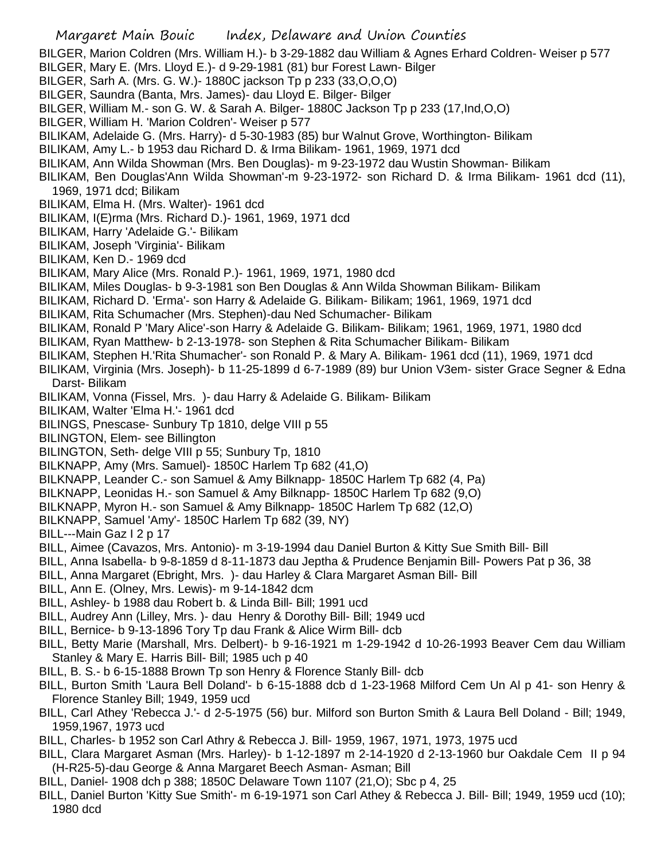- BILGER, Marion Coldren (Mrs. William H.)- b 3-29-1882 dau William & Agnes Erhard Coldren- Weiser p 577
- BILGER, Mary E. (Mrs. Lloyd E.)- d 9-29-1981 (81) bur Forest Lawn- Bilger
- BILGER, Sarh A. (Mrs. G. W.)- 1880C jackson Tp p 233 (33,O,O,O)
- BILGER, Saundra (Banta, Mrs. James)- dau Lloyd E. Bilger- Bilger
- BILGER, William M.- son G. W. & Sarah A. Bilger- 1880C Jackson Tp p 233 (17,Ind,O,O)
- BILGER, William H. 'Marion Coldren'- Weiser p 577
- BILIKAM, Adelaide G. (Mrs. Harry)- d 5-30-1983 (85) bur Walnut Grove, Worthington- Bilikam
- BILIKAM, Amy L.- b 1953 dau Richard D. & Irma Bilikam- 1961, 1969, 1971 dcd
- BILIKAM, Ann Wilda Showman (Mrs. Ben Douglas)- m 9-23-1972 dau Wustin Showman- Bilikam
- BILIKAM, Ben Douglas'Ann Wilda Showman'-m 9-23-1972- son Richard D. & Irma Bilikam- 1961 dcd (11), 1969, 1971 dcd; Bilikam
- BILIKAM, Elma H. (Mrs. Walter)- 1961 dcd
- BILIKAM, I(E)rma (Mrs. Richard D.)- 1961, 1969, 1971 dcd
- BILIKAM, Harry 'Adelaide G.'- Bilikam
- BILIKAM, Joseph 'Virginia'- Bilikam
- BILIKAM, Ken D.- 1969 dcd
- BILIKAM, Mary Alice (Mrs. Ronald P.)- 1961, 1969, 1971, 1980 dcd
- BILIKAM, Miles Douglas- b 9-3-1981 son Ben Douglas & Ann Wilda Showman Bilikam- Bilikam
- BILIKAM, Richard D. 'Erma'- son Harry & Adelaide G. Bilikam- Bilikam; 1961, 1969, 1971 dcd
- BILIKAM, Rita Schumacher (Mrs. Stephen)-dau Ned Schumacher- Bilikam
- BILIKAM, Ronald P 'Mary Alice'-son Harry & Adelaide G. Bilikam- Bilikam; 1961, 1969, 1971, 1980 dcd
- BILIKAM, Ryan Matthew- b 2-13-1978- son Stephen & Rita Schumacher Bilikam- Bilikam
- BILIKAM, Stephen H.'Rita Shumacher'- son Ronald P. & Mary A. Bilikam- 1961 dcd (11), 1969, 1971 dcd
- BILIKAM, Virginia (Mrs. Joseph)- b 11-25-1899 d 6-7-1989 (89) bur Union V3em- sister Grace Segner & Edna Darst- Bilikam
- BILIKAM, Vonna (Fissel, Mrs. )- dau Harry & Adelaide G. Bilikam- Bilikam
- BILIKAM, Walter 'Elma H.'- 1961 dcd
- BILINGS, Pnescase- Sunbury Tp 1810, delge VIII p 55
- BILINGTON, Elem- see Billington
- BILINGTON, Seth- delge VIII p 55; Sunbury Tp, 1810
- BILKNAPP, Amy (Mrs. Samuel)- 1850C Harlem Tp 682 (41,O)
- BILKNAPP, Leander C.- son Samuel & Amy Bilknapp- 1850C Harlem Tp 682 (4, Pa)
- BILKNAPP, Leonidas H.- son Samuel & Amy Bilknapp- 1850C Harlem Tp 682 (9,O)
- BILKNAPP, Myron H.- son Samuel & Amy Bilknapp- 1850C Harlem Tp 682 (12,O)
- BILKNAPP, Samuel 'Amy'- 1850C Harlem Tp 682 (39, NY)
- BILL---Main Gaz I 2 p 17
- BILL, Aimee (Cavazos, Mrs. Antonio)- m 3-19-1994 dau Daniel Burton & Kitty Sue Smith Bill- Bill
- BILL, Anna Isabella- b 9-8-1859 d 8-11-1873 dau Jeptha & Prudence Benjamin Bill- Powers Pat p 36, 38
- BILL, Anna Margaret (Ebright, Mrs. )- dau Harley & Clara Margaret Asman Bill- Bill
- BILL, Ann E. (Olney, Mrs. Lewis)- m 9-14-1842 dcm
- BILL, Ashley- b 1988 dau Robert b. & Linda Bill- Bill; 1991 ucd
- BILL, Audrey Ann (Lilley, Mrs. )- dau Henry & Dorothy Bill- Bill; 1949 ucd
- BILL, Bernice- b 9-13-1896 Tory Tp dau Frank & Alice Wirm Bill- dcb
- BILL, Betty Marie (Marshall, Mrs. Delbert)- b 9-16-1921 m 1-29-1942 d 10-26-1993 Beaver Cem dau William Stanley & Mary E. Harris Bill- Bill; 1985 uch p 40
- BILL, B. S.- b 6-15-1888 Brown Tp son Henry & Florence Stanly Bill- dcb
- BILL, Burton Smith 'Laura Bell Doland'- b 6-15-1888 dcb d 1-23-1968 Milford Cem Un Al p 41- son Henry & Florence Stanley Bill; 1949, 1959 ucd
- BILL, Carl Athey 'Rebecca J.'- d 2-5-1975 (56) bur. Milford son Burton Smith & Laura Bell Doland Bill; 1949, 1959,1967, 1973 ucd
- BILL, Charles- b 1952 son Carl Athry & Rebecca J. Bill- 1959, 1967, 1971, 1973, 1975 ucd
- BILL, Clara Margaret Asman (Mrs. Harley)- b 1-12-1897 m 2-14-1920 d 2-13-1960 bur Oakdale Cem II p 94 (H-R25-5)-dau George & Anna Margaret Beech Asman- Asman; Bill
- BILL, Daniel- 1908 dch p 388; 1850C Delaware Town 1107 (21,O); Sbc p 4, 25
- BILL, Daniel Burton 'Kitty Sue Smith'- m 6-19-1971 son Carl Athey & Rebecca J. Bill- Bill; 1949, 1959 ucd (10); 1980 dcd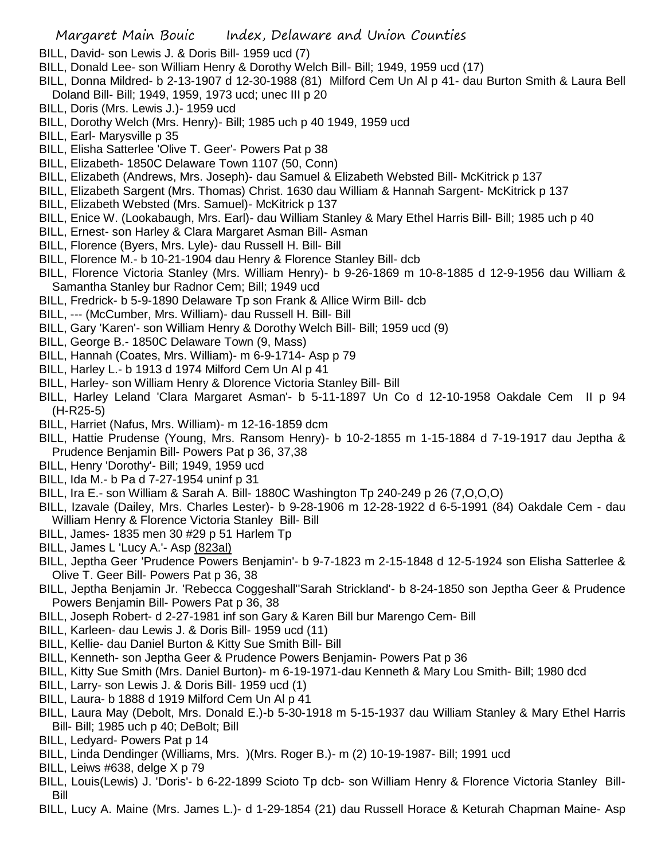- BILL, David- son Lewis J. & Doris Bill- 1959 ucd (7)
- BILL, Donald Lee- son William Henry & Dorothy Welch Bill- Bill; 1949, 1959 ucd (17)
- BILL, Donna Mildred- b 2-13-1907 d 12-30-1988 (81) Milford Cem Un Al p 41- dau Burton Smith & Laura Bell Doland Bill- Bill; 1949, 1959, 1973 ucd; unec III p 20
- BILL, Doris (Mrs. Lewis J.)- 1959 ucd
- BILL, Dorothy Welch (Mrs. Henry)- Bill; 1985 uch p 40 1949, 1959 ucd
- BILL, Earl- Marysville p 35
- BILL, Elisha Satterlee 'Olive T. Geer'- Powers Pat p 38
- BILL, Elizabeth- 1850C Delaware Town 1107 (50, Conn)
- BILL, Elizabeth (Andrews, Mrs. Joseph)- dau Samuel & Elizabeth Websted Bill- McKitrick p 137
- BILL, Elizabeth Sargent (Mrs. Thomas) Christ. 1630 dau William & Hannah Sargent- McKitrick p 137
- BILL, Elizabeth Websted (Mrs. Samuel)- McKitrick p 137
- BILL, Enice W. (Lookabaugh, Mrs. Earl)- dau William Stanley & Mary Ethel Harris Bill- Bill; 1985 uch p 40
- BILL, Ernest- son Harley & Clara Margaret Asman Bill- Asman
- BILL, Florence (Byers, Mrs. Lyle)- dau Russell H. Bill- Bill
- BILL, Florence M.- b 10-21-1904 dau Henry & Florence Stanley Bill- dcb
- BILL, Florence Victoria Stanley (Mrs. William Henry)- b 9-26-1869 m 10-8-1885 d 12-9-1956 dau William & Samantha Stanley bur Radnor Cem; Bill; 1949 ucd
- BILL, Fredrick- b 5-9-1890 Delaware Tp son Frank & Allice Wirm Bill- dcb
- BILL, --- (McCumber, Mrs. William)- dau Russell H. Bill- Bill
- BILL, Gary 'Karen'- son William Henry & Dorothy Welch Bill- Bill; 1959 ucd (9)
- BILL, George B.- 1850C Delaware Town (9, Mass)
- BILL, Hannah (Coates, Mrs. William)- m 6-9-1714- Asp p 79
- BILL, Harley L.- b 1913 d 1974 Milford Cem Un Al p 41
- BILL, Harley- son William Henry & Dlorence Victoria Stanley Bill- Bill
- BILL, Harley Leland 'Clara Margaret Asman'- b 5-11-1897 Un Co d 12-10-1958 Oakdale Cem II p 94 (H-R25-5)
- BILL, Harriet (Nafus, Mrs. William)- m 12-16-1859 dcm
- BILL, Hattie Prudense (Young, Mrs. Ransom Henry)- b 10-2-1855 m 1-15-1884 d 7-19-1917 dau Jeptha & Prudence Benjamin Bill- Powers Pat p 36, 37,38
- BILL, Henry 'Dorothy'- Bill; 1949, 1959 ucd
- BILL, Ida M.- b Pa d 7-27-1954 uninf p 31
- BILL, Ira E.- son William & Sarah A. Bill- 1880C Washington Tp 240-249 p 26 (7,O,O,O)
- BILL, Izavale (Dailey, Mrs. Charles Lester)- b 9-28-1906 m 12-28-1922 d 6-5-1991 (84) Oakdale Cem dau William Henry & Florence Victoria Stanley Bill- Bill
- BILL, James- 1835 men 30 #29 p 51 Harlem Tp
- BILL, James L 'Lucy A.'- Asp (823al)
- BILL, Jeptha Geer 'Prudence Powers Benjamin'- b 9-7-1823 m 2-15-1848 d 12-5-1924 son Elisha Satterlee & Olive T. Geer Bill- Powers Pat p 36, 38
- BILL, Jeptha Benjamin Jr. 'Rebecca Coggeshall''Sarah Strickland'- b 8-24-1850 son Jeptha Geer & Prudence Powers Benjamin Bill- Powers Pat p 36, 38
- BILL, Joseph Robert- d 2-27-1981 inf son Gary & Karen Bill bur Marengo Cem- Bill
- BILL, Karleen- dau Lewis J. & Doris Bill- 1959 ucd (11)
- BILL, Kellie- dau Daniel Burton & Kitty Sue Smith Bill- Bill
- BILL, Kenneth- son Jeptha Geer & Prudence Powers Benjamin- Powers Pat p 36
- BILL, Kitty Sue Smith (Mrs. Daniel Burton)- m 6-19-1971-dau Kenneth & Mary Lou Smith- Bill; 1980 dcd
- BILL, Larry- son Lewis J. & Doris Bill- 1959 ucd (1)
- BILL, Laura- b 1888 d 1919 Milford Cem Un Al p 41
- BILL, Laura May (Debolt, Mrs. Donald E.)-b 5-30-1918 m 5-15-1937 dau William Stanley & Mary Ethel Harris Bill- Bill; 1985 uch p 40; DeBolt; Bill
- BILL, Ledyard- Powers Pat p 14
- BILL, Linda Dendinger (Williams, Mrs. )(Mrs. Roger B.)- m (2) 10-19-1987- Bill; 1991 ucd
- BILL, Leiws #638, delge X p 79
- BILL, Louis(Lewis) J. 'Doris'- b 6-22-1899 Scioto Tp dcb- son William Henry & Florence Victoria Stanley Bill-Bill
- BILL, Lucy A. Maine (Mrs. James L.)- d 1-29-1854 (21) dau Russell Horace & Keturah Chapman Maine- Asp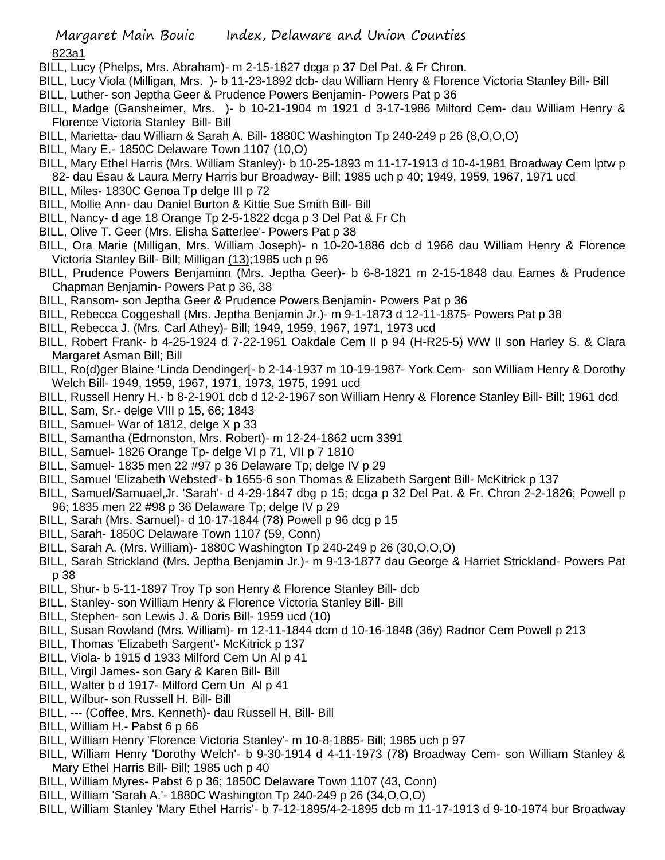## 823a1

- BILL, Lucy (Phelps, Mrs. Abraham)- m 2-15-1827 dcga p 37 Del Pat. & Fr Chron.
- BILL, Lucy Viola (Milligan, Mrs. )- b 11-23-1892 dcb- dau William Henry & Florence Victoria Stanley Bill- Bill BILL, Luther- son Jeptha Geer & Prudence Powers Benjamin- Powers Pat p 36
- BILL, Madge (Gansheimer, Mrs. )- b 10-21-1904 m 1921 d 3-17-1986 Milford Cem- dau William Henry & Florence Victoria Stanley Bill- Bill
- BILL, Marietta- dau William & Sarah A. Bill- 1880C Washington Tp 240-249 p 26 (8,O,O,O)
- BILL, Mary E.- 1850C Delaware Town 1107 (10,O)
- BILL, Mary Ethel Harris (Mrs. William Stanley)- b 10-25-1893 m 11-17-1913 d 10-4-1981 Broadway Cem lptw p 82- dau Esau & Laura Merry Harris bur Broadway- Bill; 1985 uch p 40; 1949, 1959, 1967, 1971 ucd
- BILL, Miles- 1830C Genoa Tp delge III p 72
- BILL, Mollie Ann- dau Daniel Burton & Kittie Sue Smith Bill- Bill
- BILL, Nancy- d age 18 Orange Tp 2-5-1822 dcga p 3 Del Pat & Fr Ch
- BILL, Olive T. Geer (Mrs. Elisha Satterlee'- Powers Pat p 38
- BILL, Ora Marie (Milligan, Mrs. William Joseph)- n 10-20-1886 dcb d 1966 dau William Henry & Florence Victoria Stanley Bill- Bill; Milligan (13);1985 uch p 96
- BILL, Prudence Powers Benjaminn (Mrs. Jeptha Geer)- b 6-8-1821 m 2-15-1848 dau Eames & Prudence Chapman Benjamin- Powers Pat p 36, 38
- BILL, Ransom- son Jeptha Geer & Prudence Powers Benjamin- Powers Pat p 36
- BILL, Rebecca Coggeshall (Mrs. Jeptha Benjamin Jr.)- m 9-1-1873 d 12-11-1875- Powers Pat p 38
- BILL, Rebecca J. (Mrs. Carl Athey)- Bill; 1949, 1959, 1967, 1971, 1973 ucd
- BILL, Robert Frank- b 4-25-1924 d 7-22-1951 Oakdale Cem II p 94 (H-R25-5) WW II son Harley S. & Clara Margaret Asman Bill; Bill
- BILL, Ro(d)ger Blaine 'Linda Dendinger[- b 2-14-1937 m 10-19-1987- York Cem- son William Henry & Dorothy Welch Bill- 1949, 1959, 1967, 1971, 1973, 1975, 1991 ucd
- BILL, Russell Henry H.- b 8-2-1901 dcb d 12-2-1967 son William Henry & Florence Stanley Bill- Bill; 1961 dcd
- BILL, Sam, Sr.- delge VIII p 15, 66; 1843
- BILL, Samuel- War of 1812, delge X p 33
- BILL, Samantha (Edmonston, Mrs. Robert)- m 12-24-1862 ucm 3391
- BILL, Samuel- 1826 Orange Tp- delge VI p 71, VII p 7 1810
- BILL, Samuel- 1835 men 22 #97 p 36 Delaware Tp; delge IV p 29
- BILL, Samuel 'Elizabeth Websted'- b 1655-6 son Thomas & Elizabeth Sargent Bill- McKitrick p 137
- BILL, Samuel/Samuael,Jr. 'Sarah'- d 4-29-1847 dbg p 15; dcga p 32 Del Pat. & Fr. Chron 2-2-1826; Powell p 96; 1835 men 22 #98 p 36 Delaware Tp; delge IV p 29
- BILL, Sarah (Mrs. Samuel)- d 10-17-1844 (78) Powell p 96 dcg p 15
- BILL, Sarah- 1850C Delaware Town 1107 (59, Conn)
- BILL, Sarah A. (Mrs. William)- 1880C Washington Tp 240-249 p 26 (30,O,O,O)
- BILL, Sarah Strickland (Mrs. Jeptha Benjamin Jr.)- m 9-13-1877 dau George & Harriet Strickland- Powers Pat p 38
- BILL, Shur- b 5-11-1897 Troy Tp son Henry & Florence Stanley Bill- dcb
- BILL, Stanley- son William Henry & Florence Victoria Stanley Bill- Bill
- BILL, Stephen- son Lewis J. & Doris Bill- 1959 ucd (10)
- BILL, Susan Rowland (Mrs. William)- m 12-11-1844 dcm d 10-16-1848 (36y) Radnor Cem Powell p 213
- BILL, Thomas 'Elizabeth Sargent'- McKitrick p 137
- BILL, Viola- b 1915 d 1933 Milford Cem Un Al p 41
- BILL, Virgil James- son Gary & Karen Bill- Bill
- BILL, Walter b d 1917- Milford Cem Un Al p 41
- BILL, Wilbur- son Russell H. Bill- Bill
- BILL, --- (Coffee, Mrs. Kenneth)- dau Russell H. Bill- Bill
- BILL, William H.- Pabst 6 p 66
- BILL, William Henry 'Florence Victoria Stanley'- m 10-8-1885- Bill; 1985 uch p 97
- BILL, William Henry 'Dorothy Welch'- b 9-30-1914 d 4-11-1973 (78) Broadway Cem- son William Stanley & Mary Ethel Harris Bill- Bill; 1985 uch p 40
- BILL, William Myres- Pabst 6 p 36; 1850C Delaware Town 1107 (43, Conn)
- BILL, William 'Sarah A.'- 1880C Washington Tp 240-249 p 26 (34,O,O,O)
- BILL, William Stanley 'Mary Ethel Harris'- b 7-12-1895/4-2-1895 dcb m 11-17-1913 d 9-10-1974 bur Broadway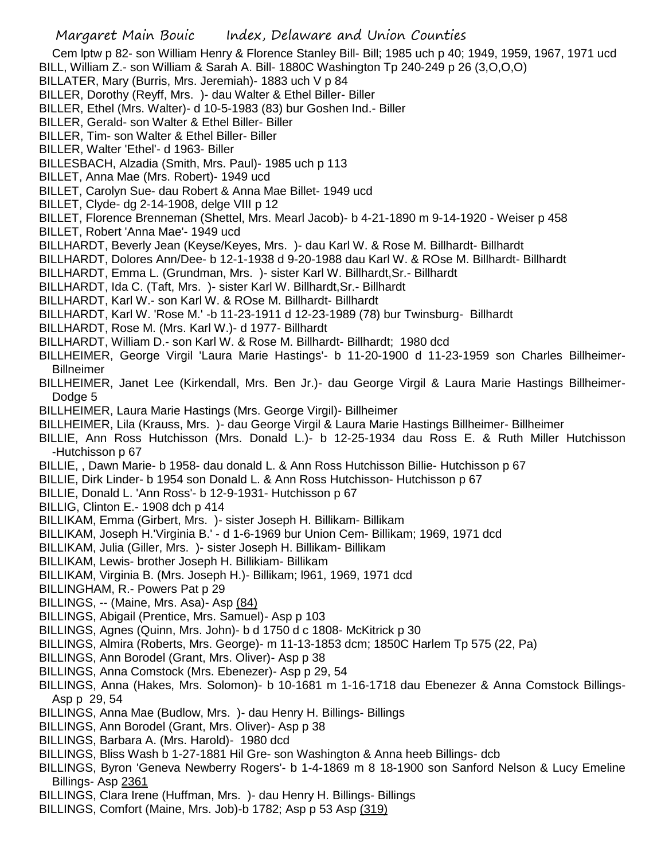Cem lptw p 82- son William Henry & Florence Stanley Bill- Bill; 1985 uch p 40; 1949, 1959, 1967, 1971 ucd BILL, William Z.- son William & Sarah A. Bill- 1880C Washington Tp 240-249 p 26 (3,O,O,O)

BILLATER, Mary (Burris, Mrs. Jeremiah)- 1883 uch V p 84

BILLER, Dorothy (Reyff, Mrs. )- dau Walter & Ethel Biller- Biller

BILLER, Ethel (Mrs. Walter)- d 10-5-1983 (83) bur Goshen Ind.- Biller

BILLER, Gerald- son Walter & Ethel Biller- Biller

BILLER, Tim- son Walter & Ethel Biller- Biller

BILLER, Walter 'Ethel'- d 1963- Biller

BILLESBACH, Alzadia (Smith, Mrs. Paul)- 1985 uch p 113

BILLET, Anna Mae (Mrs. Robert)- 1949 ucd

BILLET, Carolyn Sue- dau Robert & Anna Mae Billet- 1949 ucd

BILLET, Clyde- dg 2-14-1908, delge VIII p 12

BILLET, Florence Brenneman (Shettel, Mrs. Mearl Jacob)- b 4-21-1890 m 9-14-1920 - Weiser p 458

BILLET, Robert 'Anna Mae'- 1949 ucd

BILLHARDT, Beverly Jean (Keyse/Keyes, Mrs. )- dau Karl W. & Rose M. Billhardt- Billhardt

BILLHARDT, Dolores Ann/Dee- b 12-1-1938 d 9-20-1988 dau Karl W. & ROse M. Billhardt- Billhardt

BILLHARDT, Emma L. (Grundman, Mrs.)- sister Karl W. Billhardt, Sr.- Billhardt

BILLHARDT, Ida C. (Taft, Mrs. )- sister Karl W. Billhardt,Sr.- Billhardt

BILLHARDT, Karl W.- son Karl W. & ROse M. Billhardt- Billhardt

BILLHARDT, Karl W. 'Rose M.' -b 11-23-1911 d 12-23-1989 (78) bur Twinsburg- Billhardt

BILLHARDT, Rose M. (Mrs. Karl W.)- d 1977- Billhardt

BILLHARDT, William D.- son Karl W. & Rose M. Billhardt- Billhardt; 1980 dcd

BILLHEIMER, George Virgil 'Laura Marie Hastings'- b 11-20-1900 d 11-23-1959 son Charles Billheimer-**Billneimer** 

BILLHEIMER, Janet Lee (Kirkendall, Mrs. Ben Jr.)- dau George Virgil & Laura Marie Hastings Billheimer-Dodge 5

BILLHEIMER, Laura Marie Hastings (Mrs. George Virgil)- Billheimer

BILLHEIMER, Lila (Krauss, Mrs. )- dau George Virgil & Laura Marie Hastings Billheimer- Billheimer

BILLIE, Ann Ross Hutchisson (Mrs. Donald L.)- b 12-25-1934 dau Ross E. & Ruth Miller Hutchisson -Hutchisson p 67

BILLIE, , Dawn Marie- b 1958- dau donald L. & Ann Ross Hutchisson Billie- Hutchisson p 67

BILLIE, Dirk Linder- b 1954 son Donald L. & Ann Ross Hutchisson- Hutchisson p 67

BILLIE, Donald L. 'Ann Ross'- b 12-9-1931- Hutchisson p 67

BILLIG, Clinton E.- 1908 dch p 414

BILLIKAM, Emma (Girbert, Mrs. )- sister Joseph H. Billikam- Billikam

BILLIKAM, Joseph H.'Virginia B.' - d 1-6-1969 bur Union Cem- Billikam; 1969, 1971 dcd

BILLIKAM, Julia (Giller, Mrs. )- sister Joseph H. Billikam- Billikam

BILLIKAM, Lewis- brother Joseph H. Billikiam- Billikam

BILLIKAM, Virginia B. (Mrs. Joseph H.)- Billikam; l961, 1969, 1971 dcd

BILLINGHAM, R.- Powers Pat p 29

- BILLINGS, -- (Maine, Mrs. Asa)- Asp (84)
- BILLINGS, Abigail (Prentice, Mrs. Samuel)- Asp p 103

BILLINGS, Agnes (Quinn, Mrs. John)- b d 1750 d c 1808- McKitrick p 30

BILLINGS, Almira (Roberts, Mrs. George)- m 11-13-1853 dcm; 1850C Harlem Tp 575 (22, Pa)

BILLINGS, Ann Borodel (Grant, Mrs. Oliver)- Asp p 38

BILLINGS, Anna Comstock (Mrs. Ebenezer)- Asp p 29, 54

BILLINGS, Anna (Hakes, Mrs. Solomon)- b 10-1681 m 1-16-1718 dau Ebenezer & Anna Comstock Billings-Asp p 29, 54

BILLINGS, Anna Mae (Budlow, Mrs. )- dau Henry H. Billings- Billings

BILLINGS, Ann Borodel (Grant, Mrs. Oliver)- Asp p 38

BILLINGS, Barbara A. (Mrs. Harold)- 1980 dcd

BILLINGS, Bliss Wash b 1-27-1881 Hil Gre- son Washington & Anna heeb Billings- dcb

BILLINGS, Byron 'Geneva Newberry Rogers'- b 1-4-1869 m 8 18-1900 son Sanford Nelson & Lucy Emeline Billings- Asp 2361

BILLINGS, Clara Irene (Huffman, Mrs. )- dau Henry H. Billings- Billings

BILLINGS, Comfort (Maine, Mrs. Job)-b 1782; Asp p 53 Asp (319)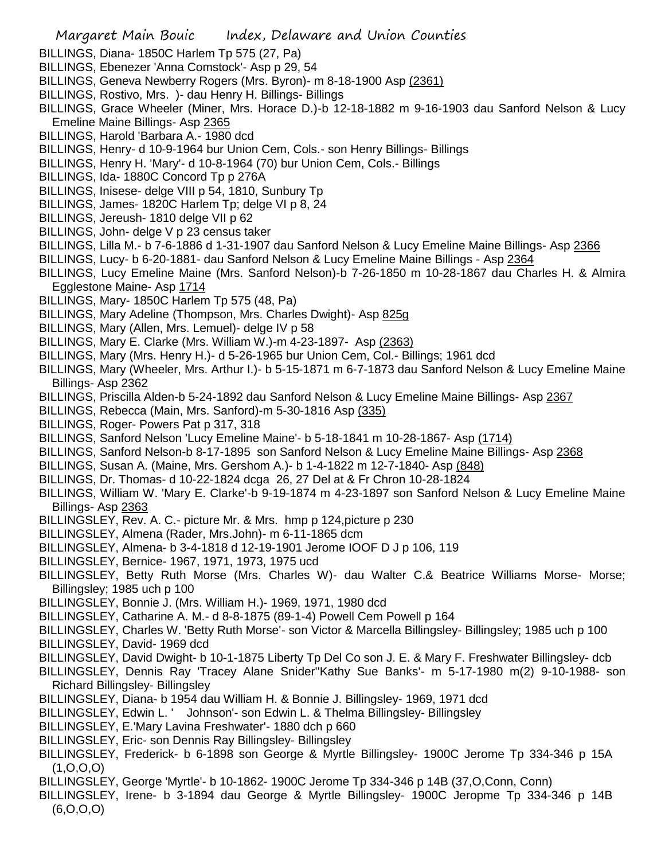- BILLINGS, Diana- 1850C Harlem Tp 575 (27, Pa)
- BILLINGS, Ebenezer 'Anna Comstock'- Asp p 29, 54
- BILLINGS, Geneva Newberry Rogers (Mrs. Byron)- m 8-18-1900 Asp (2361)
- BILLINGS, Rostivo, Mrs. )- dau Henry H. Billings- Billings
- BILLINGS, Grace Wheeler (Miner, Mrs. Horace D.)-b 12-18-1882 m 9-16-1903 dau Sanford Nelson & Lucy Emeline Maine Billings- Asp 2365
- BILLINGS, Harold 'Barbara A.- 1980 dcd
- BILLINGS, Henry- d 10-9-1964 bur Union Cem, Cols.- son Henry Billings- Billings
- BILLINGS, Henry H. 'Mary'- d 10-8-1964 (70) bur Union Cem, Cols.- Billings
- BILLINGS, Ida- 1880C Concord Tp p 276A
- BILLINGS, Inisese- delge VIII p 54, 1810, Sunbury Tp
- BILLINGS, James- 1820C Harlem Tp; delge VI p 8, 24
- BILLINGS, Jereush- 1810 delge VII p 62
- BILLINGS, John- delge V p 23 census taker
- BILLINGS, Lilla M.- b 7-6-1886 d 1-31-1907 dau Sanford Nelson & Lucy Emeline Maine Billings- Asp 2366
- BILLINGS, Lucy- b 6-20-1881- dau Sanford Nelson & Lucy Emeline Maine Billings Asp 2364
- BILLINGS, Lucy Emeline Maine (Mrs. Sanford Nelson)-b 7-26-1850 m 10-28-1867 dau Charles H. & Almira Egglestone Maine- Asp 1714
- BILLINGS, Mary- 1850C Harlem Tp 575 (48, Pa)
- BILLINGS, Mary Adeline (Thompson, Mrs. Charles Dwight)- Asp 825g
- BILLINGS, Mary (Allen, Mrs. Lemuel)- delge IV p 58
- BILLINGS, Mary E. Clarke (Mrs. William W.)-m 4-23-1897- Asp (2363)
- BILLINGS, Mary (Mrs. Henry H.)- d 5-26-1965 bur Union Cem, Col.- Billings; 1961 dcd
- BILLINGS, Mary (Wheeler, Mrs. Arthur I.)- b 5-15-1871 m 6-7-1873 dau Sanford Nelson & Lucy Emeline Maine Billings- Asp 2362
- BILLINGS, Priscilla Alden-b 5-24-1892 dau Sanford Nelson & Lucy Emeline Maine Billings- Asp 2367
- BILLINGS, Rebecca (Main, Mrs. Sanford)-m 5-30-1816 Asp (335)
- BILLINGS, Roger- Powers Pat p 317, 318
- BILLINGS, Sanford Nelson 'Lucy Emeline Maine'- b 5-18-1841 m 10-28-1867- Asp (1714)
- BILLINGS, Sanford Nelson-b 8-17-1895 son Sanford Nelson & Lucy Emeline Maine Billings- Asp 2368
- BILLINGS, Susan A. (Maine, Mrs. Gershom A.)- b 1-4-1822 m 12-7-1840- Asp (848)
- BILLINGS, Dr. Thomas- d 10-22-1824 dcga 26, 27 Del at & Fr Chron 10-28-1824
- BILLINGS, William W. 'Mary E. Clarke'-b 9-19-1874 m 4-23-1897 son Sanford Nelson & Lucy Emeline Maine Billings- Asp 2363
- BILLINGSLEY, Rev. A. C.- picture Mr. & Mrs. hmp p 124,picture p 230
- BILLINGSLEY, Almena (Rader, Mrs.John)- m 6-11-1865 dcm
- BILLINGSLEY, Almena- b 3-4-1818 d 12-19-1901 Jerome IOOF D J p 106, 119
- BILLINGSLEY, Bernice- 1967, 1971, 1973, 1975 ucd
- BILLINGSLEY, Betty Ruth Morse (Mrs. Charles W)- dau Walter C.& Beatrice Williams Morse- Morse; Billingsley; 1985 uch p 100
- BILLINGSLEY, Bonnie J. (Mrs. William H.)- 1969, 1971, 1980 dcd
- BILLINGSLEY, Catharine A. M.- d 8-8-1875 (89-1-4) Powell Cem Powell p 164
- BILLINGSLEY, Charles W. 'Betty Ruth Morse'- son Victor & Marcella Billingsley- Billingsley; 1985 uch p 100
- BILLINGSLEY, David- 1969 dcd
- BILLINGSLEY, David Dwight- b 10-1-1875 Liberty Tp Del Co son J. E. & Mary F. Freshwater Billingsley- dcb
- BILLINGSLEY, Dennis Ray 'Tracey Alane Snider''Kathy Sue Banks'- m 5-17-1980 m(2) 9-10-1988- son Richard Billingsley- Billingsley
- BILLINGSLEY, Diana- b 1954 dau William H. & Bonnie J. Billingsley- 1969, 1971 dcd
- BILLINGSLEY, Edwin L. ' Johnson'- son Edwin L. & Thelma Billingsley- Billingsley
- BILLINGSLEY, E.'Mary Lavina Freshwater'- 1880 dch p 660
- BILLINGSLEY, Eric- son Dennis Ray Billingsley- Billingsley
- BILLINGSLEY, Frederick- b 6-1898 son George & Myrtle Billingsley- 1900C Jerome Tp 334-346 p 15A  $(1, 0, 0, 0)$
- BILLINGSLEY, George 'Myrtle'- b 10-1862- 1900C Jerome Tp 334-346 p 14B (37,O,Conn, Conn)
- BILLINGSLEY, Irene- b 3-1894 dau George & Myrtle Billingsley- 1900C Jeropme Tp 334-346 p 14B (6,O,O,O)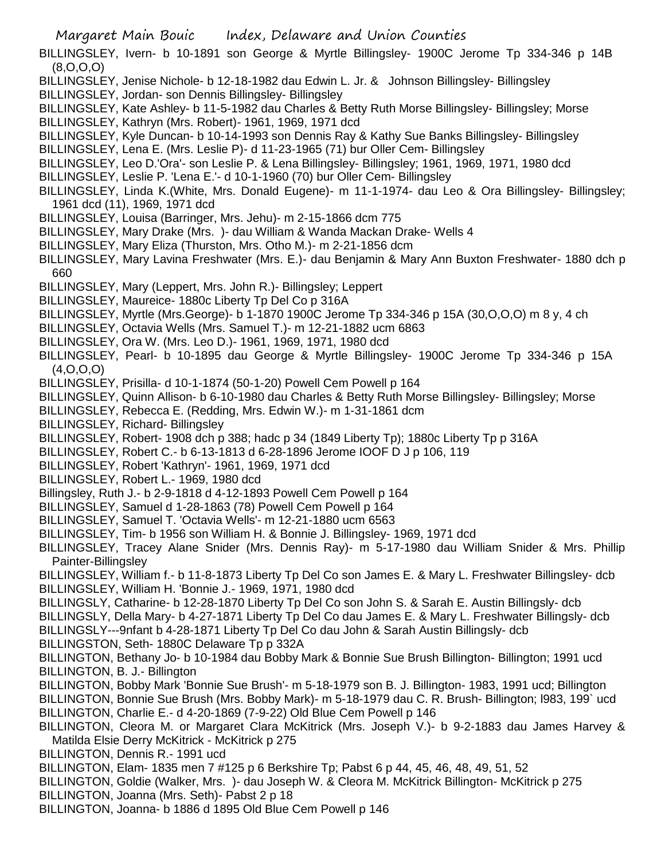BILLINGSLEY, Ivern- b 10-1891 son George & Myrtle Billingsley- 1900C Jerome Tp 334-346 p 14B (8,O,O,O)

- BILLINGSLEY, Jenise Nichole- b 12-18-1982 dau Edwin L. Jr. & Johnson Billingsley- Billingsley
- BILLINGSLEY, Jordan- son Dennis Billingsley- Billingsley
- BILLINGSLEY, Kate Ashley- b 11-5-1982 dau Charles & Betty Ruth Morse Billingsley- Billingsley; Morse BILLINGSLEY, Kathryn (Mrs. Robert)- 1961, 1969, 1971 dcd
- BILLINGSLEY, Kyle Duncan- b 10-14-1993 son Dennis Ray & Kathy Sue Banks Billingsley- Billingsley
- BILLINGSLEY, Lena E. (Mrs. Leslie P)- d 11-23-1965 (71) bur Oller Cem- Billingsley
- BILLINGSLEY, Leo D.'Ora'- son Leslie P. & Lena Billingsley- Billingsley; 1961, 1969, 1971, 1980 dcd
- BILLINGSLEY, Leslie P. 'Lena E.'- d 10-1-1960 (70) bur Oller Cem- Billingsley
- BILLINGSLEY, Linda K.(White, Mrs. Donald Eugene)- m 11-1-1974- dau Leo & Ora Billingsley- Billingsley; 1961 dcd (11), 1969, 1971 dcd
- BILLINGSLEY, Louisa (Barringer, Mrs. Jehu)- m 2-15-1866 dcm 775
- BILLINGSLEY, Mary Drake (Mrs. )- dau William & Wanda Mackan Drake- Wells 4
- BILLINGSLEY, Mary Eliza (Thurston, Mrs. Otho M.)- m 2-21-1856 dcm
- BILLINGSLEY, Mary Lavina Freshwater (Mrs. E.)- dau Benjamin & Mary Ann Buxton Freshwater- 1880 dch p 660
- BILLINGSLEY, Mary (Leppert, Mrs. John R.)- Billingsley; Leppert
- BILLINGSLEY, Maureice- 1880c Liberty Tp Del Co p 316A
- BILLINGSLEY, Myrtle (Mrs.George)- b 1-1870 1900C Jerome Tp 334-346 p 15A (30,O,O,O) m 8 y, 4 ch
- BILLINGSLEY, Octavia Wells (Mrs. Samuel T.)- m 12-21-1882 ucm 6863
- BILLINGSLEY, Ora W. (Mrs. Leo D.)- 1961, 1969, 1971, 1980 dcd
- BILLINGSLEY, Pearl- b 10-1895 dau George & Myrtle Billingsley- 1900C Jerome Tp 334-346 p 15A (4,O,O,O)
- BILLINGSLEY, Prisilla- d 10-1-1874 (50-1-20) Powell Cem Powell p 164
- BILLINGSLEY, Quinn Allison- b 6-10-1980 dau Charles & Betty Ruth Morse Billingsley- Billingsley; Morse
- BILLINGSLEY, Rebecca E. (Redding, Mrs. Edwin W.)- m 1-31-1861 dcm
- BILLINGSLEY, Richard- Billingsley
- BILLINGSLEY, Robert- 1908 dch p 388; hadc p 34 (1849 Liberty Tp); 1880c Liberty Tp p 316A
- BILLINGSLEY, Robert C.- b 6-13-1813 d 6-28-1896 Jerome IOOF D J p 106, 119
- BILLINGSLEY, Robert 'Kathryn'- 1961, 1969, 1971 dcd
- BILLINGSLEY, Robert L.- 1969, 1980 dcd
- Billingsley, Ruth J.- b 2-9-1818 d 4-12-1893 Powell Cem Powell p 164
- BILLINGSLEY, Samuel d 1-28-1863 (78) Powell Cem Powell p 164
- BILLINGSLEY, Samuel T. 'Octavia Wells'- m 12-21-1880 ucm 6563
- BILLINGSLEY, Tim- b 1956 son William H. & Bonnie J. Billingsley- 1969, 1971 dcd
- BILLINGSLEY, Tracey Alane Snider (Mrs. Dennis Ray)- m 5-17-1980 dau William Snider & Mrs. Phillip Painter-Billingsley
- BILLINGSLEY, William f.- b 11-8-1873 Liberty Tp Del Co son James E. & Mary L. Freshwater Billingsley- dcb BILLINGSLEY, William H. 'Bonnie J.- 1969, 1971, 1980 dcd
- BILLINGSLY, Catharine- b 12-28-1870 Liberty Tp Del Co son John S. & Sarah E. Austin Billingsly- dcb
- BILLINGSLY, Della Mary- b 4-27-1871 Liberty Tp Del Co dau James E. & Mary L. Freshwater Billingsly- dcb
- BILLINGSLY---9nfant b 4-28-1871 Liberty Tp Del Co dau John & Sarah Austin Billingsly- dcb
- BILLINGSTON, Seth- 1880C Delaware Tp p 332A
- BILLINGTON, Bethany Jo- b 10-1984 dau Bobby Mark & Bonnie Sue Brush Billington- Billington; 1991 ucd BILLINGTON, B. J.- Billington
- BILLINGTON, Bobby Mark 'Bonnie Sue Brush'- m 5-18-1979 son B. J. Billington- 1983, 1991 ucd; Billington BILLINGTON, Bonnie Sue Brush (Mrs. Bobby Mark)- m 5-18-1979 dau C. R. Brush- Billington; l983, 199` ucd BILLINGTON, Charlie E.- d 4-20-1869 (7-9-22) Old Blue Cem Powell p 146
- BILLINGTON, Cleora M. or Margaret Clara McKitrick (Mrs. Joseph V.)- b 9-2-1883 dau James Harvey & Matilda Elsie Derry McKitrick - McKitrick p 275
- BILLINGTON, Dennis R.- 1991 ucd
- BILLINGTON, Elam- 1835 men 7 #125 p 6 Berkshire Tp; Pabst 6 p 44, 45, 46, 48, 49, 51, 52
- BILLINGTON, Goldie (Walker, Mrs. )- dau Joseph W. & Cleora M. McKitrick Billington- McKitrick p 275
- BILLINGTON, Joanna (Mrs. Seth)- Pabst 2 p 18
- BILLINGTON, Joanna- b 1886 d 1895 Old Blue Cem Powell p 146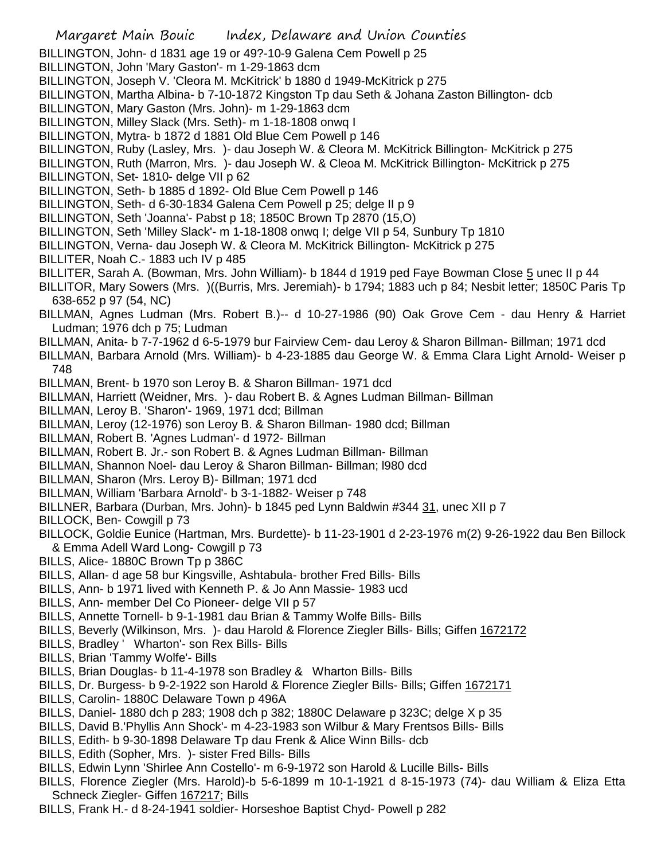- Margaret Main Bouic Index, Delaware and Union Counties BILLINGTON, John- d 1831 age 19 or 49?-10-9 Galena Cem Powell p 25 BILLINGTON, John 'Mary Gaston'- m 1-29-1863 dcm BILLINGTON, Joseph V. 'Cleora M. McKitrick' b 1880 d 1949-McKitrick p 275 BILLINGTON, Martha Albina- b 7-10-1872 Kingston Tp dau Seth & Johana Zaston Billington- dcb BILLINGTON, Mary Gaston (Mrs. John)- m 1-29-1863 dcm BILLINGTON, Milley Slack (Mrs. Seth)- m 1-18-1808 onwq I BILLINGTON, Mytra- b 1872 d 1881 Old Blue Cem Powell p 146 BILLINGTON, Ruby (Lasley, Mrs. )- dau Joseph W. & Cleora M. McKitrick Billington- McKitrick p 275 BILLINGTON, Ruth (Marron, Mrs. )- dau Joseph W. & Cleoa M. McKitrick Billington- McKitrick p 275 BILLINGTON, Set- 1810- delge VII p 62 BILLINGTON, Seth- b 1885 d 1892- Old Blue Cem Powell p 146 BILLINGTON, Seth- d 6-30-1834 Galena Cem Powell p 25; delge II p 9 BILLINGTON, Seth 'Joanna'- Pabst p 18; 1850C Brown Tp 2870 (15,O) BILLINGTON, Seth 'Milley Slack'- m 1-18-1808 onwq I; delge VII p 54, Sunbury Tp 1810 BILLINGTON, Verna- dau Joseph W. & Cleora M. McKitrick Billington- McKitrick p 275 BILLITER, Noah C.- 1883 uch IV p 485 BILLITER, Sarah A. (Bowman, Mrs. John William)- b 1844 d 1919 ped Faye Bowman Close 5 unec II p 44 BILLITOR, Mary Sowers (Mrs. )((Burris, Mrs. Jeremiah)- b 1794; 1883 uch p 84; Nesbit letter; 1850C Paris Tp 638-652 p 97 (54, NC) BILLMAN, Agnes Ludman (Mrs. Robert B.)-- d 10-27-1986 (90) Oak Grove Cem - dau Henry & Harriet Ludman; 1976 dch p 75; Ludman BILLMAN, Anita- b 7-7-1962 d 6-5-1979 bur Fairview Cem- dau Leroy & Sharon Billman- Billman; 1971 dcd BILLMAN, Barbara Arnold (Mrs. William)- b 4-23-1885 dau George W. & Emma Clara Light Arnold- Weiser p 748 BILLMAN, Brent- b 1970 son Leroy B. & Sharon Billman- 1971 dcd BILLMAN, Harriett (Weidner, Mrs. )- dau Robert B. & Agnes Ludman Billman- Billman BILLMAN, Leroy B. 'Sharon'- 1969, 1971 dcd; Billman BILLMAN, Leroy (12-1976) son Leroy B. & Sharon Billman- 1980 dcd; Billman BILLMAN, Robert B. 'Agnes Ludman'- d 1972- Billman BILLMAN, Robert B. Jr.- son Robert B. & Agnes Ludman Billman- Billman BILLMAN, Shannon Noel- dau Leroy & Sharon Billman- Billman; l980 dcd BILLMAN, Sharon (Mrs. Leroy B)- Billman; 1971 dcd BILLMAN, William 'Barbara Arnold'- b 3-1-1882- Weiser p 748 BILLNER, Barbara (Durban, Mrs. John)- b 1845 ped Lynn Baldwin #344 31, unec XII p 7 BILLOCK, Ben- Cowgill p 73 BILLOCK, Goldie Eunice (Hartman, Mrs. Burdette)- b 11-23-1901 d 2-23-1976 m(2) 9-26-1922 dau Ben Billock & Emma Adell Ward Long- Cowgill p 73 BILLS, Alice- 1880C Brown Tp p 386C BILLS, Allan- d age 58 bur Kingsville, Ashtabula- brother Fred Bills- Bills BILLS, Ann- b 1971 lived with Kenneth P. & Jo Ann Massie- 1983 ucd BILLS, Ann- member Del Co Pioneer- delge VII p 57 BILLS, Annette Tornell- b 9-1-1981 dau Brian & Tammy Wolfe Bills- Bills BILLS, Beverly (Wilkinson, Mrs. )- dau Harold & Florence Ziegler Bills- Bills; Giffen 1672172 BILLS, Bradley ' Wharton'- son Rex Bills- Bills BILLS, Brian 'Tammy Wolfe'- Bills BILLS, Brian Douglas- b 11-4-1978 son Bradley & Wharton Bills- Bills BILLS, Dr. Burgess- b 9-2-1922 son Harold & Florence Ziegler Bills- Bills; Giffen 1672171 BILLS, Carolin- 1880C Delaware Town p 496A BILLS, Daniel- 1880 dch p 283; 1908 dch p 382; 1880C Delaware p 323C; delge X p 35 BILLS, David B.'Phyllis Ann Shock'- m 4-23-1983 son Wilbur & Mary Frentsos Bills- Bills BILLS, Edith- b 9-30-1898 Delaware Tp dau Frenk & Alice Winn Bills- dcb BILLS, Edith (Sopher, Mrs. )- sister Fred Bills- Bills BILLS, Edwin Lynn 'Shirlee Ann Costello'- m 6-9-1972 son Harold & Lucille Bills- Bills
- BILLS, Florence Ziegler (Mrs. Harold)-b 5-6-1899 m 10-1-1921 d 8-15-1973 (74)- dau William & Eliza Etta Schneck Ziegler- Giffen 167217; Bills
- BILLS, Frank H.- d 8-24-1941 soldier- Horseshoe Baptist Chyd- Powell p 282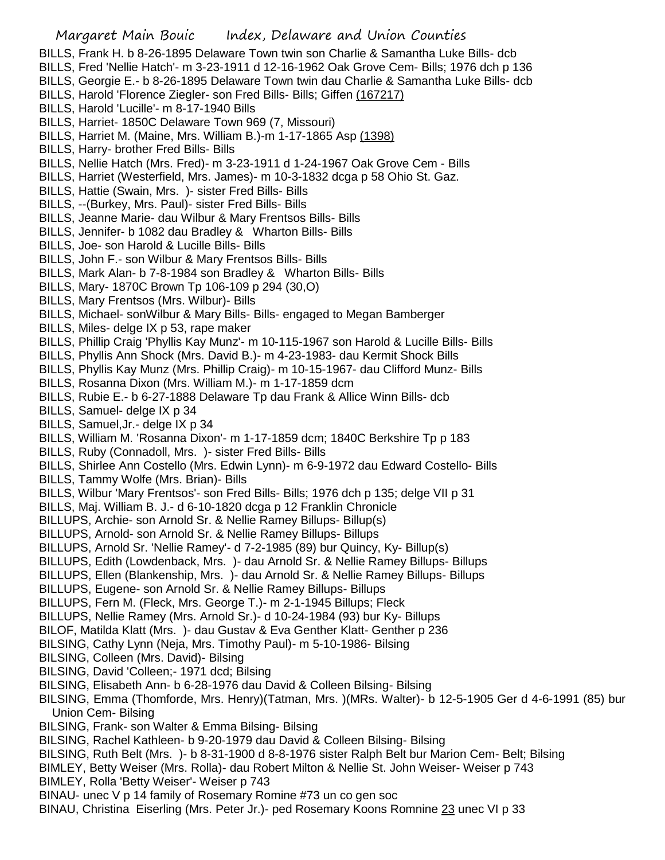- BILLS, Frank H. b 8-26-1895 Delaware Town twin son Charlie & Samantha Luke Bills- dcb
- BILLS, Fred 'Nellie Hatch'- m 3-23-1911 d 12-16-1962 Oak Grove Cem- Bills; 1976 dch p 136
- BILLS, Georgie E.- b 8-26-1895 Delaware Town twin dau Charlie & Samantha Luke Bills- dcb
- BILLS, Harold 'Florence Ziegler- son Fred Bills- Bills; Giffen (167217)
- BILLS, Harold 'Lucille'- m 8-17-1940 Bills
- BILLS, Harriet- 1850C Delaware Town 969 (7, Missouri)
- BILLS, Harriet M. (Maine, Mrs. William B.)-m 1-17-1865 Asp (1398)
- BILLS, Harry- brother Fred Bills- Bills
- BILLS, Nellie Hatch (Mrs. Fred)- m 3-23-1911 d 1-24-1967 Oak Grove Cem Bills
- BILLS, Harriet (Westerfield, Mrs. James)- m 10-3-1832 dcga p 58 Ohio St. Gaz.
- BILLS, Hattie (Swain, Mrs. )- sister Fred Bills- Bills
- BILLS, --(Burkey, Mrs. Paul)- sister Fred Bills- Bills
- BILLS, Jeanne Marie- dau Wilbur & Mary Frentsos Bills- Bills
- BILLS, Jennifer- b 1082 dau Bradley & Wharton Bills- Bills
- BILLS, Joe- son Harold & Lucille Bills- Bills
- BILLS, John F.- son Wilbur & Mary Frentsos Bills- Bills
- BILLS, Mark Alan- b 7-8-1984 son Bradley & Wharton Bills- Bills
- BILLS, Mary- 1870C Brown Tp 106-109 p 294 (30,O)
- BILLS, Mary Frentsos (Mrs. Wilbur)- Bills
- BILLS, Michael- sonWilbur & Mary Bills- Bills- engaged to Megan Bamberger
- BILLS, Miles- delge IX p 53, rape maker
- BILLS, Phillip Craig 'Phyllis Kay Munz'- m 10-115-1967 son Harold & Lucille Bills- Bills
- BILLS, Phyllis Ann Shock (Mrs. David B.)- m 4-23-1983- dau Kermit Shock Bills
- BILLS, Phyllis Kay Munz (Mrs. Phillip Craig)- m 10-15-1967- dau Clifford Munz- Bills
- BILLS, Rosanna Dixon (Mrs. William M.)- m 1-17-1859 dcm
- BILLS, Rubie E.- b 6-27-1888 Delaware Tp dau Frank & Allice Winn Bills- dcb
- BILLS, Samuel- delge IX p 34
- BILLS, Samuel,Jr.- delge IX p 34
- BILLS, William M. 'Rosanna Dixon'- m 1-17-1859 dcm; 1840C Berkshire Tp p 183
- BILLS, Ruby (Connadoll, Mrs. )- sister Fred Bills- Bills
- BILLS, Shirlee Ann Costello (Mrs. Edwin Lynn)- m 6-9-1972 dau Edward Costello- Bills
- BILLS, Tammy Wolfe (Mrs. Brian)- Bills
- BILLS, Wilbur 'Mary Frentsos'- son Fred Bills- Bills; 1976 dch p 135; delge VII p 31
- BILLS, Maj. William B. J.- d 6-10-1820 dcga p 12 Franklin Chronicle
- BILLUPS, Archie- son Arnold Sr. & Nellie Ramey Billups- Billup(s)
- BILLUPS, Arnold- son Arnold Sr. & Nellie Ramey Billups- Billups
- BILLUPS, Arnold Sr. 'Nellie Ramey'- d 7-2-1985 (89) bur Quincy, Ky- Billup(s)
- BILLUPS, Edith (Lowdenback, Mrs. )- dau Arnold Sr. & Nellie Ramey Billups- Billups
- BILLUPS, Ellen (Blankenship, Mrs. )- dau Arnold Sr. & Nellie Ramey Billups- Billups
- BILLUPS, Eugene- son Arnold Sr. & Nellie Ramey Billups- Billups
- BILLUPS, Fern M. (Fleck, Mrs. George T.)- m 2-1-1945 Billups; Fleck
- BILLUPS, Nellie Ramey (Mrs. Arnold Sr.)- d 10-24-1984 (93) bur Ky- Billups
- BILOF, Matilda Klatt (Mrs. )- dau Gustav & Eva Genther Klatt- Genther p 236
- BILSING, Cathy Lynn (Neja, Mrs. Timothy Paul)- m 5-10-1986- Bilsing
- BILSING, Colleen (Mrs. David)- Bilsing
- BILSING, David 'Colleen;- 1971 dcd; Bilsing
- BILSING, Elisabeth Ann- b 6-28-1976 dau David & Colleen Bilsing- Bilsing
- BILSING, Emma (Thomforde, Mrs. Henry)(Tatman, Mrs. )(MRs. Walter)- b 12-5-1905 Ger d 4-6-1991 (85) bur Union Cem- Bilsing
- BILSING, Frank- son Walter & Emma Bilsing- Bilsing
- BILSING, Rachel Kathleen- b 9-20-1979 dau David & Colleen Bilsing- Bilsing
- BILSING, Ruth Belt (Mrs. )- b 8-31-1900 d 8-8-1976 sister Ralph Belt bur Marion Cem- Belt; Bilsing
- BIMLEY, Betty Weiser (Mrs. Rolla)- dau Robert Milton & Nellie St. John Weiser- Weiser p 743
- BIMLEY, Rolla 'Betty Weiser'- Weiser p 743
- BINAU- unec V p 14 family of Rosemary Romine #73 un co gen soc
- BINAU, Christina Eiserling (Mrs. Peter Jr.)- ped Rosemary Koons Romnine 23 unec VI p 33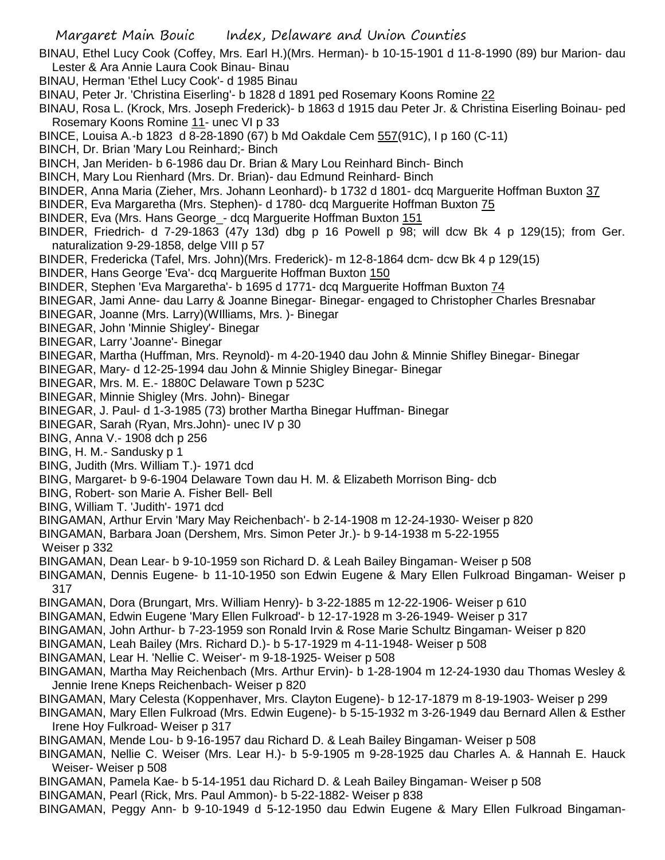BINAU, Ethel Lucy Cook (Coffey, Mrs. Earl H.)(Mrs. Herman)- b 10-15-1901 d 11-8-1990 (89) bur Marion- dau Lester & Ara Annie Laura Cook Binau- Binau

BINAU, Herman 'Ethel Lucy Cook'- d 1985 Binau

BINAU, Peter Jr. 'Christina Eiserling'- b 1828 d 1891 ped Rosemary Koons Romine 22

BINAU, Rosa L. (Krock, Mrs. Joseph Frederick)- b 1863 d 1915 dau Peter Jr. & Christina Eiserling Boinau- ped Rosemary Koons Romine 11- unec VI p 33

BINCE, Louisa A.-b 1823 d 8-28-1890 (67) b Md Oakdale Cem 557(91C), I p 160 (C-11)

BINCH, Dr. Brian 'Mary Lou Reinhard;- Binch

BINCH, Jan Meriden- b 6-1986 dau Dr. Brian & Mary Lou Reinhard Binch- Binch

BINCH, Mary Lou Rienhard (Mrs. Dr. Brian)- dau Edmund Reinhard- Binch

BINDER, Anna Maria (Zieher, Mrs. Johann Leonhard)- b 1732 d 1801- dcq Marguerite Hoffman Buxton 37

BINDER, Eva Margaretha (Mrs. Stephen)- d 1780- dcq Marguerite Hoffman Buxton 75

BINDER, Eva (Mrs. Hans George\_- dcq Marguerite Hoffman Buxton 151

BINDER, Friedrich- d 7-29-1863 (47y 13d) dbg p 16 Powell p 98; will dcw Bk 4 p 129(15); from Ger. naturalization 9-29-1858, delge VIII p 57

BINDER, Fredericka (Tafel, Mrs. John)(Mrs. Frederick)- m 12-8-1864 dcm- dcw Bk 4 p 129(15)

BINDER, Hans George 'Eva'- dcq Marguerite Hoffman Buxton 150

BINDER, Stephen 'Eva Margaretha'- b 1695 d 1771- dcq Marguerite Hoffman Buxton 74

BINEGAR, Jami Anne- dau Larry & Joanne Binegar- Binegar- engaged to Christopher Charles Bresnabar

BINEGAR, Joanne (Mrs. Larry)(WIlliams, Mrs. )- Binegar

BINEGAR, John 'Minnie Shigley'- Binegar

BINEGAR, Larry 'Joanne'- Binegar

BINEGAR, Martha (Huffman, Mrs. Reynold)- m 4-20-1940 dau John & Minnie Shifley Binegar- Binegar

BINEGAR, Mary- d 12-25-1994 dau John & Minnie Shigley Binegar- Binegar

BINEGAR, Mrs. M. E.- 1880C Delaware Town p 523C

BINEGAR, Minnie Shigley (Mrs. John)- Binegar

BINEGAR, J. Paul- d 1-3-1985 (73) brother Martha Binegar Huffman- Binegar

BINEGAR, Sarah (Ryan, Mrs.John)- unec IV p 30

BING, Anna V.- 1908 dch p 256

BING, H. M.- Sandusky p 1

BING, Judith (Mrs. William T.)- 1971 dcd

BING, Margaret- b 9-6-1904 Delaware Town dau H. M. & Elizabeth Morrison Bing- dcb

BING, Robert- son Marie A. Fisher Bell- Bell

BING, William T. 'Judith'- 1971 dcd

BINGAMAN, Arthur Ervin 'Mary May Reichenbach'- b 2-14-1908 m 12-24-1930- Weiser p 820

BINGAMAN, Barbara Joan (Dershem, Mrs. Simon Peter Jr.)- b 9-14-1938 m 5-22-1955

Weiser p 332

BINGAMAN, Dean Lear- b 9-10-1959 son Richard D. & Leah Bailey Bingaman- Weiser p 508

BINGAMAN, Dennis Eugene- b 11-10-1950 son Edwin Eugene & Mary Ellen Fulkroad Bingaman- Weiser p 317

BINGAMAN, Dora (Brungart, Mrs. William Henry)- b 3-22-1885 m 12-22-1906- Weiser p 610

BINGAMAN, Edwin Eugene 'Mary Ellen Fulkroad'- b 12-17-1928 m 3-26-1949- Weiser p 317

BINGAMAN, John Arthur- b 7-23-1959 son Ronald Irvin & Rose Marie Schultz Bingaman- Weiser p 820

BINGAMAN, Leah Bailey (Mrs. Richard D.)- b 5-17-1929 m 4-11-1948- Weiser p 508

BINGAMAN, Lear H. 'Nellie C. Weiser'- m 9-18-1925- Weiser p 508

BINGAMAN, Martha May Reichenbach (Mrs. Arthur Ervin)- b 1-28-1904 m 12-24-1930 dau Thomas Wesley & Jennie Irene Kneps Reichenbach- Weiser p 820

BINGAMAN, Mary Celesta (Koppenhaver, Mrs. Clayton Eugene)- b 12-17-1879 m 8-19-1903- Weiser p 299

BINGAMAN, Mary Ellen Fulkroad (Mrs. Edwin Eugene)- b 5-15-1932 m 3-26-1949 dau Bernard Allen & Esther Irene Hoy Fulkroad- Weiser p 317

BINGAMAN, Mende Lou- b 9-16-1957 dau Richard D. & Leah Bailey Bingaman- Weiser p 508

BINGAMAN, Nellie C. Weiser (Mrs. Lear H.)- b 5-9-1905 m 9-28-1925 dau Charles A. & Hannah E. Hauck Weiser- Weiser p 508

BINGAMAN, Pamela Kae- b 5-14-1951 dau Richard D. & Leah Bailey Bingaman- Weiser p 508

BINGAMAN, Pearl (Rick, Mrs. Paul Ammon)- b 5-22-1882- Weiser p 838

BINGAMAN, Peggy Ann- b 9-10-1949 d 5-12-1950 dau Edwin Eugene & Mary Ellen Fulkroad Bingaman-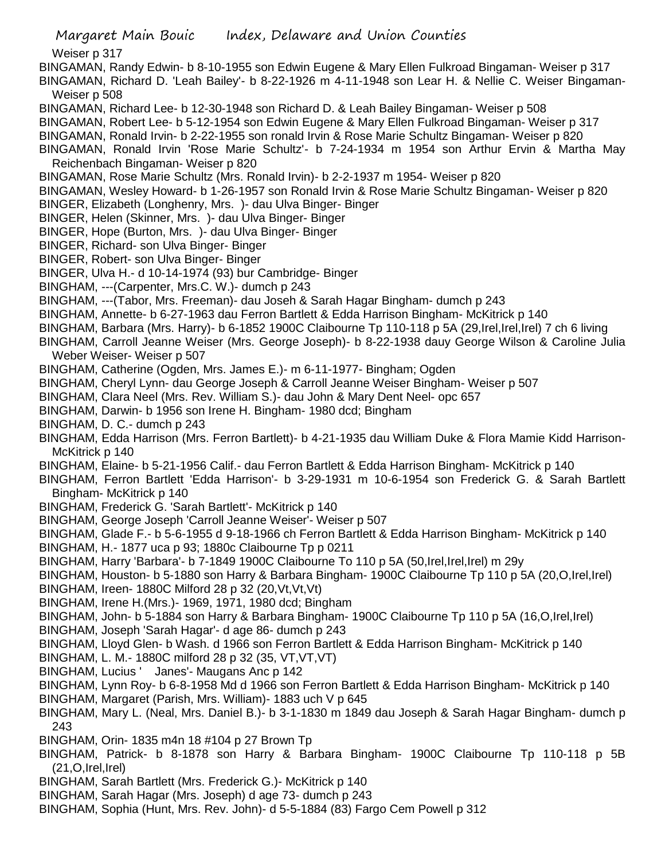Weiser p 317

BINGAMAN, Randy Edwin- b 8-10-1955 son Edwin Eugene & Mary Ellen Fulkroad Bingaman- Weiser p 317 BINGAMAN, Richard D. 'Leah Bailey'- b 8-22-1926 m 4-11-1948 son Lear H. & Nellie C. Weiser Bingaman-Weiser p 508

BINGAMAN, Richard Lee- b 12-30-1948 son Richard D. & Leah Bailey Bingaman- Weiser p 508

BINGAMAN, Robert Lee- b 5-12-1954 son Edwin Eugene & Mary Ellen Fulkroad Bingaman- Weiser p 317

BINGAMAN, Ronald Irvin- b 2-22-1955 son ronald Irvin & Rose Marie Schultz Bingaman- Weiser p 820

BINGAMAN, Ronald Irvin 'Rose Marie Schultz'- b 7-24-1934 m 1954 son Arthur Ervin & Martha May Reichenbach Bingaman- Weiser p 820

BINGAMAN, Rose Marie Schultz (Mrs. Ronald Irvin)- b 2-2-1937 m 1954- Weiser p 820

BINGAMAN, Wesley Howard- b 1-26-1957 son Ronald Irvin & Rose Marie Schultz Bingaman- Weiser p 820

- BINGER, Elizabeth (Longhenry, Mrs. )- dau Ulva Binger- Binger
- BINGER, Helen (Skinner, Mrs. )- dau Ulva Binger- Binger
- BINGER, Hope (Burton, Mrs. )- dau Ulva Binger- Binger
- BINGER, Richard- son Ulva Binger- Binger
- BINGER, Robert- son Ulva Binger- Binger
- BINGER, Ulva H.- d 10-14-1974 (93) bur Cambridge- Binger
- BINGHAM, ---(Carpenter, Mrs.C. W.)- dumch p 243

BINGHAM, ---(Tabor, Mrs. Freeman)- dau Joseh & Sarah Hagar Bingham- dumch p 243

BINGHAM, Annette- b 6-27-1963 dau Ferron Bartlett & Edda Harrison Bingham- McKitrick p 140

BINGHAM, Barbara (Mrs. Harry)- b 6-1852 1900C Claibourne Tp 110-118 p 5A (29, Irel, Irel, Irel) 7 ch 6 living

BINGHAM, Carroll Jeanne Weiser (Mrs. George Joseph)- b 8-22-1938 dauy George Wilson & Caroline Julia Weber Weiser- Weiser p 507

BINGHAM, Catherine (Ogden, Mrs. James E.)- m 6-11-1977- Bingham; Ogden

- BINGHAM, Cheryl Lynn- dau George Joseph & Carroll Jeanne Weiser Bingham- Weiser p 507
- BINGHAM, Clara Neel (Mrs. Rev. William S.)- dau John & Mary Dent Neel- opc 657
- BINGHAM, Darwin- b 1956 son Irene H. Bingham- 1980 dcd; Bingham
- BINGHAM, D. C.- dumch p 243
- BINGHAM, Edda Harrison (Mrs. Ferron Bartlett)- b 4-21-1935 dau William Duke & Flora Mamie Kidd Harrison-McKitrick p 140
- BINGHAM, Elaine- b 5-21-1956 Calif.- dau Ferron Bartlett & Edda Harrison Bingham- McKitrick p 140
- BINGHAM, Ferron Bartlett 'Edda Harrison'- b 3-29-1931 m 10-6-1954 son Frederick G. & Sarah Bartlett Bingham- McKitrick p 140
- BINGHAM, Frederick G. 'Sarah Bartlett'- McKitrick p 140
- BINGHAM, George Joseph 'Carroll Jeanne Weiser'- Weiser p 507
- BINGHAM, Glade F.- b 5-6-1955 d 9-18-1966 ch Ferron Bartlett & Edda Harrison Bingham- McKitrick p 140
- BINGHAM, H.- 1877 uca p 93; 1880c Claibourne Tp p 0211
- BINGHAM, Harry 'Barbara'- b 7-1849 1900C Claibourne To 110 p 5A (50, Irel, Irel, Irel) m 29y
- BINGHAM, Houston- b 5-1880 son Harry & Barbara Bingham- 1900C Claibourne Tp 110 p 5A (20,O,Irel,Irel)
- BINGHAM, Ireen- 1880C Milford 28 p 32 (20,Vt,Vt,Vt)

BINGHAM, Irene H.(Mrs.)- 1969, 1971, 1980 dcd; Bingham

BINGHAM, John- b 5-1884 son Harry & Barbara Bingham- 1900C Claibourne Tp 110 p 5A (16,O,Irel,Irel)

- BINGHAM, Joseph 'Sarah Hagar'- d age 86- dumch p 243
- BINGHAM, Lloyd Glen- b Wash. d 1966 son Ferron Bartlett & Edda Harrison Bingham- McKitrick p 140

BINGHAM, L. M.- 1880C milford 28 p 32 (35, VT,VT,VT)

BINGHAM, Lucius ' Janes'- Maugans Anc p 142

BINGHAM, Lynn Roy- b 6-8-1958 Md d 1966 son Ferron Bartlett & Edda Harrison Bingham- McKitrick p 140

- BINGHAM, Margaret (Parish, Mrs. William)- 1883 uch V p 645
- BINGHAM, Mary L. (Neal, Mrs. Daniel B.)- b 3-1-1830 m 1849 dau Joseph & Sarah Hagar Bingham- dumch p 243
- BINGHAM, Orin- 1835 m4n 18 #104 p 27 Brown Tp
- BINGHAM, Patrick- b 8-1878 son Harry & Barbara Bingham- 1900C Claibourne Tp 110-118 p 5B  $(21.0.1$ rel, $|rel\rangle$
- BINGHAM, Sarah Bartlett (Mrs. Frederick G.)- McKitrick p 140
- BINGHAM, Sarah Hagar (Mrs. Joseph) d age 73- dumch p 243
- BINGHAM, Sophia (Hunt, Mrs. Rev. John)- d 5-5-1884 (83) Fargo Cem Powell p 312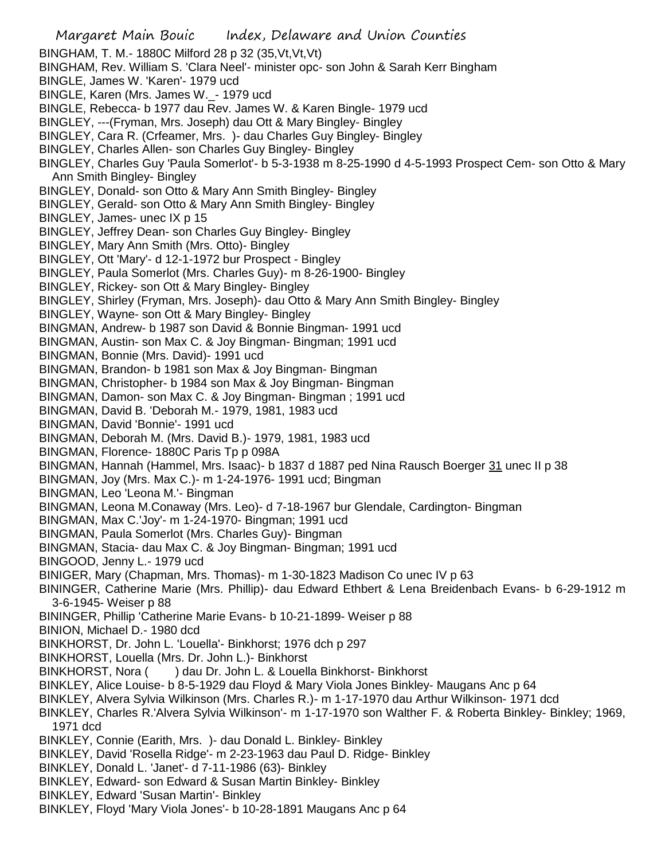- Margaret Main Bouic Index, Delaware and Union Counties BINGHAM, T. M.- 1880C Milford 28 p 32 (35,Vt,Vt,Vt) BINGHAM, Rev. William S. 'Clara Neel'- minister opc- son John & Sarah Kerr Bingham BINGLE, James W. 'Karen'- 1979 ucd BINGLE, Karen (Mrs. James W.\_- 1979 ucd BINGLE, Rebecca- b 1977 dau Rev. James W. & Karen Bingle- 1979 ucd BINGLEY, ---(Fryman, Mrs. Joseph) dau Ott & Mary Bingley- Bingley BINGLEY, Cara R. (Crfeamer, Mrs. )- dau Charles Guy Bingley- Bingley BINGLEY, Charles Allen- son Charles Guy Bingley- Bingley BINGLEY, Charles Guy 'Paula Somerlot'- b 5-3-1938 m 8-25-1990 d 4-5-1993 Prospect Cem- son Otto & Mary Ann Smith Bingley- Bingley BINGLEY, Donald- son Otto & Mary Ann Smith Bingley- Bingley BINGLEY, Gerald- son Otto & Mary Ann Smith Bingley- Bingley BINGLEY, James- unec IX p 15 BINGLEY, Jeffrey Dean- son Charles Guy Bingley- Bingley BINGLEY, Mary Ann Smith (Mrs. Otto)- Bingley BINGLEY, Ott 'Mary'- d 12-1-1972 bur Prospect - Bingley BINGLEY, Paula Somerlot (Mrs. Charles Guy)- m 8-26-1900- Bingley BINGLEY, Rickey- son Ott & Mary Bingley- Bingley BINGLEY, Shirley (Fryman, Mrs. Joseph)- dau Otto & Mary Ann Smith Bingley- Bingley BINGLEY, Wayne- son Ott & Mary Bingley- Bingley BINGMAN, Andrew- b 1987 son David & Bonnie Bingman- 1991 ucd BINGMAN, Austin- son Max C. & Joy Bingman- Bingman; 1991 ucd BINGMAN, Bonnie (Mrs. David)- 1991 ucd BINGMAN, Brandon- b 1981 son Max & Joy Bingman- Bingman BINGMAN, Christopher- b 1984 son Max & Joy Bingman- Bingman BINGMAN, Damon- son Max C. & Joy Bingman- Bingman ; 1991 ucd BINGMAN, David B. 'Deborah M.- 1979, 1981, 1983 ucd BINGMAN, David 'Bonnie'- 1991 ucd BINGMAN, Deborah M. (Mrs. David B.)- 1979, 1981, 1983 ucd BINGMAN, Florence- 1880C Paris Tp p 098A BINGMAN, Hannah (Hammel, Mrs. Isaac)- b 1837 d 1887 ped Nina Rausch Boerger 31 unec II p 38 BINGMAN, Joy (Mrs. Max C.)- m 1-24-1976- 1991 ucd; Bingman BINGMAN, Leo 'Leona M.'- Bingman BINGMAN, Leona M.Conaway (Mrs. Leo)- d 7-18-1967 bur Glendale, Cardington- Bingman BINGMAN, Max C.'Joy'- m 1-24-1970- Bingman; 1991 ucd BINGMAN, Paula Somerlot (Mrs. Charles Guy)- Bingman BINGMAN, Stacia- dau Max C. & Joy Bingman- Bingman; 1991 ucd BINGOOD, Jenny L.- 1979 ucd BINIGER, Mary (Chapman, Mrs. Thomas)- m 1-30-1823 Madison Co unec IV p 63 BININGER, Catherine Marie (Mrs. Phillip)- dau Edward Ethbert & Lena Breidenbach Evans- b 6-29-1912 m 3-6-1945- Weiser p 88 BININGER, Phillip 'Catherine Marie Evans- b 10-21-1899- Weiser p 88 BINION, Michael D.- 1980 dcd BINKHORST, Dr. John L. 'Louella'- Binkhorst; 1976 dch p 297 BINKHORST, Louella (Mrs. Dr. John L.)- Binkhorst BINKHORST, Nora () dau Dr. John L. & Louella Binkhorst- Binkhorst BINKLEY, Alice Louise- b 8-5-1929 dau Floyd & Mary Viola Jones Binkley- Maugans Anc p 64 BINKLEY, Alvera Sylvia Wilkinson (Mrs. Charles R.)- m 1-17-1970 dau Arthur Wilkinson- 1971 dcd BINKLEY, Charles R.'Alvera Sylvia Wilkinson'- m 1-17-1970 son Walther F. & Roberta Binkley- Binkley; 1969, 1971 dcd BINKLEY, Connie (Earith, Mrs. )- dau Donald L. Binkley- Binkley BINKLEY, David 'Rosella Ridge'- m 2-23-1963 dau Paul D. Ridge- Binkley BINKLEY, Donald L. 'Janet'- d 7-11-1986 (63)- Binkley BINKLEY, Edward- son Edward & Susan Martin Binkley- Binkley BINKLEY, Edward 'Susan Martin'- Binkley
	- BINKLEY, Floyd 'Mary Viola Jones'- b 10-28-1891 Maugans Anc p 64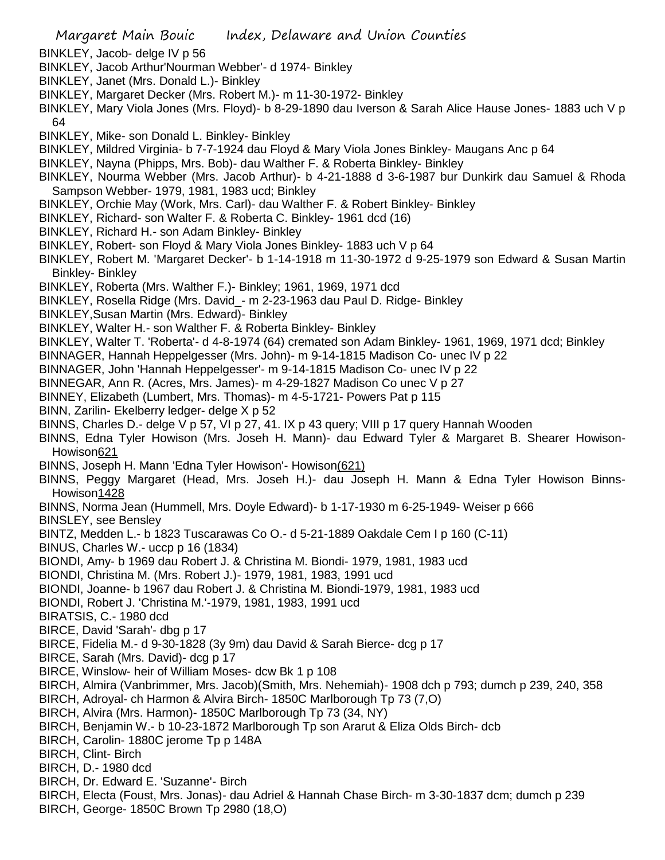- BINKLEY, Jacob- delge IV p 56
- BINKLEY, Jacob Arthur'Nourman Webber'- d 1974- Binkley
- BINKLEY, Janet (Mrs. Donald L.)- Binkley
- BINKLEY, Margaret Decker (Mrs. Robert M.)- m 11-30-1972- Binkley
- BINKLEY, Mary Viola Jones (Mrs. Floyd)- b 8-29-1890 dau Iverson & Sarah Alice Hause Jones- 1883 uch V p 64
- BINKLEY, Mike- son Donald L. Binkley- Binkley
- BINKLEY, Mildred Virginia- b 7-7-1924 dau Floyd & Mary Viola Jones Binkley- Maugans Anc p 64
- BINKLEY, Nayna (Phipps, Mrs. Bob)- dau Walther F. & Roberta Binkley- Binkley
- BINKLEY, Nourma Webber (Mrs. Jacob Arthur)- b 4-21-1888 d 3-6-1987 bur Dunkirk dau Samuel & Rhoda Sampson Webber- 1979, 1981, 1983 ucd; Binkley
- BINKLEY, Orchie May (Work, Mrs. Carl)- dau Walther F. & Robert Binkley- Binkley
- BINKLEY, Richard- son Walter F. & Roberta C. Binkley- 1961 dcd (16)
- BINKLEY, Richard H.- son Adam Binkley- Binkley
- BINKLEY, Robert- son Floyd & Mary Viola Jones Binkley- 1883 uch V p 64
- BINKLEY, Robert M. 'Margaret Decker'- b 1-14-1918 m 11-30-1972 d 9-25-1979 son Edward & Susan Martin Binkley- Binkley
- BINKLEY, Roberta (Mrs. Walther F.)- Binkley; 1961, 1969, 1971 dcd
- BINKLEY, Rosella Ridge (Mrs. David\_- m 2-23-1963 dau Paul D. Ridge- Binkley
- BINKLEY,Susan Martin (Mrs. Edward)- Binkley
- BINKLEY, Walter H.- son Walther F. & Roberta Binkley- Binkley
- BINKLEY, Walter T. 'Roberta'- d 4-8-1974 (64) cremated son Adam Binkley- 1961, 1969, 1971 dcd; Binkley
- BINNAGER, Hannah Heppelgesser (Mrs. John)- m 9-14-1815 Madison Co- unec IV p 22
- BINNAGER, John 'Hannah Heppelgesser'- m 9-14-1815 Madison Co- unec IV p 22
- BINNEGAR, Ann R. (Acres, Mrs. James)- m 4-29-1827 Madison Co unec V p 27
- BINNEY, Elizabeth (Lumbert, Mrs. Thomas)- m 4-5-1721- Powers Pat p 115
- BINN, Zarilin- Ekelberry ledger- delge X p 52
- BINNS, Charles D.- delge V p 57, VI p 27, 41. IX p 43 query; VIII p 17 query Hannah Wooden
- BINNS, Edna Tyler Howison (Mrs. Joseh H. Mann)- dau Edward Tyler & Margaret B. Shearer Howison-Howison621
- BINNS, Joseph H. Mann 'Edna Tyler Howison'- Howison(621)
- BINNS, Peggy Margaret (Head, Mrs. Joseh H.)- dau Joseph H. Mann & Edna Tyler Howison Binns-Howison1428
- BINNS, Norma Jean (Hummell, Mrs. Doyle Edward)- b 1-17-1930 m 6-25-1949- Weiser p 666
- BINSLEY, see Bensley
- BINTZ, Medden L.- b 1823 Tuscarawas Co O.- d 5-21-1889 Oakdale Cem I p 160 (C-11)
- BINUS, Charles W.- uccp p 16 (1834)
- BIONDI, Amy- b 1969 dau Robert J. & Christina M. Biondi- 1979, 1981, 1983 ucd
- BIONDI, Christina M. (Mrs. Robert J.)- 1979, 1981, 1983, 1991 ucd
- BIONDI, Joanne- b 1967 dau Robert J. & Christina M. Biondi-1979, 1981, 1983 ucd
- BIONDI, Robert J. 'Christina M.'-1979, 1981, 1983, 1991 ucd
- BIRATSIS, C.- 1980 dcd
- BIRCE, David 'Sarah'- dbg p 17
- BIRCE, Fidelia M.- d 9-30-1828 (3y 9m) dau David & Sarah Bierce- dcg p 17
- BIRCE, Sarah (Mrs. David)- dcg p 17
- BIRCE, Winslow- heir of William Moses- dcw Bk 1 p 108
- BIRCH, Almira (Vanbrimmer, Mrs. Jacob)(Smith, Mrs. Nehemiah)- 1908 dch p 793; dumch p 239, 240, 358
- BIRCH, Adroyal- ch Harmon & Alvira Birch- 1850C Marlborough Tp 73 (7,O)
- BIRCH, Alvira (Mrs. Harmon)- 1850C Marlborough Tp 73 (34, NY)
- BIRCH, Benjamin W.- b 10-23-1872 Marlborough Tp son Ararut & Eliza Olds Birch- dcb
- BIRCH, Carolin- 1880C jerome Tp p 148A
- BIRCH, Clint- Birch
- BIRCH, D.- 1980 dcd
- BIRCH, Dr. Edward E. 'Suzanne'- Birch
- BIRCH, Electa (Foust, Mrs. Jonas)- dau Adriel & Hannah Chase Birch- m 3-30-1837 dcm; dumch p 239
- BIRCH, George- 1850C Brown Tp 2980 (18,O)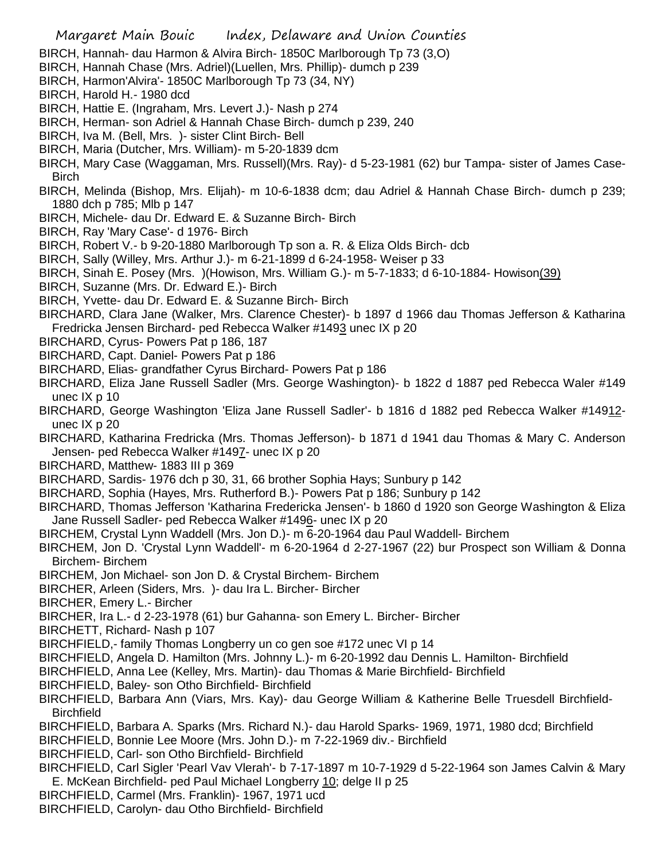- BIRCH, Hannah- dau Harmon & Alvira Birch- 1850C Marlborough Tp 73 (3,O)
- BIRCH, Hannah Chase (Mrs. Adriel)(Luellen, Mrs. Phillip)- dumch p 239
- BIRCH, Harmon'Alvira'- 1850C Marlborough Tp 73 (34, NY)
- BIRCH, Harold H.- 1980 dcd
- BIRCH, Hattie E. (Ingraham, Mrs. Levert J.)- Nash p 274
- BIRCH, Herman- son Adriel & Hannah Chase Birch- dumch p 239, 240
- BIRCH, Iva M. (Bell, Mrs. )- sister Clint Birch- Bell
- BIRCH, Maria (Dutcher, Mrs. William)- m 5-20-1839 dcm
- BIRCH, Mary Case (Waggaman, Mrs. Russell)(Mrs. Ray)- d 5-23-1981 (62) bur Tampa- sister of James Case-**Birch**
- BIRCH, Melinda (Bishop, Mrs. Elijah)- m 10-6-1838 dcm; dau Adriel & Hannah Chase Birch- dumch p 239; 1880 dch p 785; Mlb p 147
- BIRCH, Michele- dau Dr. Edward E. & Suzanne Birch- Birch
- BIRCH, Ray 'Mary Case'- d 1976- Birch
- BIRCH, Robert V.- b 9-20-1880 Marlborough Tp son a. R. & Eliza Olds Birch- dcb
- BIRCH, Sally (Willey, Mrs. Arthur J.)- m 6-21-1899 d 6-24-1958- Weiser p 33
- BIRCH, Sinah E. Posey (Mrs. )(Howison, Mrs. William G.)- m 5-7-1833; d 6-10-1884- Howison(39)
- BIRCH, Suzanne (Mrs. Dr. Edward E.)- Birch
- BIRCH, Yvette- dau Dr. Edward E. & Suzanne Birch- Birch
- BIRCHARD, Clara Jane (Walker, Mrs. Clarence Chester)- b 1897 d 1966 dau Thomas Jefferson & Katharina Fredricka Jensen Birchard- ped Rebecca Walker #1493 unec IX p 20
- BIRCHARD, Cyrus- Powers Pat p 186, 187
- BIRCHARD, Capt. Daniel- Powers Pat p 186
- BIRCHARD, Elias- grandfather Cyrus Birchard- Powers Pat p 186
- BIRCHARD, Eliza Jane Russell Sadler (Mrs. George Washington)- b 1822 d 1887 ped Rebecca Waler #149 unec IX p 10
- BIRCHARD, George Washington 'Eliza Jane Russell Sadler'- b 1816 d 1882 ped Rebecca Walker #14912 unec IX p 20
- BIRCHARD, Katharina Fredricka (Mrs. Thomas Jefferson)- b 1871 d 1941 dau Thomas & Mary C. Anderson Jensen- ped Rebecca Walker #1497- unec IX p 20
- BIRCHARD, Matthew- 1883 III p 369
- BIRCHARD, Sardis- 1976 dch p 30, 31, 66 brother Sophia Hays; Sunbury p 142
- BIRCHARD, Sophia (Hayes, Mrs. Rutherford B.)- Powers Pat p 186; Sunbury p 142
- BIRCHARD, Thomas Jefferson 'Katharina Fredericka Jensen'- b 1860 d 1920 son George Washington & Eliza Jane Russell Sadler- ped Rebecca Walker #1496- unec IX p 20
- BIRCHEM, Crystal Lynn Waddell (Mrs. Jon D.)- m 6-20-1964 dau Paul Waddell- Birchem
- BIRCHEM, Jon D. 'Crystal Lynn Waddell'- m 6-20-1964 d 2-27-1967 (22) bur Prospect son William & Donna Birchem- Birchem
- BIRCHEM, Jon Michael- son Jon D. & Crystal Birchem- Birchem
- BIRCHER, Arleen (Siders, Mrs. )- dau Ira L. Bircher- Bircher
- BIRCHER, Emery L.- Bircher
- BIRCHER, Ira L.- d 2-23-1978 (61) bur Gahanna- son Emery L. Bircher- Bircher
- BIRCHETT, Richard- Nash p 107
- BIRCHFIELD,- family Thomas Longberry un co gen soe #172 unec VI p 14
- BIRCHFIELD, Angela D. Hamilton (Mrs. Johnny L.)- m 6-20-1992 dau Dennis L. Hamilton- Birchfield
- BIRCHFIELD, Anna Lee (Kelley, Mrs. Martin)- dau Thomas & Marie Birchfield- Birchfield
- BIRCHFIELD, Baley- son Otho Birchfield- Birchfield
- BIRCHFIELD, Barbara Ann (Viars, Mrs. Kay)- dau George William & Katherine Belle Truesdell Birchfield-**Birchfield**
- BIRCHFIELD, Barbara A. Sparks (Mrs. Richard N.)- dau Harold Sparks- 1969, 1971, 1980 dcd; Birchfield
- BIRCHFIELD, Bonnie Lee Moore (Mrs. John D.)- m 7-22-1969 div.- Birchfield
- BIRCHFIELD, Carl- son Otho Birchfield- Birchfield
- BIRCHFIELD, Carl Sigler 'Pearl Vav Vlerah'- b 7-17-1897 m 10-7-1929 d 5-22-1964 son James Calvin & Mary E. McKean Birchfield- ped Paul Michael Longberry 10; delge II p 25
- BIRCHFIELD, Carmel (Mrs. Franklin)- 1967, 1971 ucd
- BIRCHFIELD, Carolyn- dau Otho Birchfield- Birchfield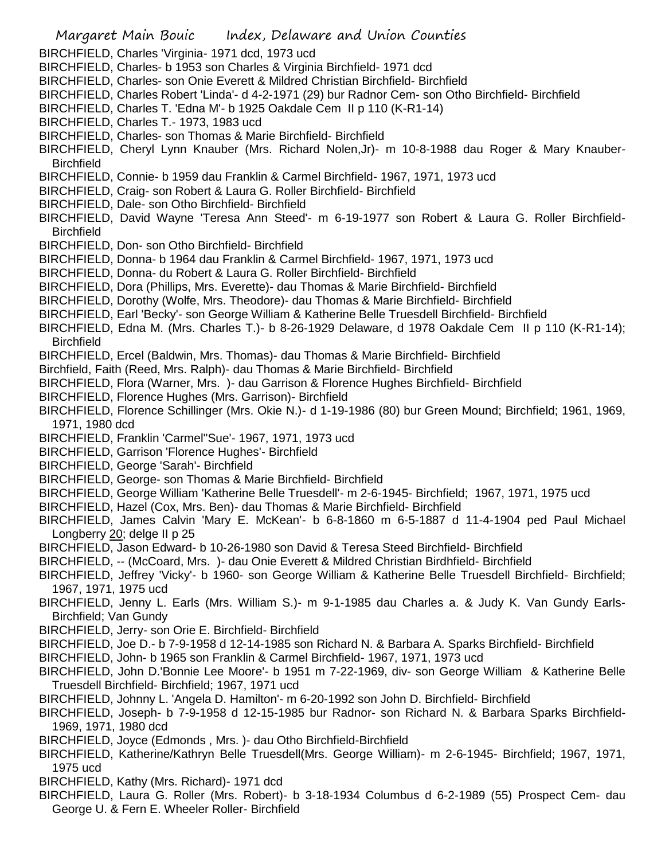- Margaret Main Bouic Index, Delaware and Union Counties BIRCHFIELD, Charles 'Virginia- 1971 dcd, 1973 ucd BIRCHFIELD, Charles- b 1953 son Charles & Virginia Birchfield- 1971 dcd BIRCHFIELD, Charles- son Onie Everett & Mildred Christian Birchfield- Birchfield BIRCHFIELD, Charles Robert 'Linda'- d 4-2-1971 (29) bur Radnor Cem- son Otho Birchfield- Birchfield BIRCHFIELD, Charles T. 'Edna M'- b 1925 Oakdale Cem II p 110 (K-R1-14) BIRCHFIELD, Charles T.- 1973, 1983 ucd BIRCHFIELD, Charles- son Thomas & Marie Birchfield- Birchfield BIRCHFIELD, Cheryl Lynn Knauber (Mrs. Richard Nolen,Jr)- m 10-8-1988 dau Roger & Mary Knauber-**Birchfield** BIRCHFIELD, Connie- b 1959 dau Franklin & Carmel Birchfield- 1967, 1971, 1973 ucd BIRCHFIELD, Craig- son Robert & Laura G. Roller Birchfield- Birchfield BIRCHFIELD, Dale- son Otho Birchfield- Birchfield BIRCHFIELD, David Wayne 'Teresa Ann Steed'- m 6-19-1977 son Robert & Laura G. Roller Birchfield-**Birchfield** BIRCHFIELD, Don- son Otho Birchfield- Birchfield BIRCHFIELD, Donna- b 1964 dau Franklin & Carmel Birchfield- 1967, 1971, 1973 ucd BIRCHFIELD, Donna- du Robert & Laura G. Roller Birchfield- Birchfield BIRCHFIELD, Dora (Phillips, Mrs. Everette)- dau Thomas & Marie Birchfield- Birchfield BIRCHFIELD, Dorothy (Wolfe, Mrs. Theodore)- dau Thomas & Marie Birchfield- Birchfield BIRCHFIELD, Earl 'Becky'- son George William & Katherine Belle Truesdell Birchfield- Birchfield BIRCHFIELD, Edna M. (Mrs. Charles T.)- b 8-26-1929 Delaware, d 1978 Oakdale Cem II p 110 (K-R1-14); **Birchfield** BIRCHFIELD, Ercel (Baldwin, Mrs. Thomas)- dau Thomas & Marie Birchfield- Birchfield Birchfield, Faith (Reed, Mrs. Ralph)- dau Thomas & Marie Birchfield- Birchfield BIRCHFIELD, Flora (Warner, Mrs. )- dau Garrison & Florence Hughes Birchfield- Birchfield BIRCHFIELD, Florence Hughes (Mrs. Garrison)- Birchfield BIRCHFIELD, Florence Schillinger (Mrs. Okie N.)- d 1-19-1986 (80) bur Green Mound; Birchfield; 1961, 1969, 1971, 1980 dcd BIRCHFIELD, Franklin 'Carmel''Sue'- 1967, 1971, 1973 ucd BIRCHFIELD, Garrison 'Florence Hughes'- Birchfield BIRCHFIELD, George 'Sarah'- Birchfield BIRCHFIELD, George- son Thomas & Marie Birchfield- Birchfield BIRCHFIELD, George William 'Katherine Belle Truesdell'- m 2-6-1945- Birchfield; 1967, 1971, 1975 ucd BIRCHFIELD, Hazel (Cox, Mrs. Ben)- dau Thomas & Marie Birchfield- Birchfield BIRCHFIELD, James Calvin 'Mary E. McKean'- b 6-8-1860 m 6-5-1887 d 11-4-1904 ped Paul Michael Longberry 20; delge II p 25 BIRCHFIELD, Jason Edward- b 10-26-1980 son David & Teresa Steed Birchfield- Birchfield BIRCHFIELD, -- (McCoard, Mrs. )- dau Onie Everett & Mildred Christian Birdhfield- Birchfield BIRCHFIELD, Jeffrey 'Vicky'- b 1960- son George William & Katherine Belle Truesdell Birchfield- Birchfield; 1967, 1971, 1975 ucd BIRCHFIELD, Jenny L. Earls (Mrs. William S.)- m 9-1-1985 dau Charles a. & Judy K. Van Gundy Earls-Birchfield; Van Gundy BIRCHFIELD, Jerry- son Orie E. Birchfield- Birchfield BIRCHFIELD, Joe D.- b 7-9-1958 d 12-14-1985 son Richard N. & Barbara A. Sparks Birchfield- Birchfield
- BIRCHFIELD, John- b 1965 son Franklin & Carmel Birchfield- 1967, 1971, 1973 ucd
- BIRCHFIELD, John D.'Bonnie Lee Moore'- b 1951 m 7-22-1969, div- son George William & Katherine Belle Truesdell Birchfield- Birchfield; 1967, 1971 ucd
- BIRCHFIELD, Johnny L. 'Angela D. Hamilton'- m 6-20-1992 son John D. Birchfield- Birchfield
- BIRCHFIELD, Joseph- b 7-9-1958 d 12-15-1985 bur Radnor- son Richard N. & Barbara Sparks Birchfield-1969, 1971, 1980 dcd
- BIRCHFIELD, Joyce (Edmonds , Mrs. )- dau Otho Birchfield-Birchfield
- BIRCHFIELD, Katherine/Kathryn Belle Truesdell(Mrs. George William)- m 2-6-1945- Birchfield; 1967, 1971, 1975 ucd
- BIRCHFIELD, Kathy (Mrs. Richard)- 1971 dcd
- BIRCHFIELD, Laura G. Roller (Mrs. Robert)- b 3-18-1934 Columbus d 6-2-1989 (55) Prospect Cem- dau George U. & Fern E. Wheeler Roller- Birchfield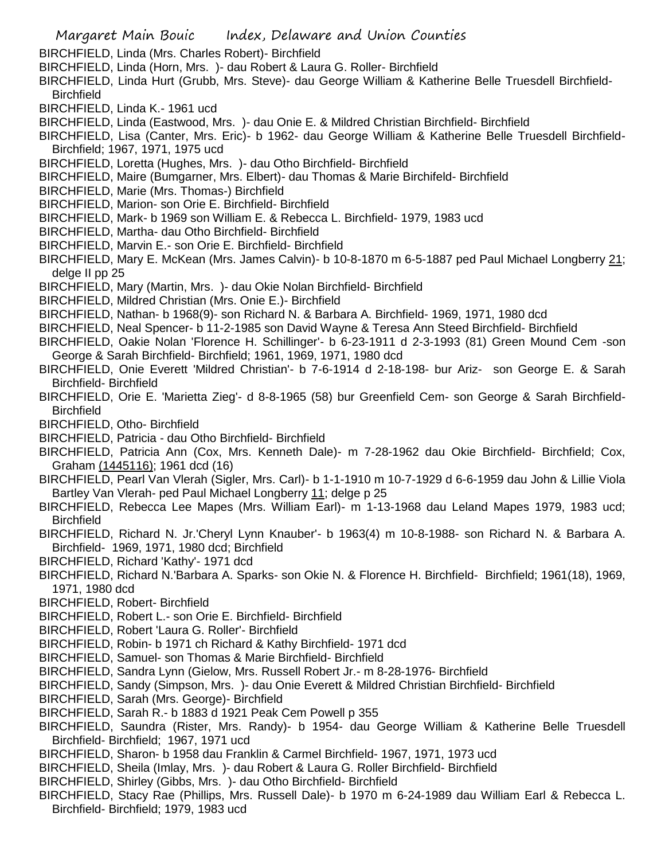- Margaret Main Bouic Index, Delaware and Union Counties
- BIRCHFIELD, Linda (Mrs. Charles Robert)- Birchfield
- BIRCHFIELD, Linda (Horn, Mrs. )- dau Robert & Laura G. Roller- Birchfield
- BIRCHFIELD, Linda Hurt (Grubb, Mrs. Steve)- dau George William & Katherine Belle Truesdell Birchfield-**Birchfield**
- BIRCHFIELD, Linda K.- 1961 ucd
- BIRCHFIELD, Linda (Eastwood, Mrs. )- dau Onie E. & Mildred Christian Birchfield- Birchfield
- BIRCHFIELD, Lisa (Canter, Mrs. Eric)- b 1962- dau George William & Katherine Belle Truesdell Birchfield-Birchfield; 1967, 1971, 1975 ucd
- BIRCHFIELD, Loretta (Hughes, Mrs. )- dau Otho Birchfield- Birchfield
- BIRCHFIELD, Maire (Bumgarner, Mrs. Elbert)- dau Thomas & Marie Birchifeld- Birchfield
- BIRCHFIELD, Marie (Mrs. Thomas-) Birchfield
- BIRCHFIELD, Marion- son Orie E. Birchfield- Birchfield
- BIRCHFIELD, Mark- b 1969 son William E. & Rebecca L. Birchfield- 1979, 1983 ucd
- BIRCHFIELD, Martha- dau Otho Birchfield- Birchfield
- BIRCHFIELD, Marvin E.- son Orie E. Birchfield- Birchfield
- BIRCHFIELD, Mary E. McKean (Mrs. James Calvin)- b 10-8-1870 m 6-5-1887 ped Paul Michael Longberry 21; delge II pp 25
- BIRCHFIELD, Mary (Martin, Mrs. )- dau Okie Nolan Birchfield- Birchfield
- BIRCHFIELD, Mildred Christian (Mrs. Onie E.)- Birchfield
- BIRCHFIELD, Nathan- b 1968(9)- son Richard N. & Barbara A. Birchfield- 1969, 1971, 1980 dcd
- BIRCHFIELD, Neal Spencer- b 11-2-1985 son David Wayne & Teresa Ann Steed Birchfield- Birchfield
- BIRCHFIELD, Oakie Nolan 'Florence H. Schillinger'- b 6-23-1911 d 2-3-1993 (81) Green Mound Cem -son George & Sarah Birchfield- Birchfield; 1961, 1969, 1971, 1980 dcd
- BIRCHFIELD, Onie Everett 'Mildred Christian'- b 7-6-1914 d 2-18-198- bur Ariz- son George E. & Sarah Birchfield- Birchfield
- BIRCHFIELD, Orie E. 'Marietta Zieg'- d 8-8-1965 (58) bur Greenfield Cem- son George & Sarah Birchfield-**Birchfield**
- BIRCHFIELD, Otho- Birchfield
- BIRCHFIELD, Patricia dau Otho Birchfield- Birchfield
- BIRCHFIELD, Patricia Ann (Cox, Mrs. Kenneth Dale)- m 7-28-1962 dau Okie Birchfield- Birchfield; Cox, Graham (1445116); 1961 dcd (16)
- BIRCHFIELD, Pearl Van Vlerah (Sigler, Mrs. Carl)- b 1-1-1910 m 10-7-1929 d 6-6-1959 dau John & Lillie Viola Bartley Van Vlerah- ped Paul Michael Longberry 11; delge p 25
- BIRCHFIELD, Rebecca Lee Mapes (Mrs. William Earl)- m 1-13-1968 dau Leland Mapes 1979, 1983 ucd; **Birchfield**
- BIRCHFIELD, Richard N. Jr.'Cheryl Lynn Knauber'- b 1963(4) m 10-8-1988- son Richard N. & Barbara A. Birchfield- 1969, 1971, 1980 dcd; Birchfield
- BIRCHFIELD, Richard 'Kathy'- 1971 dcd
- BIRCHFIELD, Richard N.'Barbara A. Sparks- son Okie N. & Florence H. Birchfield- Birchfield; 1961(18), 1969, 1971, 1980 dcd
- BIRCHFIELD, Robert- Birchfield
- BIRCHFIELD, Robert L.- son Orie E. Birchfield- Birchfield
- BIRCHFIELD, Robert 'Laura G. Roller'- Birchfield
- BIRCHFIELD, Robin- b 1971 ch Richard & Kathy Birchfield- 1971 dcd
- BIRCHFIELD, Samuel- son Thomas & Marie Birchfield- Birchfield
- BIRCHFIELD, Sandra Lynn (Gielow, Mrs. Russell Robert Jr.- m 8-28-1976- Birchfield
- BIRCHFIELD, Sandy (Simpson, Mrs. )- dau Onie Everett & Mildred Christian Birchfield- Birchfield
- BIRCHFIELD, Sarah (Mrs. George)- Birchfield
- BIRCHFIELD, Sarah R.- b 1883 d 1921 Peak Cem Powell p 355
- BIRCHFIELD, Saundra (Rister, Mrs. Randy)- b 1954- dau George William & Katherine Belle Truesdell Birchfield- Birchfield; 1967, 1971 ucd
- BIRCHFIELD, Sharon- b 1958 dau Franklin & Carmel Birchfield- 1967, 1971, 1973 ucd
- BIRCHFIELD, Sheila (Imlay, Mrs. )- dau Robert & Laura G. Roller Birchfield- Birchfield
- BIRCHFIELD, Shirley (Gibbs, Mrs. )- dau Otho Birchfield- Birchfield
- BIRCHFIELD, Stacy Rae (Phillips, Mrs. Russell Dale)- b 1970 m 6-24-1989 dau William Earl & Rebecca L. Birchfield- Birchfield; 1979, 1983 ucd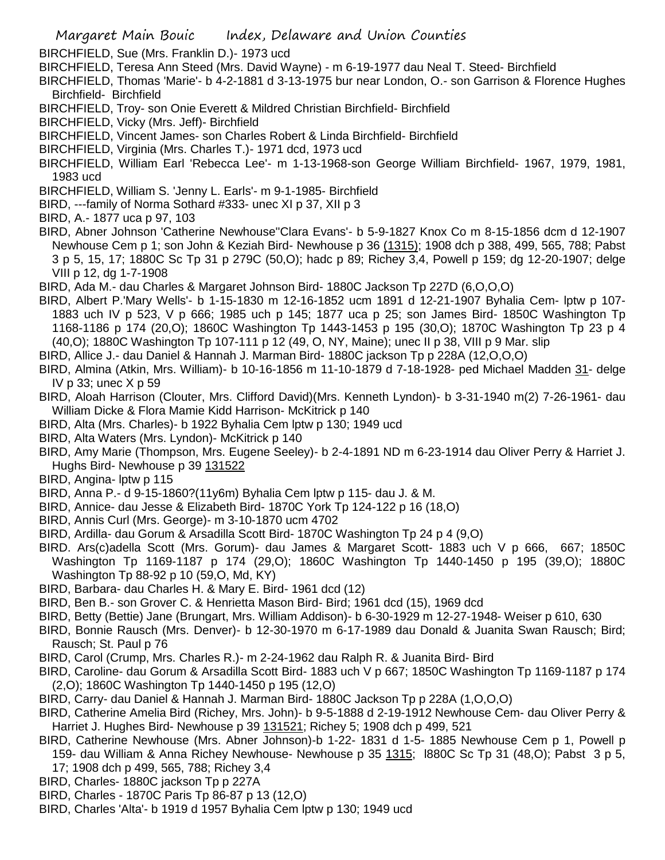Margaret Main Bouic Index, Delaware and Union Counties

BIRCHFIELD, Sue (Mrs. Franklin D.)- 1973 ucd

- BIRCHFIELD, Teresa Ann Steed (Mrs. David Wayne) m 6-19-1977 dau Neal T. Steed- Birchfield
- BIRCHFIELD, Thomas 'Marie'- b 4-2-1881 d 3-13-1975 bur near London, O.- son Garrison & Florence Hughes Birchfield- Birchfield
- BIRCHFIELD, Troy- son Onie Everett & Mildred Christian Birchfield- Birchfield
- BIRCHFIELD, Vicky (Mrs. Jeff)- Birchfield
- BIRCHFIELD, Vincent James- son Charles Robert & Linda Birchfield- Birchfield
- BIRCHFIELD, Virginia (Mrs. Charles T.)- 1971 dcd, 1973 ucd
- BIRCHFIELD, William Earl 'Rebecca Lee'- m 1-13-1968-son George William Birchfield- 1967, 1979, 1981, 1983 ucd
- BIRCHFIELD, William S. 'Jenny L. Earls'- m 9-1-1985- Birchfield
- BIRD, ---family of Norma Sothard #333- unec XI p 37, XII p 3
- BIRD, A.- 1877 uca p 97, 103
- BIRD, Abner Johnson 'Catherine Newhouse''Clara Evans'- b 5-9-1827 Knox Co m 8-15-1856 dcm d 12-1907 Newhouse Cem p 1; son John & Keziah Bird- Newhouse p 36 (1315); 1908 dch p 388, 499, 565, 788; Pabst 3 p 5, 15, 17; 1880C Sc Tp 31 p 279C (50,O); hadc p 89; Richey 3,4, Powell p 159; dg 12-20-1907; delge VIII p 12, dg 1-7-1908
- BIRD, Ada M.- dau Charles & Margaret Johnson Bird- 1880C Jackson Tp 227D (6,O,O,O)
- BIRD, Albert P.'Mary Wells'- b 1-15-1830 m 12-16-1852 ucm 1891 d 12-21-1907 Byhalia Cem- lptw p 107- 1883 uch IV p 523, V p 666; 1985 uch p 145; 1877 uca p 25; son James Bird- 1850C Washington Tp 1168-1186 p 174 (20,O); 1860C Washington Tp 1443-1453 p 195 (30,O); 1870C Washington Tp 23 p 4 (40,O); 1880C Washington Tp 107-111 p 12 (49, O, NY, Maine); unec II p 38, VIII p 9 Mar. slip
- BIRD, Allice J.- dau Daniel & Hannah J. Marman Bird- 1880C jackson Tp p 228A (12,O,O,O)
- BIRD, Almina (Atkin, Mrs. William)- b 10-16-1856 m 11-10-1879 d 7-18-1928- ped Michael Madden 31- delge IV p 33; unec X p 59
- BIRD, Aloah Harrison (Clouter, Mrs. Clifford David)(Mrs. Kenneth Lyndon)- b 3-31-1940 m(2) 7-26-1961- dau William Dicke & Flora Mamie Kidd Harrison- McKitrick p 140
- BIRD, Alta (Mrs. Charles)- b 1922 Byhalia Cem lptw p 130; 1949 ucd
- BIRD, Alta Waters (Mrs. Lyndon)- McKitrick p 140
- BIRD, Amy Marie (Thompson, Mrs. Eugene Seeley)- b 2-4-1891 ND m 6-23-1914 dau Oliver Perry & Harriet J. Hughs Bird- Newhouse p 39 131522
- BIRD, Angina- lptw p 115
- BIRD, Anna P.- d 9-15-1860?(11y6m) Byhalia Cem lptw p 115- dau J. & M.
- BIRD, Annice- dau Jesse & Elizabeth Bird- 1870C York Tp 124-122 p 16 (18,O)
- BIRD, Annis Curl (Mrs. George)- m 3-10-1870 ucm 4702
- BIRD, Ardilla- dau Gorum & Arsadilla Scott Bird- 1870C Washington Tp 24 p 4 (9,O)
- BIRD. Ars(c)adella Scott (Mrs. Gorum)- dau James & Margaret Scott- 1883 uch V p 666, 667; 1850C Washington Tp 1169-1187 p 174 (29,O); 1860C Washington Tp 1440-1450 p 195 (39,O); 1880C Washington Tp 88-92 p 10 (59,O, Md, KY)
- BIRD, Barbara- dau Charles H. & Mary E. Bird- 1961 dcd (12)
- BIRD, Ben B.- son Grover C. & Henrietta Mason Bird- Bird; 1961 dcd (15), 1969 dcd
- BIRD, Betty (Bettie) Jane (Brungart, Mrs. William Addison)- b 6-30-1929 m 12-27-1948- Weiser p 610, 630
- BIRD, Bonnie Rausch (Mrs. Denver)- b 12-30-1970 m 6-17-1989 dau Donald & Juanita Swan Rausch; Bird; Rausch; St. Paul p 76
- BIRD, Carol (Crump, Mrs. Charles R.)- m 2-24-1962 dau Ralph R. & Juanita Bird- Bird
- BIRD, Caroline- dau Gorum & Arsadilla Scott Bird- 1883 uch V p 667; 1850C Washington Tp 1169-1187 p 174 (2,O); 1860C Washington Tp 1440-1450 p 195 (12,O)
- BIRD, Carry- dau Daniel & Hannah J. Marman Bird- 1880C Jackson Tp p 228A (1,O,O,O)
- BIRD, Catherine Amelia Bird (Richey, Mrs. John)- b 9-5-1888 d 2-19-1912 Newhouse Cem- dau Oliver Perry & Harriet J. Hughes Bird- Newhouse p 39 131521; Richey 5; 1908 dch p 499, 521
- BIRD, Catherine Newhouse (Mrs. Abner Johnson)-b 1-22- 1831 d 1-5- 1885 Newhouse Cem p 1, Powell p 159- dau William & Anna Richey Newhouse- Newhouse p 35 1315; l880C Sc Tp 31 (48,O); Pabst 3 p 5, 17; 1908 dch p 499, 565, 788; Richey 3,4
- BIRD, Charles- 1880C jackson Tp p 227A
- BIRD, Charles 1870C Paris Tp 86-87 p 13 (12,O)
- BIRD, Charles 'Alta'- b 1919 d 1957 Byhalia Cem lptw p 130; 1949 ucd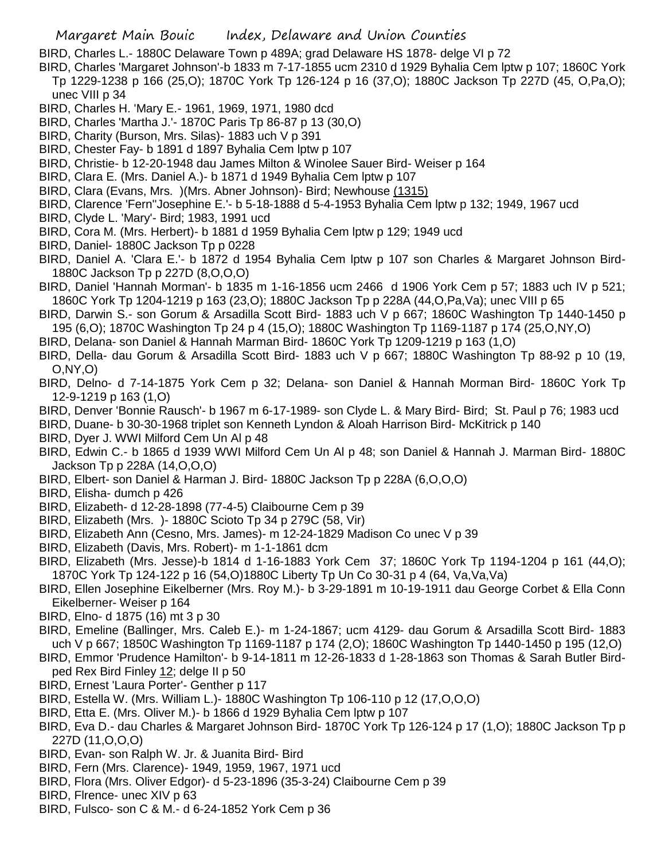- BIRD, Charles L.- 1880C Delaware Town p 489A; grad Delaware HS 1878- delge VI p 72
- BIRD, Charles 'Margaret Johnson'-b 1833 m 7-17-1855 ucm 2310 d 1929 Byhalia Cem lptw p 107; 1860C York Tp 1229-1238 p 166 (25,O); 1870C York Tp 126-124 p 16 (37,O); 1880C Jackson Tp 227D (45, O,Pa,O); unec VIII p 34
- BIRD, Charles H. 'Mary E.- 1961, 1969, 1971, 1980 dcd
- BIRD, Charles 'Martha J.'- 1870C Paris Tp 86-87 p 13 (30,O)
- BIRD, Charity (Burson, Mrs. Silas)- 1883 uch V p 391
- BIRD, Chester Fay- b 1891 d 1897 Byhalia Cem lptw p 107
- BIRD, Christie- b 12-20-1948 dau James Milton & Winolee Sauer Bird- Weiser p 164
- BIRD, Clara E. (Mrs. Daniel A.)- b 1871 d 1949 Byhalia Cem lptw p 107
- BIRD, Clara (Evans, Mrs. )(Mrs. Abner Johnson)- Bird; Newhouse (1315)
- BIRD, Clarence 'Fern''Josephine E.'- b 5-18-1888 d 5-4-1953 Byhalia Cem lptw p 132; 1949, 1967 ucd
- BIRD, Clyde L. 'Mary'- Bird; 1983, 1991 ucd
- BIRD, Cora M. (Mrs. Herbert)- b 1881 d 1959 Byhalia Cem lptw p 129; 1949 ucd
- BIRD, Daniel- 1880C Jackson Tp p 0228
- BIRD, Daniel A. 'Clara E.'- b 1872 d 1954 Byhalia Cem lptw p 107 son Charles & Margaret Johnson Bird-1880C Jackson Tp p 227D (8,O,O,O)
- BIRD, Daniel 'Hannah Morman'- b 1835 m 1-16-1856 ucm 2466 d 1906 York Cem p 57; 1883 uch IV p 521; 1860C York Tp 1204-1219 p 163 (23,O); 1880C Jackson Tp p 228A (44,O,Pa,Va); unec VIII p 65
- BIRD, Darwin S.- son Gorum & Arsadilla Scott Bird- 1883 uch V p 667; 1860C Washington Tp 1440-1450 p 195 (6,O); 1870C Washington Tp 24 p 4 (15,O); 1880C Washington Tp 1169-1187 p 174 (25,O,NY,O)
- BIRD, Delana- son Daniel & Hannah Marman Bird- 1860C York Tp 1209-1219 p 163 (1,O)
- BIRD, Della- dau Gorum & Arsadilla Scott Bird- 1883 uch V p 667; 1880C Washington Tp 88-92 p 10 (19, O,NY,O)
- BIRD, Delno- d 7-14-1875 York Cem p 32; Delana- son Daniel & Hannah Morman Bird- 1860C York Tp 12-9-1219 p 163 (1,O)
- BIRD, Denver 'Bonnie Rausch'- b 1967 m 6-17-1989- son Clyde L. & Mary Bird- Bird; St. Paul p 76; 1983 ucd
- BIRD, Duane- b 30-30-1968 triplet son Kenneth Lyndon & Aloah Harrison Bird- McKitrick p 140
- BIRD, Dyer J. WWI Milford Cem Un Al p 48
- BIRD, Edwin C.- b 1865 d 1939 WWI Milford Cem Un Al p 48; son Daniel & Hannah J. Marman Bird- 1880C Jackson Tp p 228A (14,O,O,O)
- BIRD, Elbert- son Daniel & Harman J. Bird- 1880C Jackson Tp p 228A (6,O,O,O)
- BIRD, Elisha- dumch p 426
- BIRD, Elizabeth- d 12-28-1898 (77-4-5) Claibourne Cem p 39
- BIRD, Elizabeth (Mrs. )- 1880C Scioto Tp 34 p 279C (58, Vir)
- BIRD, Elizabeth Ann (Cesno, Mrs. James)- m 12-24-1829 Madison Co unec V p 39
- BIRD, Elizabeth (Davis, Mrs. Robert)- m 1-1-1861 dcm
- BIRD, Elizabeth (Mrs. Jesse)-b 1814 d 1-16-1883 York Cem 37; 1860C York Tp 1194-1204 p 161 (44,O); 1870C York Tp 124-122 p 16 (54,O)1880C Liberty Tp Un Co 30-31 p 4 (64, Va,Va,Va)
- BIRD, Ellen Josephine Eikelberner (Mrs. Roy M.)- b 3-29-1891 m 10-19-1911 dau George Corbet & Ella Conn Eikelberner- Weiser p 164
- BIRD, Elno- d 1875 (16) mt 3 p 30
- BIRD, Emeline (Ballinger, Mrs. Caleb E.)- m 1-24-1867; ucm 4129- dau Gorum & Arsadilla Scott Bird- 1883 uch V p 667; 1850C Washington Tp 1169-1187 p 174 (2,O); 1860C Washington Tp 1440-1450 p 195 (12,O)
- BIRD, Emmor 'Prudence Hamilton'- b 9-14-1811 m 12-26-1833 d 1-28-1863 son Thomas & Sarah Butler Birdped Rex Bird Finley 12; delge II p 50
- BIRD, Ernest 'Laura Porter'- Genther p 117
- BIRD, Estella W. (Mrs. William L.)- 1880C Washington Tp 106-110 p 12 (17,O,O,O)
- BIRD, Etta E. (Mrs. Oliver M.)- b 1866 d 1929 Byhalia Cem lptw p 107
- BIRD, Eva D.- dau Charles & Margaret Johnson Bird- 1870C York Tp 126-124 p 17 (1,O); 1880C Jackson Tp p 227D (11,O,O,O)
- BIRD, Evan- son Ralph W. Jr. & Juanita Bird- Bird
- BIRD, Fern (Mrs. Clarence)- 1949, 1959, 1967, 1971 ucd
- BIRD, Flora (Mrs. Oliver Edgor)- d 5-23-1896 (35-3-24) Claibourne Cem p 39
- BIRD, Flrence- unec XIV p 63
- BIRD, Fulsco- son C & M.- d 6-24-1852 York Cem p 36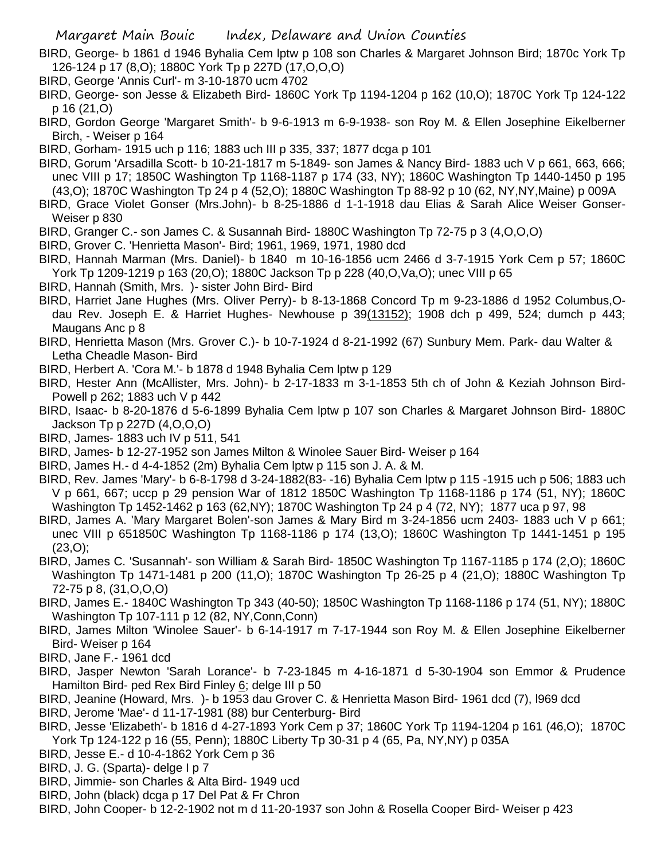- BIRD, George- b 1861 d 1946 Byhalia Cem lptw p 108 son Charles & Margaret Johnson Bird; 1870c York Tp 126-124 p 17 (8,O); 1880C York Tp p 227D (17,O,O,O)
- BIRD, George 'Annis Curl'- m 3-10-1870 ucm 4702
- BIRD, George- son Jesse & Elizabeth Bird- 1860C York Tp 1194-1204 p 162 (10,O); 1870C York Tp 124-122 p 16 (21,O)
- BIRD, Gordon George 'Margaret Smith'- b 9-6-1913 m 6-9-1938- son Roy M. & Ellen Josephine Eikelberner Birch, - Weiser p 164
- BIRD, Gorham- 1915 uch p 116; 1883 uch III p 335, 337; 1877 dcga p 101
- BIRD, Gorum 'Arsadilla Scott- b 10-21-1817 m 5-1849- son James & Nancy Bird- 1883 uch V p 661, 663, 666; unec VIII p 17; 1850C Washington Tp 1168-1187 p 174 (33, NY); 1860C Washington Tp 1440-1450 p 195 (43,O); 1870C Washington Tp 24 p 4 (52,O); 1880C Washington Tp 88-92 p 10 (62, NY,NY,Maine) p 009A
- BIRD, Grace Violet Gonser (Mrs.John)- b 8-25-1886 d 1-1-1918 dau Elias & Sarah Alice Weiser Gonser-Weiser p 830
- BIRD, Granger C.- son James C. & Susannah Bird- 1880C Washington Tp 72-75 p 3 (4,O,O,O)
- BIRD, Grover C. 'Henrietta Mason'- Bird; 1961, 1969, 1971, 1980 dcd
- BIRD, Hannah Marman (Mrs. Daniel)- b 1840 m 10-16-1856 ucm 2466 d 3-7-1915 York Cem p 57; 1860C York Tp 1209-1219 p 163 (20,O); 1880C Jackson Tp p 228 (40,O,Va,O); unec VIII p 65
- BIRD, Hannah (Smith, Mrs. )- sister John Bird- Bird
- BIRD, Harriet Jane Hughes (Mrs. Oliver Perry)- b 8-13-1868 Concord Tp m 9-23-1886 d 1952 Columbus,Odau Rev. Joseph E. & Harriet Hughes- Newhouse p 39(13152); 1908 dch p 499, 524; dumch p 443; Maugans Anc p 8
- BIRD, Henrietta Mason (Mrs. Grover C.)- b 10-7-1924 d 8-21-1992 (67) Sunbury Mem. Park- dau Walter & Letha Cheadle Mason- Bird
- BIRD, Herbert A. 'Cora M.'- b 1878 d 1948 Byhalia Cem lptw p 129
- BIRD, Hester Ann (McAllister, Mrs. John)- b 2-17-1833 m 3-1-1853 5th ch of John & Keziah Johnson Bird-Powell p 262; 1883 uch V p 442
- BIRD, Isaac- b 8-20-1876 d 5-6-1899 Byhalia Cem lptw p 107 son Charles & Margaret Johnson Bird- 1880C Jackson Tp p 227D (4,O,O,O)
- BIRD, James- 1883 uch IV p 511, 541
- BIRD, James- b 12-27-1952 son James Milton & Winolee Sauer Bird- Weiser p 164
- BIRD, James H.- d 4-4-1852 (2m) Byhalia Cem lptw p 115 son J. A. & M.
- BIRD, Rev. James 'Mary'- b 6-8-1798 d 3-24-1882(83- -16) Byhalia Cem lptw p 115 -1915 uch p 506; 1883 uch V p 661, 667; uccp p 29 pension War of 1812 1850C Washington Tp 1168-1186 p 174 (51, NY); 1860C Washington Tp 1452-1462 p 163 (62,NY); 1870C Washington Tp 24 p 4 (72, NY); 1877 uca p 97, 98
- BIRD, James A. 'Mary Margaret Bolen'-son James & Mary Bird m 3-24-1856 ucm 2403- 1883 uch V p 661; unec VIII p 651850C Washington Tp 1168-1186 p 174 (13,O); 1860C Washington Tp 1441-1451 p 195 (23,O);
- BIRD, James C. 'Susannah'- son William & Sarah Bird- 1850C Washington Tp 1167-1185 p 174 (2,O); 1860C Washington Tp 1471-1481 p 200 (11,O); 1870C Washington Tp 26-25 p 4 (21,O); 1880C Washington Tp 72-75 p 8, (31,O,O,O)
- BIRD, James E.- 1840C Washington Tp 343 (40-50); 1850C Washington Tp 1168-1186 p 174 (51, NY); 1880C Washington Tp 107-111 p 12 (82, NY,Conn,Conn)
- BIRD, James Milton 'Winolee Sauer'- b 6-14-1917 m 7-17-1944 son Roy M. & Ellen Josephine Eikelberner Bird- Weiser p 164
- BIRD, Jane F.- 1961 dcd
- BIRD, Jasper Newton 'Sarah Lorance'- b 7-23-1845 m 4-16-1871 d 5-30-1904 son Emmor & Prudence Hamilton Bird- ped Rex Bird Finley 6; delge III p 50
- BIRD, Jeanine (Howard, Mrs. )- b 1953 dau Grover C. & Henrietta Mason Bird- 1961 dcd (7), l969 dcd
- BIRD, Jerome 'Mae'- d 11-17-1981 (88) bur Centerburg- Bird
- BIRD, Jesse 'Elizabeth'- b 1816 d 4-27-1893 York Cem p 37; 1860C York Tp 1194-1204 p 161 (46,O); 1870C York Tp 124-122 p 16 (55, Penn); 1880C Liberty Tp 30-31 p 4 (65, Pa, NY,NY) p 035A
- BIRD, Jesse E.- d 10-4-1862 York Cem p 36
- BIRD, J. G. (Sparta)- delge I p 7
- BIRD, Jimmie- son Charles & Alta Bird- 1949 ucd
- BIRD, John (black) dcga p 17 Del Pat & Fr Chron
- BIRD, John Cooper- b 12-2-1902 not m d 11-20-1937 son John & Rosella Cooper Bird- Weiser p 423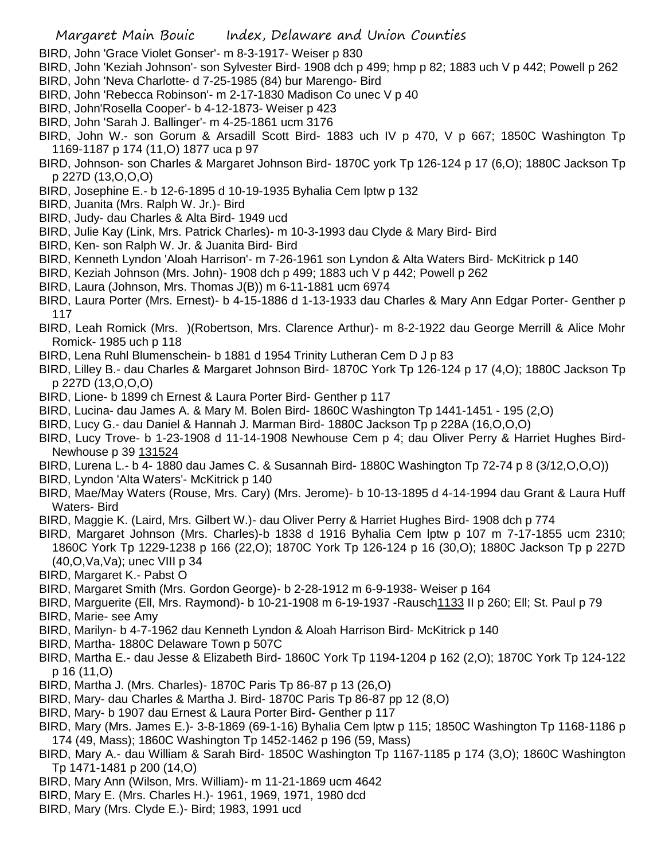- BIRD, John 'Grace Violet Gonser'- m 8-3-1917- Weiser p 830
- BIRD, John 'Keziah Johnson'- son Sylvester Bird- 1908 dch p 499; hmp p 82; 1883 uch V p 442; Powell p 262
- BIRD, John 'Neva Charlotte- d 7-25-1985 (84) bur Marengo- Bird
- BIRD, John 'Rebecca Robinson'- m 2-17-1830 Madison Co unec V p 40
- BIRD, John'Rosella Cooper'- b 4-12-1873- Weiser p 423
- BIRD, John 'Sarah J. Ballinger'- m 4-25-1861 ucm 3176
- BIRD, John W.- son Gorum & Arsadill Scott Bird- 1883 uch IV p 470, V p 667; 1850C Washington Tp 1169-1187 p 174 (11,O) 1877 uca p 97
- BIRD, Johnson- son Charles & Margaret Johnson Bird- 1870C york Tp 126-124 p 17 (6,O); 1880C Jackson Tp p 227D (13,O,O,O)
- BIRD, Josephine E.- b 12-6-1895 d 10-19-1935 Byhalia Cem lptw p 132
- BIRD, Juanita (Mrs. Ralph W. Jr.)- Bird
- BIRD, Judy- dau Charles & Alta Bird- 1949 ucd
- BIRD, Julie Kay (Link, Mrs. Patrick Charles)- m 10-3-1993 dau Clyde & Mary Bird- Bird
- BIRD, Ken- son Ralph W. Jr. & Juanita Bird- Bird
- BIRD, Kenneth Lyndon 'Aloah Harrison'- m 7-26-1961 son Lyndon & Alta Waters Bird- McKitrick p 140
- BIRD, Keziah Johnson (Mrs. John)- 1908 dch p 499; 1883 uch V p 442; Powell p 262
- BIRD, Laura (Johnson, Mrs. Thomas J(B)) m 6-11-1881 ucm 6974
- BIRD, Laura Porter (Mrs. Ernest)- b 4-15-1886 d 1-13-1933 dau Charles & Mary Ann Edgar Porter- Genther p 117
- BIRD, Leah Romick (Mrs. )(Robertson, Mrs. Clarence Arthur)- m 8-2-1922 dau George Merrill & Alice Mohr Romick- 1985 uch p 118
- BIRD, Lena Ruhl Blumenschein- b 1881 d 1954 Trinity Lutheran Cem D J p 83
- BIRD, Lilley B.- dau Charles & Margaret Johnson Bird- 1870C York Tp 126-124 p 17 (4,O); 1880C Jackson Tp p 227D (13,O,O,O)
- BIRD, Lione- b 1899 ch Ernest & Laura Porter Bird- Genther p 117
- BIRD, Lucina- dau James A. & Mary M. Bolen Bird- 1860C Washington Tp 1441-1451 195 (2,O)
- BIRD, Lucy G.- dau Daniel & Hannah J. Marman Bird- 1880C Jackson Tp p 228A (16,O,O,O)
- BIRD, Lucy Trove- b 1-23-1908 d 11-14-1908 Newhouse Cem p 4; dau Oliver Perry & Harriet Hughes Bird-Newhouse p 39 131524
- BIRD, Lurena L.- b 4- 1880 dau James C. & Susannah Bird- 1880C Washington Tp 72-74 p 8 (3/12,O,O,O))
- BIRD, Lyndon 'Alta Waters'- McKitrick p 140
- BIRD, Mae/May Waters (Rouse, Mrs. Cary) (Mrs. Jerome)- b 10-13-1895 d 4-14-1994 dau Grant & Laura Huff Waters- Bird
- BIRD, Maggie K. (Laird, Mrs. Gilbert W.)- dau Oliver Perry & Harriet Hughes Bird- 1908 dch p 774
- BIRD, Margaret Johnson (Mrs. Charles)-b 1838 d 1916 Byhalia Cem lptw p 107 m 7-17-1855 ucm 2310; 1860C York Tp 1229-1238 p 166 (22,O); 1870C York Tp 126-124 p 16 (30,O); 1880C Jackson Tp p 227D (40,O,Va,Va); unec VIII p 34
- BIRD, Margaret K.- Pabst O
- BIRD, Margaret Smith (Mrs. Gordon George)- b 2-28-1912 m 6-9-1938- Weiser p 164
- BIRD, Marguerite (Ell, Mrs. Raymond)- b 10-21-1908 m 6-19-1937 -Rausch1133 II p 260; Ell; St. Paul p 79 BIRD, Marie- see Amy
- BIRD, Marilyn- b 4-7-1962 dau Kenneth Lyndon & Aloah Harrison Bird- McKitrick p 140
- BIRD, Martha- 1880C Delaware Town p 507C
- BIRD, Martha E.- dau Jesse & Elizabeth Bird- 1860C York Tp 1194-1204 p 162 (2,O); 1870C York Tp 124-122 p 16 (11,O)
- BIRD, Martha J. (Mrs. Charles)- 1870C Paris Tp 86-87 p 13 (26,O)
- BIRD, Mary- dau Charles & Martha J. Bird- 1870C Paris Tp 86-87 pp 12 (8,O)
- BIRD, Mary- b 1907 dau Ernest & Laura Porter Bird- Genther p 117
- BIRD, Mary (Mrs. James E.)- 3-8-1869 (69-1-16) Byhalia Cem lptw p 115; 1850C Washington Tp 1168-1186 p 174 (49, Mass); 1860C Washington Tp 1452-1462 p 196 (59, Mass)
- BIRD, Mary A.- dau William & Sarah Bird- 1850C Washington Tp 1167-1185 p 174 (3,O); 1860C Washington Tp 1471-1481 p 200 (14,O)
- BIRD, Mary Ann (Wilson, Mrs. William)- m 11-21-1869 ucm 4642
- BIRD, Mary E. (Mrs. Charles H.)- 1961, 1969, 1971, 1980 dcd
- BIRD, Mary (Mrs. Clyde E.)- Bird; 1983, 1991 ucd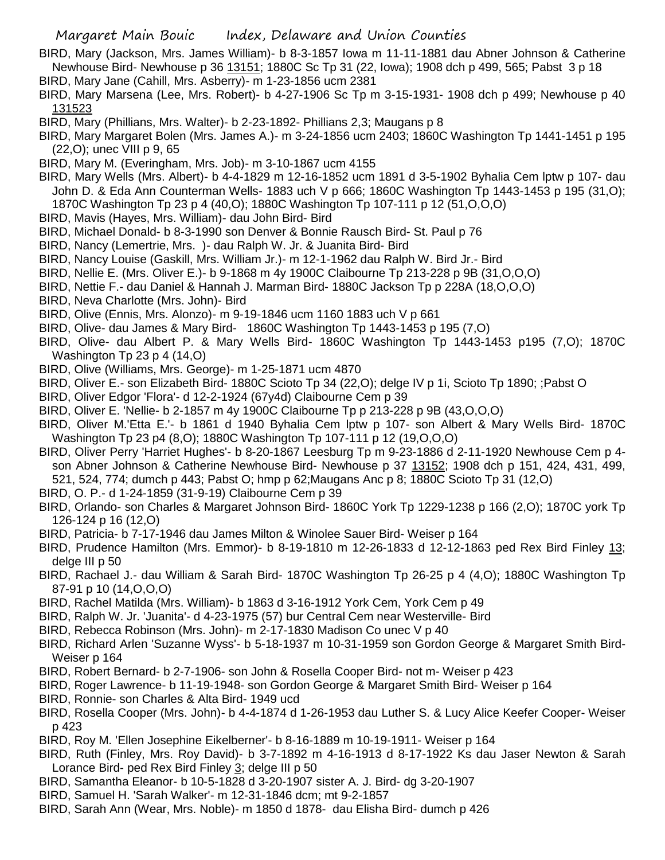- BIRD, Mary (Jackson, Mrs. James William)- b 8-3-1857 Iowa m 11-11-1881 dau Abner Johnson & Catherine Newhouse Bird- Newhouse p 36 13151; 1880C Sc Tp 31 (22, Iowa); 1908 dch p 499, 565; Pabst 3 p 18
- BIRD, Mary Jane (Cahill, Mrs. Asberry)- m 1-23-1856 ucm 2381
- BIRD, Mary Marsena (Lee, Mrs. Robert)- b 4-27-1906 Sc Tp m 3-15-1931- 1908 dch p 499; Newhouse p 40 131523
- BIRD, Mary (Phillians, Mrs. Walter)- b 2-23-1892- Phillians 2,3; Maugans p 8
- BIRD, Mary Margaret Bolen (Mrs. James A.)- m 3-24-1856 ucm 2403; 1860C Washington Tp 1441-1451 p 195 (22,O); unec VIII p 9, 65
- BIRD, Mary M. (Everingham, Mrs. Job)- m 3-10-1867 ucm 4155
- BIRD, Mary Wells (Mrs. Albert)- b 4-4-1829 m 12-16-1852 ucm 1891 d 3-5-1902 Byhalia Cem lptw p 107- dau John D. & Eda Ann Counterman Wells- 1883 uch V p 666; 1860C Washington Tp 1443-1453 p 195 (31,O); 1870C Washington Tp 23 p 4 (40,O); 1880C Washington Tp 107-111 p 12 (51,O,O,O)
- BIRD, Mavis (Hayes, Mrs. William)- dau John Bird- Bird
- BIRD, Michael Donald- b 8-3-1990 son Denver & Bonnie Rausch Bird- St. Paul p 76
- BIRD, Nancy (Lemertrie, Mrs. )- dau Ralph W. Jr. & Juanita Bird- Bird
- BIRD, Nancy Louise (Gaskill, Mrs. William Jr.)- m 12-1-1962 dau Ralph W. Bird Jr.- Bird
- BIRD, Nellie E. (Mrs. Oliver E.)- b 9-1868 m 4y 1900C Claibourne Tp 213-228 p 9B (31,O,O,O)
- BIRD, Nettie F.- dau Daniel & Hannah J. Marman Bird- 1880C Jackson Tp p 228A (18,O,O,O)
- BIRD, Neva Charlotte (Mrs. John)- Bird
- BIRD, Olive (Ennis, Mrs. Alonzo)- m 9-19-1846 ucm 1160 1883 uch V p 661
- BIRD, Olive- dau James & Mary Bird- 1860C Washington Tp 1443-1453 p 195 (7,O)
- BIRD, Olive- dau Albert P. & Mary Wells Bird- 1860C Washington Tp 1443-1453 p195 (7,O); 1870C Washington Tp 23 p 4 (14,O)
- BIRD, Olive (Williams, Mrs. George)- m 1-25-1871 ucm 4870
- BIRD, Oliver E.- son Elizabeth Bird- 1880C Scioto Tp 34 (22,O); delge IV p 1i, Scioto Tp 1890; ;Pabst O
- BIRD, Oliver Edgor 'Flora'- d 12-2-1924 (67y4d) Claibourne Cem p 39
- BIRD, Oliver E. 'Nellie- b 2-1857 m 4y 1900C Claibourne Tp p 213-228 p 9B (43,O,O,O)
- BIRD, Oliver M.'Etta E.'- b 1861 d 1940 Byhalia Cem lptw p 107- son Albert & Mary Wells Bird- 1870C Washington Tp 23 p4 (8,O); 1880C Washington Tp 107-111 p 12 (19,O,O,O)
- BIRD, Oliver Perry 'Harriet Hughes'- b 8-20-1867 Leesburg Tp m 9-23-1886 d 2-11-1920 Newhouse Cem p 4 son Abner Johnson & Catherine Newhouse Bird- Newhouse p 37 13152; 1908 dch p 151, 424, 431, 499, 521, 524, 774; dumch p 443; Pabst O; hmp p 62;Maugans Anc p 8; 1880C Scioto Tp 31 (12,O)
- BIRD, O. P.- d 1-24-1859 (31-9-19) Claibourne Cem p 39
- BIRD, Orlando- son Charles & Margaret Johnson Bird- 1860C York Tp 1229-1238 p 166 (2,O); 1870C york Tp 126-124 p 16 (12,O)
- BIRD, Patricia- b 7-17-1946 dau James Milton & Winolee Sauer Bird- Weiser p 164
- BIRD, Prudence Hamilton (Mrs. Emmor)- b 8-19-1810 m 12-26-1833 d 12-12-1863 ped Rex Bird Finley 13; delge III p 50
- BIRD, Rachael J.- dau William & Sarah Bird- 1870C Washington Tp 26-25 p 4 (4,O); 1880C Washington Tp 87-91 p 10 (14,O,O,O)
- BIRD, Rachel Matilda (Mrs. William)- b 1863 d 3-16-1912 York Cem, York Cem p 49
- BIRD, Ralph W. Jr. 'Juanita'- d 4-23-1975 (57) bur Central Cem near Westerville- Bird
- BIRD, Rebecca Robinson (Mrs. John)- m 2-17-1830 Madison Co unec V p 40
- BIRD, Richard Arlen 'Suzanne Wyss'- b 5-18-1937 m 10-31-1959 son Gordon George & Margaret Smith Bird-Weiser p 164
- BIRD, Robert Bernard- b 2-7-1906- son John & Rosella Cooper Bird- not m- Weiser p 423
- BIRD, Roger Lawrence- b 11-19-1948- son Gordon George & Margaret Smith Bird- Weiser p 164
- BIRD, Ronnie- son Charles & Alta Bird- 1949 ucd
- BIRD, Rosella Cooper (Mrs. John)- b 4-4-1874 d 1-26-1953 dau Luther S. & Lucy Alice Keefer Cooper- Weiser p 423
- BIRD, Roy M. 'Ellen Josephine Eikelberner'- b 8-16-1889 m 10-19-1911- Weiser p 164
- BIRD, Ruth (Finley, Mrs. Roy David)- b 3-7-1892 m 4-16-1913 d 8-17-1922 Ks dau Jaser Newton & Sarah Lorance Bird- ped Rex Bird Finley 3; delge III p 50
- BIRD, Samantha Eleanor- b 10-5-1828 d 3-20-1907 sister A. J. Bird- dg 3-20-1907
- BIRD, Samuel H. 'Sarah Walker'- m 12-31-1846 dcm; mt 9-2-1857
- BIRD, Sarah Ann (Wear, Mrs. Noble)- m 1850 d 1878- dau Elisha Bird- dumch p 426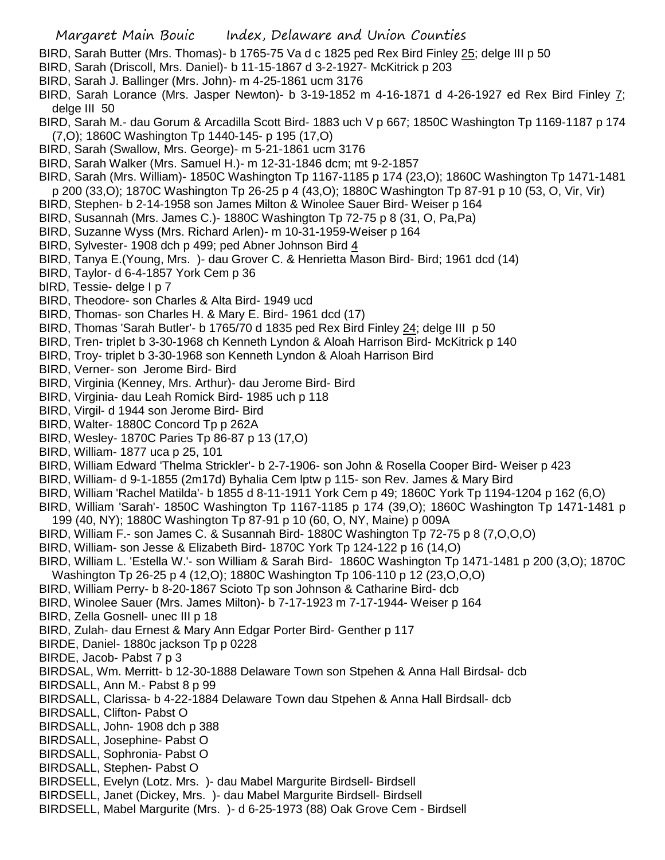- BIRD, Sarah Butter (Mrs. Thomas)- b 1765-75 Va d c 1825 ped Rex Bird Finley 25; delge III p 50
- BIRD, Sarah (Driscoll, Mrs. Daniel)- b 11-15-1867 d 3-2-1927- McKitrick p 203
- BIRD, Sarah J. Ballinger (Mrs. John)- m 4-25-1861 ucm 3176
- BIRD, Sarah Lorance (Mrs. Jasper Newton)- b 3-19-1852 m 4-16-1871 d 4-26-1927 ed Rex Bird Finley  $\overline{I}$ ; delge III 50
- BIRD, Sarah M.- dau Gorum & Arcadilla Scott Bird- 1883 uch V p 667; 1850C Washington Tp 1169-1187 p 174 (7,O); 1860C Washington Tp 1440-145- p 195 (17,O)
- BIRD, Sarah (Swallow, Mrs. George)- m 5-21-1861 ucm 3176
- BIRD, Sarah Walker (Mrs. Samuel H.)- m 12-31-1846 dcm; mt 9-2-1857
- BIRD, Sarah (Mrs. William)- 1850C Washington Tp 1167-1185 p 174 (23,O); 1860C Washington Tp 1471-1481
- p 200 (33,O); 1870C Washington Tp 26-25 p 4 (43,O); 1880C Washington Tp 87-91 p 10 (53, O, Vir, Vir)
- BIRD, Stephen- b 2-14-1958 son James Milton & Winolee Sauer Bird- Weiser p 164
- BIRD, Susannah (Mrs. James C.)- 1880C Washington Tp 72-75 p 8 (31, O, Pa,Pa)
- BIRD, Suzanne Wyss (Mrs. Richard Arlen)- m 10-31-1959-Weiser p 164
- BIRD, Sylvester- 1908 dch p 499; ped Abner Johnson Bird 4
- BIRD, Tanya E.(Young, Mrs. )- dau Grover C. & Henrietta Mason Bird- Bird; 1961 dcd (14)
- BIRD, Taylor- d 6-4-1857 York Cem p 36
- bIRD, Tessie- delge I p 7
- BIRD, Theodore- son Charles & Alta Bird- 1949 ucd
- BIRD, Thomas- son Charles H. & Mary E. Bird- 1961 dcd (17)
- BIRD, Thomas 'Sarah Butler'- b 1765/70 d 1835 ped Rex Bird Finley 24; delge III p 50
- BIRD, Tren- triplet b 3-30-1968 ch Kenneth Lyndon & Aloah Harrison Bird- McKitrick p 140
- BIRD, Troy- triplet b 3-30-1968 son Kenneth Lyndon & Aloah Harrison Bird
- BIRD, Verner- son Jerome Bird- Bird
- BIRD, Virginia (Kenney, Mrs. Arthur)- dau Jerome Bird- Bird
- BIRD, Virginia- dau Leah Romick Bird- 1985 uch p 118
- BIRD, Virgil- d 1944 son Jerome Bird- Bird
- BIRD, Walter- 1880C Concord Tp p 262A
- BIRD, Wesley- 1870C Paries Tp 86-87 p 13 (17,O)
- BIRD, William- 1877 uca p 25, 101
- BIRD, William Edward 'Thelma Strickler'- b 2-7-1906- son John & Rosella Cooper Bird- Weiser p 423
- BIRD, William- d 9-1-1855 (2m17d) Byhalia Cem lptw p 115- son Rev. James & Mary Bird
- BIRD, William 'Rachel Matilda'- b 1855 d 8-11-1911 York Cem p 49; 1860C York Tp 1194-1204 p 162 (6,O)
- BIRD, William 'Sarah'- 1850C Washington Tp 1167-1185 p 174 (39,O); 1860C Washington Tp 1471-1481 p 199 (40, NY); 1880C Washington Tp 87-91 p 10 (60, O, NY, Maine) p 009A
- BIRD, William F.- son James C. & Susannah Bird- 1880C Washington Tp 72-75 p 8 (7,O,O,O)
- BIRD, William- son Jesse & Elizabeth Bird- 1870C York Tp 124-122 p 16 (14,O)
- BIRD, William L. 'Estella W.'- son William & Sarah Bird- 1860C Washington Tp 1471-1481 p 200 (3,O); 1870C Washington Tp 26-25 p 4 (12,O); 1880C Washington Tp 106-110 p 12 (23,O,O,O)
- BIRD, William Perry- b 8-20-1867 Scioto Tp son Johnson & Catharine Bird- dcb
- BIRD, Winolee Sauer (Mrs. James Milton)- b 7-17-1923 m 7-17-1944- Weiser p 164
- BIRD, Zella Gosnell- unec III p 18
- BIRD, Zulah- dau Ernest & Mary Ann Edgar Porter Bird- Genther p 117
- BIRDE, Daniel- 1880c jackson Tp p 0228
- BIRDE, Jacob- Pabst 7 p 3
- BIRDSAL, Wm. Merritt- b 12-30-1888 Delaware Town son Stpehen & Anna Hall Birdsal- dcb
- BIRDSALL, Ann M.- Pabst 8 p 99
- BIRDSALL, Clarissa- b 4-22-1884 Delaware Town dau Stpehen & Anna Hall Birdsall- dcb
- BIRDSALL, Clifton- Pabst O
- BIRDSALL, John- 1908 dch p 388
- BIRDSALL, Josephine- Pabst O
- BIRDSALL, Sophronia- Pabst O
- BIRDSALL, Stephen- Pabst O
- BIRDSELL, Evelyn (Lotz. Mrs. )- dau Mabel Margurite Birdsell- Birdsell
- BIRDSELL, Janet (Dickey, Mrs. )- dau Mabel Margurite Birdsell- Birdsell
- BIRDSELL, Mabel Margurite (Mrs. )- d 6-25-1973 (88) Oak Grove Cem Birdsell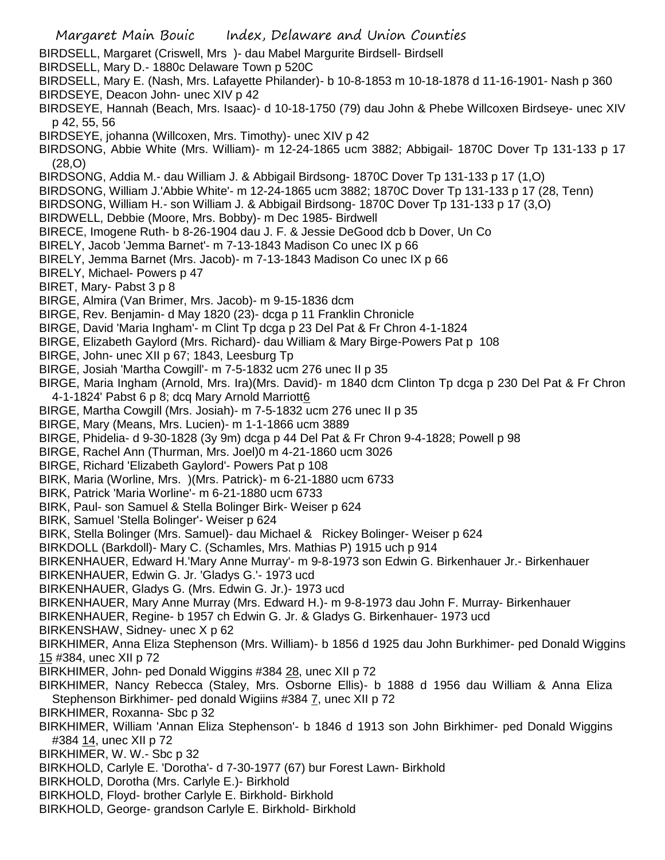Margaret Main Bouic Index, Delaware and Union Counties BIRDSELL, Margaret (Criswell, Mrs )- dau Mabel Margurite Birdsell- Birdsell BIRDSELL, Mary D.- 1880c Delaware Town p 520C BIRDSELL, Mary E. (Nash, Mrs. Lafayette Philander)- b 10-8-1853 m 10-18-1878 d 11-16-1901- Nash p 360 BIRDSEYE, Deacon John- unec XIV p 42 BIRDSEYE, Hannah (Beach, Mrs. Isaac)- d 10-18-1750 (79) dau John & Phebe Willcoxen Birdseye- unec XIV p 42, 55, 56 BIRDSEYE, johanna (Willcoxen, Mrs. Timothy)- unec XIV p 42 BIRDSONG, Abbie White (Mrs. William)- m 12-24-1865 ucm 3882; Abbigail- 1870C Dover Tp 131-133 p 17 (28,O) BIRDSONG, Addia M.- dau William J. & Abbigail Birdsong- 1870C Dover Tp 131-133 p 17 (1,O) BIRDSONG, William J.'Abbie White'- m 12-24-1865 ucm 3882; 1870C Dover Tp 131-133 p 17 (28, Tenn) BIRDSONG, William H.- son William J. & Abbigail Birdsong- 1870C Dover Tp 131-133 p 17 (3,O) BIRDWELL, Debbie (Moore, Mrs. Bobby)- m Dec 1985- Birdwell BIRECE, Imogene Ruth- b 8-26-1904 dau J. F. & Jessie DeGood dcb b Dover, Un Co BIRELY, Jacob 'Jemma Barnet'- m 7-13-1843 Madison Co unec IX p 66 BIRELY, Jemma Barnet (Mrs. Jacob)- m 7-13-1843 Madison Co unec IX p 66 BIRELY, Michael- Powers p 47 BIRET, Mary- Pabst 3 p 8 BIRGE, Almira (Van Brimer, Mrs. Jacob)- m 9-15-1836 dcm BIRGE, Rev. Benjamin- d May 1820 (23)- dcga p 11 Franklin Chronicle BIRGE, David 'Maria Ingham'- m Clint Tp dcga p 23 Del Pat & Fr Chron 4-1-1824 BIRGE, Elizabeth Gaylord (Mrs. Richard)- dau William & Mary Birge-Powers Pat p 108 BIRGE, John- unec XII p 67; 1843, Leesburg Tp BIRGE, Josiah 'Martha Cowgill'- m 7-5-1832 ucm 276 unec II p 35 BIRGE, Maria Ingham (Arnold, Mrs. Ira)(Mrs. David)- m 1840 dcm Clinton Tp dcga p 230 Del Pat & Fr Chron 4-1-1824' Pabst 6 p 8; dcq Mary Arnold Marriott6 BIRGE, Martha Cowgill (Mrs. Josiah)- m 7-5-1832 ucm 276 unec II p 35 BIRGE, Mary (Means, Mrs. Lucien)- m 1-1-1866 ucm 3889 BIRGE, Phidelia- d 9-30-1828 (3y 9m) dcga p 44 Del Pat & Fr Chron 9-4-1828; Powell p 98 BIRGE, Rachel Ann (Thurman, Mrs. Joel)0 m 4-21-1860 ucm 3026 BIRGE, Richard 'Elizabeth Gaylord'- Powers Pat p 108 BIRK, Maria (Worline, Mrs. )(Mrs. Patrick)- m 6-21-1880 ucm 6733 BIRK, Patrick 'Maria Worline'- m 6-21-1880 ucm 6733 BIRK, Paul- son Samuel & Stella Bolinger Birk- Weiser p 624 BIRK, Samuel 'Stella Bolinger'- Weiser p 624 BIRK, Stella Bolinger (Mrs. Samuel)- dau Michael & Rickey Bolinger- Weiser p 624 BIRKDOLL (Barkdoll)- Mary C. (Schamles, Mrs. Mathias P) 1915 uch p 914 BIRKENHAUER, Edward H.'Mary Anne Murray'- m 9-8-1973 son Edwin G. Birkenhauer Jr.- Birkenhauer BIRKENHAUER, Edwin G. Jr. 'Gladys G.'- 1973 ucd BIRKENHAUER, Gladys G. (Mrs. Edwin G. Jr.)- 1973 ucd BIRKENHAUER, Mary Anne Murray (Mrs. Edward H.)- m 9-8-1973 dau John F. Murray- Birkenhauer BIRKENHAUER, Regine- b 1957 ch Edwin G. Jr. & Gladys G. Birkenhauer- 1973 ucd BIRKENSHAW, Sidney- unec X p 62 BIRKHIMER, Anna Eliza Stephenson (Mrs. William)- b 1856 d 1925 dau John Burkhimer- ped Donald Wiggins 15 #384, unec XII p 72 BIRKHIMER, John- ped Donald Wiggins #384 28, unec XII p 72 BIRKHIMER, Nancy Rebecca (Staley, Mrs. Osborne Ellis)- b 1888 d 1956 dau William & Anna Eliza Stephenson Birkhimer- ped donald Wigiins #384 7, unec XII p 72 BIRKHIMER, Roxanna- Sbc p 32 BIRKHIMER, William 'Annan Eliza Stephenson'- b 1846 d 1913 son John Birkhimer- ped Donald Wiggins #384 14, unec XII p 72 BIRKHIMER, W. W.- Sbc p 32 BIRKHOLD, Carlyle E. 'Dorotha'- d 7-30-1977 (67) bur Forest Lawn- Birkhold BIRKHOLD, Dorotha (Mrs. Carlyle E.)- Birkhold BIRKHOLD, Floyd- brother Carlyle E. Birkhold- Birkhold BIRKHOLD, George- grandson Carlyle E. Birkhold- Birkhold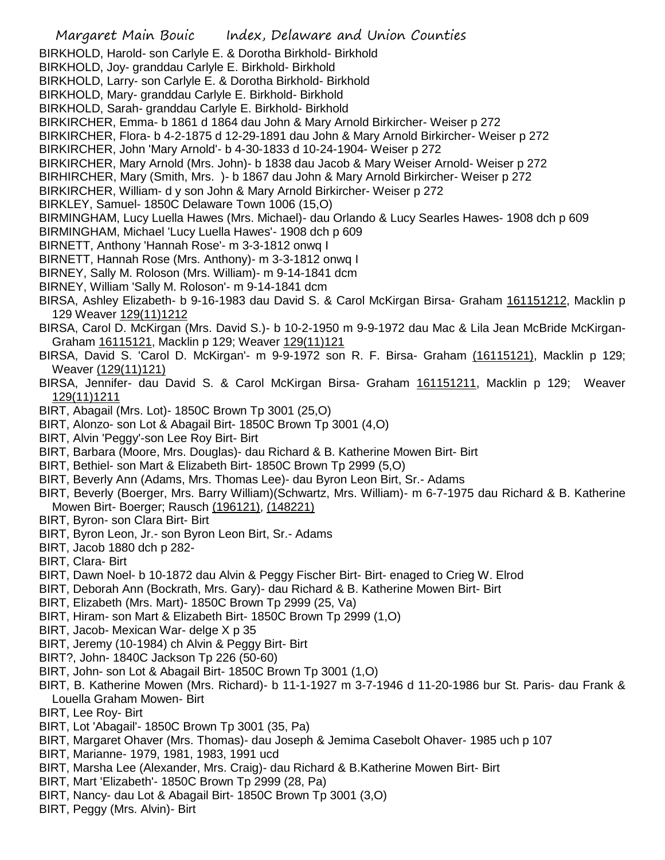Margaret Main Bouic Index, Delaware and Union Counties BIRKHOLD, Harold- son Carlyle E. & Dorotha Birkhold- Birkhold BIRKHOLD, Joy- granddau Carlyle E. Birkhold- Birkhold BIRKHOLD, Larry- son Carlyle E. & Dorotha Birkhold- Birkhold BIRKHOLD, Mary- granddau Carlyle E. Birkhold- Birkhold BIRKHOLD, Sarah- granddau Carlyle E. Birkhold- Birkhold BIRKIRCHER, Emma- b 1861 d 1864 dau John & Mary Arnold Birkircher- Weiser p 272 BIRKIRCHER, Flora- b 4-2-1875 d 12-29-1891 dau John & Mary Arnold Birkircher- Weiser p 272 BIRKIRCHER, John 'Mary Arnold'- b 4-30-1833 d 10-24-1904- Weiser p 272 BIRKIRCHER, Mary Arnold (Mrs. John)- b 1838 dau Jacob & Mary Weiser Arnold- Weiser p 272 BIRHIRCHER, Mary (Smith, Mrs. )- b 1867 dau John & Mary Arnold Birkircher- Weiser p 272 BIRKIRCHER, William- d y son John & Mary Arnold Birkircher- Weiser p 272 BIRKLEY, Samuel- 1850C Delaware Town 1006 (15,O) BIRMINGHAM, Lucy Luella Hawes (Mrs. Michael)- dau Orlando & Lucy Searles Hawes- 1908 dch p 609 BIRMINGHAM, Michael 'Lucy Luella Hawes'- 1908 dch p 609 BIRNETT, Anthony 'Hannah Rose'- m 3-3-1812 onwq I BIRNETT, Hannah Rose (Mrs. Anthony)- m 3-3-1812 onwq I BIRNEY, Sally M. Roloson (Mrs. William)- m 9-14-1841 dcm BIRNEY, William 'Sally M. Roloson'- m 9-14-1841 dcm BIRSA, Ashley Elizabeth- b 9-16-1983 dau David S. & Carol McKirgan Birsa- Graham 161151212, Macklin p 129 Weaver 129(11)1212 BIRSA, Carol D. McKirgan (Mrs. David S.)- b 10-2-1950 m 9-9-1972 dau Mac & Lila Jean McBride McKirgan-Graham 16115121, Macklin p 129; Weaver 129(11)121 BIRSA, David S. 'Carol D. McKirgan'- m 9-9-1972 son R. F. Birsa- Graham (16115121), Macklin p 129; Weaver (129(11)121) BIRSA, Jennifer- dau David S. & Carol McKirgan Birsa- Graham 161151211, Macklin p 129; Weaver 129(11)1211 BIRT, Abagail (Mrs. Lot)- 1850C Brown Tp 3001 (25,O) BIRT, Alonzo- son Lot & Abagail Birt- 1850C Brown Tp 3001 (4,O) BIRT, Alvin 'Peggy'-son Lee Roy Birt- Birt BIRT, Barbara (Moore, Mrs. Douglas)- dau Richard & B. Katherine Mowen Birt- Birt BIRT, Bethiel- son Mart & Elizabeth Birt- 1850C Brown Tp 2999 (5,O) BIRT, Beverly Ann (Adams, Mrs. Thomas Lee)- dau Byron Leon Birt, Sr.- Adams BIRT, Beverly (Boerger, Mrs. Barry William)(Schwartz, Mrs. William)- m 6-7-1975 dau Richard & B. Katherine Mowen Birt- Boerger; Rausch (196121), (148221) BIRT, Byron- son Clara Birt- Birt BIRT, Byron Leon, Jr.- son Byron Leon Birt, Sr.- Adams BIRT, Jacob 1880 dch p 282- BIRT, Clara- Birt BIRT, Dawn Noel- b 10-1872 dau Alvin & Peggy Fischer Birt- Birt- enaged to Crieg W. Elrod BIRT, Deborah Ann (Bockrath, Mrs. Gary)- dau Richard & B. Katherine Mowen Birt- Birt BIRT, Elizabeth (Mrs. Mart)- 1850C Brown Tp 2999 (25, Va) BIRT, Hiram- son Mart & Elizabeth Birt- 1850C Brown Tp 2999 (1,O) BIRT, Jacob- Mexican War- delge X p 35 BIRT, Jeremy (10-1984) ch Alvin & Peggy Birt- Birt BIRT?, John- 1840C Jackson Tp 226 (50-60) BIRT, John- son Lot & Abagail Birt- 1850C Brown Tp 3001 (1,O) BIRT, B. Katherine Mowen (Mrs. Richard)- b 11-1-1927 m 3-7-1946 d 11-20-1986 bur St. Paris- dau Frank & Louella Graham Mowen- Birt BIRT, Lee Roy- Birt BIRT, Lot 'Abagail'- 1850C Brown Tp 3001 (35, Pa) BIRT, Margaret Ohaver (Mrs. Thomas)- dau Joseph & Jemima Casebolt Ohaver- 1985 uch p 107 BIRT, Marianne- 1979, 1981, 1983, 1991 ucd BIRT, Marsha Lee (Alexander, Mrs. Craig)- dau Richard & B.Katherine Mowen Birt- Birt BIRT, Mart 'Elizabeth'- 1850C Brown Tp 2999 (28, Pa) BIRT, Nancy- dau Lot & Abagail Birt- 1850C Brown Tp 3001 (3,O)

BIRT, Peggy (Mrs. Alvin)- Birt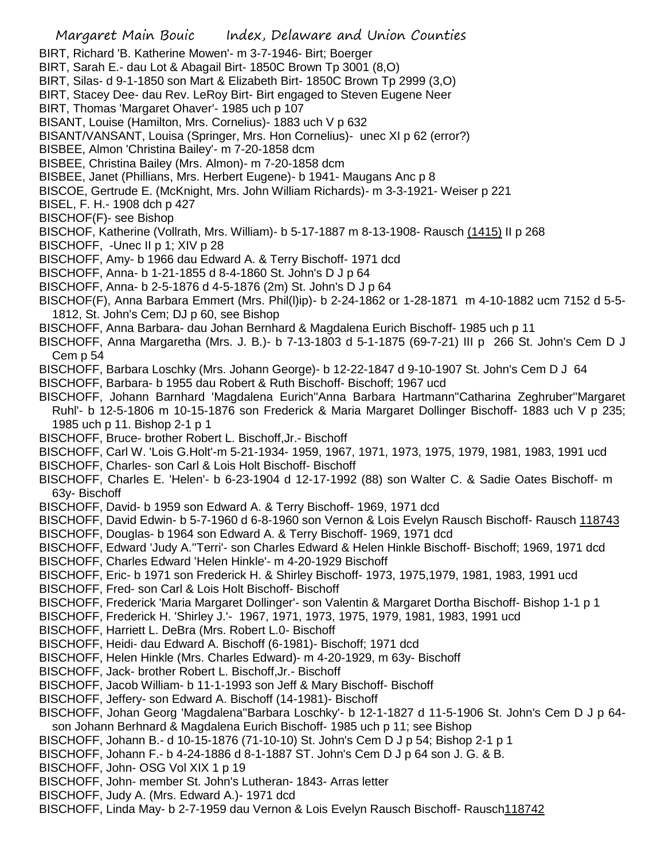Margaret Main Bouic Index, Delaware and Union Counties BIRT, Richard 'B. Katherine Mowen'- m 3-7-1946- Birt; Boerger BIRT, Sarah E.- dau Lot & Abagail Birt- 1850C Brown Tp 3001 (8,O) BIRT, Silas- d 9-1-1850 son Mart & Elizabeth Birt- 1850C Brown Tp 2999 (3,O) BIRT, Stacey Dee- dau Rev. LeRoy Birt- Birt engaged to Steven Eugene Neer BIRT, Thomas 'Margaret Ohaver'- 1985 uch p 107 BISANT, Louise (Hamilton, Mrs. Cornelius)- 1883 uch V p 632 BISANT/VANSANT, Louisa (Springer, Mrs. Hon Cornelius)- unec XI p 62 (error?) BISBEE, Almon 'Christina Bailey'- m 7-20-1858 dcm BISBEE, Christina Bailey (Mrs. Almon)- m 7-20-1858 dcm BISBEE, Janet (Phillians, Mrs. Herbert Eugene)- b 1941- Maugans Anc p 8 BISCOE, Gertrude E. (McKnight, Mrs. John William Richards)- m 3-3-1921- Weiser p 221 BISEL, F. H.- 1908 dch p 427 BISCHOF(F)- see Bishop BISCHOF, Katherine (Vollrath, Mrs. William)- b 5-17-1887 m 8-13-1908- Rausch (1415) II p 268 BISCHOFF, -Unec II p 1; XIV p 28 BISCHOFF, Amy- b 1966 dau Edward A. & Terry Bischoff- 1971 dcd BISCHOFF, Anna- b 1-21-1855 d 8-4-1860 St. John's D J p 64 BISCHOFF, Anna- b 2-5-1876 d 4-5-1876 (2m) St. John's D J p 64 BISCHOF(F), Anna Barbara Emmert (Mrs. Phil(l)ip)- b 2-24-1862 or 1-28-1871 m 4-10-1882 ucm 7152 d 5-5- 1812, St. John's Cem; DJ p 60, see Bishop BISCHOFF, Anna Barbara- dau Johan Bernhard & Magdalena Eurich Bischoff- 1985 uch p 11 BISCHOFF, Anna Margaretha (Mrs. J. B.)- b 7-13-1803 d 5-1-1875 (69-7-21) III p 266 St. John's Cem D J Cem p 54 BISCHOFF, Barbara Loschky (Mrs. Johann George)- b 12-22-1847 d 9-10-1907 St. John's Cem D J 64 BISCHOFF, Barbara- b 1955 dau Robert & Ruth Bischoff- Bischoff; 1967 ucd BISCHOFF, Johann Barnhard 'Magdalena Eurich''Anna Barbara Hartmann''Catharina Zeghruber''Margaret Ruhl'- b 12-5-1806 m 10-15-1876 son Frederick & Maria Margaret Dollinger Bischoff- 1883 uch V p 235; 1985 uch p 11. Bishop 2-1 p 1 BISCHOFF, Bruce- brother Robert L. Bischoff,Jr.- Bischoff BISCHOFF, Carl W. 'Lois G.Holt'-m 5-21-1934- 1959, 1967, 1971, 1973, 1975, 1979, 1981, 1983, 1991 ucd BISCHOFF, Charles- son Carl & Lois Holt Bischoff- Bischoff BISCHOFF, Charles E. 'Helen'- b 6-23-1904 d 12-17-1992 (88) son Walter C. & Sadie Oates Bischoff- m 63y- Bischoff BISCHOFF, David- b 1959 son Edward A. & Terry Bischoff- 1969, 1971 dcd BISCHOFF, David Edwin- b 5-7-1960 d 6-8-1960 son Vernon & Lois Evelyn Rausch Bischoff- Rausch 118743 BISCHOFF, Douglas- b 1964 son Edward A. & Terry Bischoff- 1969, 1971 dcd BISCHOFF, Edward 'Judy A.''Terri'- son Charles Edward & Helen Hinkle Bischoff- Bischoff; 1969, 1971 dcd BISCHOFF, Charles Edward 'Helen Hinkle'- m 4-20-1929 Bischoff BISCHOFF, Eric- b 1971 son Frederick H. & Shirley Bischoff- 1973, 1975,1979, 1981, 1983, 1991 ucd BISCHOFF, Fred- son Carl & Lois Holt Bischoff- Bischoff BISCHOFF, Frederick 'Maria Margaret Dollinger'- son Valentin & Margaret Dortha Bischoff- Bishop 1-1 p 1 BISCHOFF, Frederick H. 'Shirley J.'- 1967, 1971, 1973, 1975, 1979, 1981, 1983, 1991 ucd BISCHOFF, Harriett L. DeBra (Mrs. Robert L.0- Bischoff BISCHOFF, Heidi- dau Edward A. Bischoff (6-1981)- Bischoff; 1971 dcd BISCHOFF, Helen Hinkle (Mrs. Charles Edward)- m 4-20-1929, m 63y- Bischoff BISCHOFF, Jack- brother Robert L. Bischoff,Jr.- Bischoff BISCHOFF, Jacob William- b 11-1-1993 son Jeff & Mary Bischoff- Bischoff BISCHOFF, Jeffery- son Edward A. Bischoff (14-1981)- Bischoff BISCHOFF, Johan Georg 'Magdalena''Barbara Loschky'- b 12-1-1827 d 11-5-1906 St. John's Cem D J p 64 son Johann Berhnard & Magdalena Eurich Bischoff- 1985 uch p 11; see Bishop BISCHOFF, Johann B.- d 10-15-1876 (71-10-10) St. John's Cem D J p 54; Bishop 2-1 p 1 BISCHOFF, Johann F.- b 4-24-1886 d 8-1-1887 ST. John's Cem D J p 64 son J. G. & B. BISCHOFF, John- OSG Vol XIX 1 p 19 BISCHOFF, John- member St. John's Lutheran- 1843- Arras letter BISCHOFF, Judy A. (Mrs. Edward A.)- 1971 dcd BISCHOFF, Linda May- b 2-7-1959 dau Vernon & Lois Evelyn Rausch Bischoff- Rausch118742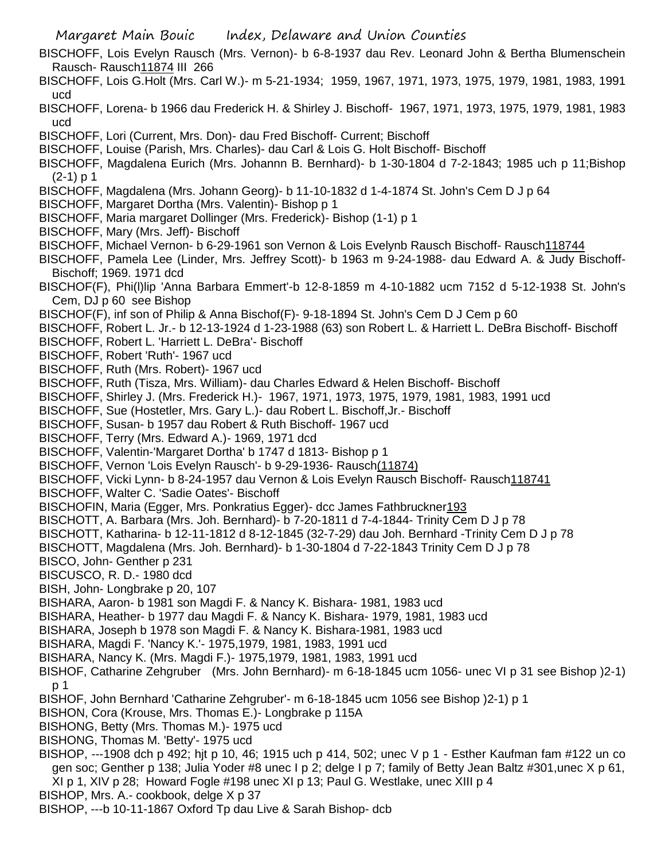Margaret Main Bouic Index, Delaware and Union Counties BISCHOFF, Lois Evelyn Rausch (Mrs. Vernon)- b 6-8-1937 dau Rev. Leonard John & Bertha Blumenschein Rausch- Rausch11874 III 266 BISCHOFF, Lois G.Holt (Mrs. Carl W.)- m 5-21-1934; 1959, 1967, 1971, 1973, 1975, 1979, 1981, 1983, 1991 ucd BISCHOFF, Lorena- b 1966 dau Frederick H. & Shirley J. Bischoff- 1967, 1971, 1973, 1975, 1979, 1981, 1983 ucd BISCHOFF, Lori (Current, Mrs. Don)- dau Fred Bischoff- Current; Bischoff BISCHOFF, Louise (Parish, Mrs. Charles)- dau Carl & Lois G. Holt Bischoff- Bischoff BISCHOFF, Magdalena Eurich (Mrs. Johannn B. Bernhard)- b 1-30-1804 d 7-2-1843; 1985 uch p 11;Bishop  $(2-1)$  p 1 BISCHOFF, Magdalena (Mrs. Johann Georg)- b 11-10-1832 d 1-4-1874 St. John's Cem D J p 64 BISCHOFF, Margaret Dortha (Mrs. Valentin)- Bishop p 1 BISCHOFF, Maria margaret Dollinger (Mrs. Frederick)- Bishop (1-1) p 1 BISCHOFF, Mary (Mrs. Jeff)- Bischoff BISCHOFF, Michael Vernon- b 6-29-1961 son Vernon & Lois Evelynb Rausch Bischoff- Rausch118744 BISCHOFF, Pamela Lee (Linder, Mrs. Jeffrey Scott)- b 1963 m 9-24-1988- dau Edward A. & Judy Bischoff-Bischoff; 1969. 1971 dcd BISCHOF(F), Phi(l)lip 'Anna Barbara Emmert'-b 12-8-1859 m 4-10-1882 ucm 7152 d 5-12-1938 St. John's Cem, DJ p 60 see Bishop BISCHOF(F), inf son of Philip & Anna Bischof(F)- 9-18-1894 St. John's Cem D J Cem p 60 BISCHOFF, Robert L. Jr.- b 12-13-1924 d 1-23-1988 (63) son Robert L. & Harriett L. DeBra Bischoff- Bischoff BISCHOFF, Robert L. 'Harriett L. DeBra'- Bischoff BISCHOFF, Robert 'Ruth'- 1967 ucd BISCHOFF, Ruth (Mrs. Robert)- 1967 ucd BISCHOFF, Ruth (Tisza, Mrs. William)- dau Charles Edward & Helen Bischoff- Bischoff BISCHOFF, Shirley J. (Mrs. Frederick H.)- 1967, 1971, 1973, 1975, 1979, 1981, 1983, 1991 ucd BISCHOFF, Sue (Hostetler, Mrs. Gary L.)- dau Robert L. Bischoff,Jr.- Bischoff BISCHOFF, Susan- b 1957 dau Robert & Ruth Bischoff- 1967 ucd BISCHOFF, Terry (Mrs. Edward A.)- 1969, 1971 dcd BISCHOFF, Valentin-'Margaret Dortha' b 1747 d 1813- Bishop p 1 BISCHOFF, Vernon 'Lois Evelyn Rausch'- b 9-29-1936- Rausch(11874) BISCHOFF, Vicki Lynn- b 8-24-1957 dau Vernon & Lois Evelyn Rausch Bischoff- Rausch118741 BISCHOFF, Walter C. 'Sadie Oates'- Bischoff BISCHOFIN, Maria (Egger, Mrs. Ponkratius Egger)- dcc James Fathbruckner193 BISCHOTT, A. Barbara (Mrs. Joh. Bernhard)- b 7-20-1811 d 7-4-1844- Trinity Cem D J p 78 BISCHOTT, Katharina- b 12-11-1812 d 8-12-1845 (32-7-29) dau Joh. Bernhard -Trinity Cem D J p 78 BISCHOTT, Magdalena (Mrs. Joh. Bernhard)- b 1-30-1804 d 7-22-1843 Trinity Cem D J p 78 BISCO, John- Genther p 231 BISCUSCO, R. D.- 1980 dcd BISH, John- Longbrake p 20, 107 BISHARA, Aaron- b 1981 son Magdi F. & Nancy K. Bishara- 1981, 1983 ucd BISHARA, Heather- b 1977 dau Magdi F. & Nancy K. Bishara- 1979, 1981, 1983 ucd BISHARA, Joseph b 1978 son Magdi F. & Nancy K. Bishara-1981, 1983 ucd BISHARA, Magdi F. 'Nancy K.'- 1975,1979, 1981, 1983, 1991 ucd BISHARA, Nancy K. (Mrs. Magdi F.)- 1975,1979, 1981, 1983, 1991 ucd BISHOF, Catharine Zehgruber (Mrs. John Bernhard)- m 6-18-1845 ucm 1056- unec VI p 31 see Bishop )2-1) p 1 BISHOF, John Bernhard 'Catharine Zehgruber'- m 6-18-1845 ucm 1056 see Bishop )2-1) p 1 BISHON, Cora (Krouse, Mrs. Thomas E.)- Longbrake p 115A BISHONG, Betty (Mrs. Thomas M.)- 1975 ucd BISHONG, Thomas M. 'Betty'- 1975 ucd BISHOP, ---1908 dch p 492; hjt p 10, 46; 1915 uch p 414, 502; unec V p 1 - Esther Kaufman fam #122 un co gen soc; Genther p 138; Julia Yoder #8 unec I p 2; delge I p 7; family of Betty Jean Baltz #301,unec X p 61, XI p 1, XIV p 28; Howard Fogle #198 unec XI p 13; Paul G. Westlake, unec XIII p 4 BISHOP, Mrs. A.- cookbook, delge X p 37

BISHOP, ---b 10-11-1867 Oxford Tp dau Live & Sarah Bishop- dcb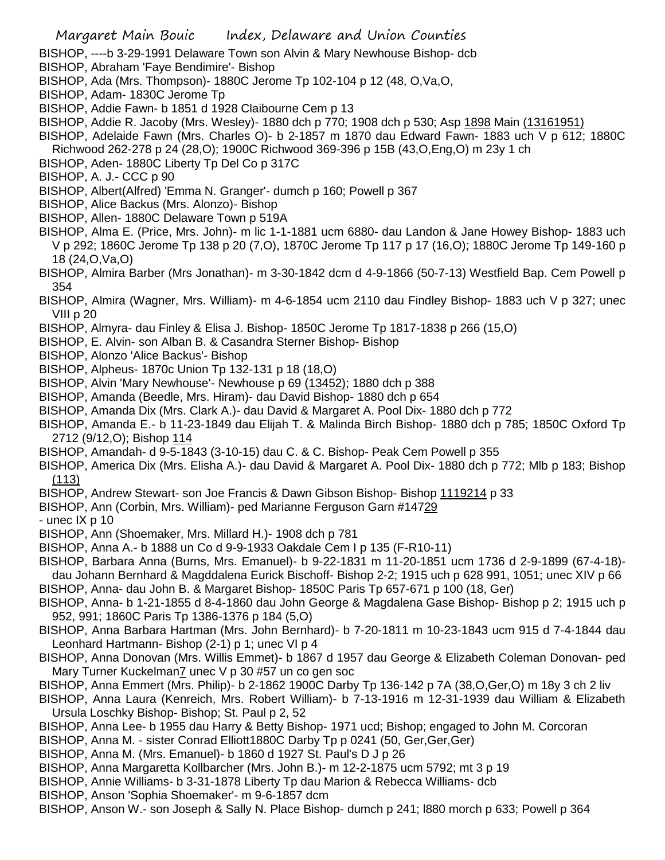- BISHOP, ----b 3-29-1991 Delaware Town son Alvin & Mary Newhouse Bishop- dcb
- BISHOP, Abraham 'Faye Bendimire'- Bishop
- BISHOP, Ada (Mrs. Thompson)- 1880C Jerome Tp 102-104 p 12 (48, O,Va,O,
- BISHOP, Adam- 1830C Jerome Tp
- BISHOP, Addie Fawn- b 1851 d 1928 Claibourne Cem p 13
- BISHOP, Addie R. Jacoby (Mrs. Wesley)- 1880 dch p 770; 1908 dch p 530; Asp 1898 Main (13161951)
- BISHOP, Adelaide Fawn (Mrs. Charles O)- b 2-1857 m 1870 dau Edward Fawn- 1883 uch V p 612; 1880C Richwood 262-278 p 24 (28,O); 1900C Richwood 369-396 p 15B (43,O,Eng,O) m 23y 1 ch
- BISHOP, Aden- 1880C Liberty Tp Del Co p 317C
- BISHOP, A. J.- CCC p 90
- BISHOP, Albert(Alfred) 'Emma N. Granger'- dumch p 160; Powell p 367
- BISHOP, Alice Backus (Mrs. Alonzo)- Bishop
- BISHOP, Allen- 1880C Delaware Town p 519A
- BISHOP, Alma E. (Price, Mrs. John)- m lic 1-1-1881 ucm 6880- dau Landon & Jane Howey Bishop- 1883 uch V p 292; 1860C Jerome Tp 138 p 20 (7,O), 1870C Jerome Tp 117 p 17 (16,O); 1880C Jerome Tp 149-160 p 18 (24,O,Va,O)
- BISHOP, Almira Barber (Mrs Jonathan)- m 3-30-1842 dcm d 4-9-1866 (50-7-13) Westfield Bap. Cem Powell p 354
- BISHOP, Almira (Wagner, Mrs. William)- m 4-6-1854 ucm 2110 dau Findley Bishop- 1883 uch V p 327; unec VIII p 20
- BISHOP, Almyra- dau Finley & Elisa J. Bishop- 1850C Jerome Tp 1817-1838 p 266 (15,O)
- BISHOP, E. Alvin- son Alban B. & Casandra Sterner Bishop- Bishop
- BISHOP, Alonzo 'Alice Backus'- Bishop
- BISHOP, Alpheus- 1870c Union Tp 132-131 p 18 (18,O)
- BISHOP, Alvin 'Mary Newhouse'- Newhouse p 69 (13452); 1880 dch p 388
- BISHOP, Amanda (Beedle, Mrs. Hiram)- dau David Bishop- 1880 dch p 654
- BISHOP, Amanda Dix (Mrs. Clark A.)- dau David & Margaret A. Pool Dix- 1880 dch p 772
- BISHOP, Amanda E.- b 11-23-1849 dau Elijah T. & Malinda Birch Bishop- 1880 dch p 785; 1850C Oxford Tp 2712 (9/12,O); Bishop 114
- BISHOP, Amandah- d 9-5-1843 (3-10-15) dau C. & C. Bishop- Peak Cem Powell p 355
- BISHOP, America Dix (Mrs. Elisha A.)- dau David & Margaret A. Pool Dix- 1880 dch p 772; Mlb p 183; Bishop (113)
- BISHOP, Andrew Stewart- son Joe Francis & Dawn Gibson Bishop- Bishop 1119214 p 33
- BISHOP, Ann (Corbin, Mrs. William)- ped Marianne Ferguson Garn #14729
- unec IX p 10
- BISHOP, Ann (Shoemaker, Mrs. Millard H.)- 1908 dch p 781
- BISHOP, Anna A.- b 1888 un Co d 9-9-1933 Oakdale Cem I p 135 (F-R10-11)
- BISHOP, Barbara Anna (Burns, Mrs. Emanuel)- b 9-22-1831 m 11-20-1851 ucm 1736 d 2-9-1899 (67-4-18) dau Johann Bernhard & Magddalena Eurick Bischoff- Bishop 2-2; 1915 uch p 628 991, 1051; unec XIV p 66
- BISHOP, Anna- dau John B. & Margaret Bishop- 1850C Paris Tp 657-671 p 100 (18, Ger)
- BISHOP, Anna- b 1-21-1855 d 8-4-1860 dau John George & Magdalena Gase Bishop- Bishop p 2; 1915 uch p 952, 991; 1860C Paris Tp 1386-1376 p 184 (5,O)
- BISHOP, Anna Barbara Hartman (Mrs. John Bernhard)- b 7-20-1811 m 10-23-1843 ucm 915 d 7-4-1844 dau Leonhard Hartmann- Bishop (2-1) p 1; unec VI p 4
- BISHOP, Anna Donovan (Mrs. Willis Emmet)- b 1867 d 1957 dau George & Elizabeth Coleman Donovan- ped Mary Turner Kuckelman7 unec V p 30 #57 un co gen soc
- BISHOP, Anna Emmert (Mrs. Philip)- b 2-1862 1900C Darby Tp 136-142 p 7A (38,O,Ger,O) m 18y 3 ch 2 liv
- BISHOP, Anna Laura (Kenreich, Mrs. Robert William)- b 7-13-1916 m 12-31-1939 dau William & Elizabeth Ursula Loschky Bishop- Bishop; St. Paul p 2, 52
- BISHOP, Anna Lee- b 1955 dau Harry & Betty Bishop- 1971 ucd; Bishop; engaged to John M. Corcoran
- BISHOP, Anna M. sister Conrad Elliott1880C Darby Tp p 0241 (50, Ger,Ger,Ger)
- BISHOP, Anna M. (Mrs. Emanuel)- b 1860 d 1927 St. Paul's D J p 26
- BISHOP, Anna Margaretta Kollbarcher (Mrs. John B.)- m 12-2-1875 ucm 5792; mt 3 p 19
- BISHOP, Annie Williams- b 3-31-1878 Liberty Tp dau Marion & Rebecca Williams- dcb
- BISHOP, Anson 'Sophia Shoemaker'- m 9-6-1857 dcm
- BISHOP, Anson W.- son Joseph & Sally N. Place Bishop- dumch p 241; l880 morch p 633; Powell p 364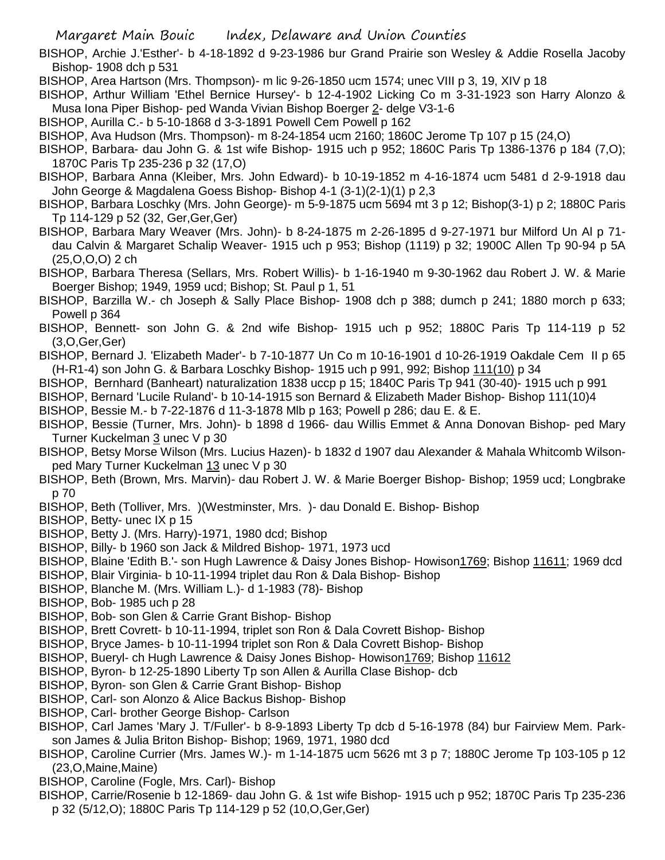Margaret Main Bouic Index, Delaware and Union Counties

BISHOP, Archie J.'Esther'- b 4-18-1892 d 9-23-1986 bur Grand Prairie son Wesley & Addie Rosella Jacoby Bishop- 1908 dch p 531

BISHOP, Area Hartson (Mrs. Thompson)- m lic 9-26-1850 ucm 1574; unec VIII p 3, 19, XIV p 18

BISHOP, Arthur William 'Ethel Bernice Hursey'- b 12-4-1902 Licking Co m 3-31-1923 son Harry Alonzo & Musa Iona Piper Bishop- ped Wanda Vivian Bishop Boerger 2- delge V3-1-6

- BISHOP, Aurilla C.- b 5-10-1868 d 3-3-1891 Powell Cem Powell p 162
- BISHOP, Ava Hudson (Mrs. Thompson)- m 8-24-1854 ucm 2160; 1860C Jerome Tp 107 p 15 (24,O)
- BISHOP, Barbara- dau John G. & 1st wife Bishop- 1915 uch p 952; 1860C Paris Tp 1386-1376 p 184 (7,O); 1870C Paris Tp 235-236 p 32 (17,O)
- BISHOP, Barbara Anna (Kleiber, Mrs. John Edward)- b 10-19-1852 m 4-16-1874 ucm 5481 d 2-9-1918 dau John George & Magdalena Goess Bishop- Bishop 4-1 (3-1)(2-1)(1) p 2,3
- BISHOP, Barbara Loschky (Mrs. John George)- m 5-9-1875 ucm 5694 mt 3 p 12; Bishop(3-1) p 2; 1880C Paris Tp 114-129 p 52 (32, Ger,Ger,Ger)
- BISHOP, Barbara Mary Weaver (Mrs. John)- b 8-24-1875 m 2-26-1895 d 9-27-1971 bur Milford Un Al p 71 dau Calvin & Margaret Schalip Weaver- 1915 uch p 953; Bishop (1119) p 32; 1900C Allen Tp 90-94 p 5A (25,O,O,O) 2 ch
- BISHOP, Barbara Theresa (Sellars, Mrs. Robert Willis)- b 1-16-1940 m 9-30-1962 dau Robert J. W. & Marie Boerger Bishop; 1949, 1959 ucd; Bishop; St. Paul p 1, 51
- BISHOP, Barzilla W.- ch Joseph & Sally Place Bishop- 1908 dch p 388; dumch p 241; 1880 morch p 633; Powell p 364
- BISHOP, Bennett- son John G. & 2nd wife Bishop- 1915 uch p 952; 1880C Paris Tp 114-119 p 52 (3,O,Ger,Ger)
- BISHOP, Bernard J. 'Elizabeth Mader'- b 7-10-1877 Un Co m 10-16-1901 d 10-26-1919 Oakdale Cem II p 65 (H-R1-4) son John G. & Barbara Loschky Bishop- 1915 uch p 991, 992; Bishop 111(10) p 34
- BISHOP, Bernhard (Banheart) naturalization 1838 uccp p 15; 1840C Paris Tp 941 (30-40)- 1915 uch p 991
- BISHOP, Bernard 'Lucile Ruland'- b 10-14-1915 son Bernard & Elizabeth Mader Bishop- Bishop 111(10)4
- BISHOP, Bessie M.- b 7-22-1876 d 11-3-1878 Mlb p 163; Powell p 286; dau E. & E.
- BISHOP, Bessie (Turner, Mrs. John)- b 1898 d 1966- dau Willis Emmet & Anna Donovan Bishop- ped Mary Turner Kuckelman 3 unec V p 30
- BISHOP, Betsy Morse Wilson (Mrs. Lucius Hazen)- b 1832 d 1907 dau Alexander & Mahala Whitcomb Wilsonped Mary Turner Kuckelman 13 unec V p 30
- BISHOP, Beth (Brown, Mrs. Marvin)- dau Robert J. W. & Marie Boerger Bishop- Bishop; 1959 ucd; Longbrake p 70
- BISHOP, Beth (Tolliver, Mrs. )(Westminster, Mrs. )- dau Donald E. Bishop- Bishop
- BISHOP, Betty- unec IX p 15
- BISHOP, Betty J. (Mrs. Harry)-1971, 1980 dcd; Bishop
- BISHOP, Billy- b 1960 son Jack & Mildred Bishop- 1971, 1973 ucd
- BISHOP, Blaine 'Edith B.'- son Hugh Lawrence & Daisy Jones Bishop- Howison1769; Bishop 11611; 1969 dcd
- BISHOP, Blair Virginia- b 10-11-1994 triplet dau Ron & Dala Bishop- Bishop
- BISHOP, Blanche M. (Mrs. William L.)- d 1-1983 (78)- Bishop
- BISHOP, Bob- 1985 uch p 28
- BISHOP, Bob- son Glen & Carrie Grant Bishop- Bishop
- BISHOP, Brett Covrett- b 10-11-1994, triplet son Ron & Dala Covrett Bishop- Bishop
- BISHOP, Bryce James- b 10-11-1994 triplet son Ron & Dala Covrett Bishop- Bishop
- BISHOP, Bueryl- ch Hugh Lawrence & Daisy Jones Bishop- Howison1769; Bishop 11612
- BISHOP, Byron- b 12-25-1890 Liberty Tp son Allen & Aurilla Clase Bishop- dcb
- BISHOP, Byron- son Glen & Carrie Grant Bishop- Bishop
- BISHOP, Carl- son Alonzo & Alice Backus Bishop- Bishop
- BISHOP, Carl- brother George Bishop- Carlson
- BISHOP, Carl James 'Mary J. T/Fuller'- b 8-9-1893 Liberty Tp dcb d 5-16-1978 (84) bur Fairview Mem. Parkson James & Julia Briton Bishop- Bishop; 1969, 1971, 1980 dcd
- BISHOP, Caroline Currier (Mrs. James W.)- m 1-14-1875 ucm 5626 mt 3 p 7; 1880C Jerome Tp 103-105 p 12 (23,O,Maine,Maine)
- BISHOP, Caroline (Fogle, Mrs. Carl)- Bishop
- BISHOP, Carrie/Rosenie b 12-1869- dau John G. & 1st wife Bishop- 1915 uch p 952; 1870C Paris Tp 235-236 p 32 (5/12,O); 1880C Paris Tp 114-129 p 52 (10,O,Ger,Ger)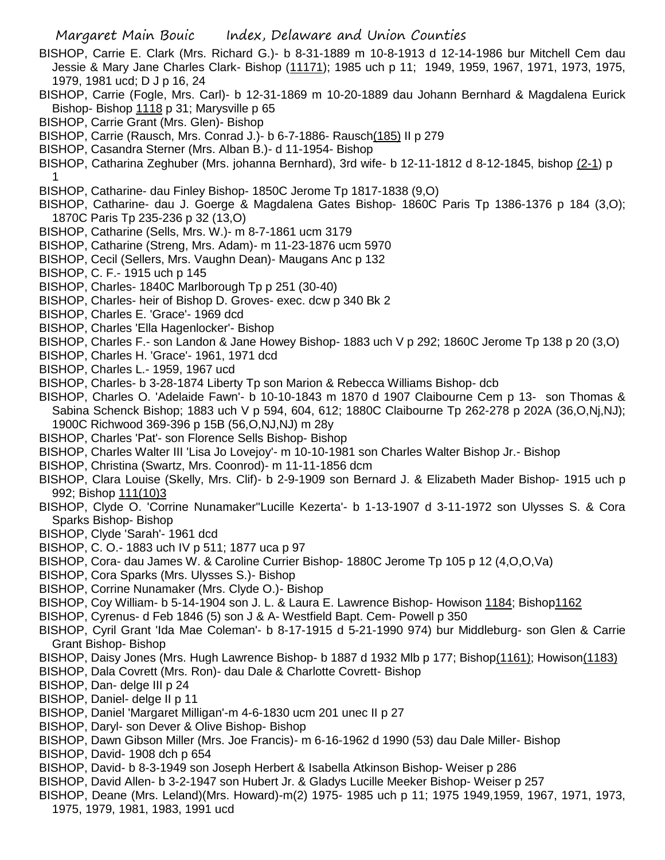- BISHOP, Carrie E. Clark (Mrs. Richard G.)- b 8-31-1889 m 10-8-1913 d 12-14-1986 bur Mitchell Cem dau Jessie & Mary Jane Charles Clark- Bishop (11171); 1985 uch p 11; 1949, 1959, 1967, 1971, 1973, 1975, 1979, 1981 ucd; D J p 16, 24
- BISHOP, Carrie (Fogle, Mrs. Carl)- b 12-31-1869 m 10-20-1889 dau Johann Bernhard & Magdalena Eurick Bishop- Bishop 1118 p 31; Marysville p 65
- BISHOP, Carrie Grant (Mrs. Glen)- Bishop
- BISHOP, Carrie (Rausch, Mrs. Conrad J.)- b 6-7-1886- Rausch(185) II p 279
- BISHOP, Casandra Sterner (Mrs. Alban B.)- d 11-1954- Bishop
- BISHOP, Catharina Zeghuber (Mrs. johanna Bernhard), 3rd wife- b 12-11-1812 d 8-12-1845, bishop (2-1) p 1
- BISHOP, Catharine- dau Finley Bishop- 1850C Jerome Tp 1817-1838 (9,O)
- BISHOP, Catharine- dau J. Goerge & Magdalena Gates Bishop- 1860C Paris Tp 1386-1376 p 184 (3,O); 1870C Paris Tp 235-236 p 32 (13,O)
- BISHOP, Catharine (Sells, Mrs. W.)- m 8-7-1861 ucm 3179
- BISHOP, Catharine (Streng, Mrs. Adam)- m 11-23-1876 ucm 5970
- BISHOP, Cecil (Sellers, Mrs. Vaughn Dean)- Maugans Anc p 132
- BISHOP, C. F.- 1915 uch p 145
- BISHOP, Charles- 1840C Marlborough Tp p 251 (30-40)
- BISHOP, Charles- heir of Bishop D. Groves- exec. dcw p 340 Bk 2
- BISHOP, Charles E. 'Grace'- 1969 dcd
- BISHOP, Charles 'Ella Hagenlocker'- Bishop
- BISHOP, Charles F.- son Landon & Jane Howey Bishop- 1883 uch V p 292; 1860C Jerome Tp 138 p 20 (3,O)
- BISHOP, Charles H. 'Grace'- 1961, 1971 dcd
- BISHOP, Charles L.- 1959, 1967 ucd
- BISHOP, Charles- b 3-28-1874 Liberty Tp son Marion & Rebecca Williams Bishop- dcb
- BISHOP, Charles O. 'Adelaide Fawn'- b 10-10-1843 m 1870 d 1907 Claibourne Cem p 13- son Thomas & Sabina Schenck Bishop; 1883 uch V p 594, 604, 612; 1880C Claibourne Tp 262-278 p 202A (36,O,Nj,NJ); 1900C Richwood 369-396 p 15B (56,O,NJ,NJ) m 28y
- BISHOP, Charles 'Pat'- son Florence Sells Bishop- Bishop
- BISHOP, Charles Walter III 'Lisa Jo Lovejoy'- m 10-10-1981 son Charles Walter Bishop Jr.- Bishop
- BISHOP, Christina (Swartz, Mrs. Coonrod)- m 11-11-1856 dcm
- BISHOP, Clara Louise (Skelly, Mrs. Clif)- b 2-9-1909 son Bernard J. & Elizabeth Mader Bishop- 1915 uch p 992; Bishop 111(10)3
- BISHOP, Clyde O. 'Corrine Nunamaker''Lucille Kezerta'- b 1-13-1907 d 3-11-1972 son Ulysses S. & Cora Sparks Bishop- Bishop
- BISHOP, Clyde 'Sarah'- 1961 dcd
- BISHOP, C. O.- 1883 uch IV p 511; 1877 uca p 97
- BISHOP, Cora- dau James W. & Caroline Currier Bishop- 1880C Jerome Tp 105 p 12 (4,O,O,Va)
- BISHOP, Cora Sparks (Mrs. Ulysses S.)- Bishop
- BISHOP, Corrine Nunamaker (Mrs. Clyde O.)- Bishop
- BISHOP, Coy William- b 5-14-1904 son J. L. & Laura E. Lawrence Bishop- Howison 1184; Bishop1162
- BISHOP, Cyrenus- d Feb 1846 (5) son J & A- Westfield Bapt. Cem- Powell p 350
- BISHOP, Cyril Grant 'Ida Mae Coleman'- b 8-17-1915 d 5-21-1990 974) bur Middleburg- son Glen & Carrie Grant Bishop- Bishop
- BISHOP, Daisy Jones (Mrs. Hugh Lawrence Bishop- b 1887 d 1932 Mlb p 177; Bishop(1161); Howison(1183)
- BISHOP, Dala Covrett (Mrs. Ron)- dau Dale & Charlotte Covrett- Bishop
- BISHOP, Dan- delge III p 24
- BISHOP, Daniel- delge II p 11
- BISHOP, Daniel 'Margaret Milligan'-m 4-6-1830 ucm 201 unec II p 27
- BISHOP, Daryl- son Dever & Olive Bishop- Bishop
- BISHOP, Dawn Gibson Miller (Mrs. Joe Francis)- m 6-16-1962 d 1990 (53) dau Dale Miller- Bishop
- BISHOP, David- 1908 dch p 654
- BISHOP, David- b 8-3-1949 son Joseph Herbert & Isabella Atkinson Bishop- Weiser p 286
- BISHOP, David Allen- b 3-2-1947 son Hubert Jr. & Gladys Lucille Meeker Bishop- Weiser p 257
- BISHOP, Deane (Mrs. Leland)(Mrs. Howard)-m(2) 1975- 1985 uch p 11; 1975 1949,1959, 1967, 1971, 1973, 1975, 1979, 1981, 1983, 1991 ucd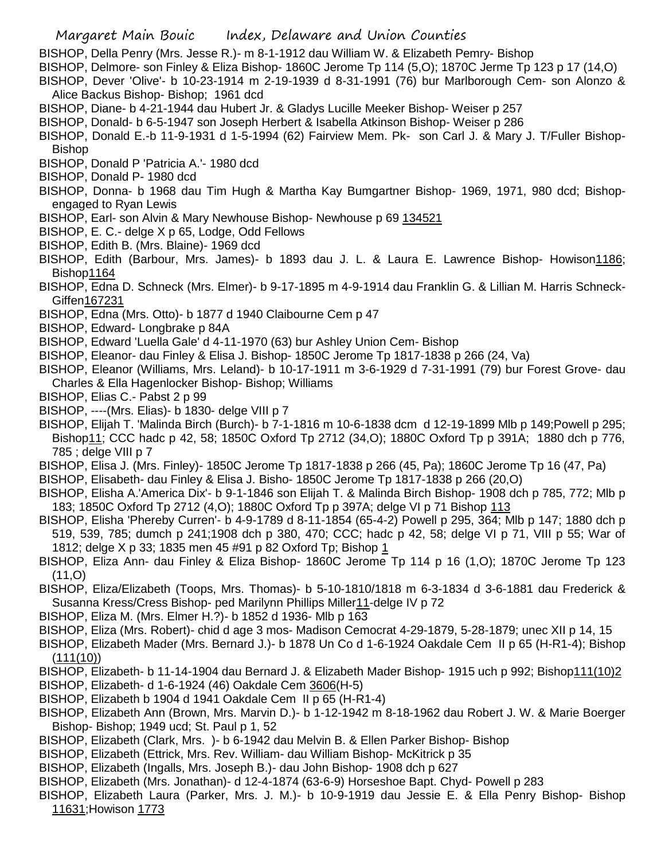BISHOP, Della Penry (Mrs. Jesse R.)- m 8-1-1912 dau William W. & Elizabeth Pemry- Bishop

- BISHOP, Delmore- son Finley & Eliza Bishop- 1860C Jerome Tp 114 (5,O); 1870C Jerme Tp 123 p 17 (14,O)
- BISHOP, Dever 'Olive'- b 10-23-1914 m 2-19-1939 d 8-31-1991 (76) bur Marlborough Cem- son Alonzo & Alice Backus Bishop- Bishop; 1961 dcd
- BISHOP, Diane- b 4-21-1944 dau Hubert Jr. & Gladys Lucille Meeker Bishop- Weiser p 257
- BISHOP, Donald- b 6-5-1947 son Joseph Herbert & Isabella Atkinson Bishop- Weiser p 286
- BISHOP, Donald E.-b 11-9-1931 d 1-5-1994 (62) Fairview Mem. Pk- son Carl J. & Mary J. T/Fuller Bishop-Bishop
- BISHOP, Donald P 'Patricia A.'- 1980 dcd
- BISHOP, Donald P- 1980 dcd
- BISHOP, Donna- b 1968 dau Tim Hugh & Martha Kay Bumgartner Bishop- 1969, 1971, 980 dcd; Bishopengaged to Ryan Lewis
- BISHOP, Earl- son Alvin & Mary Newhouse Bishop- Newhouse p 69 134521
- BISHOP, E. C.- delge X p 65, Lodge, Odd Fellows
- BISHOP, Edith B. (Mrs. Blaine)- 1969 dcd
- BISHOP, Edith (Barbour, Mrs. James)- b 1893 dau J. L. & Laura E. Lawrence Bishop- Howison1186; Bishop1164
- BISHOP, Edna D. Schneck (Mrs. Elmer)- b 9-17-1895 m 4-9-1914 dau Franklin G. & Lillian M. Harris Schneck-Giffen167231
- BISHOP, Edna (Mrs. Otto)- b 1877 d 1940 Claibourne Cem p 47
- BISHOP, Edward- Longbrake p 84A
- BISHOP, Edward 'Luella Gale' d 4-11-1970 (63) bur Ashley Union Cem- Bishop
- BISHOP, Eleanor- dau Finley & Elisa J. Bishop- 1850C Jerome Tp 1817-1838 p 266 (24, Va)
- BISHOP, Eleanor (Williams, Mrs. Leland)- b 10-17-1911 m 3-6-1929 d 7-31-1991 (79) bur Forest Grove- dau Charles & Ella Hagenlocker Bishop- Bishop; Williams
- BISHOP, Elias C.- Pabst 2 p 99
- BISHOP, ----(Mrs. Elias)- b 1830- delge VIII p 7
- BISHOP, Elijah T. 'Malinda Birch (Burch)- b 7-1-1816 m 10-6-1838 dcm d 12-19-1899 Mlb p 149;Powell p 295; Bishop11; CCC hadc p 42, 58; 1850C Oxford Tp 2712 (34,O); 1880C Oxford Tp p 391A; 1880 dch p 776, 785 ; delge VIII p 7
- BISHOP, Elisa J. (Mrs. Finley)- 1850C Jerome Tp 1817-1838 p 266 (45, Pa); 1860C Jerome Tp 16 (47, Pa)
- BISHOP, Elisabeth- dau Finley & Elisa J. Bisho- 1850C Jerome Tp 1817-1838 p 266 (20,O)
- BISHOP, Elisha A.'America Dix'- b 9-1-1846 son Elijah T. & Malinda Birch Bishop- 1908 dch p 785, 772; Mlb p 183; 1850C Oxford Tp 2712 (4,O); 1880C Oxford Tp p 397A; delge VI p 71 Bishop 113
- BISHOP, Elisha 'Phereby Curren'- b 4-9-1789 d 8-11-1854 (65-4-2) Powell p 295, 364; Mlb p 147; 1880 dch p 519, 539, 785; dumch p 241;1908 dch p 380, 470; CCC; hadc p 42, 58; delge VI p 71, VIII p 55; War of 1812; delge X p 33; 1835 men 45 #91 p 82 Oxford Tp; Bishop 1
- BISHOP, Eliza Ann- dau Finley & Eliza Bishop- 1860C Jerome Tp 114 p 16 (1,O); 1870C Jerome Tp 123 (11,O)
- BISHOP, Eliza/Elizabeth (Toops, Mrs. Thomas)- b 5-10-1810/1818 m 6-3-1834 d 3-6-1881 dau Frederick & Susanna Kress/Cress Bishop- ped Marilynn Phillips Miller11-delge IV p 72
- BISHOP, Eliza M. (Mrs. Elmer H.?)- b 1852 d 1936- Mlb p 163
- BISHOP, Eliza (Mrs. Robert)- chid d age 3 mos- Madison Cemocrat 4-29-1879, 5-28-1879; unec XII p 14, 15
- BISHOP, Elizabeth Mader (Mrs. Bernard J.)- b 1878 Un Co d 1-6-1924 Oakdale Cem II p 65 (H-R1-4); Bishop (111(10))
- BISHOP, Elizabeth- b 11-14-1904 dau Bernard J. & Elizabeth Mader Bishop- 1915 uch p 992; Bishop111(10)2
- BISHOP, Elizabeth- d 1-6-1924 (46) Oakdale Cem 3606(H-5)
- BISHOP, Elizabeth b 1904 d 1941 Oakdale Cem II p 65 (H-R1-4)
- BISHOP, Elizabeth Ann (Brown, Mrs. Marvin D.)- b 1-12-1942 m 8-18-1962 dau Robert J. W. & Marie Boerger Bishop- Bishop; 1949 ucd; St. Paul p 1, 52
- BISHOP, Elizabeth (Clark, Mrs. )- b 6-1942 dau Melvin B. & Ellen Parker Bishop- Bishop
- BISHOP, Elizabeth (Ettrick, Mrs. Rev. William- dau William Bishop- McKitrick p 35
- BISHOP, Elizabeth (Ingalls, Mrs. Joseph B.)- dau John Bishop- 1908 dch p 627
- BISHOP, Elizabeth (Mrs. Jonathan)- d 12-4-1874 (63-6-9) Horseshoe Bapt. Chyd- Powell p 283
- BISHOP, Elizabeth Laura (Parker, Mrs. J. M.)- b 10-9-1919 dau Jessie E. & Ella Penry Bishop- Bishop 11631;Howison 1773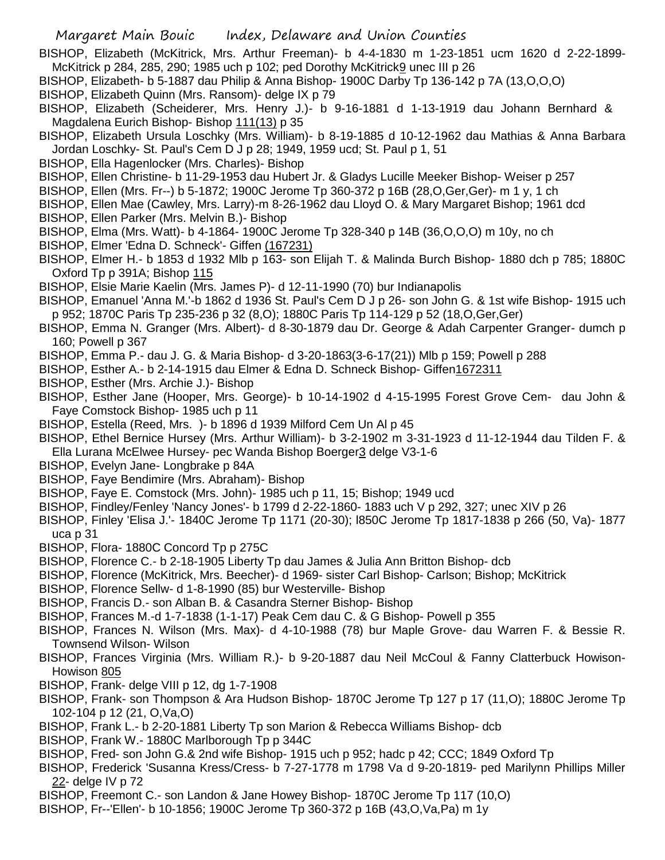BISHOP, Elizabeth (McKitrick, Mrs. Arthur Freeman)- b 4-4-1830 m 1-23-1851 ucm 1620 d 2-22-1899- McKitrick p 284, 285, 290; 1985 uch p 102; ped Dorothy McKitrick9 unec III p 26

- BISHOP, Elizabeth- b 5-1887 dau Philip & Anna Bishop- 1900C Darby Tp 136-142 p 7A (13,O,O,O)
- BISHOP, Elizabeth Quinn (Mrs. Ransom)- delge IX p 79
- BISHOP, Elizabeth (Scheiderer, Mrs. Henry J.)- b 9-16-1881 d 1-13-1919 dau Johann Bernhard & Magdalena Eurich Bishop- Bishop 111(13) p 35
- BISHOP, Elizabeth Ursula Loschky (Mrs. William)- b 8-19-1885 d 10-12-1962 dau Mathias & Anna Barbara Jordan Loschky- St. Paul's Cem D J p 28; 1949, 1959 ucd; St. Paul p 1, 51
- BISHOP, Ella Hagenlocker (Mrs. Charles)- Bishop
- BISHOP, Ellen Christine- b 11-29-1953 dau Hubert Jr. & Gladys Lucille Meeker Bishop- Weiser p 257
- BISHOP, Ellen (Mrs. Fr--) b 5-1872; 1900C Jerome Tp 360-372 p 16B (28,O,Ger,Ger)- m 1 y, 1 ch
- BISHOP, Ellen Mae (Cawley, Mrs. Larry)-m 8-26-1962 dau Lloyd O. & Mary Margaret Bishop; 1961 dcd
- BISHOP, Ellen Parker (Mrs. Melvin B.)- Bishop
- BISHOP, Elma (Mrs. Watt)- b 4-1864- 1900C Jerome Tp 328-340 p 14B (36,O,O,O) m 10y, no ch
- BISHOP, Elmer 'Edna D. Schneck'- Giffen (167231)
- BISHOP, Elmer H.- b 1853 d 1932 Mlb p 163- son Elijah T. & Malinda Burch Bishop- 1880 dch p 785; 1880C Oxford Tp p 391A; Bishop 115
- BISHOP, Elsie Marie Kaelin (Mrs. James P)- d 12-11-1990 (70) bur Indianapolis
- BISHOP, Emanuel 'Anna M.'-b 1862 d 1936 St. Paul's Cem D J p 26- son John G. & 1st wife Bishop- 1915 uch p 952; 1870C Paris Tp 235-236 p 32 (8,O); 1880C Paris Tp 114-129 p 52 (18,O,Ger,Ger)
- BISHOP, Emma N. Granger (Mrs. Albert)- d 8-30-1879 dau Dr. George & Adah Carpenter Granger- dumch p 160; Powell p 367
- BISHOP, Emma P.- dau J. G. & Maria Bishop- d 3-20-1863(3-6-17(21)) Mlb p 159; Powell p 288
- BISHOP, Esther A.- b 2-14-1915 dau Elmer & Edna D. Schneck Bishop- Giffen1672311
- BISHOP, Esther (Mrs. Archie J.)- Bishop
- BISHOP, Esther Jane (Hooper, Mrs. George)- b 10-14-1902 d 4-15-1995 Forest Grove Cem- dau John & Faye Comstock Bishop- 1985 uch p 11
- BISHOP, Estella (Reed, Mrs. )- b 1896 d 1939 Milford Cem Un Al p 45
- BISHOP, Ethel Bernice Hursey (Mrs. Arthur William)- b 3-2-1902 m 3-31-1923 d 11-12-1944 dau Tilden F. & Ella Lurana McElwee Hursey- pec Wanda Bishop Boerger3 delge V3-1-6
- BISHOP, Evelyn Jane- Longbrake p 84A
- BISHOP, Faye Bendimire (Mrs. Abraham)- Bishop
- BISHOP, Faye E. Comstock (Mrs. John)- 1985 uch p 11, 15; Bishop; 1949 ucd
- BISHOP, Findley/Fenley 'Nancy Jones'- b 1799 d 2-22-1860- 1883 uch V p 292, 327; unec XIV p 26
- BISHOP, Finley 'Elisa J.'- 1840C Jerome Tp 1171 (20-30); l850C Jerome Tp 1817-1838 p 266 (50, Va)- 1877 uca p 31
- BISHOP, Flora- 1880C Concord Tp p 275C
- BISHOP, Florence C.- b 2-18-1905 Liberty Tp dau James & Julia Ann Britton Bishop- dcb
- BISHOP, Florence (McKitrick, Mrs. Beecher)- d 1969- sister Carl Bishop- Carlson; Bishop; McKitrick
- BISHOP, Florence Sellw- d 1-8-1990 (85) bur Westerville- Bishop
- BISHOP, Francis D.- son Alban B. & Casandra Sterner Bishop- Bishop
- BISHOP, Frances M.-d 1-7-1838 (1-1-17) Peak Cem dau C. & G Bishop- Powell p 355
- BISHOP, Frances N. Wilson (Mrs. Max)- d 4-10-1988 (78) bur Maple Grove- dau Warren F. & Bessie R. Townsend Wilson- Wilson
- BISHOP, Frances Virginia (Mrs. William R.)- b 9-20-1887 dau Neil McCoul & Fanny Clatterbuck Howison-Howison 805
- BISHOP, Frank- delge VIII p 12, dg 1-7-1908
- BISHOP, Frank- son Thompson & Ara Hudson Bishop- 1870C Jerome Tp 127 p 17 (11,O); 1880C Jerome Tp 102-104 p 12 (21, O,Va,O)
- BISHOP, Frank L.- b 2-20-1881 Liberty Tp son Marion & Rebecca Williams Bishop- dcb
- BISHOP, Frank W.- 1880C Marlborough Tp p 344C
- BISHOP, Fred- son John G.& 2nd wife Bishop- 1915 uch p 952; hadc p 42; CCC; 1849 Oxford Tp
- BISHOP, Frederick 'Susanna Kress/Cress- b 7-27-1778 m 1798 Va d 9-20-1819- ped Marilynn Phillips Miller 22- delge IV p 72
- BISHOP, Freemont C.- son Landon & Jane Howey Bishop- 1870C Jerome Tp 117 (10,O)
- BISHOP, Fr--'Ellen'- b 10-1856; 1900C Jerome Tp 360-372 p 16B (43,O,Va,Pa) m 1y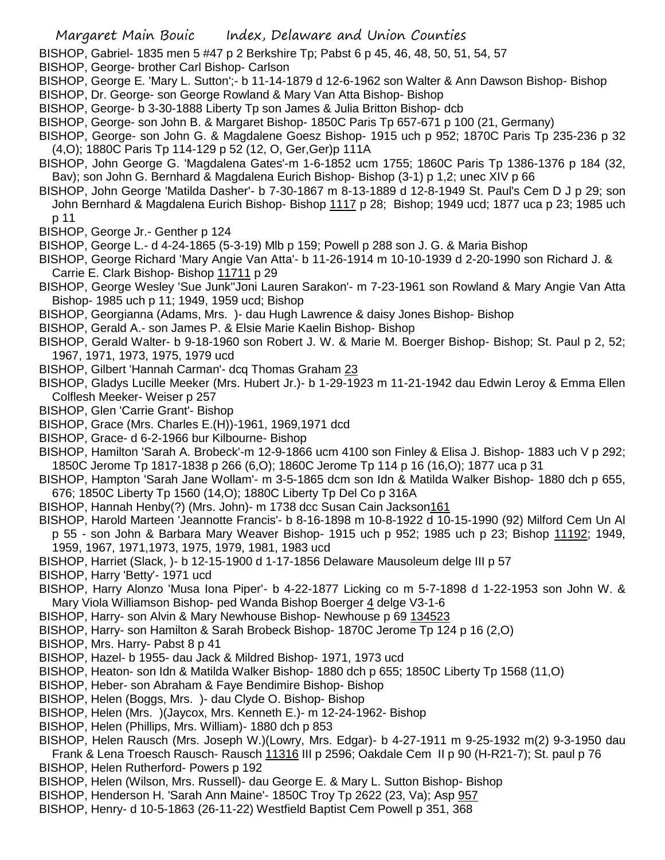- BISHOP, Gabriel- 1835 men 5 #47 p 2 Berkshire Tp; Pabst 6 p 45, 46, 48, 50, 51, 54, 57
- BISHOP, George- brother Carl Bishop- Carlson
- BISHOP, George E. 'Mary L. Sutton';- b 11-14-1879 d 12-6-1962 son Walter & Ann Dawson Bishop- Bishop
- BISHOP, Dr. George- son George Rowland & Mary Van Atta Bishop- Bishop
- BISHOP, George- b 3-30-1888 Liberty Tp son James & Julia Britton Bishop- dcb
- BISHOP, George- son John B. & Margaret Bishop- 1850C Paris Tp 657-671 p 100 (21, Germany)
- BISHOP, George- son John G. & Magdalene Goesz Bishop- 1915 uch p 952; 1870C Paris Tp 235-236 p 32 (4,O); 1880C Paris Tp 114-129 p 52 (12, O, Ger,Ger)p 111A
- BISHOP, John George G. 'Magdalena Gates'-m 1-6-1852 ucm 1755; 1860C Paris Tp 1386-1376 p 184 (32, Bav); son John G. Bernhard & Magdalena Eurich Bishop- Bishop (3-1) p 1,2; unec XIV p 66
- BISHOP, John George 'Matilda Dasher'- b 7-30-1867 m 8-13-1889 d 12-8-1949 St. Paul's Cem D J p 29; son John Bernhard & Magdalena Eurich Bishop- Bishop 1117 p 28; Bishop; 1949 ucd; 1877 uca p 23; 1985 uch p 11
- BISHOP, George Jr.- Genther p 124
- BISHOP, George L.- d 4-24-1865 (5-3-19) Mlb p 159; Powell p 288 son J. G. & Maria Bishop
- BISHOP, George Richard 'Mary Angie Van Atta'- b 11-26-1914 m 10-10-1939 d 2-20-1990 son Richard J. & Carrie E. Clark Bishop- Bishop 11711 p 29
- BISHOP, George Wesley 'Sue Junk''Joni Lauren Sarakon'- m 7-23-1961 son Rowland & Mary Angie Van Atta Bishop- 1985 uch p 11; 1949, 1959 ucd; Bishop
- BISHOP, Georgianna (Adams, Mrs. )- dau Hugh Lawrence & daisy Jones Bishop- Bishop
- BISHOP, Gerald A.- son James P. & Elsie Marie Kaelin Bishop- Bishop
- BISHOP, Gerald Walter- b 9-18-1960 son Robert J. W. & Marie M. Boerger Bishop- Bishop; St. Paul p 2, 52; 1967, 1971, 1973, 1975, 1979 ucd
- BISHOP, Gilbert 'Hannah Carman'- dcq Thomas Graham 23
- BISHOP, Gladys Lucille Meeker (Mrs. Hubert Jr.)- b 1-29-1923 m 11-21-1942 dau Edwin Leroy & Emma Ellen Colflesh Meeker- Weiser p 257
- BISHOP, Glen 'Carrie Grant'- Bishop
- BISHOP, Grace (Mrs. Charles E.(H))-1961, 1969,1971 dcd
- BISHOP, Grace- d 6-2-1966 bur Kilbourne- Bishop
- BISHOP, Hamilton 'Sarah A. Brobeck'-m 12-9-1866 ucm 4100 son Finley & Elisa J. Bishop- 1883 uch V p 292; 1850C Jerome Tp 1817-1838 p 266 (6,O); 1860C Jerome Tp 114 p 16 (16,O); 1877 uca p 31
- BISHOP, Hampton 'Sarah Jane Wollam'- m 3-5-1865 dcm son Idn & Matilda Walker Bishop- 1880 dch p 655, 676; 1850C Liberty Tp 1560 (14,O); 1880C Liberty Tp Del Co p 316A
- BISHOP, Hannah Henby(?) (Mrs. John)- m 1738 dcc Susan Cain Jackson 161
- BISHOP, Harold Marteen 'Jeannotte Francis'- b 8-16-1898 m 10-8-1922 d 10-15-1990 (92) Milford Cem Un Al p 55 - son John & Barbara Mary Weaver Bishop- 1915 uch p 952; 1985 uch p 23; Bishop 11192; 1949, 1959, 1967, 1971,1973, 1975, 1979, 1981, 1983 ucd
- BISHOP, Harriet (Slack, )- b 12-15-1900 d 1-17-1856 Delaware Mausoleum delge III p 57
- BISHOP, Harry 'Betty'- 1971 ucd
- BISHOP, Harry Alonzo 'Musa Iona Piper'- b 4-22-1877 Licking co m 5-7-1898 d 1-22-1953 son John W. & Mary Viola Williamson Bishop- ped Wanda Bishop Boerger 4 delge V3-1-6
- BISHOP, Harry- son Alvin & Mary Newhouse Bishop- Newhouse p 69 134523
- BISHOP, Harry- son Hamilton & Sarah Brobeck Bishop- 1870C Jerome Tp 124 p 16 (2,O)
- BISHOP, Mrs. Harry- Pabst 8 p 41
- BISHOP, Hazel- b 1955- dau Jack & Mildred Bishop- 1971, 1973 ucd
- BISHOP, Heaton- son Idn & Matilda Walker Bishop- 1880 dch p 655; 1850C Liberty Tp 1568 (11,O)
- BISHOP, Heber- son Abraham & Faye Bendimire Bishop- Bishop
- BISHOP, Helen (Boggs, Mrs. )- dau Clyde O. Bishop- Bishop
- BISHOP, Helen (Mrs. )(Jaycox, Mrs. Kenneth E.)- m 12-24-1962- Bishop
- BISHOP, Helen (Phillips, Mrs. William)- 1880 dch p 853
- BISHOP, Helen Rausch (Mrs. Joseph W.)(Lowry, Mrs. Edgar)- b 4-27-1911 m 9-25-1932 m(2) 9-3-1950 dau Frank & Lena Troesch Rausch- Rausch 11316 III p 2596; Oakdale Cem II p 90 (H-R21-7); St. paul p 76
- BISHOP, Helen Rutherford- Powers p 192
- BISHOP, Helen (Wilson, Mrs. Russell)- dau George E. & Mary L. Sutton Bishop- Bishop
- BISHOP, Henderson H. 'Sarah Ann Maine'- 1850C Troy Tp 2622 (23, Va); Asp 957
- BISHOP, Henry- d 10-5-1863 (26-11-22) Westfield Baptist Cem Powell p 351, 368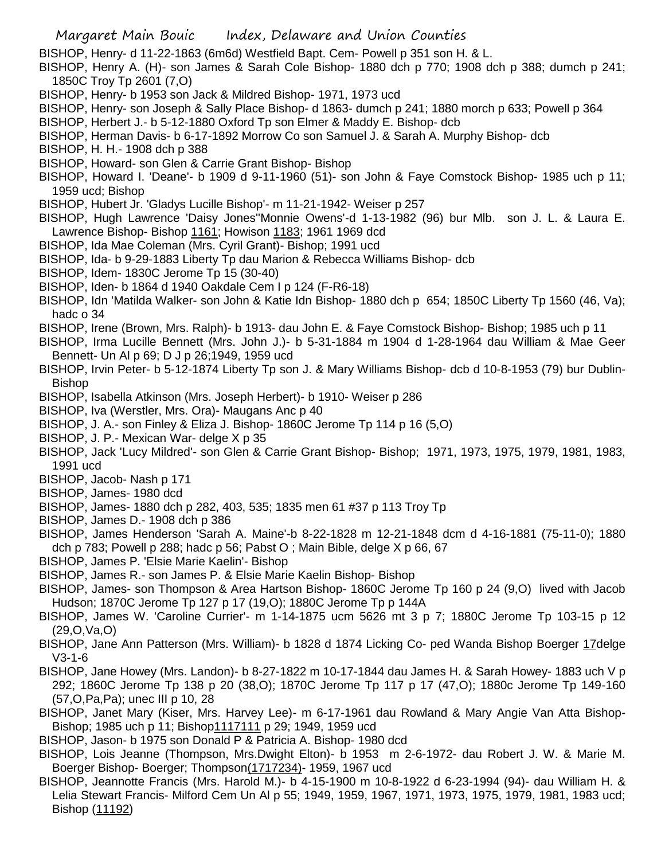BISHOP, Henry- d 11-22-1863 (6m6d) Westfield Bapt. Cem- Powell p 351 son H. & L.

BISHOP, Henry A. (H)- son James & Sarah Cole Bishop- 1880 dch p 770; 1908 dch p 388; dumch p 241; 1850C Troy Tp 2601 (7,O)

- BISHOP, Henry- b 1953 son Jack & Mildred Bishop- 1971, 1973 ucd
- BISHOP, Henry- son Joseph & Sally Place Bishop- d 1863- dumch p 241; 1880 morch p 633; Powell p 364
- BISHOP, Herbert J.- b 5-12-1880 Oxford Tp son Elmer & Maddy E. Bishop- dcb
- BISHOP, Herman Davis- b 6-17-1892 Morrow Co son Samuel J. & Sarah A. Murphy Bishop- dcb
- BISHOP, H. H.- 1908 dch p 388
- BISHOP, Howard- son Glen & Carrie Grant Bishop- Bishop
- BISHOP, Howard I. 'Deane'- b 1909 d 9-11-1960 (51)- son John & Faye Comstock Bishop- 1985 uch p 11; 1959 ucd; Bishop
- BISHOP, Hubert Jr. 'Gladys Lucille Bishop'- m 11-21-1942- Weiser p 257
- BISHOP, Hugh Lawrence 'Daisy Jones''Monnie Owens'-d 1-13-1982 (96) bur Mlb. son J. L. & Laura E. Lawrence Bishop- Bishop 1161; Howison 1183; 1961 1969 dcd
- BISHOP, Ida Mae Coleman (Mrs. Cyril Grant)- Bishop; 1991 ucd
- BISHOP, Ida- b 9-29-1883 Liberty Tp dau Marion & Rebecca Williams Bishop- dcb
- BISHOP, Idem- 1830C Jerome Tp 15 (30-40)
- BISHOP, Iden- b 1864 d 1940 Oakdale Cem I p 124 (F-R6-18)
- BISHOP, Idn 'Matilda Walker- son John & Katie Idn Bishop- 1880 dch p 654; 1850C Liberty Tp 1560 (46, Va); hadc o 34
- BISHOP, Irene (Brown, Mrs. Ralph)- b 1913- dau John E. & Faye Comstock Bishop- Bishop; 1985 uch p 11
- BISHOP, Irma Lucille Bennett (Mrs. John J.)- b 5-31-1884 m 1904 d 1-28-1964 dau William & Mae Geer Bennett- Un Al p 69; D J p 26;1949, 1959 ucd
- BISHOP, Irvin Peter- b 5-12-1874 Liberty Tp son J. & Mary Williams Bishop- dcb d 10-8-1953 (79) bur Dublin-Bishop
- BISHOP, Isabella Atkinson (Mrs. Joseph Herbert)- b 1910- Weiser p 286
- BISHOP, Iva (Werstler, Mrs. Ora)- Maugans Anc p 40
- BISHOP, J. A.- son Finley & Eliza J. Bishop- 1860C Jerome Tp 114 p 16 (5,O)
- BISHOP, J. P.- Mexican War- delge X p 35
- BISHOP, Jack 'Lucy Mildred'- son Glen & Carrie Grant Bishop- Bishop; 1971, 1973, 1975, 1979, 1981, 1983, 1991 ucd
- BISHOP, Jacob- Nash p 171
- BISHOP, James- 1980 dcd
- BISHOP, James- 1880 dch p 282, 403, 535; 1835 men 61 #37 p 113 Troy Tp
- BISHOP, James D.- 1908 dch p 386
- BISHOP, James Henderson 'Sarah A. Maine'-b 8-22-1828 m 12-21-1848 dcm d 4-16-1881 (75-11-0); 1880 dch p 783; Powell p 288; hadc p 56; Pabst O ; Main Bible, delge X p 66, 67
- BISHOP, James P. 'Elsie Marie Kaelin'- Bishop
- BISHOP, James R.- son James P. & Elsie Marie Kaelin Bishop- Bishop
- BISHOP, James- son Thompson & Area Hartson Bishop- 1860C Jerome Tp 160 p 24 (9,O) lived with Jacob Hudson; 1870C Jerome Tp 127 p 17 (19,O); 1880C Jerome Tp p 144A
- BISHOP, James W. 'Caroline Currier'- m 1-14-1875 ucm 5626 mt 3 p 7; 1880C Jerome Tp 103-15 p 12 (29,O,Va,O)
- BISHOP, Jane Ann Patterson (Mrs. William)- b 1828 d 1874 Licking Co- ped Wanda Bishop Boerger 17delge V3-1-6
- BISHOP, Jane Howey (Mrs. Landon)- b 8-27-1822 m 10-17-1844 dau James H. & Sarah Howey- 1883 uch V p 292; 1860C Jerome Tp 138 p 20 (38,O); 1870C Jerome Tp 117 p 17 (47,O); 1880c Jerome Tp 149-160 (57,O,Pa,Pa); unec III p 10, 28
- BISHOP, Janet Mary (Kiser, Mrs. Harvey Lee)- m 6-17-1961 dau Rowland & Mary Angie Van Atta Bishop-Bishop; 1985 uch p 11; Bishop1117111 p 29; 1949, 1959 ucd
- BISHOP, Jason- b 1975 son Donald P & Patricia A. Bishop- 1980 dcd
- BISHOP, Lois Jeanne (Thompson, Mrs.Dwight Elton)- b 1953 m 2-6-1972- dau Robert J. W. & Marie M. Boerger Bishop- Boerger; Thompson(1717234)- 1959, 1967 ucd
- BISHOP, Jeannotte Francis (Mrs. Harold M.)- b 4-15-1900 m 10-8-1922 d 6-23-1994 (94)- dau William H. & Lelia Stewart Francis- Milford Cem Un Al p 55; 1949, 1959, 1967, 1971, 1973, 1975, 1979, 1981, 1983 ucd; Bishop (11192)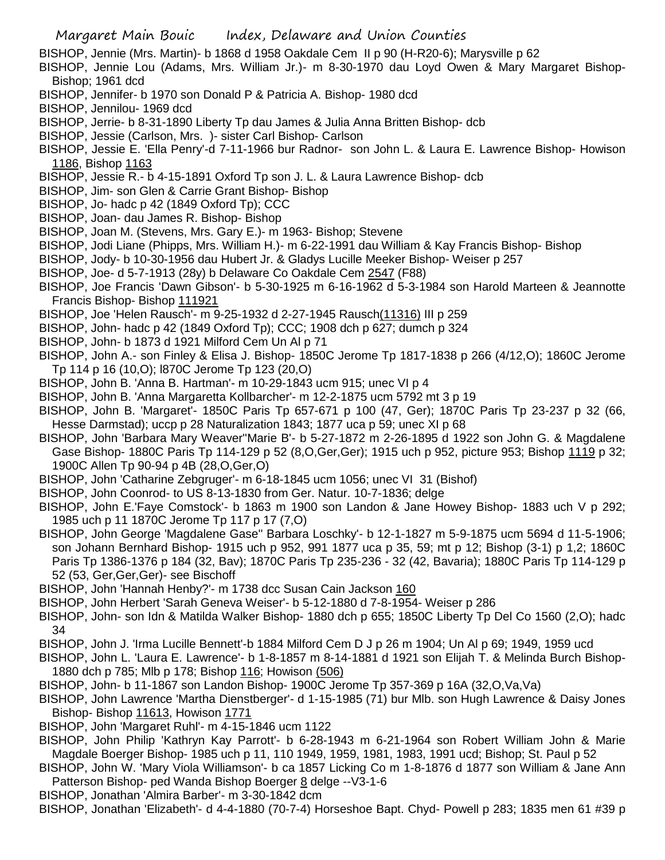BISHOP, Jennie (Mrs. Martin)- b 1868 d 1958 Oakdale Cem II p 90 (H-R20-6); Marysville p 62

- BISHOP, Jennie Lou (Adams, Mrs. William Jr.)- m 8-30-1970 dau Loyd Owen & Mary Margaret Bishop-Bishop; 1961 dcd
- BISHOP, Jennifer- b 1970 son Donald P & Patricia A. Bishop- 1980 dcd
- BISHOP, Jennilou- 1969 dcd
- BISHOP, Jerrie- b 8-31-1890 Liberty Tp dau James & Julia Anna Britten Bishop- dcb
- BISHOP, Jessie (Carlson, Mrs. )- sister Carl Bishop- Carlson
- BISHOP, Jessie E. 'Ella Penry'-d 7-11-1966 bur Radnor- son John L. & Laura E. Lawrence Bishop- Howison 1186, Bishop 1163
- BISHOP, Jessie R.- b 4-15-1891 Oxford Tp son J. L. & Laura Lawrence Bishop- dcb
- BISHOP, Jim- son Glen & Carrie Grant Bishop- Bishop
- BISHOP, Jo- hadc p 42 (1849 Oxford Tp); CCC
- BISHOP, Joan- dau James R. Bishop- Bishop
- BISHOP, Joan M. (Stevens, Mrs. Gary E.)- m 1963- Bishop; Stevene
- BISHOP, Jodi Liane (Phipps, Mrs. William H.)- m 6-22-1991 dau William & Kay Francis Bishop- Bishop
- BISHOP, Jody- b 10-30-1956 dau Hubert Jr. & Gladys Lucille Meeker Bishop- Weiser p 257
- BISHOP, Joe- d 5-7-1913 (28y) b Delaware Co Oakdale Cem 2547 (F88)
- BISHOP, Joe Francis 'Dawn Gibson'- b 5-30-1925 m 6-16-1962 d 5-3-1984 son Harold Marteen & Jeannotte Francis Bishop- Bishop 111921
- BISHOP, Joe 'Helen Rausch'- m 9-25-1932 d 2-27-1945 Rausch(11316) III p 259
- BISHOP, John- hadc p 42 (1849 Oxford Tp); CCC; 1908 dch p 627; dumch p 324
- BISHOP, John- b 1873 d 1921 Milford Cem Un Al p 71
- BISHOP, John A.- son Finley & Elisa J. Bishop- 1850C Jerome Tp 1817-1838 p 266 (4/12,O); 1860C Jerome Tp 114 p 16 (10,O); l870C Jerome Tp 123 (20,O)
- BISHOP, John B. 'Anna B. Hartman'- m 10-29-1843 ucm 915; unec VI p 4
- BISHOP, John B. 'Anna Margaretta Kollbarcher'- m 12-2-1875 ucm 5792 mt 3 p 19
- BISHOP, John B. 'Margaret'- 1850C Paris Tp 657-671 p 100 (47, Ger); 1870C Paris Tp 23-237 p 32 (66, Hesse Darmstad); uccp p 28 Naturalization 1843; 1877 uca p 59; unec XI p 68
- BISHOP, John 'Barbara Mary Weaver''Marie B'- b 5-27-1872 m 2-26-1895 d 1922 son John G. & Magdalene Gase Bishop- 1880C Paris Tp 114-129 p 52 (8,O,Ger,Ger); 1915 uch p 952, picture 953; Bishop 1119 p 32; 1900C Allen Tp 90-94 p 4B (28,O,Ger,O)
- BISHOP, John 'Catharine Zebgruger'- m 6-18-1845 ucm 1056; unec VI 31 (Bishof)
- BISHOP, John Coonrod- to US 8-13-1830 from Ger. Natur. 10-7-1836; delge
- BISHOP, John E.'Faye Comstock'- b 1863 m 1900 son Landon & Jane Howey Bishop- 1883 uch V p 292; 1985 uch p 11 1870C Jerome Tp 117 p 17 (7,O)
- BISHOP, John George 'Magdalene Gase'' Barbara Loschky'- b 12-1-1827 m 5-9-1875 ucm 5694 d 11-5-1906; son Johann Bernhard Bishop- 1915 uch p 952, 991 1877 uca p 35, 59; mt p 12; Bishop (3-1) p 1,2; 1860C Paris Tp 1386-1376 p 184 (32, Bav); 1870C Paris Tp 235-236 - 32 (42, Bavaria); 1880C Paris Tp 114-129 p 52 (53, Ger,Ger,Ger)- see Bischoff
- BISHOP, John 'Hannah Henby?'- m 1738 dcc Susan Cain Jackson 160
- BISHOP, John Herbert 'Sarah Geneva Weiser'- b 5-12-1880 d 7-8-1954- Weiser p 286
- BISHOP, John- son Idn & Matilda Walker Bishop- 1880 dch p 655; 1850C Liberty Tp Del Co 1560 (2,O); hadc 34
- BISHOP, John J. 'Irma Lucille Bennett'-b 1884 Milford Cem D J p 26 m 1904; Un Al p 69; 1949, 1959 ucd
- BISHOP, John L. 'Laura E. Lawrence'- b 1-8-1857 m 8-14-1881 d 1921 son Elijah T. & Melinda Burch Bishop-1880 dch p 785; Mlb p 178; Bishop 116; Howison (506)
- BISHOP, John- b 11-1867 son Landon Bishop- 1900C Jerome Tp 357-369 p 16A (32,O,Va,Va)
- BISHOP, John Lawrence 'Martha Dienstberger'- d 1-15-1985 (71) bur Mlb. son Hugh Lawrence & Daisy Jones Bishop- Bishop 11613, Howison 1771
- BISHOP, John 'Margaret Ruhl'- m 4-15-1846 ucm 1122
- BISHOP, John Philip 'Kathryn Kay Parrott'- b 6-28-1943 m 6-21-1964 son Robert William John & Marie Magdale Boerger Bishop- 1985 uch p 11, 110 1949, 1959, 1981, 1983, 1991 ucd; Bishop; St. Paul p 52
- BISHOP, John W. 'Mary Viola Williamson'- b ca 1857 Licking Co m 1-8-1876 d 1877 son William & Jane Ann Patterson Bishop- ped Wanda Bishop Boerger 8 delge --V3-1-6
- BISHOP, Jonathan 'Almira Barber'- m 3-30-1842 dcm

BISHOP, Jonathan 'Elizabeth'- d 4-4-1880 (70-7-4) Horseshoe Bapt. Chyd- Powell p 283; 1835 men 61 #39 p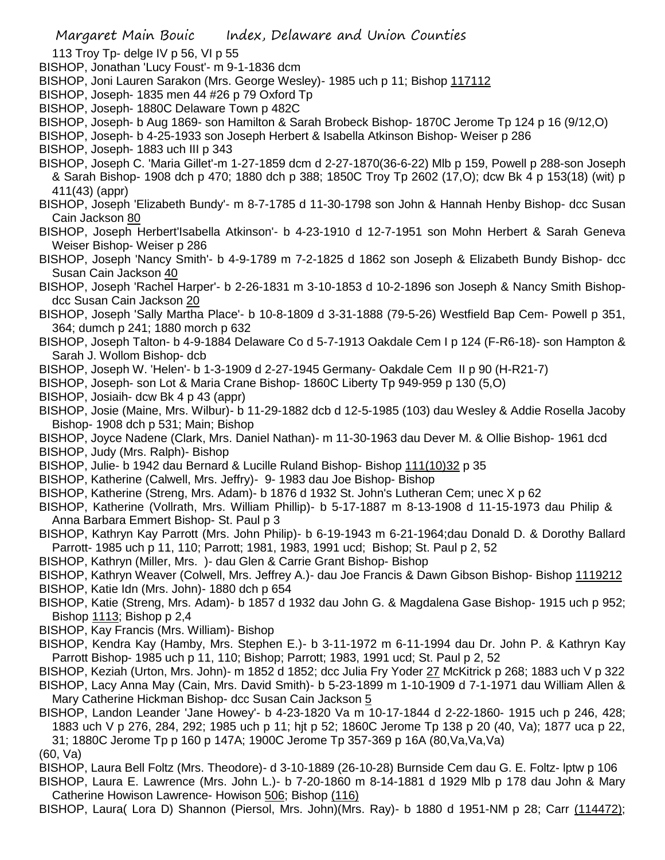Margaret Main Bouic Index, Delaware and Union Counties

- 113 Troy Tp- delge IV p 56, VI p 55
- BISHOP, Jonathan 'Lucy Foust'- m 9-1-1836 dcm
- BISHOP, Joni Lauren Sarakon (Mrs. George Wesley)- 1985 uch p 11; Bishop 117112
- BISHOP, Joseph- 1835 men 44 #26 p 79 Oxford Tp
- BISHOP, Joseph- 1880C Delaware Town p 482C
- BISHOP, Joseph- b Aug 1869- son Hamilton & Sarah Brobeck Bishop- 1870C Jerome Tp 124 p 16 (9/12,O)
- BISHOP, Joseph- b 4-25-1933 son Joseph Herbert & Isabella Atkinson Bishop- Weiser p 286
- BISHOP, Joseph- 1883 uch III p 343
- BISHOP, Joseph C. 'Maria Gillet'-m 1-27-1859 dcm d 2-27-1870(36-6-22) Mlb p 159, Powell p 288-son Joseph & Sarah Bishop- 1908 dch p 470; 1880 dch p 388; 1850C Troy Tp 2602 (17,O); dcw Bk 4 p 153(18) (wit) p 411(43) (appr)
- BISHOP, Joseph 'Elizabeth Bundy'- m 8-7-1785 d 11-30-1798 son John & Hannah Henby Bishop- dcc Susan Cain Jackson 80
- BISHOP, Joseph Herbert'Isabella Atkinson'- b 4-23-1910 d 12-7-1951 son Mohn Herbert & Sarah Geneva Weiser Bishop- Weiser p 286
- BISHOP, Joseph 'Nancy Smith'- b 4-9-1789 m 7-2-1825 d 1862 son Joseph & Elizabeth Bundy Bishop- dcc Susan Cain Jackson 40
- BISHOP, Joseph 'Rachel Harper'- b 2-26-1831 m 3-10-1853 d 10-2-1896 son Joseph & Nancy Smith Bishopdcc Susan Cain Jackson 20
- BISHOP, Joseph 'Sally Martha Place'- b 10-8-1809 d 3-31-1888 (79-5-26) Westfield Bap Cem- Powell p 351, 364; dumch p 241; 1880 morch p 632
- BISHOP, Joseph Talton- b 4-9-1884 Delaware Co d 5-7-1913 Oakdale Cem I p 124 (F-R6-18)- son Hampton & Sarah J. Wollom Bishop- dcb
- BISHOP, Joseph W. 'Helen'- b 1-3-1909 d 2-27-1945 Germany- Oakdale Cem II p 90 (H-R21-7)
- BISHOP, Joseph- son Lot & Maria Crane Bishop- 1860C Liberty Tp 949-959 p 130 (5,O)
- BISHOP, Josiaih- dcw Bk 4 p 43 (appr)
- BISHOP, Josie (Maine, Mrs. Wilbur)- b 11-29-1882 dcb d 12-5-1985 (103) dau Wesley & Addie Rosella Jacoby Bishop- 1908 dch p 531; Main; Bishop
- BISHOP, Joyce Nadene (Clark, Mrs. Daniel Nathan)- m 11-30-1963 dau Dever M. & Ollie Bishop- 1961 dcd BISHOP, Judy (Mrs. Ralph)- Bishop
- BISHOP, Julie- b 1942 dau Bernard & Lucille Ruland Bishop- Bishop 111(10)32 p 35
- BISHOP, Katherine (Calwell, Mrs. Jeffry)- 9- 1983 dau Joe Bishop- Bishop
- BISHOP, Katherine (Streng, Mrs. Adam)- b 1876 d 1932 St. John's Lutheran Cem; unec X p 62
- BISHOP, Katherine (Vollrath, Mrs. William Phillip)- b 5-17-1887 m 8-13-1908 d 11-15-1973 dau Philip & Anna Barbara Emmert Bishop- St. Paul p 3
- BISHOP, Kathryn Kay Parrott (Mrs. John Philip)- b 6-19-1943 m 6-21-1964;dau Donald D. & Dorothy Ballard Parrott- 1985 uch p 11, 110; Parrott; 1981, 1983, 1991 ucd; Bishop; St. Paul p 2, 52
- BISHOP, Kathryn (Miller, Mrs. )- dau Glen & Carrie Grant Bishop- Bishop
- BISHOP, Kathryn Weaver (Colwell, Mrs. Jeffrey A.)- dau Joe Francis & Dawn Gibson Bishop- Bishop 1119212 BISHOP, Katie Idn (Mrs. John)- 1880 dch p 654
- BISHOP, Katie (Streng, Mrs. Adam)- b 1857 d 1932 dau John G. & Magdalena Gase Bishop- 1915 uch p 952; Bishop 1113; Bishop p 2,4
- BISHOP, Kay Francis (Mrs. William)- Bishop
- BISHOP, Kendra Kay (Hamby, Mrs. Stephen E.)- b 3-11-1972 m 6-11-1994 dau Dr. John P. & Kathryn Kay Parrott Bishop- 1985 uch p 11, 110; Bishop; Parrott; 1983, 1991 ucd; St. Paul p 2, 52
- BISHOP, Keziah (Urton, Mrs. John)- m 1852 d 1852; dcc Julia Fry Yoder 27 McKitrick p 268; 1883 uch V p 322 BISHOP, Lacy Anna May (Cain, Mrs. David Smith)- b 5-23-1899 m 1-10-1909 d 7-1-1971 dau William Allen & Mary Catherine Hickman Bishop- dcc Susan Cain Jackson 5

BISHOP, Landon Leander 'Jane Howey'- b 4-23-1820 Va m 10-17-1844 d 2-22-1860- 1915 uch p 246, 428; 1883 uch V p 276, 284, 292; 1985 uch p 11; hjt p 52; 1860C Jerome Tp 138 p 20 (40, Va); 1877 uca p 22, 31; 1880C Jerome Tp p 160 p 147A; 1900C Jerome Tp 357-369 p 16A (80,Va,Va,Va) (60, Va)

BISHOP, Laura Bell Foltz (Mrs. Theodore)- d 3-10-1889 (26-10-28) Burnside Cem dau G. E. Foltz- lptw p 106 BISHOP, Laura E. Lawrence (Mrs. John L.)- b 7-20-1860 m 8-14-1881 d 1929 Mlb p 178 dau John & Mary Catherine Howison Lawrence- Howison 506; Bishop (116)

BISHOP, Laura( Lora D) Shannon (Piersol, Mrs. John)(Mrs. Ray)- b 1880 d 1951-NM p 28; Carr (114472);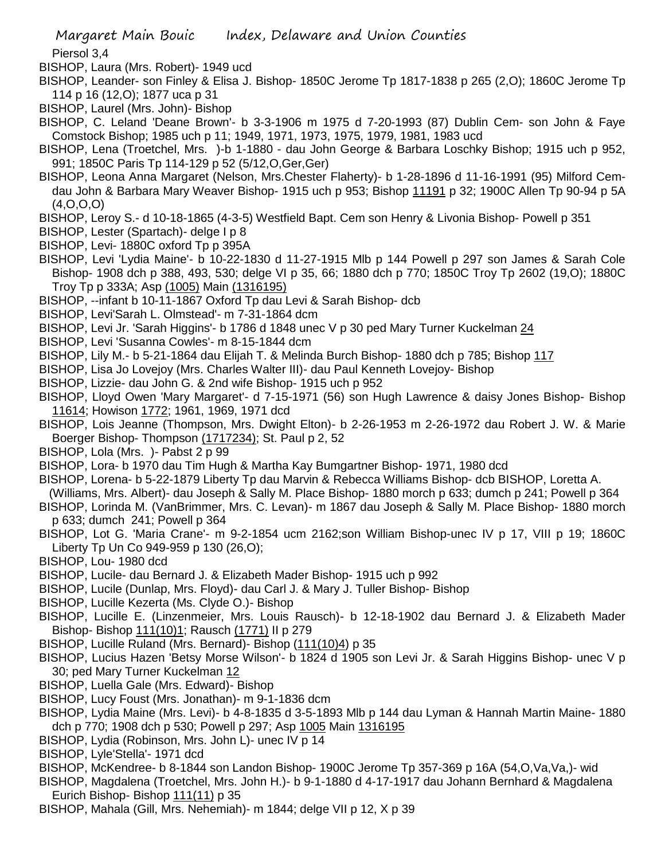Piersol 3,4

BISHOP, Laura (Mrs. Robert)- 1949 ucd

BISHOP, Leander- son Finley & Elisa J. Bishop- 1850C Jerome Tp 1817-1838 p 265 (2,O); 1860C Jerome Tp 114 p 16 (12,O); 1877 uca p 31

BISHOP, Laurel (Mrs. John)- Bishop

BISHOP, C. Leland 'Deane Brown'- b 3-3-1906 m 1975 d 7-20-1993 (87) Dublin Cem- son John & Faye Comstock Bishop; 1985 uch p 11; 1949, 1971, 1973, 1975, 1979, 1981, 1983 ucd

BISHOP, Lena (Troetchel, Mrs. )-b 1-1880 - dau John George & Barbara Loschky Bishop; 1915 uch p 952, 991; 1850C Paris Tp 114-129 p 52 (5/12,O,Ger,Ger)

- BISHOP, Leona Anna Margaret (Nelson, Mrs.Chester Flaherty)- b 1-28-1896 d 11-16-1991 (95) Milford Cemdau John & Barbara Mary Weaver Bishop- 1915 uch p 953; Bishop 11191 p 32; 1900C Allen Tp 90-94 p 5A (4,O,O,O)
- BISHOP, Leroy S.- d 10-18-1865 (4-3-5) Westfield Bapt. Cem son Henry & Livonia Bishop- Powell p 351
- BISHOP, Lester (Spartach)- delge I p 8
- BISHOP, Levi- 1880C oxford Tp p 395A
- BISHOP, Levi 'Lydia Maine'- b 10-22-1830 d 11-27-1915 Mlb p 144 Powell p 297 son James & Sarah Cole Bishop- 1908 dch p 388, 493, 530; delge VI p 35, 66; 1880 dch p 770; 1850C Troy Tp 2602 (19,O); 1880C Troy Tp p 333A; Asp (1005) Main (1316195)
- BISHOP, --infant b 10-11-1867 Oxford Tp dau Levi & Sarah Bishop- dcb
- BISHOP, Levi'Sarah L. Olmstead'- m 7-31-1864 dcm
- BISHOP, Levi Jr. 'Sarah Higgins'- b 1786 d 1848 unec V p 30 ped Mary Turner Kuckelman 24
- BISHOP, Levi 'Susanna Cowles'- m 8-15-1844 dcm
- BISHOP, Lily M.- b 5-21-1864 dau Elijah T. & Melinda Burch Bishop- 1880 dch p 785; Bishop 117
- BISHOP, Lisa Jo Lovejoy (Mrs. Charles Walter III)- dau Paul Kenneth Lovejoy- Bishop
- BISHOP, Lizzie- dau John G. & 2nd wife Bishop- 1915 uch p 952
- BISHOP, Lloyd Owen 'Mary Margaret'- d 7-15-1971 (56) son Hugh Lawrence & daisy Jones Bishop- Bishop 11614; Howison 1772; 1961, 1969, 1971 dcd
- BISHOP, Lois Jeanne (Thompson, Mrs. Dwight Elton)- b 2-26-1953 m 2-26-1972 dau Robert J. W. & Marie Boerger Bishop- Thompson (1717234); St. Paul p 2, 52
- BISHOP, Lola (Mrs. )- Pabst 2 p 99
- BISHOP, Lora- b 1970 dau Tim Hugh & Martha Kay Bumgartner Bishop- 1971, 1980 dcd
- BISHOP, Lorena- b 5-22-1879 Liberty Tp dau Marvin & Rebecca Williams Bishop- dcb BISHOP, Loretta A.
- (Williams, Mrs. Albert)- dau Joseph & Sally M. Place Bishop- 1880 morch p 633; dumch p 241; Powell p 364
- BISHOP, Lorinda M. (VanBrimmer, Mrs. C. Levan)- m 1867 dau Joseph & Sally M. Place Bishop- 1880 morch p 633; dumch 241; Powell p 364
- BISHOP, Lot G. 'Maria Crane'- m 9-2-1854 ucm 2162;son William Bishop-unec IV p 17, VIII p 19; 1860C Liberty Tp Un Co 949-959 p 130 (26,O);
- BISHOP, Lou- 1980 dcd
- BISHOP, Lucile- dau Bernard J. & Elizabeth Mader Bishop- 1915 uch p 992
- BISHOP, Lucile (Dunlap, Mrs. Floyd)- dau Carl J. & Mary J. Tuller Bishop- Bishop
- BISHOP, Lucille Kezerta (Ms. Clyde O.)- Bishop
- BISHOP, Lucille E. (Linzenmeier, Mrs. Louis Rausch)- b 12-18-1902 dau Bernard J. & Elizabeth Mader Bishop- Bishop 111(10)1; Rausch (1771) II p 279
- BISHOP, Lucille Ruland (Mrs. Bernard)- Bishop (111(10)4) p 35
- BISHOP, Lucius Hazen 'Betsy Morse Wilson'- b 1824 d 1905 son Levi Jr. & Sarah Higgins Bishop- unec V p 30; ped Mary Turner Kuckelman 12
- BISHOP, Luella Gale (Mrs. Edward)- Bishop
- BISHOP, Lucy Foust (Mrs. Jonathan)- m 9-1-1836 dcm
- BISHOP, Lydia Maine (Mrs. Levi)- b 4-8-1835 d 3-5-1893 Mlb p 144 dau Lyman & Hannah Martin Maine- 1880 dch p 770; 1908 dch p 530; Powell p 297; Asp 1005 Main 1316195
- BISHOP, Lydia (Robinson, Mrs. John L)- unec IV p 14
- BISHOP, Lyle'Stella'- 1971 dcd
- BISHOP, McKendree- b 8-1844 son Landon Bishop- 1900C Jerome Tp 357-369 p 16A (54,O,Va,Va,)- wid

BISHOP, Magdalena (Troetchel, Mrs. John H.)- b 9-1-1880 d 4-17-1917 dau Johann Bernhard & Magdalena Eurich Bishop- Bishop 111(11) p 35

BISHOP, Mahala (Gill, Mrs. Nehemiah)- m 1844; delge VII p 12, X p 39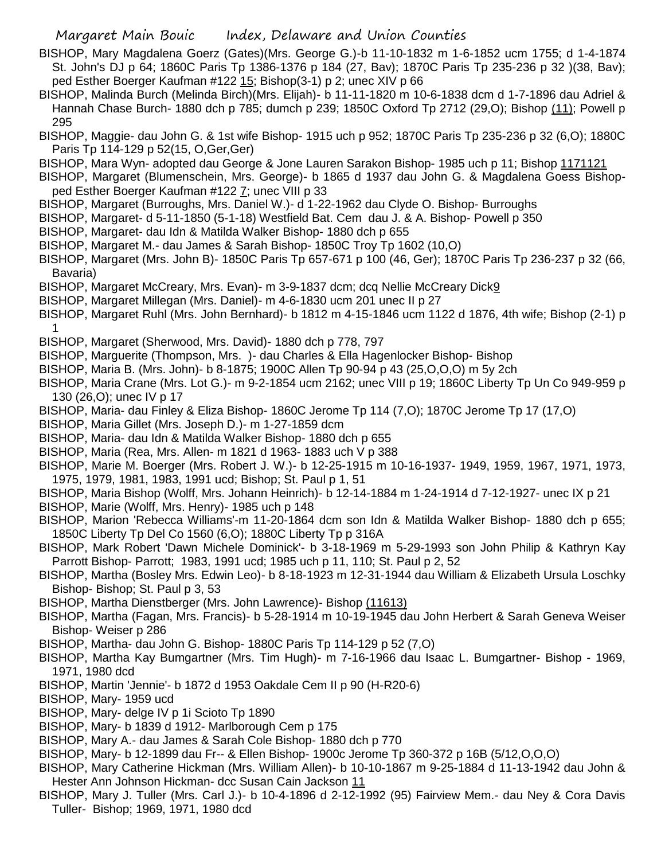- BISHOP, Mary Magdalena Goerz (Gates)(Mrs. George G.)-b 11-10-1832 m 1-6-1852 ucm 1755; d 1-4-1874 St. John's DJ p 64; 1860C Paris Tp 1386-1376 p 184 (27, Bav); 1870C Paris Tp 235-236 p 32 )(38, Bav); ped Esther Boerger Kaufman #122 15; Bishop(3-1) p 2; unec XIV p 66
- BISHOP, Malinda Burch (Melinda Birch)(Mrs. Elijah)- b 11-11-1820 m 10-6-1838 dcm d 1-7-1896 dau Adriel & Hannah Chase Burch- 1880 dch p 785; dumch p 239; 1850C Oxford Tp 2712 (29,O); Bishop (11); Powell p 295
- BISHOP, Maggie- dau John G. & 1st wife Bishop- 1915 uch p 952; 1870C Paris Tp 235-236 p 32 (6,O); 1880C Paris Tp 114-129 p 52(15, O,Ger,Ger)
- BISHOP, Mara Wyn- adopted dau George & Jone Lauren Sarakon Bishop- 1985 uch p 11; Bishop 1171121
- BISHOP, Margaret (Blumenschein, Mrs. George)- b 1865 d 1937 dau John G. & Magdalena Goess Bishopped Esther Boerger Kaufman #122 7; unec VIII p 33
- BISHOP, Margaret (Burroughs, Mrs. Daniel W.)- d 1-22-1962 dau Clyde O. Bishop- Burroughs
- BISHOP, Margaret- d 5-11-1850 (5-1-18) Westfield Bat. Cem dau J. & A. Bishop- Powell p 350
- BISHOP, Margaret- dau Idn & Matilda Walker Bishop- 1880 dch p 655
- BISHOP, Margaret M.- dau James & Sarah Bishop- 1850C Troy Tp 1602 (10,O)
- BISHOP, Margaret (Mrs. John B)- 1850C Paris Tp 657-671 p 100 (46, Ger); 1870C Paris Tp 236-237 p 32 (66, Bavaria)
- BISHOP, Margaret McCreary, Mrs. Evan)- m 3-9-1837 dcm; dcq Nellie McCreary Dick9
- BISHOP, Margaret Millegan (Mrs. Daniel)- m 4-6-1830 ucm 201 unec II p 27
- BISHOP, Margaret Ruhl (Mrs. John Bernhard)- b 1812 m 4-15-1846 ucm 1122 d 1876, 4th wife; Bishop (2-1) p 1
- BISHOP, Margaret (Sherwood, Mrs. David)- 1880 dch p 778, 797
- BISHOP, Marguerite (Thompson, Mrs. )- dau Charles & Ella Hagenlocker Bishop- Bishop
- BISHOP, Maria B. (Mrs. John)- b 8-1875; 1900C Allen Tp 90-94 p 43 (25,O,O,O) m 5y 2ch
- BISHOP, Maria Crane (Mrs. Lot G.)- m 9-2-1854 ucm 2162; unec VIII p 19; 1860C Liberty Tp Un Co 949-959 p 130 (26,O); unec IV p 17
- BISHOP, Maria- dau Finley & Eliza Bishop- 1860C Jerome Tp 114 (7,O); 1870C Jerome Tp 17 (17,O)
- BISHOP, Maria Gillet (Mrs. Joseph D.)- m 1-27-1859 dcm
- BISHOP, Maria- dau Idn & Matilda Walker Bishop- 1880 dch p 655
- BISHOP, Maria (Rea, Mrs. Allen- m 1821 d 1963- 1883 uch V p 388
- BISHOP, Marie M. Boerger (Mrs. Robert J. W.)- b 12-25-1915 m 10-16-1937- 1949, 1959, 1967, 1971, 1973, 1975, 1979, 1981, 1983, 1991 ucd; Bishop; St. Paul p 1, 51
- BISHOP, Maria Bishop (Wolff, Mrs. Johann Heinrich)- b 12-14-1884 m 1-24-1914 d 7-12-1927- unec IX p 21
- BISHOP, Marie (Wolff, Mrs. Henry)- 1985 uch p 148
- BISHOP, Marion 'Rebecca Williams'-m 11-20-1864 dcm son Idn & Matilda Walker Bishop- 1880 dch p 655; 1850C Liberty Tp Del Co 1560 (6,O); 1880C Liberty Tp p 316A
- BISHOP, Mark Robert 'Dawn Michele Dominick'- b 3-18-1969 m 5-29-1993 son John Philip & Kathryn Kay Parrott Bishop- Parrott; 1983, 1991 ucd; 1985 uch p 11, 110; St. Paul p 2, 52
- BISHOP, Martha (Bosley Mrs. Edwin Leo)- b 8-18-1923 m 12-31-1944 dau William & Elizabeth Ursula Loschky Bishop- Bishop; St. Paul p 3, 53
- BISHOP, Martha Dienstberger (Mrs. John Lawrence)- Bishop (11613)
- BISHOP, Martha (Fagan, Mrs. Francis)- b 5-28-1914 m 10-19-1945 dau John Herbert & Sarah Geneva Weiser Bishop- Weiser p 286
- BISHOP, Martha- dau John G. Bishop- 1880C Paris Tp 114-129 p 52 (7,O)
- BISHOP, Martha Kay Bumgartner (Mrs. Tim Hugh)- m 7-16-1966 dau Isaac L. Bumgartner- Bishop 1969, 1971, 1980 dcd
- BISHOP, Martin 'Jennie'- b 1872 d 1953 Oakdale Cem II p 90 (H-R20-6)
- BISHOP, Mary- 1959 ucd
- BISHOP, Mary- delge IV p 1i Scioto Tp 1890
- BISHOP, Mary- b 1839 d 1912- Marlborough Cem p 175
- BISHOP, Mary A.- dau James & Sarah Cole Bishop- 1880 dch p 770
- BISHOP, Mary- b 12-1899 dau Fr-- & Ellen Bishop- 1900c Jerome Tp 360-372 p 16B (5/12,O,O,O)
- BISHOP, Mary Catherine Hickman (Mrs. William Allen)- b 10-10-1867 m 9-25-1884 d 11-13-1942 dau John & Hester Ann Johnson Hickman- dcc Susan Cain Jackson 11
- BISHOP, Mary J. Tuller (Mrs. Carl J.)- b 10-4-1896 d 2-12-1992 (95) Fairview Mem.- dau Ney & Cora Davis Tuller- Bishop; 1969, 1971, 1980 dcd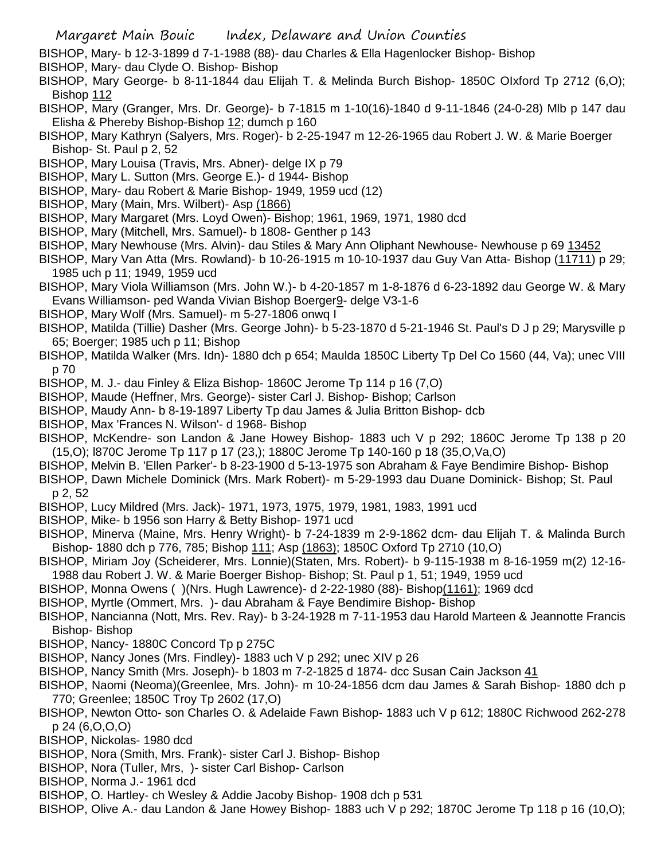- BISHOP, Mary- b 12-3-1899 d 7-1-1988 (88)- dau Charles & Ella Hagenlocker Bishop- Bishop
- BISHOP, Mary- dau Clyde O. Bishop- Bishop
- BISHOP, Mary George- b 8-11-1844 dau Elijah T. & Melinda Burch Bishop- 1850C OIxford Tp 2712 (6,O); Bishop 112
- BISHOP, Mary (Granger, Mrs. Dr. George)- b 7-1815 m 1-10(16)-1840 d 9-11-1846 (24-0-28) Mlb p 147 dau Elisha & Phereby Bishop-Bishop 12; dumch p 160
- BISHOP, Mary Kathryn (Salyers, Mrs. Roger)- b 2-25-1947 m 12-26-1965 dau Robert J. W. & Marie Boerger Bishop- St. Paul p 2, 52
- BISHOP, Mary Louisa (Travis, Mrs. Abner)- delge IX p 79
- BISHOP, Mary L. Sutton (Mrs. George E.)- d 1944- Bishop
- BISHOP, Mary- dau Robert & Marie Bishop- 1949, 1959 ucd (12)
- BISHOP, Mary (Main, Mrs. Wilbert)- Asp (1866)
- BISHOP, Mary Margaret (Mrs. Loyd Owen)- Bishop; 1961, 1969, 1971, 1980 dcd
- BISHOP, Mary (Mitchell, Mrs. Samuel)- b 1808- Genther p 143
- BISHOP, Mary Newhouse (Mrs. Alvin)- dau Stiles & Mary Ann Oliphant Newhouse- Newhouse p 69 13452
- BISHOP, Mary Van Atta (Mrs. Rowland)- b 10-26-1915 m 10-10-1937 dau Guy Van Atta- Bishop (11711) p 29; 1985 uch p 11; 1949, 1959 ucd
- BISHOP, Mary Viola Williamson (Mrs. John W.)- b 4-20-1857 m 1-8-1876 d 6-23-1892 dau George W. & Mary Evans Williamson- ped Wanda Vivian Bishop Boerger9- delge V3-1-6
- BISHOP, Mary Wolf (Mrs. Samuel)- m 5-27-1806 onwq I
- BISHOP, Matilda (Tillie) Dasher (Mrs. George John)- b 5-23-1870 d 5-21-1946 St. Paul's D J p 29; Marysville p 65; Boerger; 1985 uch p 11; Bishop
- BISHOP, Matilda Walker (Mrs. Idn)- 1880 dch p 654; Maulda 1850C Liberty Tp Del Co 1560 (44, Va); unec VIII p 70
- BISHOP, M. J.- dau Finley & Eliza Bishop- 1860C Jerome Tp 114 p 16 (7,O)
- BISHOP, Maude (Heffner, Mrs. George)- sister Carl J. Bishop- Bishop; Carlson
- BISHOP, Maudy Ann- b 8-19-1897 Liberty Tp dau James & Julia Britton Bishop- dcb
- BISHOP, Max 'Frances N. Wilson'- d 1968- Bishop
- BISHOP, McKendre- son Landon & Jane Howey Bishop- 1883 uch V p 292; 1860C Jerome Tp 138 p 20 (15,O); l870C Jerome Tp 117 p 17 (23,); 1880C Jerome Tp 140-160 p 18 (35,O,Va,O)
- BISHOP, Melvin B. 'Ellen Parker'- b 8-23-1900 d 5-13-1975 son Abraham & Faye Bendimire Bishop- Bishop
- BISHOP, Dawn Michele Dominick (Mrs. Mark Robert)- m 5-29-1993 dau Duane Dominick- Bishop; St. Paul p 2, 52
- BISHOP, Lucy Mildred (Mrs. Jack)- 1971, 1973, 1975, 1979, 1981, 1983, 1991 ucd
- BISHOP, Mike- b 1956 son Harry & Betty Bishop- 1971 ucd
- BISHOP, Minerva (Maine, Mrs. Henry Wright)- b 7-24-1839 m 2-9-1862 dcm- dau Elijah T. & Malinda Burch Bishop- 1880 dch p 776, 785; Bishop 111; Asp (1863); 1850C Oxford Tp 2710 (10,O)
- BISHOP, Miriam Joy (Scheiderer, Mrs. Lonnie)(Staten, Mrs. Robert)- b 9-115-1938 m 8-16-1959 m(2) 12-16- 1988 dau Robert J. W. & Marie Boerger Bishop- Bishop; St. Paul p 1, 51; 1949, 1959 ucd
- BISHOP, Monna Owens ( )(Nrs. Hugh Lawrence)- d 2-22-1980 (88)- Bishop(1161); 1969 dcd
- BISHOP, Myrtle (Ommert, Mrs. )- dau Abraham & Faye Bendimire Bishop- Bishop
- BISHOP, Nancianna (Nott, Mrs. Rev. Ray)- b 3-24-1928 m 7-11-1953 dau Harold Marteen & Jeannotte Francis Bishop- Bishop
- BISHOP, Nancy- 1880C Concord Tp p 275C
- BISHOP, Nancy Jones (Mrs. Findley)- 1883 uch V p 292; unec XIV p 26
- BISHOP, Nancy Smith (Mrs. Joseph)- b 1803 m 7-2-1825 d 1874- dcc Susan Cain Jackson 41
- BISHOP, Naomi (Neoma)(Greenlee, Mrs. John)- m 10-24-1856 dcm dau James & Sarah Bishop- 1880 dch p 770; Greenlee; 1850C Troy Tp 2602 (17,O)
- BISHOP, Newton Otto- son Charles O. & Adelaide Fawn Bishop- 1883 uch V p 612; 1880C Richwood 262-278 p 24 (6,O,O,O)
- BISHOP, Nickolas- 1980 dcd
- BISHOP, Nora (Smith, Mrs. Frank)- sister Carl J. Bishop- Bishop
- BISHOP, Nora (Tuller, Mrs, )- sister Carl Bishop- Carlson
- BISHOP, Norma J.- 1961 dcd
- BISHOP, O. Hartley- ch Wesley & Addie Jacoby Bishop- 1908 dch p 531
- BISHOP, Olive A.- dau Landon & Jane Howey Bishop- 1883 uch V p 292; 1870C Jerome Tp 118 p 16 (10,O);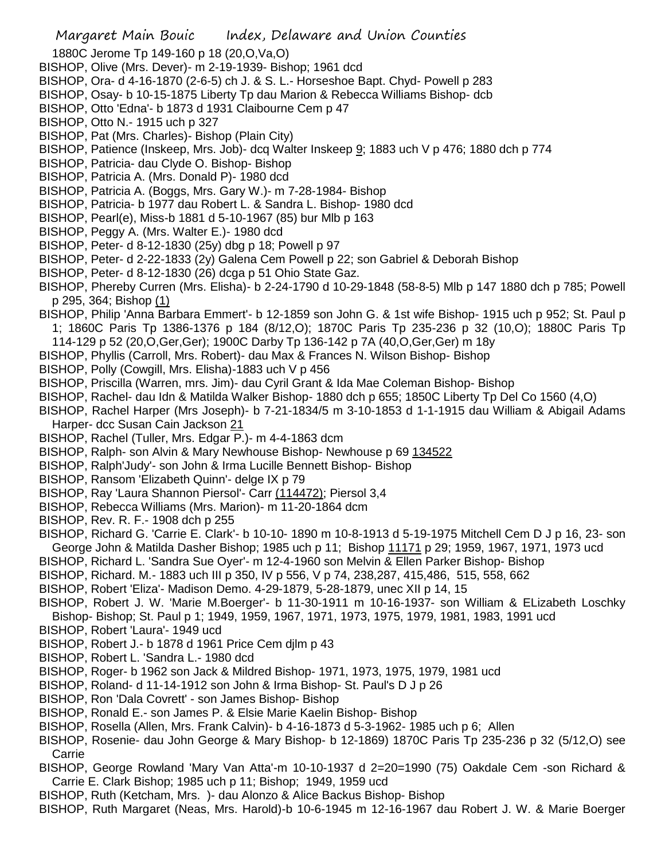1880C Jerome Tp 149-160 p 18 (20,O,Va,O)

- BISHOP, Olive (Mrs. Dever)- m 2-19-1939- Bishop; 1961 dcd
- BISHOP, Ora- d 4-16-1870 (2-6-5) ch J. & S. L.- Horseshoe Bapt. Chyd- Powell p 283
- BISHOP, Osay- b 10-15-1875 Liberty Tp dau Marion & Rebecca Williams Bishop- dcb
- BISHOP, Otto 'Edna'- b 1873 d 1931 Claibourne Cem p 47
- BISHOP, Otto N.- 1915 uch p 327
- BISHOP, Pat (Mrs. Charles)- Bishop (Plain City)
- BISHOP, Patience (Inskeep, Mrs. Job)- dcq Walter Inskeep 9; 1883 uch V p 476; 1880 dch p 774
- BISHOP, Patricia- dau Clyde O. Bishop- Bishop
- BISHOP, Patricia A. (Mrs. Donald P)- 1980 dcd
- BISHOP, Patricia A. (Boggs, Mrs. Gary W.)- m 7-28-1984- Bishop
- BISHOP, Patricia- b 1977 dau Robert L. & Sandra L. Bishop- 1980 dcd
- BISHOP, Pearl(e), Miss-b 1881 d 5-10-1967 (85) bur Mlb p 163
- BISHOP, Peggy A. (Mrs. Walter E.)- 1980 dcd
- BISHOP, Peter- d 8-12-1830 (25y) dbg p 18; Powell p 97
- BISHOP, Peter- d 2-22-1833 (2y) Galena Cem Powell p 22; son Gabriel & Deborah Bishop
- BISHOP, Peter- d 8-12-1830 (26) dcga p 51 Ohio State Gaz.
- BISHOP, Phereby Curren (Mrs. Elisha)- b 2-24-1790 d 10-29-1848 (58-8-5) Mlb p 147 1880 dch p 785; Powell p 295, 364; Bishop (1)
- BISHOP, Philip 'Anna Barbara Emmert'- b 12-1859 son John G. & 1st wife Bishop- 1915 uch p 952; St. Paul p
- 1; 1860C Paris Tp 1386-1376 p 184 (8/12,O); 1870C Paris Tp 235-236 p 32 (10,O); 1880C Paris Tp 114-129 p 52 (20,O,Ger,Ger); 1900C Darby Tp 136-142 p 7A (40,O,Ger,Ger) m 18y
- BISHOP, Phyllis (Carroll, Mrs. Robert)- dau Max & Frances N. Wilson Bishop- Bishop
- BISHOP, Polly (Cowgill, Mrs. Elisha)-1883 uch V p 456
- BISHOP, Priscilla (Warren, mrs. Jim)- dau Cyril Grant & Ida Mae Coleman Bishop- Bishop
- BISHOP, Rachel- dau Idn & Matilda Walker Bishop- 1880 dch p 655; 1850C Liberty Tp Del Co 1560 (4,O)
- BISHOP, Rachel Harper (Mrs Joseph)- b 7-21-1834/5 m 3-10-1853 d 1-1-1915 dau William & Abigail Adams Harper- dcc Susan Cain Jackson 21
- BISHOP, Rachel (Tuller, Mrs. Edgar P.)- m 4-4-1863 dcm
- BISHOP, Ralph- son Alvin & Mary Newhouse Bishop- Newhouse p 69 134522
- BISHOP, Ralph'Judy'- son John & Irma Lucille Bennett Bishop- Bishop
- BISHOP, Ransom 'Elizabeth Quinn'- delge IX p 79
- BISHOP, Ray 'Laura Shannon Piersol'- Carr (114472); Piersol 3,4
- BISHOP, Rebecca Williams (Mrs. Marion)- m 11-20-1864 dcm
- BISHOP, Rev. R. F.- 1908 dch p 255
- BISHOP, Richard G. 'Carrie E. Clark'- b 10-10- 1890 m 10-8-1913 d 5-19-1975 Mitchell Cem D J p 16, 23- son George John & Matilda Dasher Bishop; 1985 uch p 11; Bishop 11171 p 29; 1959, 1967, 1971, 1973 ucd
- BISHOP, Richard L. 'Sandra Sue Oyer'- m 12-4-1960 son Melvin & Ellen Parker Bishop- Bishop
- BISHOP, Richard. M.- 1883 uch III p 350, IV p 556, V p 74, 238,287, 415,486, 515, 558, 662
- BISHOP, Robert 'Eliza'- Madison Demo. 4-29-1879, 5-28-1879, unec XII p 14, 15
- BISHOP, Robert J. W. 'Marie M.Boerger'- b 11-30-1911 m 10-16-1937- son William & ELizabeth Loschky Bishop- Bishop; St. Paul p 1; 1949, 1959, 1967, 1971, 1973, 1975, 1979, 1981, 1983, 1991 ucd
- BISHOP, Robert 'Laura'- 1949 ucd
- BISHOP, Robert J.- b 1878 d 1961 Price Cem djlm p 43
- BISHOP, Robert L. 'Sandra L.- 1980 dcd
- BISHOP, Roger- b 1962 son Jack & Mildred Bishop- 1971, 1973, 1975, 1979, 1981 ucd
- BISHOP, Roland- d 11-14-1912 son John & Irma Bishop- St. Paul's D J p 26
- BISHOP, Ron 'Dala Covrett' son James Bishop- Bishop
- BISHOP, Ronald E.- son James P. & Elsie Marie Kaelin Bishop- Bishop
- BISHOP, Rosella (Allen, Mrs. Frank Calvin)- b 4-16-1873 d 5-3-1962- 1985 uch p 6; Allen
- BISHOP, Rosenie- dau John George & Mary Bishop- b 12-1869) 1870C Paris Tp 235-236 p 32 (5/12,O) see Carrie
- BISHOP, George Rowland 'Mary Van Atta'-m 10-10-1937 d 2=20=1990 (75) Oakdale Cem -son Richard & Carrie E. Clark Bishop; 1985 uch p 11; Bishop; 1949, 1959 ucd
- BISHOP, Ruth (Ketcham, Mrs. )- dau Alonzo & Alice Backus Bishop- Bishop
- BISHOP, Ruth Margaret (Neas, Mrs. Harold)-b 10-6-1945 m 12-16-1967 dau Robert J. W. & Marie Boerger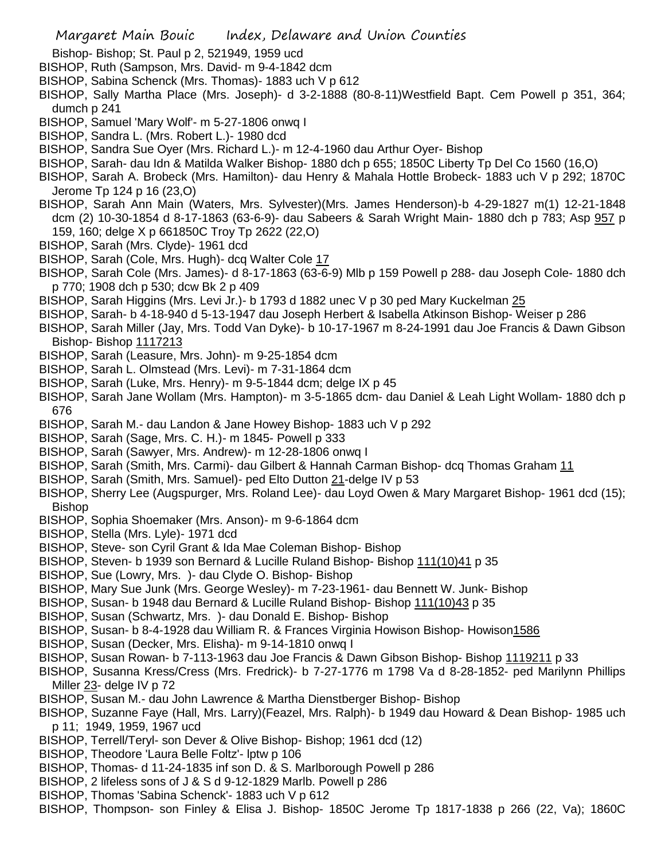- Bishop- Bishop; St. Paul p 2, 521949, 1959 ucd
- BISHOP, Ruth (Sampson, Mrs. David- m 9-4-1842 dcm
- BISHOP, Sabina Schenck (Mrs. Thomas)- 1883 uch V p 612
- BISHOP, Sally Martha Place (Mrs. Joseph)- d 3-2-1888 (80-8-11)Westfield Bapt. Cem Powell p 351, 364; dumch p 241
- BISHOP, Samuel 'Mary Wolf'- m 5-27-1806 onwq I
- BISHOP, Sandra L. (Mrs. Robert L.)- 1980 dcd
- BISHOP, Sandra Sue Oyer (Mrs. Richard L.)- m 12-4-1960 dau Arthur Oyer- Bishop
- BISHOP, Sarah- dau Idn & Matilda Walker Bishop- 1880 dch p 655; 1850C Liberty Tp Del Co 1560 (16,O)
- BISHOP, Sarah A. Brobeck (Mrs. Hamilton)- dau Henry & Mahala Hottle Brobeck- 1883 uch V p 292; 1870C Jerome Tp 124 p 16 (23,O)
- BISHOP, Sarah Ann Main (Waters, Mrs. Sylvester)(Mrs. James Henderson)-b 4-29-1827 m(1) 12-21-1848 dcm (2) 10-30-1854 d 8-17-1863 (63-6-9)- dau Sabeers & Sarah Wright Main- 1880 dch p 783; Asp 957 p 159, 160; delge X p 661850C Troy Tp 2622 (22,O)
- BISHOP, Sarah (Mrs. Clyde)- 1961 dcd
- BISHOP, Sarah (Cole, Mrs. Hugh)- dcq Walter Cole 17
- BISHOP, Sarah Cole (Mrs. James)- d 8-17-1863 (63-6-9) Mlb p 159 Powell p 288- dau Joseph Cole- 1880 dch p 770; 1908 dch p 530; dcw Bk 2 p 409
- BISHOP, Sarah Higgins (Mrs. Levi Jr.)- b 1793 d 1882 unec V p 30 ped Mary Kuckelman 25
- BISHOP, Sarah- b 4-18-940 d 5-13-1947 dau Joseph Herbert & Isabella Atkinson Bishop- Weiser p 286
- BISHOP, Sarah Miller (Jay, Mrs. Todd Van Dyke)- b 10-17-1967 m 8-24-1991 dau Joe Francis & Dawn Gibson Bishop- Bishop 1117213
- BISHOP, Sarah (Leasure, Mrs. John)- m 9-25-1854 dcm
- BISHOP, Sarah L. Olmstead (Mrs. Levi)- m 7-31-1864 dcm
- BISHOP, Sarah (Luke, Mrs. Henry)- m 9-5-1844 dcm; delge IX p 45
- BISHOP, Sarah Jane Wollam (Mrs. Hampton)- m 3-5-1865 dcm- dau Daniel & Leah Light Wollam- 1880 dch p 676
- BISHOP, Sarah M.- dau Landon & Jane Howey Bishop- 1883 uch V p 292
- BISHOP, Sarah (Sage, Mrs. C. H.)- m 1845- Powell p 333
- BISHOP, Sarah (Sawyer, Mrs. Andrew)- m 12-28-1806 onwq I
- BISHOP, Sarah (Smith, Mrs. Carmi)- dau Gilbert & Hannah Carman Bishop- dcq Thomas Graham 11
- BISHOP, Sarah (Smith, Mrs. Samuel)- ped Elto Dutton 21-delge IV p 53
- BISHOP, Sherry Lee (Augspurger, Mrs. Roland Lee)- dau Loyd Owen & Mary Margaret Bishop- 1961 dcd (15); Bishop
- BISHOP, Sophia Shoemaker (Mrs. Anson)- m 9-6-1864 dcm
- BISHOP, Stella (Mrs. Lyle)- 1971 dcd
- BISHOP, Steve- son Cyril Grant & Ida Mae Coleman Bishop- Bishop
- BISHOP, Steven- b 1939 son Bernard & Lucille Ruland Bishop- Bishop 111(10)41 p 35
- BISHOP, Sue (Lowry, Mrs. )- dau Clyde O. Bishop- Bishop
- BISHOP, Mary Sue Junk (Mrs. George Wesley)- m 7-23-1961- dau Bennett W. Junk- Bishop
- BISHOP, Susan- b 1948 dau Bernard & Lucille Ruland Bishop- Bishop 111(10)43 p 35
- BISHOP, Susan (Schwartz, Mrs. )- dau Donald E. Bishop- Bishop
- BISHOP, Susan- b 8-4-1928 dau William R. & Frances Virginia Howison Bishop- Howison1586
- BISHOP, Susan (Decker, Mrs. Elisha)- m 9-14-1810 onwq I
- BISHOP, Susan Rowan- b 7-113-1963 dau Joe Francis & Dawn Gibson Bishop- Bishop 1119211 p 33
- BISHOP, Susanna Kress/Cress (Mrs. Fredrick)- b 7-27-1776 m 1798 Va d 8-28-1852- ped Marilynn Phillips Miller 23- delge IV p 72
- BISHOP, Susan M.- dau John Lawrence & Martha Dienstberger Bishop- Bishop
- BISHOP, Suzanne Faye (Hall, Mrs. Larry)(Feazel, Mrs. Ralph)- b 1949 dau Howard & Dean Bishop- 1985 uch p 11; 1949, 1959, 1967 ucd
- BISHOP, Terrell/Teryl- son Dever & Olive Bishop- Bishop; 1961 dcd (12)
- BISHOP, Theodore 'Laura Belle Foltz'- lptw p 106
- BISHOP, Thomas- d 11-24-1835 inf son D. & S. Marlborough Powell p 286
- BISHOP, 2 lifeless sons of J & S d 9-12-1829 Marlb. Powell p 286
- BISHOP, Thomas 'Sabina Schenck'- 1883 uch V p 612
- BISHOP, Thompson- son Finley & Elisa J. Bishop- 1850C Jerome Tp 1817-1838 p 266 (22, Va); 1860C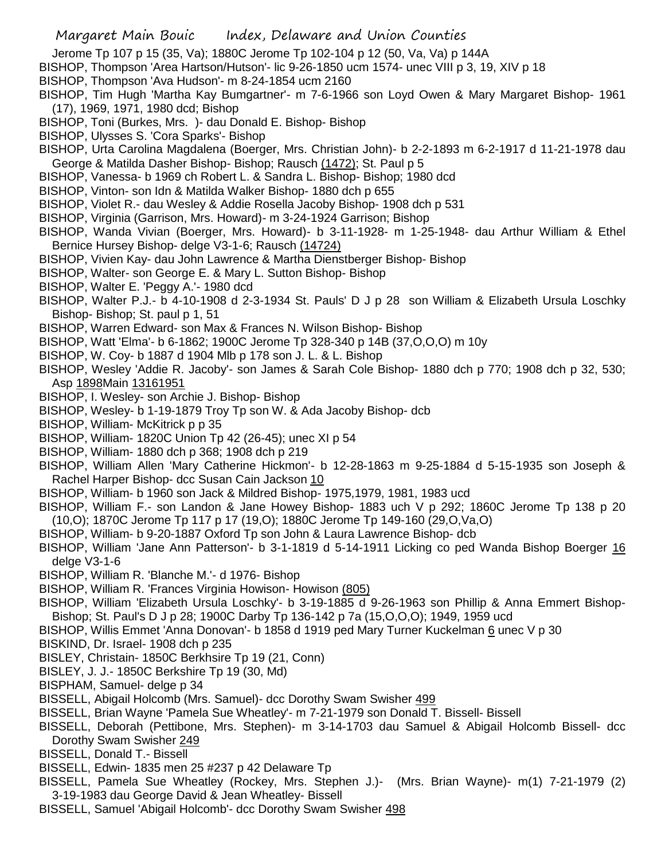- Jerome Tp 107 p 15 (35, Va); 1880C Jerome Tp 102-104 p 12 (50, Va, Va) p 144A
- BISHOP, Thompson 'Area Hartson/Hutson'- lic 9-26-1850 ucm 1574- unec VIII p 3, 19, XIV p 18
- BISHOP, Thompson 'Ava Hudson'- m 8-24-1854 ucm 2160
- BISHOP, Tim Hugh 'Martha Kay Bumgartner'- m 7-6-1966 son Loyd Owen & Mary Margaret Bishop- 1961 (17), 1969, 1971, 1980 dcd; Bishop
- BISHOP, Toni (Burkes, Mrs. )- dau Donald E. Bishop- Bishop
- BISHOP, Ulysses S. 'Cora Sparks'- Bishop
- BISHOP, Urta Carolina Magdalena (Boerger, Mrs. Christian John)- b 2-2-1893 m 6-2-1917 d 11-21-1978 dau George & Matilda Dasher Bishop- Bishop; Rausch (1472); St. Paul p 5
- BISHOP, Vanessa- b 1969 ch Robert L. & Sandra L. Bishop- Bishop; 1980 dcd
- BISHOP, Vinton- son Idn & Matilda Walker Bishop- 1880 dch p 655
- BISHOP, Violet R.- dau Wesley & Addie Rosella Jacoby Bishop- 1908 dch p 531
- BISHOP, Virginia (Garrison, Mrs. Howard)- m 3-24-1924 Garrison; Bishop
- BISHOP, Wanda Vivian (Boerger, Mrs. Howard)- b 3-11-1928- m 1-25-1948- dau Arthur William & Ethel Bernice Hursey Bishop- delge V3-1-6; Rausch (14724)
- BISHOP, Vivien Kay- dau John Lawrence & Martha Dienstberger Bishop- Bishop
- BISHOP, Walter- son George E. & Mary L. Sutton Bishop- Bishop
- BISHOP, Walter E. 'Peggy A.'- 1980 dcd
- BISHOP, Walter P.J.- b 4-10-1908 d 2-3-1934 St. Pauls' D J p 28 son William & Elizabeth Ursula Loschky Bishop- Bishop; St. paul p 1, 51
- BISHOP, Warren Edward- son Max & Frances N. Wilson Bishop- Bishop
- BISHOP, Watt 'Elma'- b 6-1862; 1900C Jerome Tp 328-340 p 14B (37,O,O,O) m 10y
- BISHOP, W. Coy- b 1887 d 1904 Mlb p 178 son J. L. & L. Bishop
- BISHOP, Wesley 'Addie R. Jacoby'- son James & Sarah Cole Bishop- 1880 dch p 770; 1908 dch p 32, 530; Asp 1898Main 13161951
- BISHOP, I. Wesley- son Archie J. Bishop- Bishop
- BISHOP, Wesley- b 1-19-1879 Troy Tp son W. & Ada Jacoby Bishop- dcb
- BISHOP, William- McKitrick p p 35
- BISHOP, William- 1820C Union Tp 42 (26-45); unec XI p 54
- BISHOP, William- 1880 dch p 368; 1908 dch p 219
- BISHOP, William Allen 'Mary Catherine Hickmon'- b 12-28-1863 m 9-25-1884 d 5-15-1935 son Joseph & Rachel Harper Bishop- dcc Susan Cain Jackson 10
- BISHOP, William- b 1960 son Jack & Mildred Bishop- 1975,1979, 1981, 1983 ucd
- BISHOP, William F.- son Landon & Jane Howey Bishop- 1883 uch V p 292; 1860C Jerome Tp 138 p 20 (10,O); 1870C Jerome Tp 117 p 17 (19,O); 1880C Jerome Tp 149-160 (29,O,Va,O)
- BISHOP, William- b 9-20-1887 Oxford Tp son John & Laura Lawrence Bishop- dcb
- BISHOP, William 'Jane Ann Patterson'- b 3-1-1819 d 5-14-1911 Licking co ped Wanda Bishop Boerger 16 delge V3-1-6
- BISHOP, William R. 'Blanche M.'- d 1976- Bishop
- BISHOP, William R. 'Frances Virginia Howison- Howison (805)
- BISHOP, William 'Elizabeth Ursula Loschky'- b 3-19-1885 d 9-26-1963 son Phillip & Anna Emmert Bishop-Bishop; St. Paul's D J p 28; 1900C Darby Tp 136-142 p 7a (15,O,O,O); 1949, 1959 ucd
- BISHOP, Willis Emmet 'Anna Donovan'- b 1858 d 1919 ped Mary Turner Kuckelman 6 unec V p 30
- BISKIND, Dr. Israel- 1908 dch p 235
- BISLEY, Christain- 1850C Berkhsire Tp 19 (21, Conn)
- BISLEY, J. J.- 1850C Berkshire Tp 19 (30, Md)
- BISPHAM, Samuel- delge p 34
- BISSELL, Abigail Holcomb (Mrs. Samuel)- dcc Dorothy Swam Swisher 499
- BISSELL, Brian Wayne 'Pamela Sue Wheatley'- m 7-21-1979 son Donald T. Bissell- Bissell
- BISSELL, Deborah (Pettibone, Mrs. Stephen)- m 3-14-1703 dau Samuel & Abigail Holcomb Bissell- dcc Dorothy Swam Swisher 249
- BISSELL, Donald T.- Bissell
- BISSELL, Edwin- 1835 men 25 #237 p 42 Delaware Tp
- BISSELL, Pamela Sue Wheatley (Rockey, Mrs. Stephen J.)- (Mrs. Brian Wayne)- m(1) 7-21-1979 (2) 3-19-1983 dau George David & Jean Wheatley- Bissell
- BISSELL, Samuel 'Abigail Holcomb'- dcc Dorothy Swam Swisher 498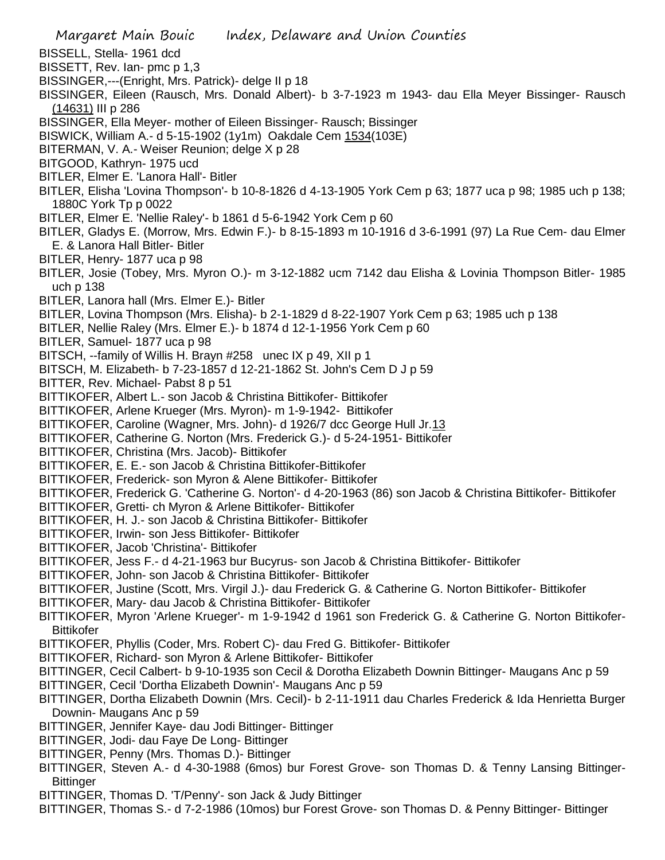- Margaret Main Bouic Index, Delaware and Union Counties BISSELL, Stella- 1961 dcd BISSETT, Rev. Ian- pmc p 1,3 BISSINGER,---(Enright, Mrs. Patrick)- delge II p 18 BISSINGER, Eileen (Rausch, Mrs. Donald Albert)- b 3-7-1923 m 1943- dau Ella Meyer Bissinger- Rausch (14631) III p 286 BISSINGER, Ella Meyer- mother of Eileen Bissinger- Rausch; Bissinger BISWICK, William A.- d 5-15-1902 (1y1m) Oakdale Cem 1534(103E) BITERMAN, V. A.- Weiser Reunion; delge X p 28 BITGOOD, Kathryn- 1975 ucd BITLER, Elmer E. 'Lanora Hall'- Bitler BITLER, Elisha 'Lovina Thompson'- b 10-8-1826 d 4-13-1905 York Cem p 63; 1877 uca p 98; 1985 uch p 138; 1880C York Tp p 0022 BITLER, Elmer E. 'Nellie Raley'- b 1861 d 5-6-1942 York Cem p 60 BITLER, Gladys E. (Morrow, Mrs. Edwin F.)- b 8-15-1893 m 10-1916 d 3-6-1991 (97) La Rue Cem- dau Elmer E. & Lanora Hall Bitler- Bitler BITLER, Henry- 1877 uca p 98 BITLER, Josie (Tobey, Mrs. Myron O.)- m 3-12-1882 ucm 7142 dau Elisha & Lovinia Thompson Bitler- 1985 uch p 138 BITLER, Lanora hall (Mrs. Elmer E.)- Bitler BITLER, Lovina Thompson (Mrs. Elisha)- b 2-1-1829 d 8-22-1907 York Cem p 63; 1985 uch p 138 BITLER, Nellie Raley (Mrs. Elmer E.)- b 1874 d 12-1-1956 York Cem p 60 BITLER, Samuel- 1877 uca p 98 BITSCH, --family of Willis H. Brayn #258 unec IX p 49, XII p 1 BITSCH, M. Elizabeth- b 7-23-1857 d 12-21-1862 St. John's Cem D J p 59 BITTER, Rev. Michael- Pabst 8 p 51 BITTIKOFER, Albert L.- son Jacob & Christina Bittikofer- Bittikofer BITTIKOFER, Arlene Krueger (Mrs. Myron)- m 1-9-1942- Bittikofer BITTIKOFER, Caroline (Wagner, Mrs. John)- d 1926/7 dcc George Hull Jr.13 BITTIKOFER, Catherine G. Norton (Mrs. Frederick G.)- d 5-24-1951- Bittikofer BITTIKOFER, Christina (Mrs. Jacob)- Bittikofer BITTIKOFER, E. E.- son Jacob & Christina Bittikofer-Bittikofer BITTIKOFER, Frederick- son Myron & Alene Bittikofer- Bittikofer BITTIKOFER, Frederick G. 'Catherine G. Norton'- d 4-20-1963 (86) son Jacob & Christina Bittikofer- Bittikofer BITTIKOFER, Gretti- ch Myron & Arlene Bittikofer- Bittikofer BITTIKOFER, H. J.- son Jacob & Christina Bittikofer- Bittikofer BITTIKOFER, Irwin- son Jess Bittikofer- Bittikofer BITTIKOFER, Jacob 'Christina'- Bittikofer BITTIKOFER, Jess F.- d 4-21-1963 bur Bucyrus- son Jacob & Christina Bittikofer- Bittikofer BITTIKOFER, John- son Jacob & Christina Bittikofer- Bittikofer BITTIKOFER, Justine (Scott, Mrs. Virgil J.)- dau Frederick G. & Catherine G. Norton Bittikofer- Bittikofer BITTIKOFER, Mary- dau Jacob & Christina Bittikofer- Bittikofer BITTIKOFER, Myron 'Arlene Krueger'- m 1-9-1942 d 1961 son Frederick G. & Catherine G. Norton Bittikofer-Bittikofer BITTIKOFER, Phyllis (Coder, Mrs. Robert C)- dau Fred G. Bittikofer- Bittikofer BITTIKOFER, Richard- son Myron & Arlene Bittikofer- Bittikofer BITTINGER, Cecil Calbert- b 9-10-1935 son Cecil & Dorotha Elizabeth Downin Bittinger- Maugans Anc p 59 BITTINGER, Cecil 'Dortha Elizabeth Downin'- Maugans Anc p 59 BITTINGER, Dortha Elizabeth Downin (Mrs. Cecil)- b 2-11-1911 dau Charles Frederick & Ida Henrietta Burger Downin- Maugans Anc p 59 BITTINGER, Jennifer Kaye- dau Jodi Bittinger- Bittinger BITTINGER, Jodi- dau Faye De Long- Bittinger BITTINGER, Penny (Mrs. Thomas D.)- Bittinger BITTINGER, Steven A.- d 4-30-1988 (6mos) bur Forest Grove- son Thomas D. & Tenny Lansing Bittinger-Bittinger BITTINGER, Thomas D. 'T/Penny'- son Jack & Judy Bittinger
	-
	- BITTINGER, Thomas S.- d 7-2-1986 (10mos) bur Forest Grove- son Thomas D. & Penny Bittinger- Bittinger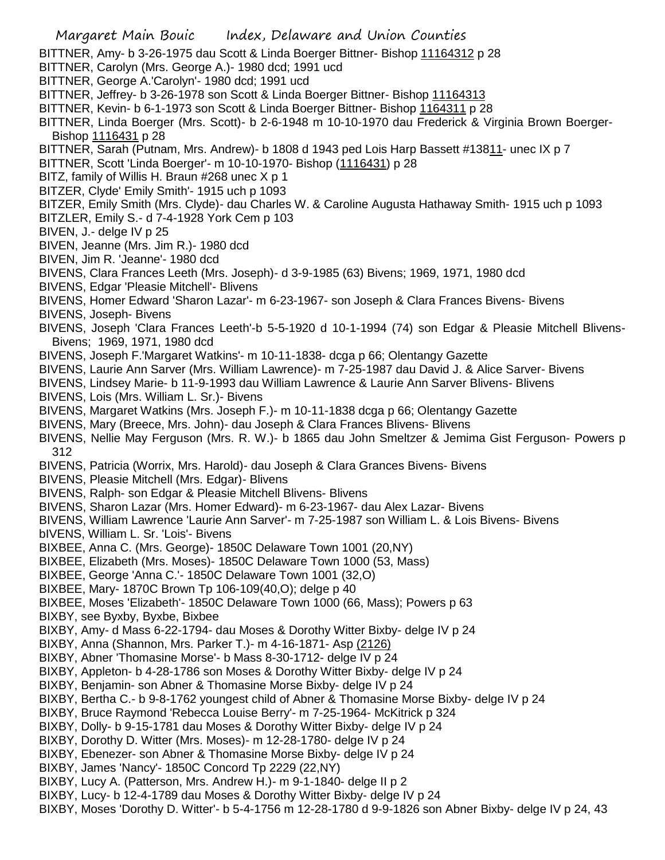- Margaret Main Bouic Index, Delaware and Union Counties BITTNER, Amy- b 3-26-1975 dau Scott & Linda Boerger Bittner- Bishop 11164312 p 28 BITTNER, Carolyn (Mrs. George A.)- 1980 dcd; 1991 ucd BITTNER, George A.'Carolyn'- 1980 dcd; 1991 ucd BITTNER, Jeffrey- b 3-26-1978 son Scott & Linda Boerger Bittner- Bishop 11164313 BITTNER, Kevin- b 6-1-1973 son Scott & Linda Boerger Bittner- Bishop 1164311 p 28 BITTNER, Linda Boerger (Mrs. Scott)- b 2-6-1948 m 10-10-1970 dau Frederick & Virginia Brown Boerger-Bishop 1116431 p 28 BITTNER, Sarah (Putnam, Mrs. Andrew)- b 1808 d 1943 ped Lois Harp Bassett #13811- unec IX p 7 BITTNER, Scott 'Linda Boerger'- m 10-10-1970- Bishop (1116431) p 28 BITZ, family of Willis H. Braun #268 unec X p 1 BITZER, Clyde' Emily Smith'- 1915 uch p 1093
- BITZER, Emily Smith (Mrs. Clyde)- dau Charles W. & Caroline Augusta Hathaway Smith- 1915 uch p 1093
- BITZLER, Emily S.- d 7-4-1928 York Cem p 103
- BIVEN, J.- delge IV p 25
- BIVEN, Jeanne (Mrs. Jim R.)- 1980 dcd
- BIVEN, Jim R. 'Jeanne'- 1980 dcd
- BIVENS, Clara Frances Leeth (Mrs. Joseph)- d 3-9-1985 (63) Bivens; 1969, 1971, 1980 dcd
- BIVENS, Edgar 'Pleasie Mitchell'- Blivens
- BIVENS, Homer Edward 'Sharon Lazar'- m 6-23-1967- son Joseph & Clara Frances Bivens- Bivens
- BIVENS, Joseph- Bivens
- BIVENS, Joseph 'Clara Frances Leeth'-b 5-5-1920 d 10-1-1994 (74) son Edgar & Pleasie Mitchell Blivens-Bivens; 1969, 1971, 1980 dcd
- BIVENS, Joseph F.'Margaret Watkins'- m 10-11-1838- dcga p 66; Olentangy Gazette
- BIVENS, Laurie Ann Sarver (Mrs. William Lawrence)- m 7-25-1987 dau David J. & Alice Sarver- Bivens
- BIVENS, Lindsey Marie- b 11-9-1993 dau William Lawrence & Laurie Ann Sarver Blivens- Blivens
- BIVENS, Lois (Mrs. William L. Sr.)- Bivens
- BIVENS, Margaret Watkins (Mrs. Joseph F.)- m 10-11-1838 dcga p 66; Olentangy Gazette
- BIVENS, Mary (Breece, Mrs. John)- dau Joseph & Clara Frances Blivens- Blivens
- BIVENS, Nellie May Ferguson (Mrs. R. W.)- b 1865 dau John Smeltzer & Jemima Gist Ferguson- Powers p 312
- BIVENS, Patricia (Worrix, Mrs. Harold)- dau Joseph & Clara Grances Bivens- Bivens
- BIVENS, Pleasie Mitchell (Mrs. Edgar)- Blivens
- BIVENS, Ralph- son Edgar & Pleasie Mitchell Blivens- Blivens
- BIVENS, Sharon Lazar (Mrs. Homer Edward)- m 6-23-1967- dau Alex Lazar- Bivens
- BIVENS, William Lawrence 'Laurie Ann Sarver'- m 7-25-1987 son William L. & Lois Bivens- Bivens
- bIVENS, William L. Sr. 'Lois'- Bivens
- BIXBEE, Anna C. (Mrs. George)- 1850C Delaware Town 1001 (20,NY)
- BIXBEE, Elizabeth (Mrs. Moses)- 1850C Delaware Town 1000 (53, Mass)
- BIXBEE, George 'Anna C.'- 1850C Delaware Town 1001 (32,O)
- BIXBEE, Mary- 1870C Brown Tp 106-109(40,O); delge p 40
- BIXBEE, Moses 'Elizabeth'- 1850C Delaware Town 1000 (66, Mass); Powers p 63
- BIXBY, see Byxby, Byxbe, Bixbee
- BIXBY, Amy- d Mass 6-22-1794- dau Moses & Dorothy Witter Bixby- delge IV p 24
- BIXBY, Anna (Shannon, Mrs. Parker T.)- m 4-16-1871- Asp (2126)
- BIXBY, Abner 'Thomasine Morse'- b Mass 8-30-1712- delge IV p 24
- BIXBY, Appleton- b 4-28-1786 son Moses & Dorothy Witter Bixby- delge IV p 24
- BIXBY, Benjamin- son Abner & Thomasine Morse Bixby- delge IV p 24
- BIXBY, Bertha C.- b 9-8-1762 youngest child of Abner & Thomasine Morse Bixby- delge IV p 24
- BIXBY, Bruce Raymond 'Rebecca Louise Berry'- m 7-25-1964- McKitrick p 324
- BIXBY, Dolly- b 9-15-1781 dau Moses & Dorothy Witter Bixby- delge IV p 24
- BIXBY, Dorothy D. Witter (Mrs. Moses)- m 12-28-1780- delge IV p 24
- BIXBY, Ebenezer- son Abner & Thomasine Morse Bixby- delge IV p 24
- BIXBY, James 'Nancy'- 1850C Concord Tp 2229 (22,NY)
- BIXBY, Lucy A. (Patterson, Mrs. Andrew H.)- m 9-1-1840- delge II p 2
- BIXBY, Lucy- b 12-4-1789 dau Moses & Dorothy Witter Bixby- delge IV p 24
- BIXBY, Moses 'Dorothy D. Witter'- b 5-4-1756 m 12-28-1780 d 9-9-1826 son Abner Bixby- delge IV p 24, 43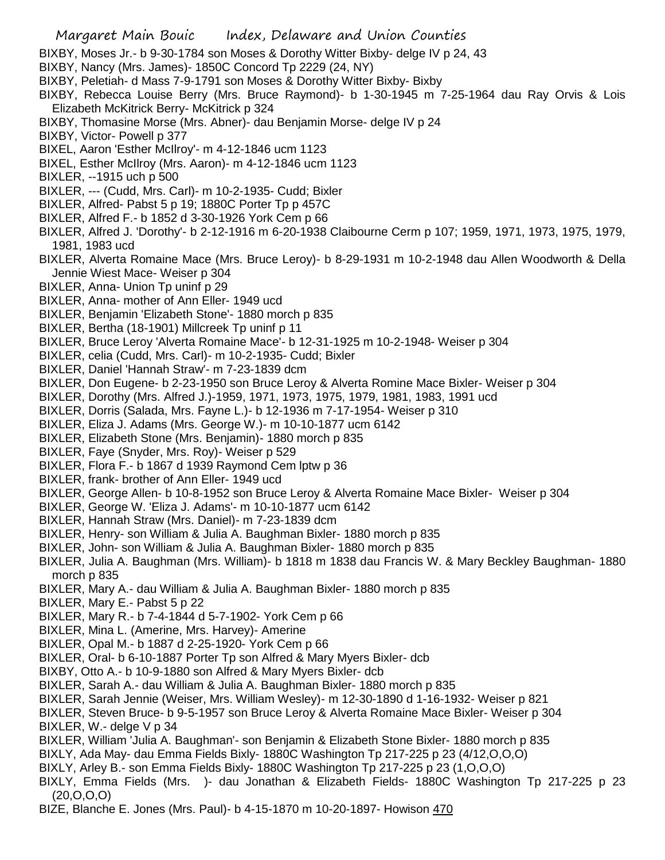BIXBY, Moses Jr.- b 9-30-1784 son Moses & Dorothy Witter Bixby- delge IV p 24, 43

- BIXBY, Nancy (Mrs. James)- 1850C Concord Tp 2229 (24, NY)
- BIXBY, Peletiah- d Mass 7-9-1791 son Moses & Dorothy Witter Bixby- Bixby
- BIXBY, Rebecca Louise Berry (Mrs. Bruce Raymond)- b 1-30-1945 m 7-25-1964 dau Ray Orvis & Lois Elizabeth McKitrick Berry- McKitrick p 324
- BIXBY, Thomasine Morse (Mrs. Abner)- dau Benjamin Morse- delge IV p 24
- BIXBY, Victor- Powell p 377
- BIXEL, Aaron 'Esther McIlroy'- m 4-12-1846 ucm 1123
- BIXEL, Esther McIlroy (Mrs. Aaron)- m 4-12-1846 ucm 1123
- BIXLER, --1915 uch p 500
- BIXLER, --- (Cudd, Mrs. Carl)- m 10-2-1935- Cudd; Bixler
- BIXLER, Alfred- Pabst 5 p 19; 1880C Porter Tp p 457C
- BIXLER, Alfred F.- b 1852 d 3-30-1926 York Cem p 66
- BIXLER, Alfred J. 'Dorothy'- b 2-12-1916 m 6-20-1938 Claibourne Cerm p 107; 1959, 1971, 1973, 1975, 1979, 1981, 1983 ucd
- BIXLER, Alverta Romaine Mace (Mrs. Bruce Leroy)- b 8-29-1931 m 10-2-1948 dau Allen Woodworth & Della Jennie Wiest Mace- Weiser p 304
- BIXLER, Anna- Union Tp uninf p 29
- BIXLER, Anna- mother of Ann Eller- 1949 ucd
- BIXLER, Benjamin 'Elizabeth Stone'- 1880 morch p 835
- BIXLER, Bertha (18-1901) Millcreek Tp uninf p 11
- BIXLER, Bruce Leroy 'Alverta Romaine Mace'- b 12-31-1925 m 10-2-1948- Weiser p 304
- BIXLER, celia (Cudd, Mrs. Carl)- m 10-2-1935- Cudd; Bixler
- BIXLER, Daniel 'Hannah Straw'- m 7-23-1839 dcm
- BIXLER, Don Eugene- b 2-23-1950 son Bruce Leroy & Alverta Romine Mace Bixler- Weiser p 304
- BIXLER, Dorothy (Mrs. Alfred J.)-1959, 1971, 1973, 1975, 1979, 1981, 1983, 1991 ucd
- BIXLER, Dorris (Salada, Mrs. Fayne L.)- b 12-1936 m 7-17-1954- Weiser p 310
- BIXLER, Eliza J. Adams (Mrs. George W.)- m 10-10-1877 ucm 6142
- BIXLER, Elizabeth Stone (Mrs. Benjamin)- 1880 morch p 835
- BIXLER, Faye (Snyder, Mrs. Roy)- Weiser p 529
- BIXLER, Flora F.- b 1867 d 1939 Raymond Cem lptw p 36
- BIXLER, frank- brother of Ann Eller- 1949 ucd
- BIXLER, George Allen- b 10-8-1952 son Bruce Leroy & Alverta Romaine Mace Bixler- Weiser p 304
- BIXLER, George W. 'Eliza J. Adams'- m 10-10-1877 ucm 6142
- BIXLER, Hannah Straw (Mrs. Daniel)- m 7-23-1839 dcm
- BIXLER, Henry- son William & Julia A. Baughman Bixler- 1880 morch p 835
- BIXLER, John- son William & Julia A. Baughman Bixler- 1880 morch p 835
- BIXLER, Julia A. Baughman (Mrs. William)- b 1818 m 1838 dau Francis W. & Mary Beckley Baughman- 1880 morch p 835
- BIXLER, Mary A.- dau William & Julia A. Baughman Bixler- 1880 morch p 835
- BIXLER, Mary E.- Pabst 5 p 22
- BIXLER, Mary R.- b 7-4-1844 d 5-7-1902- York Cem p 66
- BIXLER, Mina L. (Amerine, Mrs. Harvey)- Amerine
- BIXLER, Opal M.- b 1887 d 2-25-1920- York Cem p 66
- BIXLER, Oral- b 6-10-1887 Porter Tp son Alfred & Mary Myers Bixler- dcb
- BIXBY, Otto A.- b 10-9-1880 son Alfred & Mary Myers Bixler- dcb
- BIXLER, Sarah A.- dau William & Julia A. Baughman Bixler- 1880 morch p 835
- BIXLER, Sarah Jennie (Weiser, Mrs. William Wesley)- m 12-30-1890 d 1-16-1932- Weiser p 821
- BIXLER, Steven Bruce- b 9-5-1957 son Bruce Leroy & Alverta Romaine Mace Bixler- Weiser p 304

BIXLER, W.- delge V p 34

- BIXLER, William 'Julia A. Baughman'- son Benjamin & Elizabeth Stone Bixler- 1880 morch p 835
- BIXLY, Ada May- dau Emma Fields Bixly- 1880C Washington Tp 217-225 p 23 (4/12,O,O,O)
- BIXLY, Arley B.- son Emma Fields Bixly- 1880C Washington Tp 217-225 p 23 (1,O,O,O)
- BIXLY, Emma Fields (Mrs. )- dau Jonathan & Elizabeth Fields- 1880C Washington Tp 217-225 p 23 (20,O,O,O)
- BIZE, Blanche E. Jones (Mrs. Paul)- b 4-15-1870 m 10-20-1897- Howison 470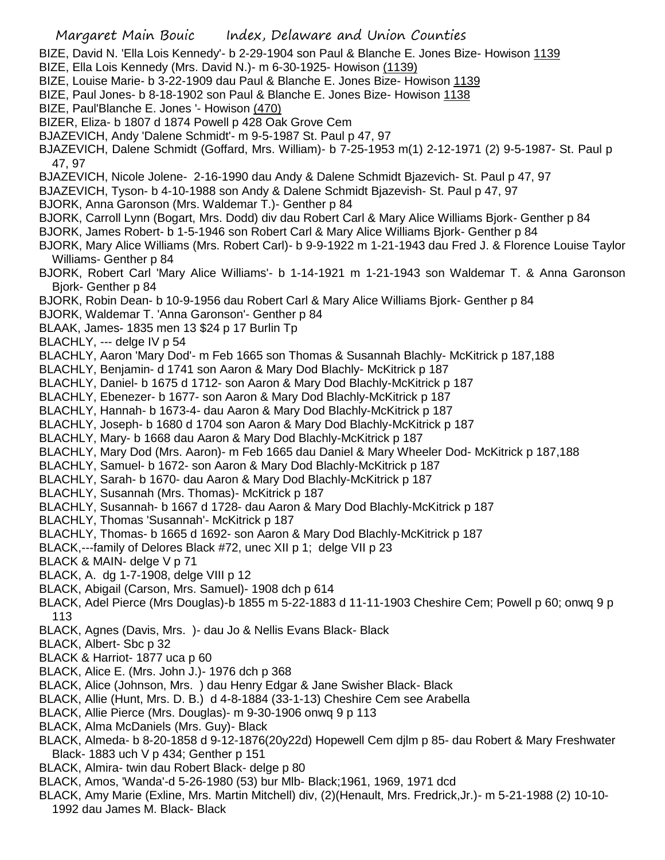- Margaret Main Bouic Index, Delaware and Union Counties BIZE, David N. 'Ella Lois Kennedy'- b 2-29-1904 son Paul & Blanche E. Jones Bize- Howison 1139 BIZE, Ella Lois Kennedy (Mrs. David N.)- m 6-30-1925- Howison (1139) BIZE, Louise Marie- b 3-22-1909 dau Paul & Blanche E. Jones Bize- Howison 1139 BIZE, Paul Jones- b 8-18-1902 son Paul & Blanche E. Jones Bize- Howison 1138 BIZE, Paul'Blanche E. Jones '- Howison (470) BIZER, Eliza- b 1807 d 1874 Powell p 428 Oak Grove Cem BJAZEVICH, Andy 'Dalene Schmidt'- m 9-5-1987 St. Paul p 47, 97 BJAZEVICH, Dalene Schmidt (Goffard, Mrs. William)- b 7-25-1953 m(1) 2-12-1971 (2) 9-5-1987- St. Paul p 47, 97 BJAZEVICH, Nicole Jolene- 2-16-1990 dau Andy & Dalene Schmidt Bjazevich- St. Paul p 47, 97 BJAZEVICH, Tyson- b 4-10-1988 son Andy & Dalene Schmidt Bjazevish- St. Paul p 47, 97 BJORK, Anna Garonson (Mrs. Waldemar T.)- Genther p 84 BJORK, Carroll Lynn (Bogart, Mrs. Dodd) div dau Robert Carl & Mary Alice Williams Bjork- Genther p 84 BJORK, James Robert- b 1-5-1946 son Robert Carl & Mary Alice Williams Bjork- Genther p 84 BJORK, Mary Alice Williams (Mrs. Robert Carl)- b 9-9-1922 m 1-21-1943 dau Fred J. & Florence Louise Taylor Williams- Genther p 84 BJORK, Robert Carl 'Mary Alice Williams'- b 1-14-1921 m 1-21-1943 son Waldemar T. & Anna Garonson Bjork- Genther p 84 BJORK, Robin Dean- b 10-9-1956 dau Robert Carl & Mary Alice Williams Bjork- Genther p 84 BJORK, Waldemar T. 'Anna Garonson'- Genther p 84 BLAAK, James- 1835 men 13 \$24 p 17 Burlin Tp BLACHLY, --- delge IV p 54 BLACHLY, Aaron 'Mary Dod'- m Feb 1665 son Thomas & Susannah Blachly- McKitrick p 187,188 BLACHLY, Benjamin- d 1741 son Aaron & Mary Dod Blachly- McKitrick p 187 BLACHLY, Daniel- b 1675 d 1712- son Aaron & Mary Dod Blachly-McKitrick p 187 BLACHLY, Ebenezer- b 1677- son Aaron & Mary Dod Blachly-McKitrick p 187 BLACHLY, Hannah- b 1673-4- dau Aaron & Mary Dod Blachly-McKitrick p 187 BLACHLY, Joseph- b 1680 d 1704 son Aaron & Mary Dod Blachly-McKitrick p 187 BLACHLY, Mary- b 1668 dau Aaron & Mary Dod Blachly-McKitrick p 187 BLACHLY, Mary Dod (Mrs. Aaron)- m Feb 1665 dau Daniel & Mary Wheeler Dod- McKitrick p 187,188 BLACHLY, Samuel- b 1672- son Aaron & Mary Dod Blachly-McKitrick p 187 BLACHLY, Sarah- b 1670- dau Aaron & Mary Dod Blachly-McKitrick p 187 BLACHLY, Susannah (Mrs. Thomas)- McKitrick p 187 BLACHLY, Susannah- b 1667 d 1728- dau Aaron & Mary Dod Blachly-McKitrick p 187 BLACHLY, Thomas 'Susannah'- McKitrick p 187 BLACHLY, Thomas- b 1665 d 1692- son Aaron & Mary Dod Blachly-McKitrick p 187 BLACK,---family of Delores Black #72, unec XII p 1; delge VII p 23 BLACK & MAIN- delge V p 71 BLACK, A. dg 1-7-1908, delge VIII p 12 BLACK, Abigail (Carson, Mrs. Samuel)- 1908 dch p 614 BLACK, Adel Pierce (Mrs Douglas)-b 1855 m 5-22-1883 d 11-11-1903 Cheshire Cem; Powell p 60; onwq 9 p 113 BLACK, Agnes (Davis, Mrs. )- dau Jo & Nellis Evans Black- Black BLACK, Albert- Sbc p 32 BLACK & Harriot- 1877 uca p 60 BLACK, Alice E. (Mrs. John J.)- 1976 dch p 368 BLACK, Alice (Johnson, Mrs. ) dau Henry Edgar & Jane Swisher Black- Black BLACK, Allie (Hunt, Mrs. D. B.) d 4-8-1884 (33-1-13) Cheshire Cem see Arabella BLACK, Allie Pierce (Mrs. Douglas)- m 9-30-1906 onwq 9 p 113 BLACK, Alma McDaniels (Mrs. Guy)- Black BLACK, Almeda- b 8-20-1858 d 9-12-1876(20y22d) Hopewell Cem djlm p 85- dau Robert & Mary Freshwater Black- 1883 uch V p 434; Genther p 151 BLACK, Almira- twin dau Robert Black- delge p 80 BLACK, Amos, 'Wanda'-d 5-26-1980 (53) bur Mlb- Black;1961, 1969, 1971 dcd BLACK, Amy Marie (Exline, Mrs. Martin Mitchell) div, (2)(Henault, Mrs. Fredrick,Jr.)- m 5-21-1988 (2) 10-10-
	- 1992 dau James M. Black- Black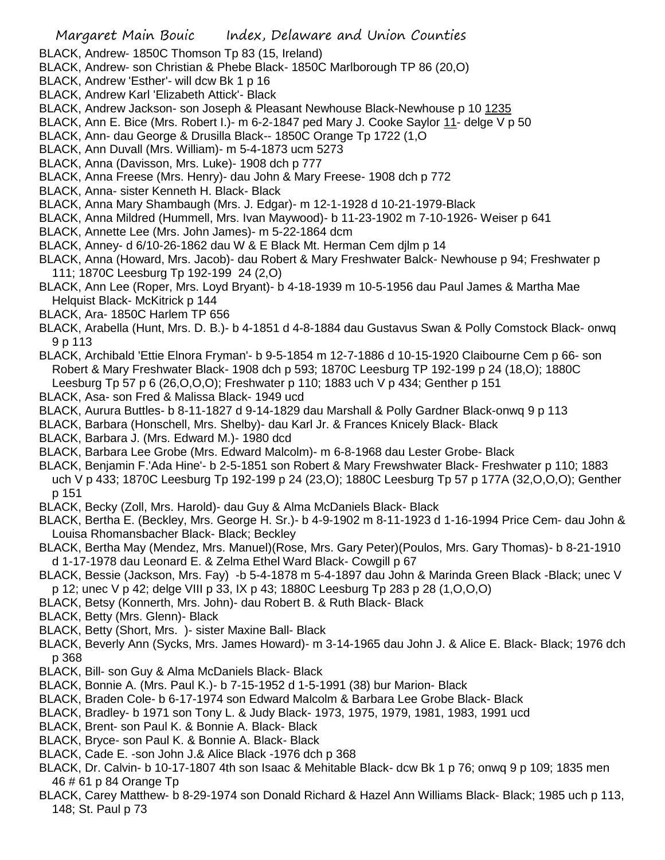BLACK, Andrew- 1850C Thomson Tp 83 (15, Ireland)

- BLACK, Andrew- son Christian & Phebe Black- 1850C Marlborough TP 86 (20,O)
- BLACK, Andrew 'Esther'- will dcw Bk 1 p 16
- BLACK, Andrew Karl 'Elizabeth Attick'- Black
- BLACK, Andrew Jackson- son Joseph & Pleasant Newhouse Black-Newhouse p 10 1235
- BLACK, Ann E. Bice (Mrs. Robert I.)- m 6-2-1847 ped Mary J. Cooke Saylor 11- delge V p 50
- BLACK, Ann- dau George & Drusilla Black-- 1850C Orange Tp 1722 (1,O
- BLACK, Ann Duvall (Mrs. William)- m 5-4-1873 ucm 5273
- BLACK, Anna (Davisson, Mrs. Luke)- 1908 dch p 777
- BLACK, Anna Freese (Mrs. Henry)- dau John & Mary Freese- 1908 dch p 772
- BLACK, Anna- sister Kenneth H. Black- Black
- BLACK, Anna Mary Shambaugh (Mrs. J. Edgar)- m 12-1-1928 d 10-21-1979-Black
- BLACK, Anna Mildred (Hummell, Mrs. Ivan Maywood)- b 11-23-1902 m 7-10-1926- Weiser p 641
- BLACK, Annette Lee (Mrs. John James)- m 5-22-1864 dcm
- BLACK, Anney- d 6/10-26-1862 dau W & E Black Mt. Herman Cem djlm p 14
- BLACK, Anna (Howard, Mrs. Jacob)- dau Robert & Mary Freshwater Balck- Newhouse p 94; Freshwater p 111; 1870C Leesburg Tp 192-199 24 (2,O)
- BLACK, Ann Lee (Roper, Mrs. Loyd Bryant)- b 4-18-1939 m 10-5-1956 dau Paul James & Martha Mae Helquist Black- McKitrick p 144
- BLACK, Ara- 1850C Harlem TP 656
- BLACK, Arabella (Hunt, Mrs. D. B.)- b 4-1851 d 4-8-1884 dau Gustavus Swan & Polly Comstock Black- onwq 9 p 113
- BLACK, Archibald 'Ettie Elnora Fryman'- b 9-5-1854 m 12-7-1886 d 10-15-1920 Claibourne Cem p 66- son Robert & Mary Freshwater Black- 1908 dch p 593; 1870C Leesburg TP 192-199 p 24 (18,O); 1880C Leesburg Tp 57 p 6 (26,O,O,O); Freshwater p 110; 1883 uch V p 434; Genther p 151
- BLACK, Asa- son Fred & Malissa Black- 1949 ucd
- BLACK, Aurura Buttles- b 8-11-1827 d 9-14-1829 dau Marshall & Polly Gardner Black-onwq 9 p 113
- BLACK, Barbara (Honschell, Mrs. Shelby)- dau Karl Jr. & Frances Knicely Black- Black
- BLACK, Barbara J. (Mrs. Edward M.)- 1980 dcd
- BLACK, Barbara Lee Grobe (Mrs. Edward Malcolm)- m 6-8-1968 dau Lester Grobe- Black
- BLACK, Benjamin F.'Ada Hine'- b 2-5-1851 son Robert & Mary Frewshwater Black- Freshwater p 110; 1883 uch V p 433; 1870C Leesburg Tp 192-199 p 24 (23,O); 1880C Leesburg Tp 57 p 177A (32,O,O,O); Genther p 151
- BLACK, Becky (Zoll, Mrs. Harold)- dau Guy & Alma McDaniels Black- Black
- BLACK, Bertha E. (Beckley, Mrs. George H. Sr.)- b 4-9-1902 m 8-11-1923 d 1-16-1994 Price Cem- dau John & Louisa Rhomansbacher Black- Black; Beckley
- BLACK, Bertha May (Mendez, Mrs. Manuel)(Rose, Mrs. Gary Peter)(Poulos, Mrs. Gary Thomas)- b 8-21-1910 d 1-17-1978 dau Leonard E. & Zelma Ethel Ward Black- Cowgill p 67
- BLACK, Bessie (Jackson, Mrs. Fay) -b 5-4-1878 m 5-4-1897 dau John & Marinda Green Black -Black; unec V p 12; unec V p 42; delge VIII p 33, IX p 43; 1880C Leesburg Tp 283 p 28 (1,O,O,O)
- BLACK, Betsy (Konnerth, Mrs. John)- dau Robert B. & Ruth Black- Black
- BLACK, Betty (Mrs. Glenn)- Black
- BLACK, Betty (Short, Mrs. )- sister Maxine Ball- Black
- BLACK, Beverly Ann (Sycks, Mrs. James Howard)- m 3-14-1965 dau John J. & Alice E. Black- Black; 1976 dch p 368
- BLACK, Bill- son Guy & Alma McDaniels Black- Black
- BLACK, Bonnie A. (Mrs. Paul K.)- b 7-15-1952 d 1-5-1991 (38) bur Marion- Black
- BLACK, Braden Cole- b 6-17-1974 son Edward Malcolm & Barbara Lee Grobe Black- Black
- BLACK, Bradley- b 1971 son Tony L. & Judy Black- 1973, 1975, 1979, 1981, 1983, 1991 ucd
- BLACK, Brent- son Paul K. & Bonnie A. Black- Black
- BLACK, Bryce- son Paul K. & Bonnie A. Black- Black
- BLACK, Cade E. -son John J.& Alice Black -1976 dch p 368
- BLACK, Dr. Calvin- b 10-17-1807 4th son Isaac & Mehitable Black- dcw Bk 1 p 76; onwq 9 p 109; 1835 men 46 # 61 p 84 Orange Tp
- BLACK, Carey Matthew- b 8-29-1974 son Donald Richard & Hazel Ann Williams Black- Black; 1985 uch p 113, 148; St. Paul p 73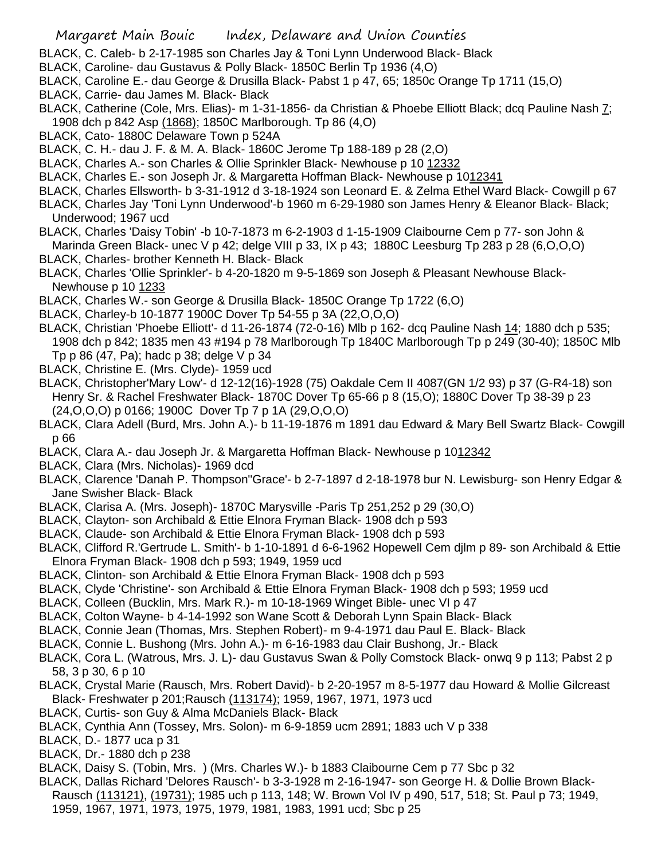- BLACK, C. Caleb- b 2-17-1985 son Charles Jay & Toni Lynn Underwood Black- Black
- BLACK, Caroline- dau Gustavus & Polly Black- 1850C Berlin Tp 1936 (4,O)
- BLACK, Caroline E.- dau George & Drusilla Black- Pabst 1 p 47, 65; 1850c Orange Tp 1711 (15,O)
- BLACK, Carrie- dau James M. Black- Black
- BLACK, Catherine (Cole, Mrs. Elias)- m 1-31-1856- da Christian & Phoebe Elliott Black; dcq Pauline Nash 7; 1908 dch p 842 Asp (1868); 1850C Marlborough. Tp 86 (4,O)
- BLACK, Cato- 1880C Delaware Town p 524A
- BLACK, C. H.- dau J. F. & M. A. Black- 1860C Jerome Tp 188-189 p 28 (2,O)
- BLACK, Charles A.- son Charles & Ollie Sprinkler Black- Newhouse p 10 12332
- BLACK, Charles E.- son Joseph Jr. & Margaretta Hoffman Black- Newhouse p 1012341
- BLACK, Charles Ellsworth- b 3-31-1912 d 3-18-1924 son Leonard E. & Zelma Ethel Ward Black- Cowgill p 67
- BLACK, Charles Jay 'Toni Lynn Underwood'-b 1960 m 6-29-1980 son James Henry & Eleanor Black- Black; Underwood; 1967 ucd
- BLACK, Charles 'Daisy Tobin' -b 10-7-1873 m 6-2-1903 d 1-15-1909 Claibourne Cem p 77- son John & Marinda Green Black- unec V p 42; delge VIII p 33, IX p 43; 1880C Leesburg Tp 283 p 28 (6,O,O,O) BLACK, Charles- brother Kenneth H. Black- Black
- BLACK, Charles 'Ollie Sprinkler'- b 4-20-1820 m 9-5-1869 son Joseph & Pleasant Newhouse Black-Newhouse p 10 1233
- BLACK, Charles W.- son George & Drusilla Black- 1850C Orange Tp 1722 (6,O)
- BLACK, Charley-b 10-1877 1900C Dover Tp 54-55 p 3A (22,O,O,O)
- BLACK, Christian 'Phoebe Elliott'- d 11-26-1874 (72-0-16) Mlb p 162- dcq Pauline Nash 14; 1880 dch p 535; 1908 dch p 842; 1835 men 43 #194 p 78 Marlborough Tp 1840C Marlborough Tp p 249 (30-40); 1850C Mlb Tp p 86 (47, Pa); hadc p 38; delge V p 34
- BLACK, Christine E. (Mrs. Clyde)- 1959 ucd
- BLACK, Christopher'Mary Low'- d 12-12(16)-1928 (75) Oakdale Cem II 4087(GN 1/2 93) p 37 (G-R4-18) son Henry Sr. & Rachel Freshwater Black- 1870C Dover Tp 65-66 p 8 (15,O); 1880C Dover Tp 38-39 p 23 (24,O,O,O) p 0166; 1900C Dover Tp 7 p 1A (29,O,O,O)
- BLACK, Clara Adell (Burd, Mrs. John A.)- b 11-19-1876 m 1891 dau Edward & Mary Bell Swartz Black- Cowgill p 66
- BLACK, Clara A.- dau Joseph Jr. & Margaretta Hoffman Black- Newhouse p 1012342
- BLACK, Clara (Mrs. Nicholas)- 1969 dcd
- BLACK, Clarence 'Danah P. Thompson''Grace'- b 2-7-1897 d 2-18-1978 bur N. Lewisburg- son Henry Edgar & Jane Swisher Black- Black
- BLACK, Clarisa A. (Mrs. Joseph)- 1870C Marysville -Paris Tp 251,252 p 29 (30,O)
- BLACK, Clayton- son Archibald & Ettie Elnora Fryman Black- 1908 dch p 593
- BLACK, Claude- son Archibald & Ettie Elnora Fryman Black- 1908 dch p 593
- BLACK, Clifford R.'Gertrude L. Smith'- b 1-10-1891 d 6-6-1962 Hopewell Cem djlm p 89- son Archibald & Ettie Elnora Fryman Black- 1908 dch p 593; 1949, 1959 ucd
- BLACK, Clinton- son Archibald & Ettie Elnora Fryman Black- 1908 dch p 593
- BLACK, Clyde 'Christine'- son Archibald & Ettie Elnora Fryman Black- 1908 dch p 593; 1959 ucd
- BLACK, Colleen (Bucklin, Mrs. Mark R.)- m 10-18-1969 Winget Bible- unec VI p 47
- BLACK, Colton Wayne- b 4-14-1992 son Wane Scott & Deborah Lynn Spain Black- Black
- BLACK, Connie Jean (Thomas, Mrs. Stephen Robert)- m 9-4-1971 dau Paul E. Black- Black
- BLACK, Connie L. Bushong (Mrs. John A.)- m 6-16-1983 dau Clair Bushong, Jr.- Black
- BLACK, Cora L. (Watrous, Mrs. J. L)- dau Gustavus Swan & Polly Comstock Black- onwq 9 p 113; Pabst 2 p 58, 3 p 30, 6 p 10
- BLACK, Crystal Marie (Rausch, Mrs. Robert David)- b 2-20-1957 m 8-5-1977 dau Howard & Mollie Gilcreast Black- Freshwater p 201;Rausch (113174); 1959, 1967, 1971, 1973 ucd
- BLACK, Curtis- son Guy & Alma McDaniels Black- Black
- BLACK, Cynthia Ann (Tossey, Mrs. Solon)- m 6-9-1859 ucm 2891; 1883 uch V p 338
- BLACK, D.- 1877 uca p 31
- BLACK, Dr.- 1880 dch p 238
- BLACK, Daisy S. (Tobin, Mrs. ) (Mrs. Charles W.)- b 1883 Claibourne Cem p 77 Sbc p 32
- BLACK, Dallas Richard 'Delores Rausch'- b 3-3-1928 m 2-16-1947- son George H. & Dollie Brown Black-Rausch (113121), (19731); 1985 uch p 113, 148; W. Brown Vol IV p 490, 517, 518; St. Paul p 73; 1949,
	- 1959, 1967, 1971, 1973, 1975, 1979, 1981, 1983, 1991 ucd; Sbc p 25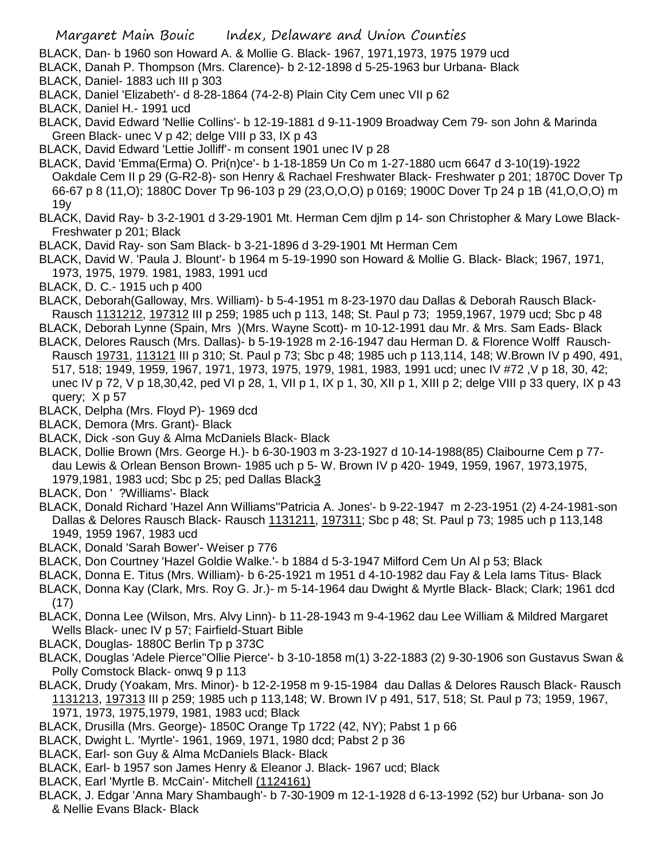- BLACK, Dan- b 1960 son Howard A. & Mollie G. Black- 1967, 1971,1973, 1975 1979 ucd
- BLACK, Danah P. Thompson (Mrs. Clarence)- b 2-12-1898 d 5-25-1963 bur Urbana- Black
- BLACK, Daniel- 1883 uch III p 303
- BLACK, Daniel 'Elizabeth'- d 8-28-1864 (74-2-8) Plain City Cem unec VII p 62
- BLACK, Daniel H.- 1991 ucd
- BLACK, David Edward 'Nellie Collins'- b 12-19-1881 d 9-11-1909 Broadway Cem 79- son John & Marinda Green Black- unec V p 42; delge VIII p 33, IX p 43
- BLACK, David Edward 'Lettie Jolliff'- m consent 1901 unec IV p 28
- BLACK, David 'Emma(Erma) O. Pri(n)ce'- b 1-18-1859 Un Co m 1-27-1880 ucm 6647 d 3-10(19)-1922 Oakdale Cem II p 29 (G-R2-8)- son Henry & Rachael Freshwater Black- Freshwater p 201; 1870C Dover Tp 66-67 p 8 (11,O); 1880C Dover Tp 96-103 p 29 (23,O,O,O) p 0169; 1900C Dover Tp 24 p 1B (41,O,O,O) m 19y
- BLACK, David Ray- b 3-2-1901 d 3-29-1901 Mt. Herman Cem djlm p 14- son Christopher & Mary Lowe Black-Freshwater p 201; Black
- BLACK, David Ray- son Sam Black- b 3-21-1896 d 3-29-1901 Mt Herman Cem
- BLACK, David W. 'Paula J. Blount'- b 1964 m 5-19-1990 son Howard & Mollie G. Black- Black; 1967, 1971, 1973, 1975, 1979. 1981, 1983, 1991 ucd
- BLACK, D. C.- 1915 uch p 400
- BLACK, Deborah(Galloway, Mrs. William)- b 5-4-1951 m 8-23-1970 dau Dallas & Deborah Rausch Black-Rausch 1131212, 197312 III p 259; 1985 uch p 113, 148; St. Paul p 73; 1959,1967, 1979 ucd; Sbc p 48
- BLACK, Deborah Lynne (Spain, Mrs )(Mrs. Wayne Scott)- m 10-12-1991 dau Mr. & Mrs. Sam Eads- Black
- BLACK, Delores Rausch (Mrs. Dallas)- b 5-19-1928 m 2-16-1947 dau Herman D. & Florence Wolff Rausch-Rausch 19731, 113121 III p 310; St. Paul p 73; Sbc p 48; 1985 uch p 113,114, 148; W.Brown IV p 490, 491, 517, 518; 1949, 1959, 1967, 1971, 1973, 1975, 1979, 1981, 1983, 1991 ucd; unec IV #72 ,V p 18, 30, 42; unec IV p 72, V p 18,30,42, ped VI p 28, 1, VII p 1, IX p 1, 30, XII p 1, XIII p 2; delge VIII p 33 query, IX p 43 query; X p 57
- BLACK, Delpha (Mrs. Floyd P)- 1969 dcd
- BLACK, Demora (Mrs. Grant)- Black
- BLACK, Dick -son Guy & Alma McDaniels Black- Black
- BLACK, Dollie Brown (Mrs. George H.)- b 6-30-1903 m 3-23-1927 d 10-14-1988(85) Claibourne Cem p 77 dau Lewis & Orlean Benson Brown- 1985 uch p 5- W. Brown IV p 420- 1949, 1959, 1967, 1973,1975, 1979,1981, 1983 ucd; Sbc p 25; ped Dallas Black3
- BLACK, Don ' ?Williams'- Black
- BLACK, Donald Richard 'Hazel Ann Williams''Patricia A. Jones'- b 9-22-1947 m 2-23-1951 (2) 4-24-1981-son Dallas & Delores Rausch Black- Rausch 1131211, 197311; Sbc p 48; St. Paul p 73; 1985 uch p 113,148 1949, 1959 1967, 1983 ucd
- BLACK, Donald 'Sarah Bower'- Weiser p 776
- BLACK, Don Courtney 'Hazel Goldie Walke.'- b 1884 d 5-3-1947 Milford Cem Un Al p 53; Black
- BLACK, Donna E. Titus (Mrs. William)- b 6-25-1921 m 1951 d 4-10-1982 dau Fay & Lela Iams Titus- Black
- BLACK, Donna Kay (Clark, Mrs. Roy G. Jr.)- m 5-14-1964 dau Dwight & Myrtle Black- Black; Clark; 1961 dcd (17)
- BLACK, Donna Lee (Wilson, Mrs. Alvy Linn)- b 11-28-1943 m 9-4-1962 dau Lee William & Mildred Margaret Wells Black- unec IV p 57; Fairfield-Stuart Bible
- BLACK, Douglas- 1880C Berlin Tp p 373C
- BLACK, Douglas 'Adele Pierce''Ollie Pierce'- b 3-10-1858 m(1) 3-22-1883 (2) 9-30-1906 son Gustavus Swan & Polly Comstock Black- onwq 9 p 113
- BLACK, Drudy (Yoakam, Mrs. Minor)- b 12-2-1958 m 9-15-1984 dau Dallas & Delores Rausch Black- Rausch 1131213, 197313 III p 259; 1985 uch p 113,148; W. Brown IV p 491, 517, 518; St. Paul p 73; 1959, 1967, 1971, 1973, 1975,1979, 1981, 1983 ucd; Black
- BLACK, Drusilla (Mrs. George)- 1850C Orange Tp 1722 (42, NY); Pabst 1 p 66
- BLACK, Dwight L. 'Myrtle'- 1961, 1969, 1971, 1980 dcd; Pabst 2 p 36
- BLACK, Earl- son Guy & Alma McDaniels Black- Black
- BLACK, Earl- b 1957 son James Henry & Eleanor J. Black- 1967 ucd; Black
- BLACK, Earl 'Myrtle B. McCain'- Mitchell (1124161)
- BLACK, J. Edgar 'Anna Mary Shambaugh'- b 7-30-1909 m 12-1-1928 d 6-13-1992 (52) bur Urbana- son Jo & Nellie Evans Black- Black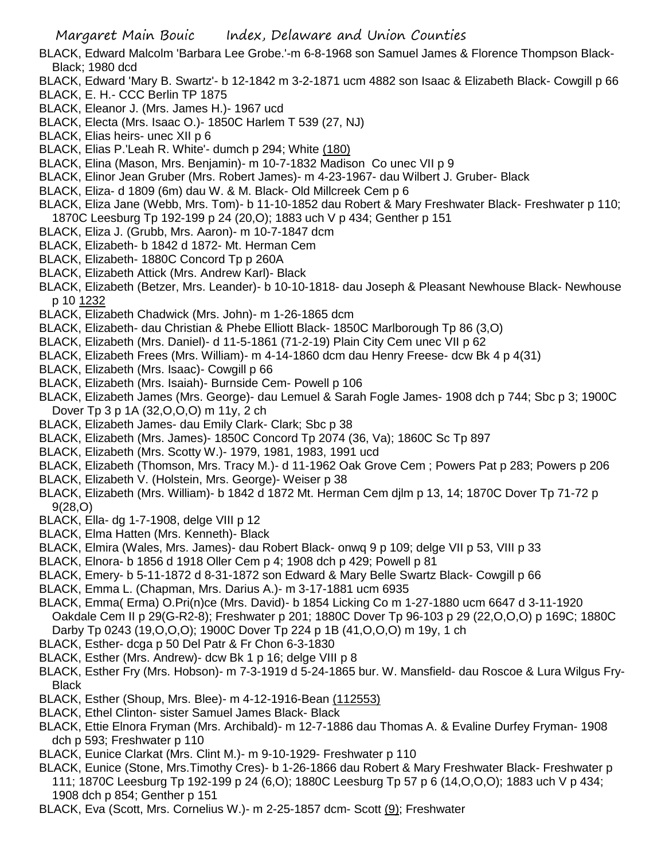- BLACK, Edward Malcolm 'Barbara Lee Grobe.'-m 6-8-1968 son Samuel James & Florence Thompson Black-Black; 1980 dcd
- BLACK, Edward 'Mary B. Swartz'- b 12-1842 m 3-2-1871 ucm 4882 son Isaac & Elizabeth Black- Cowgill p 66
- BLACK, E. H.- CCC Berlin TP 1875
- BLACK, Eleanor J. (Mrs. James H.)- 1967 ucd
- BLACK, Electa (Mrs. Isaac O.)- 1850C Harlem T 539 (27, NJ)
- BLACK, Elias heirs- unec XII p 6
- BLACK, Elias P.'Leah R. White'- dumch p 294; White (180)
- BLACK, Elina (Mason, Mrs. Benjamin)- m 10-7-1832 Madison Co unec VII p 9
- BLACK, Elinor Jean Gruber (Mrs. Robert James)- m 4-23-1967- dau Wilbert J. Gruber- Black
- BLACK, Eliza- d 1809 (6m) dau W. & M. Black- Old Millcreek Cem p 6
- BLACK, Eliza Jane (Webb, Mrs. Tom)- b 11-10-1852 dau Robert & Mary Freshwater Black- Freshwater p 110; 1870C Leesburg Tp 192-199 p 24 (20,O); 1883 uch V p 434; Genther p 151
- BLACK, Eliza J. (Grubb, Mrs. Aaron)- m 10-7-1847 dcm
- BLACK, Elizabeth- b 1842 d 1872- Mt. Herman Cem
- BLACK, Elizabeth- 1880C Concord Tp p 260A
- BLACK, Elizabeth Attick (Mrs. Andrew Karl)- Black
- BLACK, Elizabeth (Betzer, Mrs. Leander)- b 10-10-1818- dau Joseph & Pleasant Newhouse Black- Newhouse p 10 1232
- BLACK, Elizabeth Chadwick (Mrs. John)- m 1-26-1865 dcm
- BLACK, Elizabeth- dau Christian & Phebe Elliott Black- 1850C Marlborough Tp 86 (3,O)
- BLACK, Elizabeth (Mrs. Daniel)- d 11-5-1861 (71-2-19) Plain City Cem unec VII p 62
- BLACK, Elizabeth Frees (Mrs. William)- m 4-14-1860 dcm dau Henry Freese- dcw Bk 4 p 4(31)
- BLACK, Elizabeth (Mrs. Isaac)- Cowgill p 66
- BLACK, Elizabeth (Mrs. Isaiah)- Burnside Cem- Powell p 106
- BLACK, Elizabeth James (Mrs. George)- dau Lemuel & Sarah Fogle James- 1908 dch p 744; Sbc p 3; 1900C Dover Tp 3 p 1A (32,O,O,O) m 11y, 2 ch
- BLACK, Elizabeth James- dau Emily Clark- Clark; Sbc p 38
- BLACK, Elizabeth (Mrs. James)- 1850C Concord Tp 2074 (36, Va); 1860C Sc Tp 897
- BLACK, Elizabeth (Mrs. Scotty W.)- 1979, 1981, 1983, 1991 ucd
- BLACK, Elizabeth (Thomson, Mrs. Tracy M.)- d 11-1962 Oak Grove Cem ; Powers Pat p 283; Powers p 206
- BLACK, Elizabeth V. (Holstein, Mrs. George)- Weiser p 38
- BLACK, Elizabeth (Mrs. William)- b 1842 d 1872 Mt. Herman Cem djlm p 13, 14; 1870C Dover Tp 71-72 p 9(28,O)
- BLACK, Ella- dg 1-7-1908, delge VIII p 12
- BLACK, Elma Hatten (Mrs. Kenneth)- Black
- BLACK, Elmira (Wales, Mrs. James)- dau Robert Black- onwq 9 p 109; delge VII p 53, VIII p 33
- BLACK, Elnora- b 1856 d 1918 Oller Cem p 4; 1908 dch p 429; Powell p 81
- BLACK, Emery- b 5-11-1872 d 8-31-1872 son Edward & Mary Belle Swartz Black- Cowgill p 66
- BLACK, Emma L. (Chapman, Mrs. Darius A.)- m 3-17-1881 ucm 6935
- BLACK, Emma( Erma) O.Pri(n)ce (Mrs. David)- b 1854 Licking Co m 1-27-1880 ucm 6647 d 3-11-1920 Oakdale Cem II p 29(G-R2-8); Freshwater p 201; 1880C Dover Tp 96-103 p 29 (22,O,O,O) p 169C; 1880C Darby Tp 0243 (19,O,O,O); 1900C Dover Tp 224 p 1B (41,O,O,O) m 19y, 1 ch
- BLACK, Esther- dcga p 50 Del Patr & Fr Chon 6-3-1830
- BLACK, Esther (Mrs. Andrew)- dcw Bk 1 p 16; delge VIII p 8
- BLACK, Esther Fry (Mrs. Hobson)- m 7-3-1919 d 5-24-1865 bur. W. Mansfield- dau Roscoe & Lura Wilgus Fry-**Black**
- BLACK, Esther (Shoup, Mrs. Blee)- m 4-12-1916-Bean (112553)
- BLACK, Ethel Clinton- sister Samuel James Black- Black
- BLACK, Ettie Elnora Fryman (Mrs. Archibald)- m 12-7-1886 dau Thomas A. & Evaline Durfey Fryman- 1908 dch p 593; Freshwater p 110
- BLACK, Eunice Clarkat (Mrs. Clint M.)- m 9-10-1929- Freshwater p 110
- BLACK, Eunice (Stone, Mrs.Timothy Cres)- b 1-26-1866 dau Robert & Mary Freshwater Black- Freshwater p 111; 1870C Leesburg Tp 192-199 p 24 (6,O); 1880C Leesburg Tp 57 p 6 (14,O,O,O); 1883 uch V p 434; 1908 dch p 854; Genther p 151
- BLACK, Eva (Scott, Mrs. Cornelius W.)- m 2-25-1857 dcm- Scott (9); Freshwater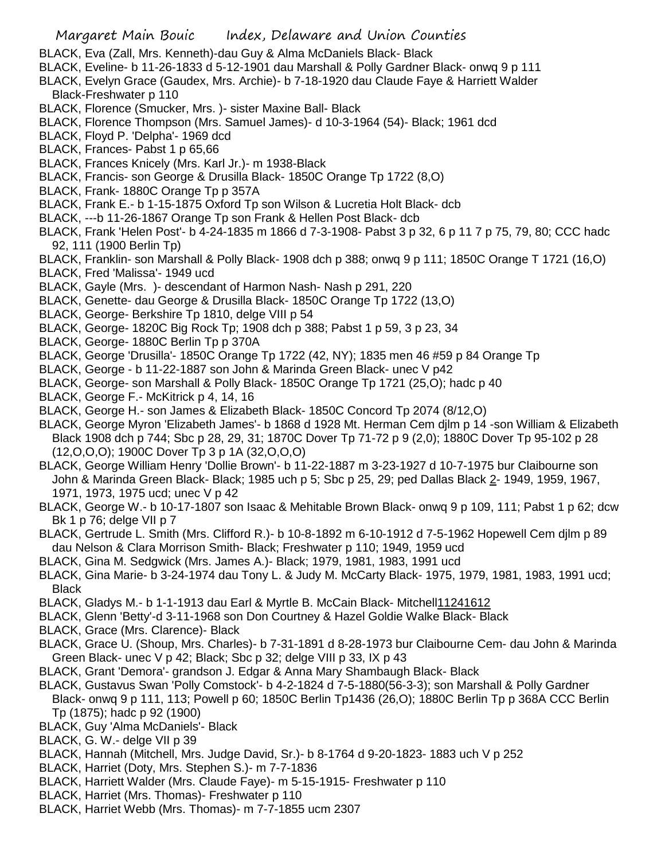- BLACK, Eva (Zall, Mrs. Kenneth)-dau Guy & Alma McDaniels Black- Black
- BLACK, Eveline- b 11-26-1833 d 5-12-1901 dau Marshall & Polly Gardner Black- onwq 9 p 111
- BLACK, Evelyn Grace (Gaudex, Mrs. Archie)- b 7-18-1920 dau Claude Faye & Harriett Walder Black-Freshwater p 110
- BLACK, Florence (Smucker, Mrs. )- sister Maxine Ball- Black
- BLACK, Florence Thompson (Mrs. Samuel James)- d 10-3-1964 (54)- Black; 1961 dcd
- BLACK, Floyd P. 'Delpha'- 1969 dcd
- BLACK, Frances- Pabst 1 p 65,66
- BLACK, Frances Knicely (Mrs. Karl Jr.)- m 1938-Black
- BLACK, Francis- son George & Drusilla Black- 1850C Orange Tp 1722 (8,O)
- BLACK, Frank- 1880C Orange Tp p 357A
- BLACK, Frank E.- b 1-15-1875 Oxford Tp son Wilson & Lucretia Holt Black- dcb
- BLACK, ---b 11-26-1867 Orange Tp son Frank & Hellen Post Black- dcb
- BLACK, Frank 'Helen Post'- b 4-24-1835 m 1866 d 7-3-1908- Pabst 3 p 32, 6 p 11 7 p 75, 79, 80; CCC hadc 92, 111 (1900 Berlin Tp)
- BLACK, Franklin- son Marshall & Polly Black- 1908 dch p 388; onwq 9 p 111; 1850C Orange T 1721 (16,O)
- BLACK, Fred 'Malissa'- 1949 ucd
- BLACK, Gayle (Mrs. )- descendant of Harmon Nash- Nash p 291, 220
- BLACK, Genette- dau George & Drusilla Black- 1850C Orange Tp 1722 (13,O)
- BLACK, George- Berkshire Tp 1810, delge VIII p 54
- BLACK, George- 1820C Big Rock Tp; 1908 dch p 388; Pabst 1 p 59, 3 p 23, 34
- BLACK, George- 1880C Berlin Tp p 370A
- BLACK, George 'Drusilla'- 1850C Orange Tp 1722 (42, NY); 1835 men 46 #59 p 84 Orange Tp
- BLACK, George b 11-22-1887 son John & Marinda Green Black- unec V p42
- BLACK, George- son Marshall & Polly Black- 1850C Orange Tp 1721 (25,O); hadc p 40
- BLACK, George F.- McKitrick p 4, 14, 16
- BLACK, George H.- son James & Elizabeth Black- 1850C Concord Tp 2074 (8/12,O)
- BLACK, George Myron 'Elizabeth James'- b 1868 d 1928 Mt. Herman Cem djlm p 14 -son William & Elizabeth Black 1908 dch p 744; Sbc p 28, 29, 31; 1870C Dover Tp 71-72 p 9 (2,0); 1880C Dover Tp 95-102 p 28 (12,O,O,O); 1900C Dover Tp 3 p 1A (32,O,O,O)
- BLACK, George William Henry 'Dollie Brown'- b 11-22-1887 m 3-23-1927 d 10-7-1975 bur Claibourne son John & Marinda Green Black- Black; 1985 uch p 5; Sbc p 25, 29; ped Dallas Black 2- 1949, 1959, 1967, 1971, 1973, 1975 ucd; unec V p 42
- BLACK, George W.- b 10-17-1807 son Isaac & Mehitable Brown Black- onwq 9 p 109, 111; Pabst 1 p 62; dcw Bk 1 p 76; delge VII p 7
- BLACK, Gertrude L. Smith (Mrs. Clifford R.)- b 10-8-1892 m 6-10-1912 d 7-5-1962 Hopewell Cem djlm p 89 dau Nelson & Clara Morrison Smith- Black; Freshwater p 110; 1949, 1959 ucd
- BLACK, Gina M. Sedgwick (Mrs. James A.)- Black; 1979, 1981, 1983, 1991 ucd
- BLACK, Gina Marie- b 3-24-1974 dau Tony L. & Judy M. McCarty Black- 1975, 1979, 1981, 1983, 1991 ucd; Black
- BLACK, Gladys M.- b 1-1-1913 dau Earl & Myrtle B. McCain Black- Mitchell11241612
- BLACK, Glenn 'Betty'-d 3-11-1968 son Don Courtney & Hazel Goldie Walke Black- Black
- BLACK, Grace (Mrs. Clarence)- Black
- BLACK, Grace U. (Shoup, Mrs. Charles)- b 7-31-1891 d 8-28-1973 bur Claibourne Cem- dau John & Marinda Green Black- unec V p 42; Black; Sbc p 32; delge VIII p 33, IX p 43
- BLACK, Grant 'Demora'- grandson J. Edgar & Anna Mary Shambaugh Black- Black
- BLACK, Gustavus Swan 'Polly Comstock'- b 4-2-1824 d 7-5-1880(56-3-3); son Marshall & Polly Gardner Black- onwq 9 p 111, 113; Powell p 60; 1850C Berlin Tp1436 (26,O); 1880C Berlin Tp p 368A CCC Berlin Tp (1875); hadc p 92 (1900)
- BLACK, Guy 'Alma McDaniels'- Black
- BLACK, G. W.- delge VII p 39
- BLACK, Hannah (Mitchell, Mrs. Judge David, Sr.)- b 8-1764 d 9-20-1823- 1883 uch V p 252
- BLACK, Harriet (Doty, Mrs. Stephen S.)- m 7-7-1836
- BLACK, Harriett Walder (Mrs. Claude Faye)- m 5-15-1915- Freshwater p 110
- BLACK, Harriet (Mrs. Thomas)- Freshwater p 110
- BLACK, Harriet Webb (Mrs. Thomas)- m 7-7-1855 ucm 2307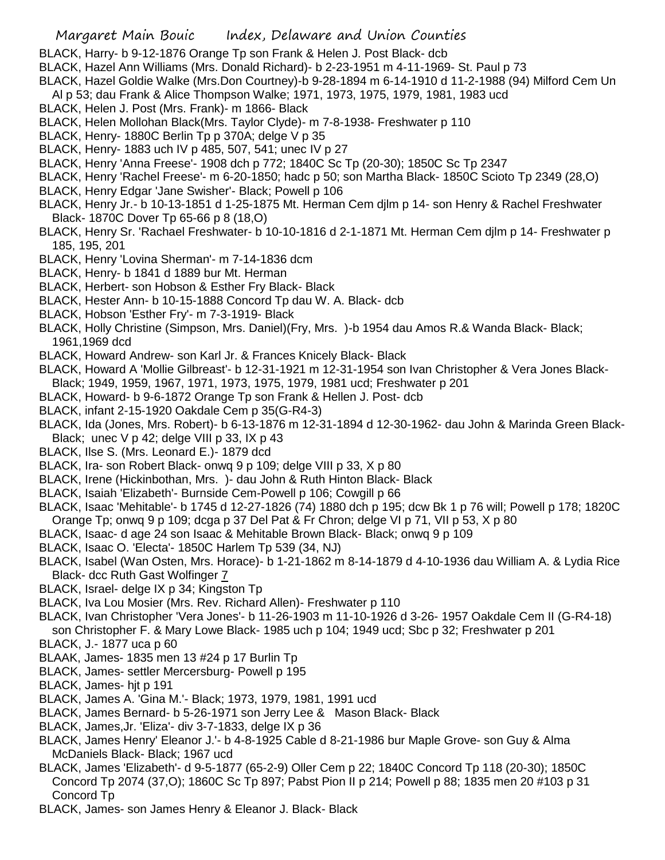BLACK, Harry- b 9-12-1876 Orange Tp son Frank & Helen J. Post Black- dcb

- BLACK, Hazel Ann Williams (Mrs. Donald Richard)- b 2-23-1951 m 4-11-1969- St. Paul p 73
- BLACK, Hazel Goldie Walke (Mrs.Don Courtney)-b 9-28-1894 m 6-14-1910 d 11-2-1988 (94) Milford Cem Un
- Al p 53; dau Frank & Alice Thompson Walke; 1971, 1973, 1975, 1979, 1981, 1983 ucd
- BLACK, Helen J. Post (Mrs. Frank)- m 1866- Black
- BLACK, Helen Mollohan Black(Mrs. Taylor Clyde)- m 7-8-1938- Freshwater p 110
- BLACK, Henry- 1880C Berlin Tp p 370A; delge V p 35
- BLACK, Henry- 1883 uch IV p 485, 507, 541; unec IV p 27
- BLACK, Henry 'Anna Freese'- 1908 dch p 772; 1840C Sc Tp (20-30); 1850C Sc Tp 2347
- BLACK, Henry 'Rachel Freese'- m 6-20-1850; hadc p 50; son Martha Black- 1850C Scioto Tp 2349 (28,O)
- BLACK, Henry Edgar 'Jane Swisher'- Black; Powell p 106
- BLACK, Henry Jr.- b 10-13-1851 d 1-25-1875 Mt. Herman Cem djlm p 14- son Henry & Rachel Freshwater Black- 1870C Dover Tp 65-66 p 8 (18,O)
- BLACK, Henry Sr. 'Rachael Freshwater- b 10-10-1816 d 2-1-1871 Mt. Herman Cem djlm p 14- Freshwater p 185, 195, 201
- BLACK, Henry 'Lovina Sherman'- m 7-14-1836 dcm
- BLACK, Henry- b 1841 d 1889 bur Mt. Herman
- BLACK, Herbert- son Hobson & Esther Fry Black- Black
- BLACK, Hester Ann- b 10-15-1888 Concord Tp dau W. A. Black- dcb
- BLACK, Hobson 'Esther Fry'- m 7-3-1919- Black
- BLACK, Holly Christine (Simpson, Mrs. Daniel)(Fry, Mrs. )-b 1954 dau Amos R.& Wanda Black- Black; 1961,1969 dcd
- BLACK, Howard Andrew- son Karl Jr. & Frances Knicely Black- Black
- BLACK, Howard A 'Mollie Gilbreast'- b 12-31-1921 m 12-31-1954 son Ivan Christopher & Vera Jones Black-Black; 1949, 1959, 1967, 1971, 1973, 1975, 1979, 1981 ucd; Freshwater p 201
- BLACK, Howard- b 9-6-1872 Orange Tp son Frank & Hellen J. Post- dcb
- BLACK, infant 2-15-1920 Oakdale Cem p 35(G-R4-3)
- BLACK, Ida (Jones, Mrs. Robert)- b 6-13-1876 m 12-31-1894 d 12-30-1962- dau John & Marinda Green Black-Black; unec  $V$  p 42; delge VIII p 33, IX p 43
- BLACK, Ilse S. (Mrs. Leonard E.)- 1879 dcd
- BLACK, Ira- son Robert Black- onwq 9 p 109; delge VIII p 33, X p 80
- BLACK, Irene (Hickinbothan, Mrs. )- dau John & Ruth Hinton Black- Black
- BLACK, Isaiah 'Elizabeth'- Burnside Cem-Powell p 106; Cowgill p 66
- BLACK, Isaac 'Mehitable'- b 1745 d 12-27-1826 (74) 1880 dch p 195; dcw Bk 1 p 76 will; Powell p 178; 1820C Orange Tp; onwq 9 p 109; dcga p 37 Del Pat & Fr Chron; delge VI p 71, VII p 53, X p 80
- BLACK, Isaac- d age 24 son Isaac & Mehitable Brown Black- Black; onwq 9 p 109
- BLACK, Isaac O. 'Electa'- 1850C Harlem Tp 539 (34, NJ)
- BLACK, Isabel (Wan Osten, Mrs. Horace)- b 1-21-1862 m 8-14-1879 d 4-10-1936 dau William A. & Lydia Rice Black- dcc Ruth Gast Wolfinger 7
- BLACK, Israel- delge IX p 34; Kingston Tp
- BLACK, Iva Lou Mosier (Mrs. Rev. Richard Allen)- Freshwater p 110
- BLACK, Ivan Christopher 'Vera Jones'- b 11-26-1903 m 11-10-1926 d 3-26- 1957 Oakdale Cem II (G-R4-18) son Christopher F. & Mary Lowe Black- 1985 uch p 104; 1949 ucd; Sbc p 32; Freshwater p 201
- BLACK, J.- 1877 uca p 60
- BLAAK, James- 1835 men 13 #24 p 17 Burlin Tp
- BLACK, James- settler Mercersburg- Powell p 195
- BLACK, James- hjt p 191
- BLACK, James A. 'Gina M.'- Black; 1973, 1979, 1981, 1991 ucd
- BLACK, James Bernard- b 5-26-1971 son Jerry Lee & Mason Black- Black
- BLACK, James,Jr. 'Eliza'- div 3-7-1833, delge IX p 36
- BLACK, James Henry' Eleanor J.'- b 4-8-1925 Cable d 8-21-1986 bur Maple Grove- son Guy & Alma McDaniels Black- Black; 1967 ucd
- BLACK, James 'Elizabeth'- d 9-5-1877 (65-2-9) Oller Cem p 22; 1840C Concord Tp 118 (20-30); 1850C Concord Tp 2074 (37,O); 1860C Sc Tp 897; Pabst Pion II p 214; Powell p 88; 1835 men 20 #103 p 31 Concord Tp
- BLACK, James- son James Henry & Eleanor J. Black- Black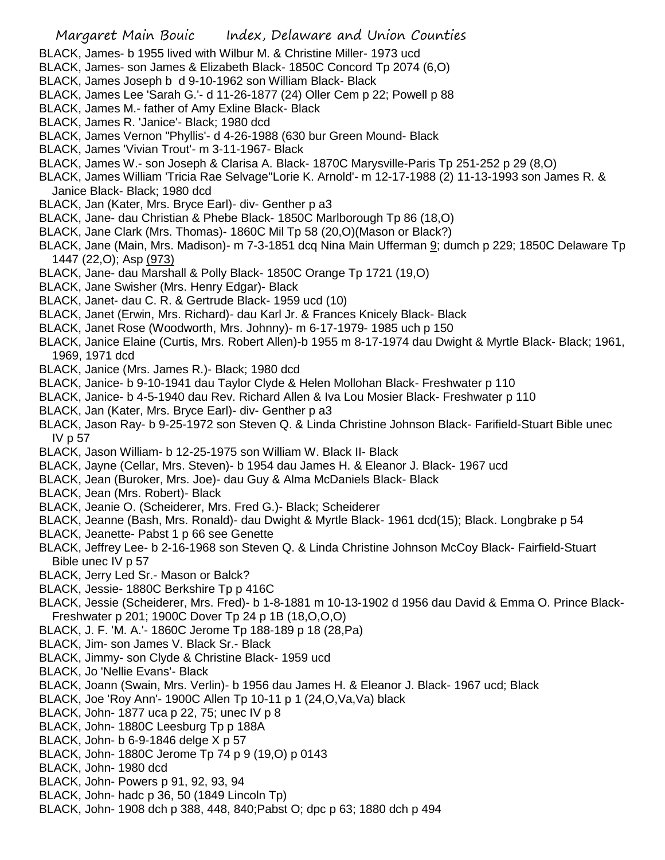- BLACK, James- b 1955 lived with Wilbur M. & Christine Miller- 1973 ucd
- BLACK, James- son James & Elizabeth Black- 1850C Concord Tp 2074 (6,O)
- BLACK, James Joseph b d 9-10-1962 son William Black- Black
- BLACK, James Lee 'Sarah G.'- d 11-26-1877 (24) Oller Cem p 22; Powell p 88
- BLACK, James M.- father of Amy Exline Black- Black
- BLACK, James R. 'Janice'- Black; 1980 dcd
- BLACK, James Vernon "Phyllis'- d 4-26-1988 (630 bur Green Mound- Black
- BLACK, James 'Vivian Trout'- m 3-11-1967- Black
- BLACK, James W.- son Joseph & Clarisa A. Black- 1870C Marysville-Paris Tp 251-252 p 29 (8,O)
- BLACK, James William 'Tricia Rae Selvage''Lorie K. Arnold'- m 12-17-1988 (2) 11-13-1993 son James R. & Janice Black- Black; 1980 dcd
- BLACK, Jan (Kater, Mrs. Bryce Earl)- div- Genther p a3
- BLACK, Jane- dau Christian & Phebe Black- 1850C Marlborough Tp 86 (18,O)
- BLACK, Jane Clark (Mrs. Thomas)- 1860C Mil Tp 58 (20,O)(Mason or Black?)
- BLACK, Jane (Main, Mrs. Madison)- m 7-3-1851 dcq Nina Main Ufferman 9; dumch p 229; 1850C Delaware Tp 1447 (22,O); Asp (973)
- BLACK, Jane- dau Marshall & Polly Black- 1850C Orange Tp 1721 (19,O)
- BLACK, Jane Swisher (Mrs. Henry Edgar)- Black
- BLACK, Janet- dau C. R. & Gertrude Black- 1959 ucd (10)
- BLACK, Janet (Erwin, Mrs. Richard)- dau Karl Jr. & Frances Knicely Black- Black
- BLACK, Janet Rose (Woodworth, Mrs. Johnny)- m 6-17-1979- 1985 uch p 150
- BLACK, Janice Elaine (Curtis, Mrs. Robert Allen)-b 1955 m 8-17-1974 dau Dwight & Myrtle Black- Black; 1961, 1969, 1971 dcd
- BLACK, Janice (Mrs. James R.)- Black; 1980 dcd
- BLACK, Janice- b 9-10-1941 dau Taylor Clyde & Helen Mollohan Black- Freshwater p 110
- BLACK, Janice- b 4-5-1940 dau Rev. Richard Allen & Iva Lou Mosier Black- Freshwater p 110
- BLACK, Jan (Kater, Mrs. Bryce Earl)- div- Genther p a3
- BLACK, Jason Ray- b 9-25-1972 son Steven Q. & Linda Christine Johnson Black- Farifield-Stuart Bible unec IV p 57
- BLACK, Jason William- b 12-25-1975 son William W. Black II- Black
- BLACK, Jayne (Cellar, Mrs. Steven)- b 1954 dau James H. & Eleanor J. Black- 1967 ucd
- BLACK, Jean (Buroker, Mrs. Joe)- dau Guy & Alma McDaniels Black- Black
- BLACK, Jean (Mrs. Robert)- Black
- BLACK, Jeanie O. (Scheiderer, Mrs. Fred G.)- Black; Scheiderer
- BLACK, Jeanne (Bash, Mrs. Ronald)- dau Dwight & Myrtle Black- 1961 dcd(15); Black. Longbrake p 54
- BLACK, Jeanette- Pabst 1 p 66 see Genette
- BLACK, Jeffrey Lee- b 2-16-1968 son Steven Q. & Linda Christine Johnson McCoy Black- Fairfield-Stuart Bible unec IV p 57
- BLACK, Jerry Led Sr.- Mason or Balck?
- BLACK, Jessie- 1880C Berkshire Tp p 416C
- BLACK, Jessie (Scheiderer, Mrs. Fred)- b 1-8-1881 m 10-13-1902 d 1956 dau David & Emma O. Prince Black-Freshwater p 201; 1900C Dover Tp 24 p 1B (18,O,O,O)
- BLACK, J. F. 'M. A.'- 1860C Jerome Tp 188-189 p 18 (28,Pa)
- BLACK, Jim- son James V. Black Sr.- Black
- BLACK, Jimmy- son Clyde & Christine Black- 1959 ucd
- BLACK, Jo 'Nellie Evans'- Black
- BLACK, Joann (Swain, Mrs. Verlin)- b 1956 dau James H. & Eleanor J. Black- 1967 ucd; Black
- BLACK, Joe 'Roy Ann'- 1900C Allen Tp 10-11 p 1 (24,O,Va,Va) black
- BLACK, John- 1877 uca p 22, 75; unec IV p 8
- BLACK, John- 1880C Leesburg Tp p 188A
- BLACK, John- b 6-9-1846 delge X p 57
- BLACK, John- 1880C Jerome Tp 74 p 9 (19,O) p 0143
- BLACK, John- 1980 dcd
- BLACK, John- Powers p 91, 92, 93, 94
- BLACK, John- hadc p 36, 50 (1849 Lincoln Tp)
- BLACK, John- 1908 dch p 388, 448, 840;Pabst O; dpc p 63; 1880 dch p 494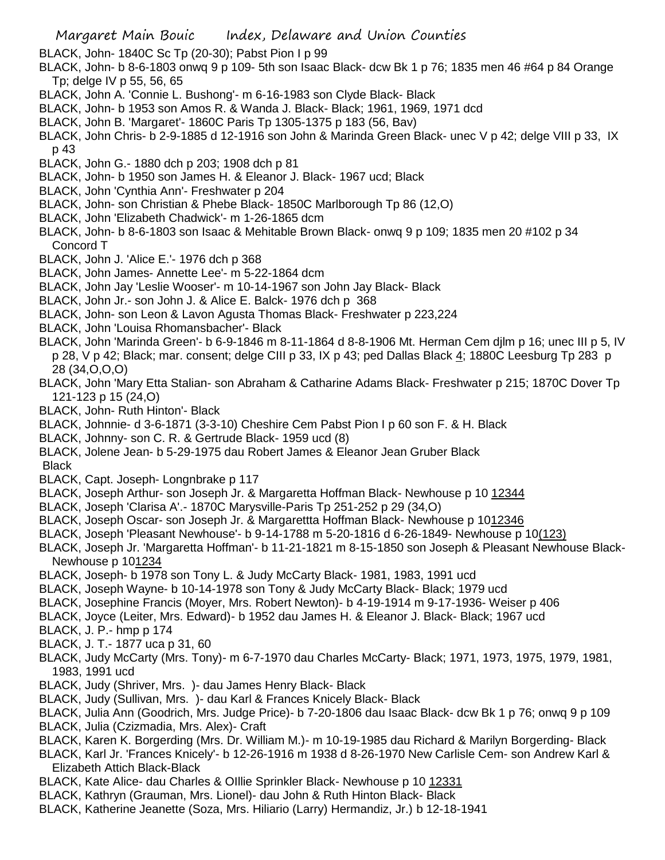BLACK, John- 1840C Sc Tp (20-30); Pabst Pion I p 99

- BLACK, John- b 8-6-1803 onwq 9 p 109- 5th son Isaac Black- dcw Bk 1 p 76; 1835 men 46 #64 p 84 Orange Tp; delge IV p 55, 56, 65
- BLACK, John A. 'Connie L. Bushong'- m 6-16-1983 son Clyde Black- Black
- BLACK, John- b 1953 son Amos R. & Wanda J. Black- Black; 1961, 1969, 1971 dcd
- BLACK, John B. 'Margaret'- 1860C Paris Tp 1305-1375 p 183 (56, Bav)
- BLACK, John Chris- b 2-9-1885 d 12-1916 son John & Marinda Green Black- unec V p 42; delge VIII p 33, IX p 43
- BLACK, John G.- 1880 dch p 203; 1908 dch p 81
- BLACK, John- b 1950 son James H. & Eleanor J. Black- 1967 ucd; Black
- BLACK, John 'Cynthia Ann'- Freshwater p 204
- BLACK, John- son Christian & Phebe Black- 1850C Marlborough Tp 86 (12,O)
- BLACK, John 'Elizabeth Chadwick'- m 1-26-1865 dcm
- BLACK, John- b 8-6-1803 son Isaac & Mehitable Brown Black- onwq 9 p 109; 1835 men 20 #102 p 34 Concord T
- BLACK, John J. 'Alice E.'- 1976 dch p 368
- BLACK, John James- Annette Lee'- m 5-22-1864 dcm
- BLACK, John Jay 'Leslie Wooser'- m 10-14-1967 son John Jay Black- Black
- BLACK, John Jr.- son John J. & Alice E. Balck- 1976 dch p 368
- BLACK, John- son Leon & Lavon Agusta Thomas Black- Freshwater p 223,224
- BLACK, John 'Louisa Rhomansbacher'- Black
- BLACK, John 'Marinda Green'- b 6-9-1846 m 8-11-1864 d 8-8-1906 Mt. Herman Cem djlm p 16; unec III p 5, IV p 28, V p 42; Black; mar. consent; delge CIII p 33, IX p 43; ped Dallas Black 4; 1880C Leesburg Tp 283 p 28 (34,O,O,O)
- BLACK, John 'Mary Etta Stalian- son Abraham & Catharine Adams Black- Freshwater p 215; 1870C Dover Tp 121-123 p 15 (24,O)
- BLACK, John- Ruth Hinton'- Black
- BLACK, Johnnie- d 3-6-1871 (3-3-10) Cheshire Cem Pabst Pion I p 60 son F. & H. Black
- BLACK, Johnny- son C. R. & Gertrude Black- 1959 ucd (8)
- BLACK, Jolene Jean- b 5-29-1975 dau Robert James & Eleanor Jean Gruber Black Black
- BLACK, Capt. Joseph- Longnbrake p 117
- BLACK, Joseph Arthur- son Joseph Jr. & Margaretta Hoffman Black- Newhouse p 10 12344
- BLACK, Joseph 'Clarisa A'.- 1870C Marysville-Paris Tp 251-252 p 29 (34,O)
- BLACK, Joseph Oscar- son Joseph Jr. & Margarettta Hoffman Black- Newhouse p 1012346
- BLACK, Joseph 'Pleasant Newhouse'- b 9-14-1788 m 5-20-1816 d 6-26-1849- Newhouse p 10(123)
- BLACK, Joseph Jr. 'Margaretta Hoffman'- b 11-21-1821 m 8-15-1850 son Joseph & Pleasant Newhouse Black-Newhouse p 101234
- BLACK, Joseph- b 1978 son Tony L. & Judy McCarty Black- 1981, 1983, 1991 ucd
- BLACK, Joseph Wayne- b 10-14-1978 son Tony & Judy McCarty Black- Black; 1979 ucd
- BLACK, Josephine Francis (Moyer, Mrs. Robert Newton)- b 4-19-1914 m 9-17-1936- Weiser p 406
- BLACK, Joyce (Leiter, Mrs. Edward)- b 1952 dau James H. & Eleanor J. Black- Black; 1967 ucd

BLACK, J. P.- hmp p 174

- BLACK, J. T.- 1877 uca p 31, 60
- BLACK, Judy McCarty (Mrs. Tony)- m 6-7-1970 dau Charles McCarty- Black; 1971, 1973, 1975, 1979, 1981, 1983, 1991 ucd
- BLACK, Judy (Shriver, Mrs. )- dau James Henry Black- Black
- BLACK, Judy (Sullivan, Mrs. )- dau Karl & Frances Knicely Black- Black
- BLACK, Julia Ann (Goodrich, Mrs. Judge Price)- b 7-20-1806 dau Isaac Black- dcw Bk 1 p 76; onwq 9 p 109 BLACK, Julia (Czizmadia, Mrs. Alex)- Craft
- BLACK, Karen K. Borgerding (Mrs. Dr. William M.)- m 10-19-1985 dau Richard & Marilyn Borgerding- Black
- BLACK, Karl Jr. 'Frances Knicely'- b 12-26-1916 m 1938 d 8-26-1970 New Carlisle Cem- son Andrew Karl & Elizabeth Attich Black-Black
- BLACK, Kate Alice- dau Charles & OIllie Sprinkler Black- Newhouse p 10 12331
- BLACK, Kathryn (Grauman, Mrs. Lionel)- dau John & Ruth Hinton Black- Black
- BLACK, Katherine Jeanette (Soza, Mrs. Hiliario (Larry) Hermandiz, Jr.) b 12-18-1941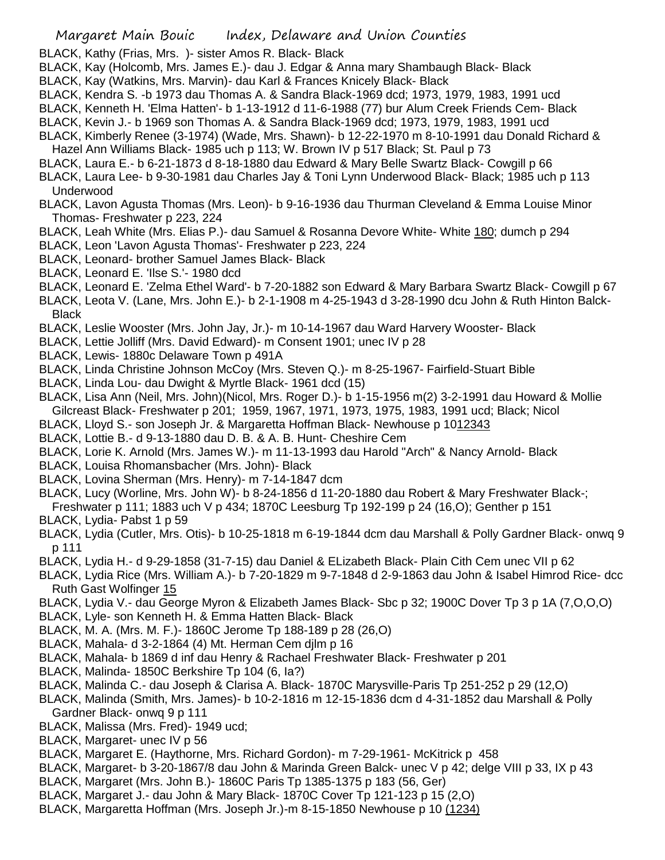BLACK, Kathy (Frias, Mrs. )- sister Amos R. Black- Black

- BLACK, Kay (Holcomb, Mrs. James E.)- dau J. Edgar & Anna mary Shambaugh Black- Black
- BLACK, Kay (Watkins, Mrs. Marvin)- dau Karl & Frances Knicely Black- Black
- BLACK, Kendra S. -b 1973 dau Thomas A. & Sandra Black-1969 dcd; 1973, 1979, 1983, 1991 ucd
- BLACK, Kenneth H. 'Elma Hatten'- b 1-13-1912 d 11-6-1988 (77) bur Alum Creek Friends Cem- Black
- BLACK, Kevin J.- b 1969 son Thomas A. & Sandra Black-1969 dcd; 1973, 1979, 1983, 1991 ucd
- BLACK, Kimberly Renee (3-1974) (Wade, Mrs. Shawn)- b 12-22-1970 m 8-10-1991 dau Donald Richard & Hazel Ann Williams Black- 1985 uch p 113; W. Brown IV p 517 Black; St. Paul p 73
- BLACK, Laura E.- b 6-21-1873 d 8-18-1880 dau Edward & Mary Belle Swartz Black- Cowgill p 66
- BLACK, Laura Lee- b 9-30-1981 dau Charles Jay & Toni Lynn Underwood Black- Black; 1985 uch p 113 Underwood
- BLACK, Lavon Agusta Thomas (Mrs. Leon)- b 9-16-1936 dau Thurman Cleveland & Emma Louise Minor Thomas- Freshwater p 223, 224
- BLACK, Leah White (Mrs. Elias P.)- dau Samuel & Rosanna Devore White- White 180; dumch p 294
- BLACK, Leon 'Lavon Agusta Thomas'- Freshwater p 223, 224
- BLACK, Leonard- brother Samuel James Black- Black
- BLACK, Leonard E. 'Ilse S.'- 1980 dcd
- BLACK, Leonard E. 'Zelma Ethel Ward'- b 7-20-1882 son Edward & Mary Barbara Swartz Black- Cowgill p 67
- BLACK, Leota V. (Lane, Mrs. John E.)- b 2-1-1908 m 4-25-1943 d 3-28-1990 dcu John & Ruth Hinton Balck-Black
- BLACK, Leslie Wooster (Mrs. John Jay, Jr.)- m 10-14-1967 dau Ward Harvery Wooster- Black
- BLACK, Lettie Jolliff (Mrs. David Edward)- m Consent 1901; unec IV p 28
- BLACK, Lewis- 1880c Delaware Town p 491A
- BLACK, Linda Christine Johnson McCoy (Mrs. Steven Q.)- m 8-25-1967- Fairfield-Stuart Bible
- BLACK, Linda Lou- dau Dwight & Myrtle Black- 1961 dcd (15)
- BLACK, Lisa Ann (Neil, Mrs. John)(Nicol, Mrs. Roger D.)- b 1-15-1956 m(2) 3-2-1991 dau Howard & Mollie Gilcreast Black- Freshwater p 201; 1959, 1967, 1971, 1973, 1975, 1983, 1991 ucd; Black; Nicol
- BLACK, Lloyd S.- son Joseph Jr. & Margaretta Hoffman Black- Newhouse p 1012343
- BLACK, Lottie B.- d 9-13-1880 dau D. B. & A. B. Hunt- Cheshire Cem
- BLACK, Lorie K. Arnold (Mrs. James W.)- m 11-13-1993 dau Harold "Arch" & Nancy Arnold- Black
- BLACK, Louisa Rhomansbacher (Mrs. John)- Black
- BLACK, Lovina Sherman (Mrs. Henry)- m 7-14-1847 dcm
- BLACK, Lucy (Worline, Mrs. John W)- b 8-24-1856 d 11-20-1880 dau Robert & Mary Freshwater Black-;
- Freshwater p 111; 1883 uch V p 434; 1870C Leesburg Tp 192-199 p 24 (16,O); Genther p 151
- BLACK, Lydia- Pabst 1 p 59
- BLACK, Lydia (Cutler, Mrs. Otis)- b 10-25-1818 m 6-19-1844 dcm dau Marshall & Polly Gardner Black- onwq 9 p 111
- BLACK, Lydia H.- d 9-29-1858 (31-7-15) dau Daniel & ELizabeth Black- Plain Cith Cem unec VII p 62
- BLACK, Lydia Rice (Mrs. William A.)- b 7-20-1829 m 9-7-1848 d 2-9-1863 dau John & Isabel Himrod Rice- dcc Ruth Gast Wolfinger 15
- BLACK, Lydia V.- dau George Myron & Elizabeth James Black- Sbc p 32; 1900C Dover Tp 3 p 1A (7,O,O,O)
- BLACK, Lyle- son Kenneth H. & Emma Hatten Black- Black
- BLACK, M. A. (Mrs. M. F.)- 1860C Jerome Tp 188-189 p 28 (26,O)
- BLACK, Mahala- d 3-2-1864 (4) Mt. Herman Cem djlm p 16
- BLACK, Mahala- b 1869 d inf dau Henry & Rachael Freshwater Black- Freshwater p 201
- BLACK, Malinda- 1850C Berkshire Tp 104 (6, Ia?)
- BLACK, Malinda C.- dau Joseph & Clarisa A. Black- 1870C Marysville-Paris Tp 251-252 p 29 (12,O)
- BLACK, Malinda (Smith, Mrs. James)- b 10-2-1816 m 12-15-1836 dcm d 4-31-1852 dau Marshall & Polly Gardner Black- onwq 9 p 111
- BLACK, Malissa (Mrs. Fred)- 1949 ucd;
- BLACK, Margaret- unec IV p 56
- BLACK, Margaret E. (Haythorne, Mrs. Richard Gordon)- m 7-29-1961- McKitrick p 458
- BLACK, Margaret- b 3-20-1867/8 dau John & Marinda Green Balck- unec V p 42; delge VIII p 33, IX p 43
- BLACK, Margaret (Mrs. John B.)- 1860C Paris Tp 1385-1375 p 183 (56, Ger)
- BLACK, Margaret J.- dau John & Mary Black- 1870C Cover Tp 121-123 p 15 (2,O)
- BLACK, Margaretta Hoffman (Mrs. Joseph Jr.)-m 8-15-1850 Newhouse p 10 (1234)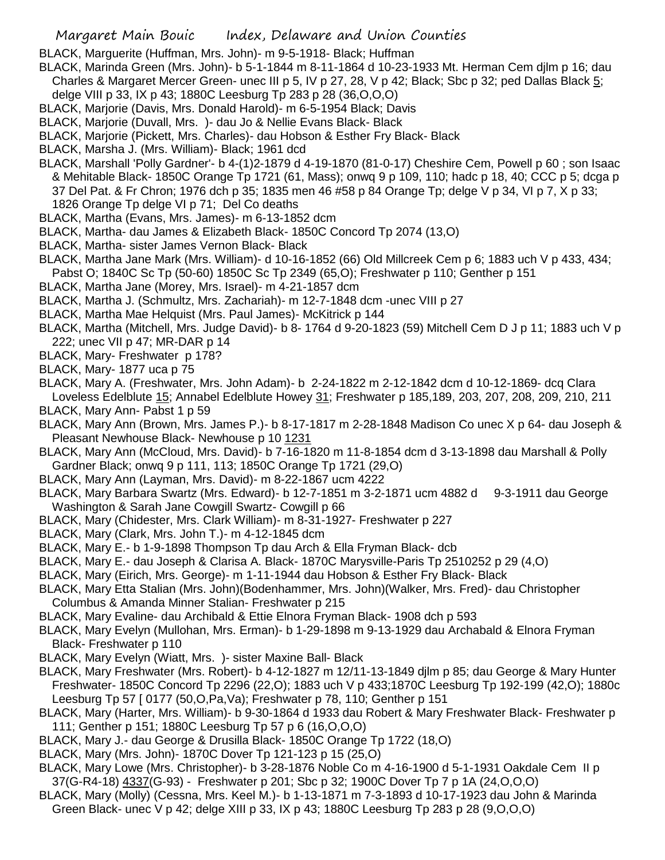BLACK, Marguerite (Huffman, Mrs. John)- m 9-5-1918- Black; Huffman

- BLACK, Marinda Green (Mrs. John)- b 5-1-1844 m 8-11-1864 d 10-23-1933 Mt. Herman Cem djlm p 16; dau Charles & Margaret Mercer Green- unec III p 5, IV p 27, 28, V p 42; Black; Sbc p 32; ped Dallas Black 5; delge VIII p 33, IX p 43; 1880C Leesburg Tp 283 p 28 (36,O,O,O)
- BLACK, Marjorie (Davis, Mrs. Donald Harold)- m 6-5-1954 Black; Davis
- BLACK, Marjorie (Duvall, Mrs. )- dau Jo & Nellie Evans Black- Black
- BLACK, Marjorie (Pickett, Mrs. Charles)- dau Hobson & Esther Fry Black- Black
- BLACK, Marsha J. (Mrs. William)- Black; 1961 dcd
- BLACK, Marshall 'Polly Gardner'- b 4-(1)2-1879 d 4-19-1870 (81-0-17) Cheshire Cem, Powell p 60 ; son Isaac & Mehitable Black- 1850C Orange Tp 1721 (61, Mass); onwq 9 p 109, 110; hadc p 18, 40; CCC p 5; dcga p 37 Del Pat. & Fr Chron; 1976 dch p 35; 1835 men 46 #58 p 84 Orange Tp; delge V p 34, VI p 7, X p 33; 1826 Orange Tp delge VI p 71; Del Co deaths
- BLACK, Martha (Evans, Mrs. James)- m 6-13-1852 dcm
- BLACK, Martha- dau James & Elizabeth Black- 1850C Concord Tp 2074 (13,O)
- BLACK, Martha- sister James Vernon Black- Black
- BLACK, Martha Jane Mark (Mrs. William)- d 10-16-1852 (66) Old Millcreek Cem p 6; 1883 uch V p 433, 434; Pabst O; 1840C Sc Tp (50-60) 1850C Sc Tp 2349 (65,O); Freshwater p 110; Genther p 151
- BLACK, Martha Jane (Morey, Mrs. Israel)- m 4-21-1857 dcm
- BLACK, Martha J. (Schmultz, Mrs. Zachariah)- m 12-7-1848 dcm -unec VIII p 27
- BLACK, Martha Mae Helquist (Mrs. Paul James)- McKitrick p 144
- BLACK, Martha (Mitchell, Mrs. Judge David)- b 8- 1764 d 9-20-1823 (59) Mitchell Cem D J p 11; 1883 uch V p 222; unec VII p 47; MR-DAR p 14
- BLACK, Mary- Freshwater p 178?
- BLACK, Mary- 1877 uca p 75
- BLACK, Mary A. (Freshwater, Mrs. John Adam)- b 2-24-1822 m 2-12-1842 dcm d 10-12-1869- dcq Clara Loveless Edelblute 15; Annabel Edelblute Howey 31; Freshwater p 185,189, 203, 207, 208, 209, 210, 211
- BLACK, Mary Ann- Pabst 1 p 59
- BLACK, Mary Ann (Brown, Mrs. James P.)- b 8-17-1817 m 2-28-1848 Madison Co unec X p 64- dau Joseph & Pleasant Newhouse Black- Newhouse p 10 1231
- BLACK, Mary Ann (McCloud, Mrs. David)- b 7-16-1820 m 11-8-1854 dcm d 3-13-1898 dau Marshall & Polly Gardner Black; onwq 9 p 111, 113; 1850C Orange Tp 1721 (29,O)
- BLACK, Mary Ann (Layman, Mrs. David)- m 8-22-1867 ucm 4222
- BLACK, Mary Barbara Swartz (Mrs. Edward)- b 12-7-1851 m 3-2-1871 ucm 4882 d 9-3-1911 dau George Washington & Sarah Jane Cowgill Swartz- Cowgill p 66
- BLACK, Mary (Chidester, Mrs. Clark William)- m 8-31-1927- Freshwater p 227
- BLACK, Mary (Clark, Mrs. John T.)- m 4-12-1845 dcm
- BLACK, Mary E.- b 1-9-1898 Thompson Tp dau Arch & Ella Fryman Black- dcb
- BLACK, Mary E.- dau Joseph & Clarisa A. Black- 1870C Marysville-Paris Tp 2510252 p 29 (4,O)
- BLACK, Mary (Eirich, Mrs. George)- m 1-11-1944 dau Hobson & Esther Fry Black- Black
- BLACK, Mary Etta Stalian (Mrs. John)(Bodenhammer, Mrs. John)(Walker, Mrs. Fred)- dau Christopher Columbus & Amanda Minner Stalian- Freshwater p 215
- BLACK, Mary Evaline- dau Archibald & Ettie Elnora Fryman Black- 1908 dch p 593
- BLACK, Mary Evelyn (Mullohan, Mrs. Erman)- b 1-29-1898 m 9-13-1929 dau Archabald & Elnora Fryman Black- Freshwater p 110
- BLACK, Mary Evelyn (Wiatt, Mrs. )- sister Maxine Ball- Black
- BLACK, Mary Freshwater (Mrs. Robert)- b 4-12-1827 m 12/11-13-1849 djlm p 85; dau George & Mary Hunter Freshwater- 1850C Concord Tp 2296 (22,O); 1883 uch V p 433;1870C Leesburg Tp 192-199 (42,O); 1880c Leesburg Tp 57 [ 0177 (50,O,Pa,Va); Freshwater p 78, 110; Genther p 151
- BLACK, Mary (Harter, Mrs. William)- b 9-30-1864 d 1933 dau Robert & Mary Freshwater Black- Freshwater p 111; Genther p 151; 1880C Leesburg Tp 57 p 6 (16,O,O,O)
- BLACK, Mary J.- dau George & Drusilla Black- 1850C Orange Tp 1722 (18,O)
- BLACK, Mary (Mrs. John)- 1870C Dover Tp 121-123 p 15 (25,O)
- BLACK, Mary Lowe (Mrs. Christopher)- b 3-28-1876 Noble Co m 4-16-1900 d 5-1-1931 Oakdale Cem II p 37(G-R4-18) 4337(G-93) - Freshwater p 201; Sbc p 32; 1900C Dover Tp 7 p 1A (24,O,O,O)
- BLACK, Mary (Molly) (Cessna, Mrs. Keel M.)- b 1-13-1871 m 7-3-1893 d 10-17-1923 dau John & Marinda Green Black- unec V p 42; delge XIII p 33, IX p 43; 1880C Leesburg Tp 283 p 28 (9,O,O,O)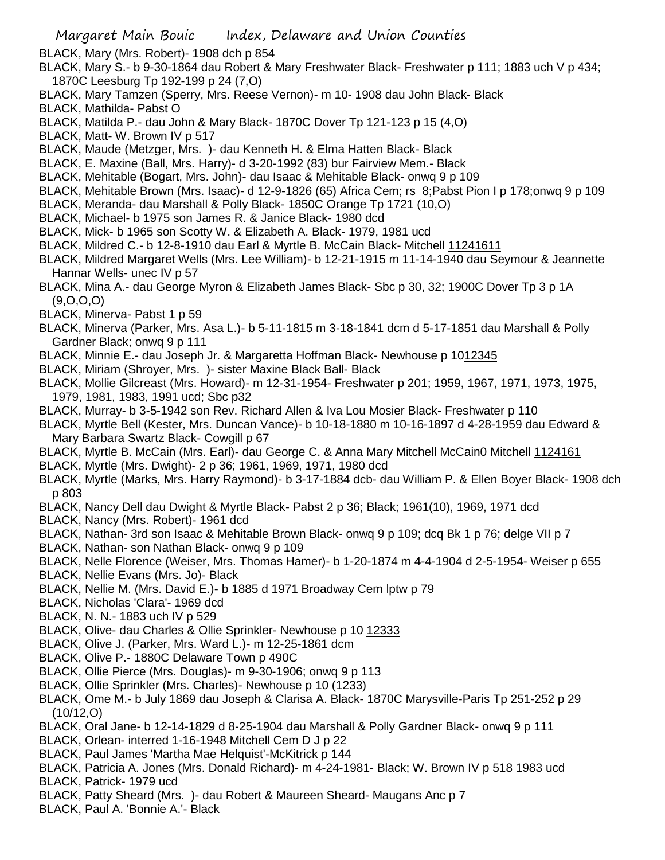BLACK, Mary (Mrs. Robert)- 1908 dch p 854

- BLACK, Mary S.- b 9-30-1864 dau Robert & Mary Freshwater Black- Freshwater p 111; 1883 uch V p 434; 1870C Leesburg Tp 192-199 p 24 (7,O)
- BLACK, Mary Tamzen (Sperry, Mrs. Reese Vernon)- m 10- 1908 dau John Black- Black
- BLACK, Mathilda- Pabst O
- BLACK, Matilda P.- dau John & Mary Black- 1870C Dover Tp 121-123 p 15 (4,O)
- BLACK, Matt- W. Brown IV p 517
- BLACK, Maude (Metzger, Mrs. )- dau Kenneth H. & Elma Hatten Black- Black
- BLACK, E. Maxine (Ball, Mrs. Harry)- d 3-20-1992 (83) bur Fairview Mem.- Black
- BLACK, Mehitable (Bogart, Mrs. John)- dau Isaac & Mehitable Black- onwq 9 p 109
- BLACK, Mehitable Brown (Mrs. Isaac)- d 12-9-1826 (65) Africa Cem; rs 8;Pabst Pion I p 178;onwq 9 p 109
- BLACK, Meranda- dau Marshall & Polly Black- 1850C Orange Tp 1721 (10,O)
- BLACK, Michael- b 1975 son James R. & Janice Black- 1980 dcd
- BLACK, Mick- b 1965 son Scotty W. & Elizabeth A. Black- 1979, 1981 ucd
- BLACK, Mildred C.- b 12-8-1910 dau Earl & Myrtle B. McCain Black- Mitchell 11241611
- BLACK, Mildred Margaret Wells (Mrs. Lee William)- b 12-21-1915 m 11-14-1940 dau Seymour & Jeannette Hannar Wells- unec IV p 57
- BLACK, Mina A.- dau George Myron & Elizabeth James Black- Sbc p 30, 32; 1900C Dover Tp 3 p 1A (9,O,O,O)
- BLACK, Minerva- Pabst 1 p 59
- BLACK, Minerva (Parker, Mrs. Asa L.)- b 5-11-1815 m 3-18-1841 dcm d 5-17-1851 dau Marshall & Polly Gardner Black; onwq 9 p 111
- BLACK, Minnie E.- dau Joseph Jr. & Margaretta Hoffman Black- Newhouse p 1012345
- BLACK, Miriam (Shroyer, Mrs. )- sister Maxine Black Ball- Black
- BLACK, Mollie Gilcreast (Mrs. Howard)- m 12-31-1954- Freshwater p 201; 1959, 1967, 1971, 1973, 1975, 1979, 1981, 1983, 1991 ucd; Sbc p32
- BLACK, Murray- b 3-5-1942 son Rev. Richard Allen & Iva Lou Mosier Black- Freshwater p 110
- BLACK, Myrtle Bell (Kester, Mrs. Duncan Vance)- b 10-18-1880 m 10-16-1897 d 4-28-1959 dau Edward & Mary Barbara Swartz Black- Cowgill p 67
- BLACK, Myrtle B. McCain (Mrs. Earl)- dau George C. & Anna Mary Mitchell McCain0 Mitchell 1124161
- BLACK, Myrtle (Mrs. Dwight)- 2 p 36; 1961, 1969, 1971, 1980 dcd
- BLACK, Myrtle (Marks, Mrs. Harry Raymond)- b 3-17-1884 dcb- dau William P. & Ellen Boyer Black- 1908 dch p 803
- BLACK, Nancy Dell dau Dwight & Myrtle Black- Pabst 2 p 36; Black; 1961(10), 1969, 1971 dcd
- BLACK, Nancy (Mrs. Robert)- 1961 dcd
- BLACK, Nathan- 3rd son Isaac & Mehitable Brown Black- onwq 9 p 109; dcq Bk 1 p 76; delge VII p 7
- BLACK, Nathan- son Nathan Black- onwq 9 p 109
- BLACK, Nelle Florence (Weiser, Mrs. Thomas Hamer)- b 1-20-1874 m 4-4-1904 d 2-5-1954- Weiser p 655
- BLACK, Nellie Evans (Mrs. Jo)- Black
- BLACK, Nellie M. (Mrs. David E.)- b 1885 d 1971 Broadway Cem lptw p 79
- BLACK, Nicholas 'Clara'- 1969 dcd
- BLACK, N. N.- 1883 uch IV p 529
- BLACK, Olive- dau Charles & Ollie Sprinkler- Newhouse p 10 12333
- BLACK, Olive J. (Parker, Mrs. Ward L.)- m 12-25-1861 dcm
- BLACK, Olive P.- 1880C Delaware Town p 490C
- BLACK, Ollie Pierce (Mrs. Douglas)- m 9-30-1906; onwq 9 p 113
- BLACK, Ollie Sprinkler (Mrs. Charles)- Newhouse p 10 (1233)
- BLACK, Ome M.- b July 1869 dau Joseph & Clarisa A. Black- 1870C Marysville-Paris Tp 251-252 p 29 (10/12,O)
- BLACK, Oral Jane- b 12-14-1829 d 8-25-1904 dau Marshall & Polly Gardner Black- onwq 9 p 111
- BLACK, Orlean- interred 1-16-1948 Mitchell Cem D J p 22
- BLACK, Paul James 'Martha Mae Helquist'-McKitrick p 144
- BLACK, Patricia A. Jones (Mrs. Donald Richard)- m 4-24-1981- Black; W. Brown IV p 518 1983 ucd
- BLACK, Patrick- 1979 ucd
- BLACK, Patty Sheard (Mrs. )- dau Robert & Maureen Sheard- Maugans Anc p 7
- BLACK, Paul A. 'Bonnie A.'- Black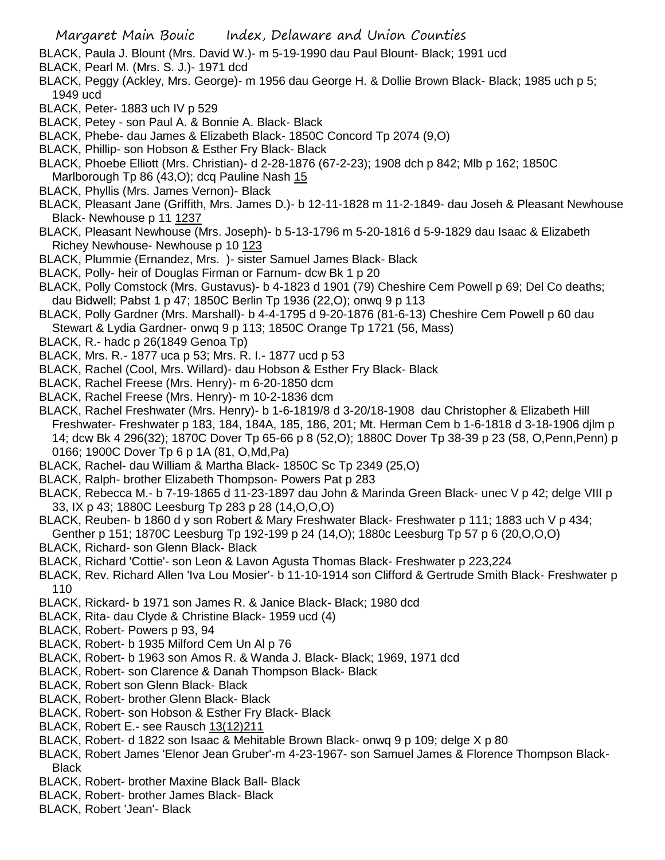- BLACK, Paula J. Blount (Mrs. David W.)- m 5-19-1990 dau Paul Blount- Black; 1991 ucd
- BLACK, Pearl M. (Mrs. S. J.)- 1971 dcd
- BLACK, Peggy (Ackley, Mrs. George)- m 1956 dau George H. & Dollie Brown Black- Black; 1985 uch p 5; 1949 ucd
- BLACK, Peter- 1883 uch IV p 529
- BLACK, Petey son Paul A. & Bonnie A. Black- Black
- BLACK, Phebe- dau James & Elizabeth Black- 1850C Concord Tp 2074 (9,O)
- BLACK, Phillip- son Hobson & Esther Fry Black- Black
- BLACK, Phoebe Elliott (Mrs. Christian)- d 2-28-1876 (67-2-23); 1908 dch p 842; Mlb p 162; 1850C Marlborough Tp 86 (43,O); dcq Pauline Nash 15
- BLACK, Phyllis (Mrs. James Vernon)- Black
- BLACK, Pleasant Jane (Griffith, Mrs. James D.)- b 12-11-1828 m 11-2-1849- dau Joseh & Pleasant Newhouse Black- Newhouse p 11 1237
- BLACK, Pleasant Newhouse (Mrs. Joseph)- b 5-13-1796 m 5-20-1816 d 5-9-1829 dau Isaac & Elizabeth Richey Newhouse- Newhouse p 10 123
- BLACK, Plummie (Ernandez, Mrs. )- sister Samuel James Black- Black
- BLACK, Polly- heir of Douglas Firman or Farnum- dcw Bk 1 p 20
- BLACK, Polly Comstock (Mrs. Gustavus)- b 4-1823 d 1901 (79) Cheshire Cem Powell p 69; Del Co deaths; dau Bidwell; Pabst 1 p 47; 1850C Berlin Tp 1936 (22,O); onwq 9 p 113
- BLACK, Polly Gardner (Mrs. Marshall)- b 4-4-1795 d 9-20-1876 (81-6-13) Cheshire Cem Powell p 60 dau Stewart & Lydia Gardner- onwq 9 p 113; 1850C Orange Tp 1721 (56, Mass)
- BLACK, R.- hadc p 26(1849 Genoa Tp)
- BLACK, Mrs. R.- 1877 uca p 53; Mrs. R. I.- 1877 ucd p 53
- BLACK, Rachel (Cool, Mrs. Willard)- dau Hobson & Esther Fry Black- Black
- BLACK, Rachel Freese (Mrs. Henry)- m 6-20-1850 dcm
- BLACK, Rachel Freese (Mrs. Henry)- m 10-2-1836 dcm
- BLACK, Rachel Freshwater (Mrs. Henry)- b 1-6-1819/8 d 3-20/18-1908 dau Christopher & Elizabeth Hill Freshwater- Freshwater p 183, 184, 184A, 185, 186, 201; Mt. Herman Cem b 1-6-1818 d 3-18-1906 djlm p 14; dcw Bk 4 296(32); 1870C Dover Tp 65-66 p 8 (52,O); 1880C Dover Tp 38-39 p 23 (58, O,Penn,Penn) p 0166; 1900C Dover Tp 6 p 1A (81, O,Md,Pa)
- BLACK, Rachel- dau William & Martha Black- 1850C Sc Tp 2349 (25,O)
- BLACK, Ralph- brother Elizabeth Thompson- Powers Pat p 283
- BLACK, Rebecca M.- b 7-19-1865 d 11-23-1897 dau John & Marinda Green Black- unec V p 42; delge VIII p 33, IX p 43; 1880C Leesburg Tp 283 p 28 (14,O,O,O)
- BLACK, Reuben- b 1860 d y son Robert & Mary Freshwater Black- Freshwater p 111; 1883 uch V p 434;
- Genther p 151; 1870C Leesburg Tp 192-199 p 24 (14,O); 1880c Leesburg Tp 57 p 6 (20,O,O,O)
- BLACK, Richard- son Glenn Black- Black
- BLACK, Richard 'Cottie'- son Leon & Lavon Agusta Thomas Black- Freshwater p 223,224
- BLACK, Rev. Richard Allen 'Iva Lou Mosier'- b 11-10-1914 son Clifford & Gertrude Smith Black- Freshwater p 110
- BLACK, Rickard- b 1971 son James R. & Janice Black- Black; 1980 dcd
- BLACK, Rita- dau Clyde & Christine Black- 1959 ucd (4)
- BLACK, Robert- Powers p 93, 94
- BLACK, Robert- b 1935 Milford Cem Un Al p 76
- BLACK, Robert- b 1963 son Amos R. & Wanda J. Black- Black; 1969, 1971 dcd
- BLACK, Robert- son Clarence & Danah Thompson Black- Black
- BLACK, Robert son Glenn Black- Black
- BLACK, Robert- brother Glenn Black- Black
- BLACK, Robert- son Hobson & Esther Fry Black- Black
- BLACK, Robert E.- see Rausch 13(12)211
- BLACK, Robert- d 1822 son Isaac & Mehitable Brown Black- onwq 9 p 109; delge X p 80
- BLACK, Robert James 'Elenor Jean Gruber'-m 4-23-1967- son Samuel James & Florence Thompson Black-Black
- BLACK, Robert- brother Maxine Black Ball- Black
- BLACK, Robert- brother James Black- Black
- BLACK, Robert 'Jean'- Black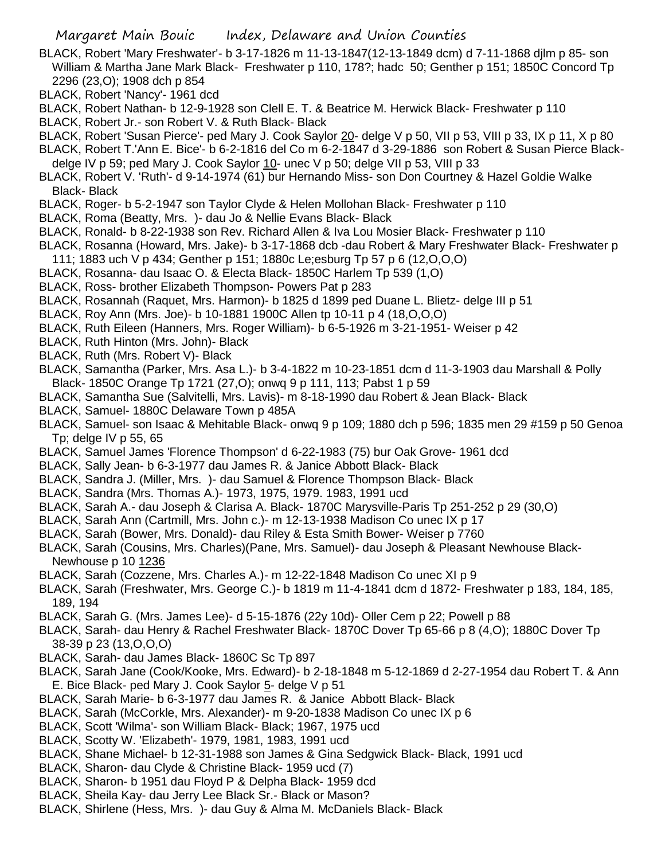- BLACK, Robert 'Mary Freshwater'- b 3-17-1826 m 11-13-1847(12-13-1849 dcm) d 7-11-1868 djlm p 85- son William & Martha Jane Mark Black- Freshwater p 110, 178?; hadc 50; Genther p 151; 1850C Concord Tp 2296 (23,O); 1908 dch p 854
- BLACK, Robert 'Nancy'- 1961 dcd
- BLACK, Robert Nathan- b 12-9-1928 son Clell E. T. & Beatrice M. Herwick Black- Freshwater p 110
- BLACK, Robert Jr.- son Robert V. & Ruth Black- Black
- BLACK, Robert 'Susan Pierce'- ped Mary J. Cook Saylor 20- delge V p 50, VII p 53, VIII p 33, IX p 11, X p 80
- BLACK, Robert T.'Ann E. Bice'- b 6-2-1816 del Co m 6-2-1847 d 3-29-1886 son Robert & Susan Pierce Blackdelge IV p 59; ped Mary J. Cook Saylor 10- unec V p 50; delge VII p 53, VIII p 33
- BLACK, Robert V. 'Ruth'- d 9-14-1974 (61) bur Hernando Miss- son Don Courtney & Hazel Goldie Walke Black- Black
- BLACK, Roger- b 5-2-1947 son Taylor Clyde & Helen Mollohan Black- Freshwater p 110
- BLACK, Roma (Beatty, Mrs. )- dau Jo & Nellie Evans Black- Black
- BLACK, Ronald- b 8-22-1938 son Rev. Richard Allen & Iva Lou Mosier Black- Freshwater p 110
- BLACK, Rosanna (Howard, Mrs. Jake)- b 3-17-1868 dcb -dau Robert & Mary Freshwater Black- Freshwater p
- 111; 1883 uch V p 434; Genther p 151; 1880c Le;esburg Tp 57 p 6 (12,O,O,O)
- BLACK, Rosanna- dau Isaac O. & Electa Black- 1850C Harlem Tp 539 (1,O) BLACK, Ross- brother Elizabeth Thompson- Powers Pat p 283
- BLACK, Rosannah (Raquet, Mrs. Harmon)- b 1825 d 1899 ped Duane L. Blietz- delge III p 51
- BLACK, Roy Ann (Mrs. Joe)- b 10-1881 1900C Allen tp 10-11 p 4 (18,O,O,O)
- BLACK, Ruth Eileen (Hanners, Mrs. Roger William)- b 6-5-1926 m 3-21-1951- Weiser p 42
- BLACK, Ruth Hinton (Mrs. John)- Black
- BLACK, Ruth (Mrs. Robert V)- Black
- BLACK, Samantha (Parker, Mrs. Asa L.)- b 3-4-1822 m 10-23-1851 dcm d 11-3-1903 dau Marshall & Polly Black- 1850C Orange Tp 1721 (27,O); onwq 9 p 111, 113; Pabst 1 p 59
- BLACK, Samantha Sue (Salvitelli, Mrs. Lavis)- m 8-18-1990 dau Robert & Jean Black- Black
- BLACK, Samuel- 1880C Delaware Town p 485A
- BLACK, Samuel- son Isaac & Mehitable Black- onwq 9 p 109; 1880 dch p 596; 1835 men 29 #159 p 50 Genoa Tp; delge IV p 55, 65
- BLACK, Samuel James 'Florence Thompson' d 6-22-1983 (75) bur Oak Grove- 1961 dcd
- BLACK, Sally Jean- b 6-3-1977 dau James R. & Janice Abbott Black- Black
- BLACK, Sandra J. (Miller, Mrs. )- dau Samuel & Florence Thompson Black- Black
- BLACK, Sandra (Mrs. Thomas A.)- 1973, 1975, 1979. 1983, 1991 ucd
- BLACK, Sarah A.- dau Joseph & Clarisa A. Black- 1870C Marysville-Paris Tp 251-252 p 29 (30,O)
- BLACK, Sarah Ann (Cartmill, Mrs. John c.)- m 12-13-1938 Madison Co unec IX p 17
- BLACK, Sarah (Bower, Mrs. Donald)- dau Riley & Esta Smith Bower- Weiser p 7760
- BLACK, Sarah (Cousins, Mrs. Charles)(Pane, Mrs. Samuel)- dau Joseph & Pleasant Newhouse Black-Newhouse p 10 1236
- BLACK, Sarah (Cozzene, Mrs. Charles A.)- m 12-22-1848 Madison Co unec XI p 9
- BLACK, Sarah (Freshwater, Mrs. George C.)- b 1819 m 11-4-1841 dcm d 1872- Freshwater p 183, 184, 185, 189, 194
- BLACK, Sarah G. (Mrs. James Lee)- d 5-15-1876 (22y 10d)- Oller Cem p 22; Powell p 88
- BLACK, Sarah- dau Henry & Rachel Freshwater Black- 1870C Dover Tp 65-66 p 8 (4,O); 1880C Dover Tp 38-39 p 23 (13,O,O,O)
- BLACK, Sarah- dau James Black- 1860C Sc Tp 897
- BLACK, Sarah Jane (Cook/Kooke, Mrs. Edward)- b 2-18-1848 m 5-12-1869 d 2-27-1954 dau Robert T. & Ann E. Bice Black- ped Mary J. Cook Saylor 5- delge V p 51
- BLACK, Sarah Marie- b 6-3-1977 dau James R. & Janice Abbott Black- Black
- BLACK, Sarah (McCorkle, Mrs. Alexander)- m 9-20-1838 Madison Co unec IX p 6
- BLACK, Scott 'Wilma'- son William Black- Black; 1967, 1975 ucd
- BLACK, Scotty W. 'Elizabeth'- 1979, 1981, 1983, 1991 ucd
- BLACK, Shane Michael- b 12-31-1988 son James & Gina Sedgwick Black- Black, 1991 ucd
- BLACK, Sharon- dau Clyde & Christine Black- 1959 ucd (7)
- BLACK, Sharon- b 1951 dau Floyd P & Delpha Black- 1959 dcd
- BLACK, Sheila Kay- dau Jerry Lee Black Sr.- Black or Mason?
- BLACK, Shirlene (Hess, Mrs. )- dau Guy & Alma M. McDaniels Black- Black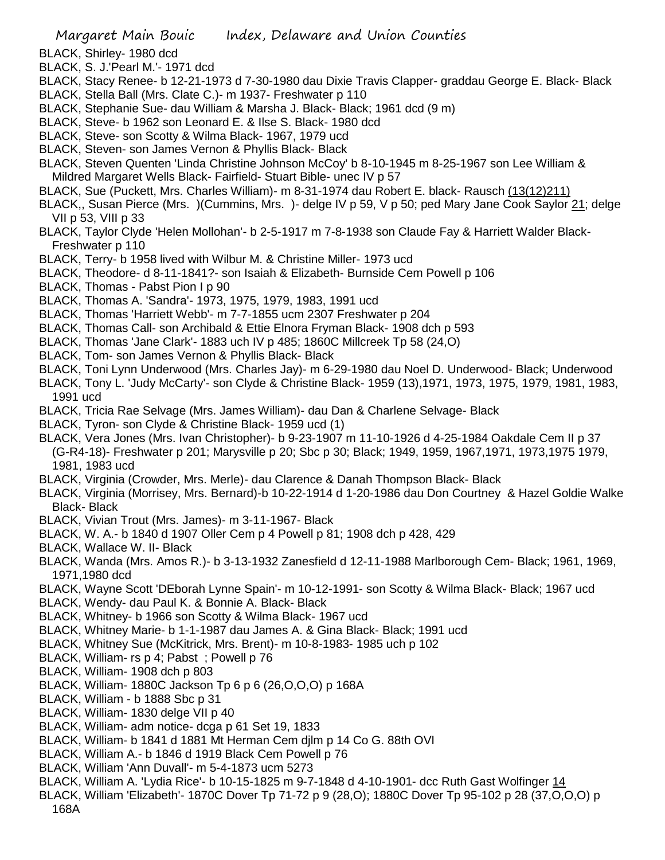BLACK, Shirley- 1980 dcd

BLACK, S. J.'Pearl M.'- 1971 dcd

BLACK, Stacy Renee- b 12-21-1973 d 7-30-1980 dau Dixie Travis Clapper- graddau George E. Black- Black BLACK, Stella Ball (Mrs. Clate C.)- m 1937- Freshwater p 110

- BLACK, Stephanie Sue- dau William & Marsha J. Black- Black; 1961 dcd (9 m)
- BLACK, Steve- b 1962 son Leonard E. & Ilse S. Black- 1980 dcd
- BLACK, Steve- son Scotty & Wilma Black- 1967, 1979 ucd
- BLACK, Steven- son James Vernon & Phyllis Black- Black

BLACK, Steven Quenten 'Linda Christine Johnson McCoy' b 8-10-1945 m 8-25-1967 son Lee William & Mildred Margaret Wells Black- Fairfield- Stuart Bible- unec IV p 57

- BLACK, Sue (Puckett, Mrs. Charles William)- m 8-31-1974 dau Robert E. black- Rausch (13(12)211)
- BLACK,, Susan Pierce (Mrs. )(Cummins, Mrs. )- delge IV p 59, V p 50; ped Mary Jane Cook Saylor 21; delge VII p 53, VIII p 33
- BLACK, Taylor Clyde 'Helen Mollohan'- b 2-5-1917 m 7-8-1938 son Claude Fay & Harriett Walder Black-Freshwater p 110
- BLACK, Terry- b 1958 lived with Wilbur M. & Christine Miller- 1973 ucd
- BLACK, Theodore- d 8-11-1841?- son Isaiah & Elizabeth- Burnside Cem Powell p 106
- BLACK, Thomas Pabst Pion I p 90
- BLACK, Thomas A. 'Sandra'- 1973, 1975, 1979, 1983, 1991 ucd
- BLACK, Thomas 'Harriett Webb'- m 7-7-1855 ucm 2307 Freshwater p 204
- BLACK, Thomas Call- son Archibald & Ettie Elnora Fryman Black- 1908 dch p 593
- BLACK, Thomas 'Jane Clark'- 1883 uch IV p 485; 1860C Millcreek Tp 58 (24,O)
- BLACK, Tom- son James Vernon & Phyllis Black- Black
- BLACK, Toni Lynn Underwood (Mrs. Charles Jay)- m 6-29-1980 dau Noel D. Underwood- Black; Underwood
- BLACK, Tony L. 'Judy McCarty'- son Clyde & Christine Black- 1959 (13),1971, 1973, 1975, 1979, 1981, 1983, 1991 ucd
- BLACK, Tricia Rae Selvage (Mrs. James William)- dau Dan & Charlene Selvage- Black
- BLACK, Tyron- son Clyde & Christine Black- 1959 ucd (1)
- BLACK, Vera Jones (Mrs. Ivan Christopher)- b 9-23-1907 m 11-10-1926 d 4-25-1984 Oakdale Cem II p 37 (G-R4-18)- Freshwater p 201; Marysville p 20; Sbc p 30; Black; 1949, 1959, 1967,1971, 1973,1975 1979, 1981, 1983 ucd
- BLACK, Virginia (Crowder, Mrs. Merle)- dau Clarence & Danah Thompson Black- Black
- BLACK, Virginia (Morrisey, Mrs. Bernard)-b 10-22-1914 d 1-20-1986 dau Don Courtney & Hazel Goldie Walke Black- Black
- BLACK, Vivian Trout (Mrs. James)- m 3-11-1967- Black
- BLACK, W. A.- b 1840 d 1907 Oller Cem p 4 Powell p 81; 1908 dch p 428, 429
- BLACK, Wallace W. II- Black
- BLACK, Wanda (Mrs. Amos R.)- b 3-13-1932 Zanesfield d 12-11-1988 Marlborough Cem- Black; 1961, 1969, 1971,1980 dcd
- BLACK, Wayne Scott 'DEborah Lynne Spain'- m 10-12-1991- son Scotty & Wilma Black- Black; 1967 ucd
- BLACK, Wendy- dau Paul K. & Bonnie A. Black- Black
- BLACK, Whitney- b 1966 son Scotty & Wilma Black- 1967 ucd
- BLACK, Whitney Marie- b 1-1-1987 dau James A. & Gina Black- Black; 1991 ucd
- BLACK, Whitney Sue (McKitrick, Mrs. Brent)- m 10-8-1983- 1985 uch p 102
- BLACK, William- rs p 4; Pabst ; Powell p 76
- BLACK, William- 1908 dch p 803
- BLACK, William- 1880C Jackson Tp 6 p 6 (26,O,O,O) p 168A
- BLACK, William b 1888 Sbc p 31
- BLACK, William- 1830 delge VII p 40
- BLACK, William- adm notice- dcga p 61 Set 19, 1833
- BLACK, William- b 1841 d 1881 Mt Herman Cem djlm p 14 Co G. 88th OVI
- BLACK, William A.- b 1846 d 1919 Black Cem Powell p 76
- BLACK, William 'Ann Duvall'- m 5-4-1873 ucm 5273
- BLACK, William A. 'Lydia Rice'- b 10-15-1825 m 9-7-1848 d 4-10-1901- dcc Ruth Gast Wolfinger 14
- BLACK, William 'Elizabeth'- 1870C Dover Tp 71-72 p 9 (28,O); 1880C Dover Tp 95-102 p 28 (37,O,O,O) p 168A